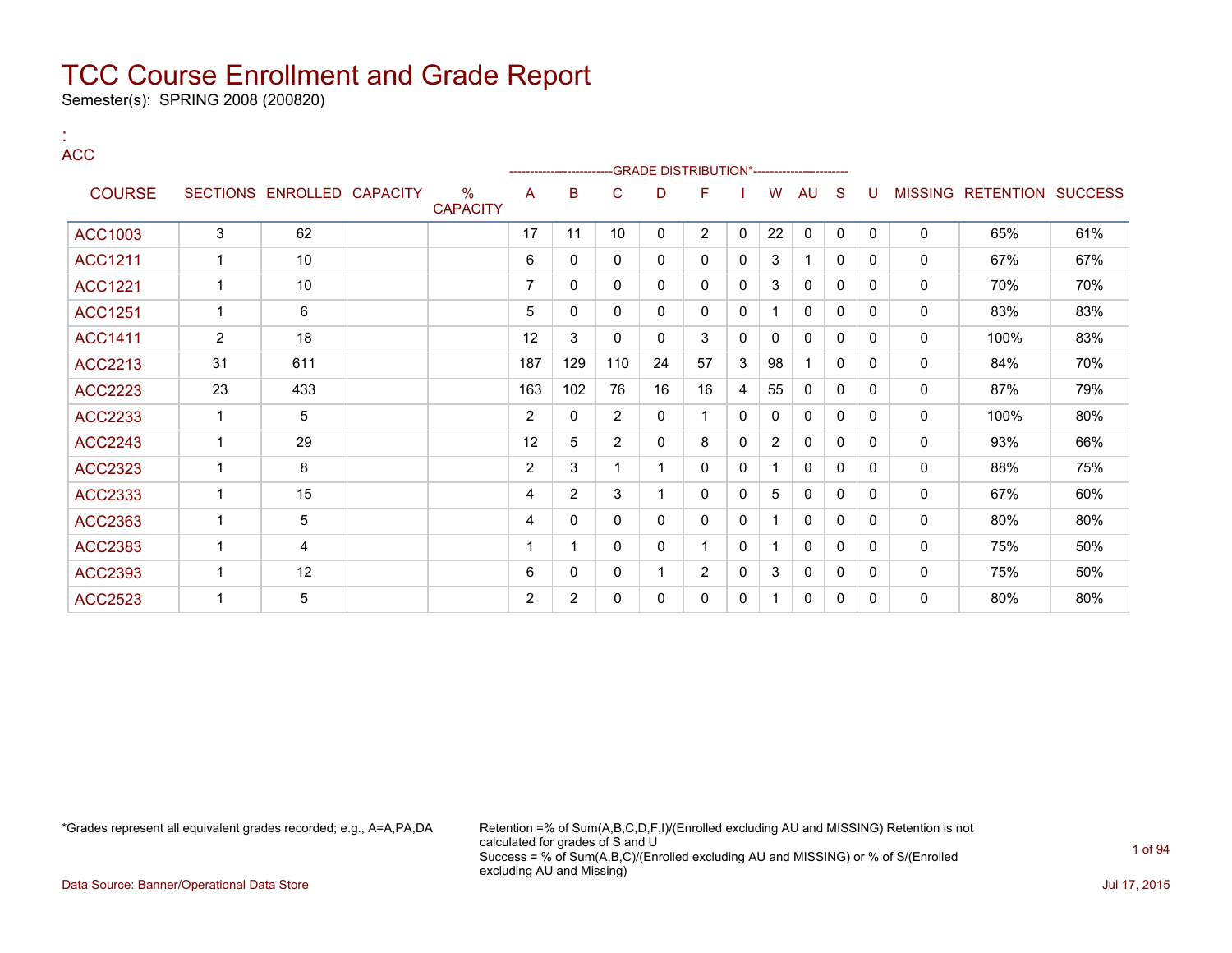Semester(s): SPRING 2008 (200820)

:

| <b>ACC</b>     |                |                            |                         |                | ---------------- |                |              | -GRADE DISTRIBUTION*---------------------- |              |                |             |              |              |          |                           |     |
|----------------|----------------|----------------------------|-------------------------|----------------|------------------|----------------|--------------|--------------------------------------------|--------------|----------------|-------------|--------------|--------------|----------|---------------------------|-----|
| <b>COURSE</b>  |                | SECTIONS ENROLLED CAPACITY | $\%$<br><b>CAPACITY</b> | A              | B                | C              | D            | F                                          |              | W              | AU          | <sub>S</sub> | U            |          | MISSING RETENTION SUCCESS |     |
| <b>ACC1003</b> | 3              | 62                         |                         | 17             | 11               | 10             | 0            | $\overline{2}$                             | 0            | 22             | $\mathbf 0$ | $\mathbf 0$  | 0            | 0        | 65%                       | 61% |
| <b>ACC1211</b> | $\mathbf 1$    | 10                         |                         | 6              | $\mathbf{0}$     | $\mathbf{0}$   | $\mathbf{0}$ | 0                                          | $\mathbf{0}$ | 3              | 1.          | 0            | $\Omega$     | 0        | 67%                       | 67% |
| <b>ACC1221</b> | $\mathbf{1}$   | 10                         |                         | $\overline{7}$ | $\Omega$         | $\mathbf{0}$   | $\Omega$     | 0                                          | $\mathbf{0}$ | 3              | $\Omega$    | $\mathbf{0}$ | $\Omega$     | $\Omega$ | 70%                       | 70% |
| <b>ACC1251</b> | $\mathbf{1}$   | 6                          |                         | 5              | $\mathbf{0}$     | $\mathbf{0}$   | $\Omega$     | $\mathbf{0}$                               | $\mathbf{0}$ |                | 0           | $\mathbf{0}$ | $\Omega$     | 0        | 83%                       | 83% |
| <b>ACC1411</b> | $\overline{2}$ | 18                         |                         | 12             | 3                | $\mathbf{0}$   | 0            | 3                                          | 0            | $\mathbf{0}$   | 0           | 0            | $\Omega$     | 0        | 100%                      | 83% |
| ACC2213        | 31             | 611                        |                         | 187            | 129              | 110            | 24           | 57                                         | 3            | 98             |             | 0            | 0            | 0        | 84%                       | 70% |
| <b>ACC2223</b> | 23             | 433                        |                         | 163            | 102              | 76             | 16           | 16                                         | 4            | 55             | 0           | 0            | 0            | 0        | 87%                       | 79% |
| <b>ACC2233</b> | 1              | 5                          |                         | $\overline{2}$ | $\mathbf{0}$     | $\overline{2}$ | 0            |                                            | $\mathbf{0}$ | 0              | 0           | 0            | $\mathbf{0}$ | 0        | 100%                      | 80% |
| <b>ACC2243</b> | $\mathbf{1}$   | 29                         |                         | 12             | 5                | $\overline{2}$ | $\Omega$     | 8                                          | $\mathbf{0}$ | $\overline{2}$ | 0           | 0            | 0            | 0        | 93%                       | 66% |
| ACC2323        | $\mathbf 1$    | 8                          |                         | 2              | 3                | 1              | 1            | 0                                          | $\mathbf{0}$ |                | 0           | $\mathbf{0}$ | $\mathbf{0}$ | 0        | 88%                       | 75% |
| ACC2333        | 1              | 15                         |                         | 4              | $\overline{2}$   | 3              | 1            | 0                                          | $\mathbf{0}$ | 5              | 0           | $\Omega$     | 0            | 0        | 67%                       | 60% |
| ACC2363        | $\mathbf 1$    | 5                          |                         | 4              | $\mathbf{0}$     | $\mathbf{0}$   | $\Omega$     | $\mathbf{0}$                               | $\mathbf{0}$ |                | 0           | 0            | 0            | 0        | 80%                       | 80% |
| ACC2383        | $\mathbf 1$    | 4                          |                         | 1              |                  | $\mathbf{0}$   | $\mathbf{0}$ |                                            | $\mathbf{0}$ |                | 0           | 0            | $\mathbf{0}$ | 0        | 75%                       | 50% |
| ACC2393        | $\mathbf 1$    | 12                         |                         | 6              | $\Omega$         | $\mathbf{0}$   | 1            | $\overline{2}$                             | $\mathbf{0}$ | 3              | 0           | $\mathbf{0}$ | $\mathbf{0}$ | 0        | 75%                       | 50% |
| <b>ACC2523</b> | 1              | 5                          |                         | 2              | $\overline{2}$   | 0              | $\mathbf{0}$ | 0                                          | $\mathbf{0}$ |                | 0           | $\mathbf{0}$ | 0            | 0        | 80%                       | 80% |

\*Grades represent all equivalent grades recorded; e.g., A=A,PA,DA Retention =% of Sum(A,B,C,D,F,I)/(Enrolled excluding AU and MISSING) Retention is not calculated for grades of S and U Success = % of Sum(A,B,C)/(Enrolled excluding AU and MISSING) or % of S/(Enrolled excluding AU and Missing)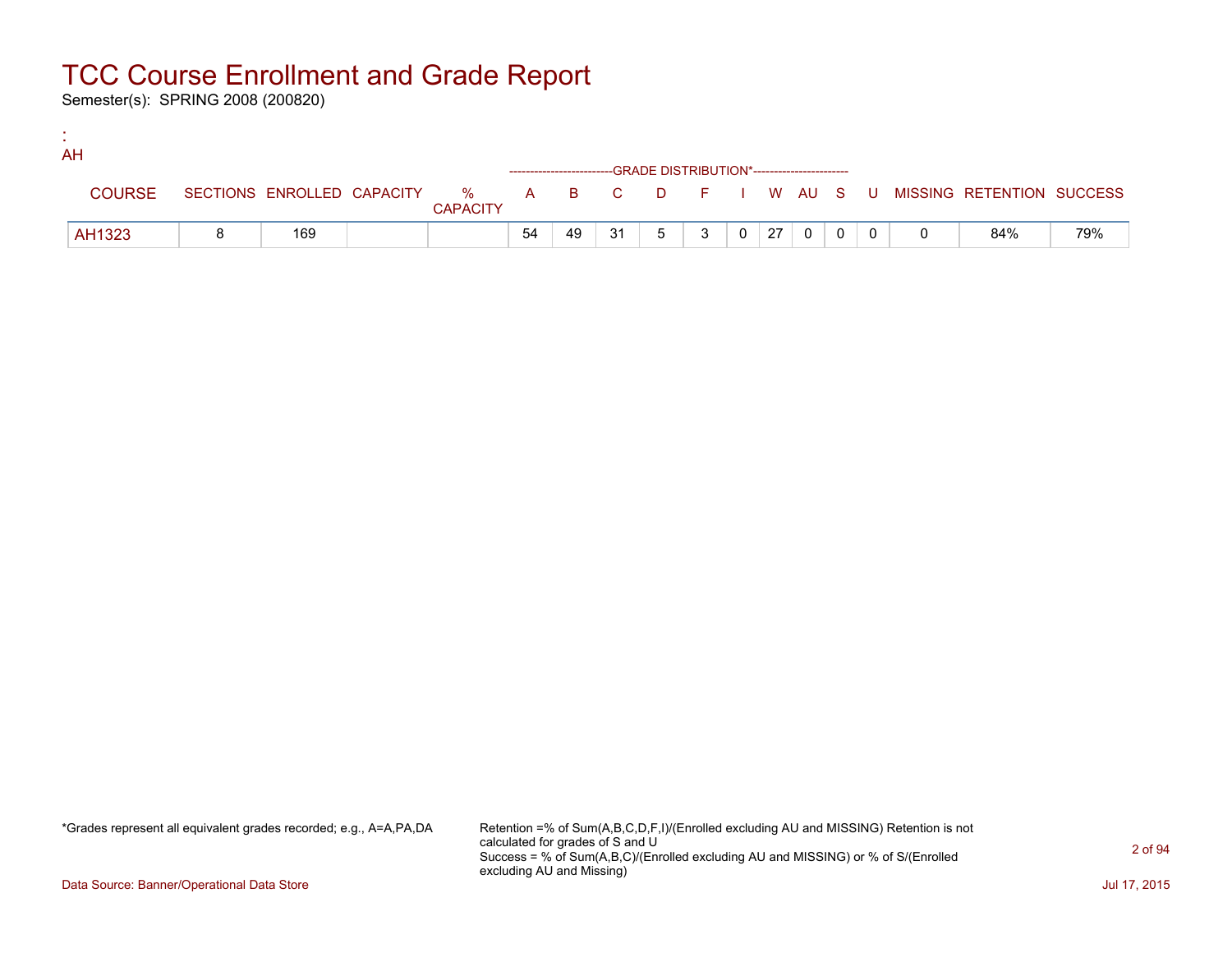Semester(s): SPRING 2008 (200820)

:

| AH            |     |                 |    |    |    |                                              |              |                  |                |  |                                                                             |     |
|---------------|-----|-----------------|----|----|----|----------------------------------------------|--------------|------------------|----------------|--|-----------------------------------------------------------------------------|-----|
|               |     |                 |    |    |    | --GRADE DISTRIBUTION*----------------------- |              |                  |                |  |                                                                             |     |
| <b>COURSE</b> |     | <b>CAPACITY</b> |    |    |    |                                              |              |                  |                |  | SECTIONS ENROLLED CAPACITY % A B C D F I W AU S U MISSING RETENTION SUCCESS |     |
| AH1323        | 169 |                 | 54 | 49 | 31 | 5 <sup>1</sup>                               | $\mathbf{3}$ | $0 \mid 27 \mid$ | $\overline{0}$ |  | 84%                                                                         | 79% |

\*Grades represent all equivalent grades recorded; e.g., A=A,PA,DA Retention =% of Sum(A,B,C,D,F,I)/(Enrolled excluding AU and MISSING) Retention is not calculated for grades of S and U Success = % of Sum(A,B,C)/(Enrolled excluding AU and MISSING) or % of S/(Enrolled excluding AU and Missing)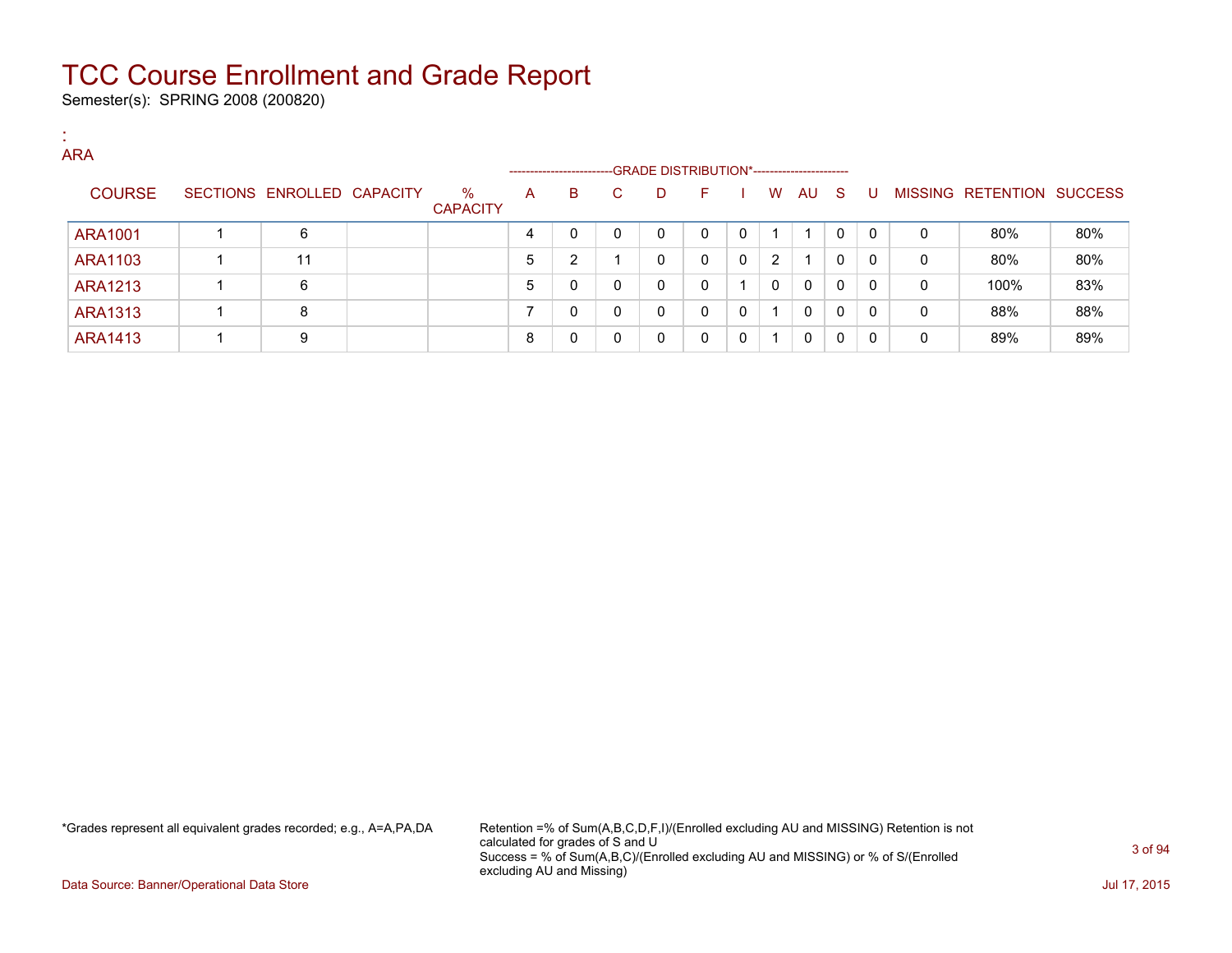Semester(s): SPRING 2008 (200820)

:

| <b>ARA</b>     |                            |                         |   | --------------------- |    |   | -GRADE DISTRIBUTION*----------------------- |          |   |              |     |          |   |                           |     |
|----------------|----------------------------|-------------------------|---|-----------------------|----|---|---------------------------------------------|----------|---|--------------|-----|----------|---|---------------------------|-----|
| <b>COURSE</b>  | SECTIONS ENROLLED CAPACITY | $\%$<br><b>CAPACITY</b> | A | B                     | C. | D | F.                                          |          | W | AU           | - S | U        |   | MISSING RETENTION SUCCESS |     |
| ARA1001        | 6                          |                         | 4 | 0                     | 0  | 0 | 0                                           | $\Omega$ |   |              | 0   | $\Omega$ | 0 | 80%                       | 80% |
| ARA1103        | 11                         |                         | 5 | 2                     |    | 0 | 0                                           | $\Omega$ | 2 |              | 0   | 0        | 0 | 80%                       | 80% |
| ARA1213        | 6                          |                         | 5 | 0                     | 0  | 0 | 0                                           |          | 0 | $\mathbf{0}$ | 0   | 0        | 0 | 100%                      | 83% |
| <b>ARA1313</b> | 8                          |                         |   | 0                     | 0  | 0 | 0                                           | $\Omega$ |   | $\mathbf{0}$ | 0   | 0        | 0 | 88%                       | 88% |
| ARA1413        | 9                          |                         | 8 | 0                     | 0  | 0 | 0                                           | 0        |   | 0            | 0   | 0        | 0 | 89%                       | 89% |

\*Grades represent all equivalent grades recorded; e.g., A=A,PA,DA Retention =% of Sum(A,B,C,D,F,I)/(Enrolled excluding AU and MISSING) Retention is not calculated for grades of S and U Success = % of Sum(A,B,C)/(Enrolled excluding AU and MISSING) or % of S/(Enrolled excluding AU and Missing)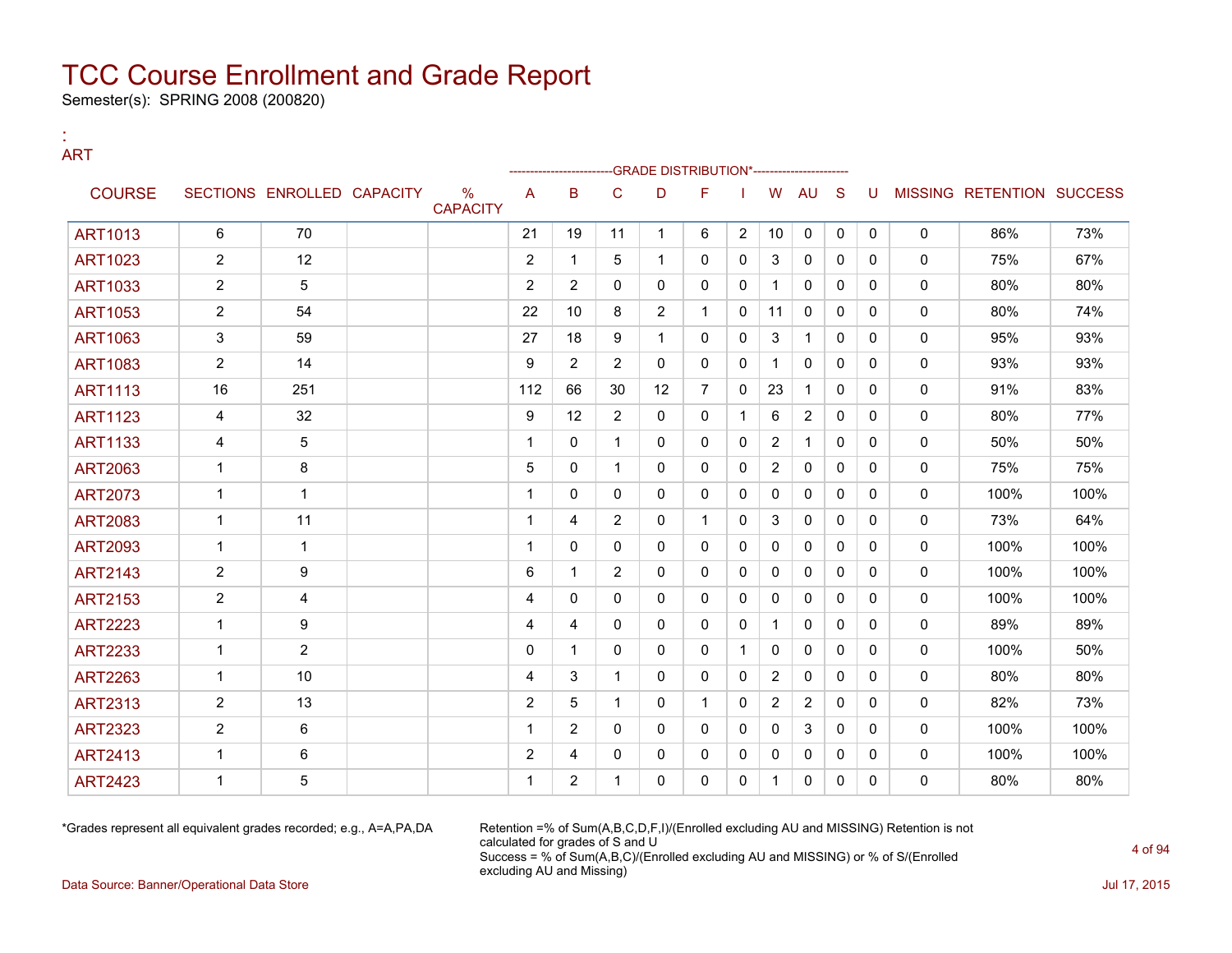Semester(s): SPRING 2008 (200820)

:

### ART --GRADE DISTRIBUTION\*------------------------COURSE SECTIONS ENROLLED CAPACITY % **CAPACITY** A B C D F I W AU S U MISSING RETENTION SUCCESS ART1013 6 70 21 19 11 1 6 2 10 0 0 0 0 86% 73% ART1023 | 2 | 12 | | 2 | 1 | 5 | 1 | 0 | 0 | 3 | 0 | 0 | 0 | 0 | 75% | 67% ART1033 2 5 5 2 2 0 0 0 1 0 0 0 0 0 80% 80% ART1053 | 2 | 54 | | 22 | 10 | 8 | 2 | 1 | 0 | 11 | 0 | 0 | 0 | 0 | 80% | 74% ART1063 | 3 | 59 | | 27 | 18 | 9 | 1 | 0 | 0 | 3 | 1 | 0 | 0 | 0 | 95% | 93% ART1083 | 2 | 14 | | 9 | 2 | 2 | 0 | 0 | 1 | 0 | 0 | 0 | 0 | 93% | 93% ART1113 | 16 | 251 | | 112 | 66 | 30 | 12 | 7 | 0 | 23 | 1 | 0 | 0 | 0 | 91% | 83% ART1123 4 32 9 12 2 0 0 1 6 2 0 0 0 80% 77% ART1133 | 4 | 5 | | 1 | 0 | 1 | 0 | 0 | 0 | 2 | 1 | 0 | 0 | 0 | 50% | 50% ART2063 1 8 5 0 1 0 0 0 2 0 0 0 0 75% 75% ART2073 1 1 1 0 0 0 0 0 0 0 0 0 0 100% 100% ART2083 | 1 | 11 | | 1 | 4 | 2 | 0 | 1 | 0 | 3 | 0 | 0 | 0 | 0 | 73% | 64% ART2093 1 1 1 0 0 0 0 0 0 0 0 0 0 100% 100% ART2143 | 2 | 9 | | 6 | 1 | 2 | 0 | 0 | 0 | 0 | 0 | 0 | 0 | 100% | 100% ART2153 2 4 4 0 0 0 0 0 0 0 0 0 0 100% 100% ART2223 | 1 | 9 | | 4 | 4 | 0 | 0 | 0 | 1 | 0 | 0 | 0 | 0 | 89% | 89% ART2233 1 2 0 1 0 0 0 1 0 0 0 0 0 100% 50% ART2263 | 1 | 10 | | 1 | 4 | 3 | 1 | 0 | 0 | 0 | 2 | 0 | 0 | 0 | 0 | 80% | 80% ART2313 | 2 | 13 | | 2 | 5 | 1 | 0 | 1 | 0 | 2 | 2 | 0 | 0 | 0 | 82% | 73% ART2323 2 6 1 2 0 0 0 0 0 3 0 0 0 100% 100% ART2413 | 1 | 6 | | | 2 |4 | 0 | 0 | 0 | 0 | 0 | 0 | 0 | 0 | 100% | 100% ART2423 | 1 | 5 | | 1 | 2 | 1 | 0 | 0 | 1 | 0 | 0 | 0 | 0 | 80% | 80%

\*Grades represent all equivalent grades recorded; e.g., A=A,PA,DA Retention =% of Sum(A,B,C,D,F,I)/(Enrolled excluding AU and MISSING) Retention is not calculated for grades of S and U Success = % of Sum(A,B,C)/(Enrolled excluding AU and MISSING) or % of S/(Enrolled excluding AU and Missing)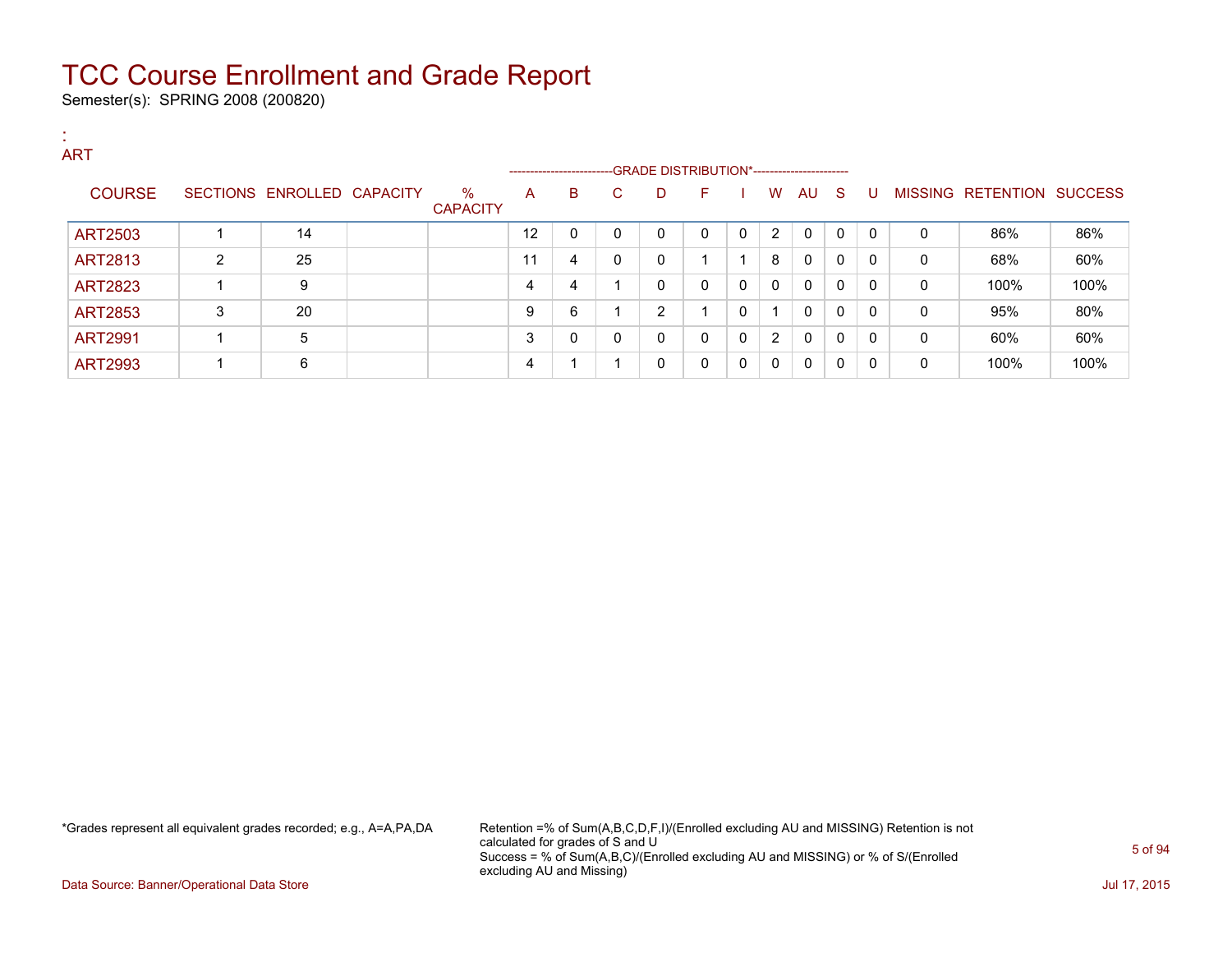Semester(s): SPRING 2008 (200820)

| <b>ART</b>     |   |                            |                      |    |                                                                     |              |                |          |              |              |              |          |              |              |                           |      |
|----------------|---|----------------------------|----------------------|----|---------------------------------------------------------------------|--------------|----------------|----------|--------------|--------------|--------------|----------|--------------|--------------|---------------------------|------|
|                |   |                            |                      |    | -------------------------GRADE DISTRIBUTION*----------------------- |              |                |          |              |              |              |          |              |              |                           |      |
| <b>COURSE</b>  |   | SECTIONS ENROLLED CAPACITY | %<br><b>CAPACITY</b> | A  | B                                                                   | C.           | D              | F        |              | W            | AU S         |          | U            |              | MISSING RETENTION SUCCESS |      |
| ART2503        |   | 14                         |                      | 12 | 0                                                                   | $\mathbf{0}$ | 0              | $\Omega$ | 0            | 2            | $\mathbf{0}$ | $\Omega$ | $\Omega$     | $\Omega$     | 86%                       | 86%  |
| ART2813        | 2 | 25                         |                      | 11 | 4                                                                   | $\mathbf{0}$ | 0              |          |              | 8            | $\Omega$     | $\Omega$ | $\Omega$     | $\mathbf{0}$ | 68%                       | 60%  |
| <b>ART2823</b> | 1 | 9                          |                      | 4  | $\overline{4}$                                                      |              | $\mathbf{0}$   | $\Omega$ | $\mathbf{0}$ | $\mathbf{0}$ | $\mathbf{0}$ | $\Omega$ | $\Omega$     | $\mathbf{0}$ | 100%                      | 100% |
| <b>ART2853</b> | 3 | 20                         |                      | 9  | 6                                                                   |              | $\overline{2}$ |          | 0            | 1            | $\mathbf{0}$ | 0        | $\mathbf{0}$ | $\mathbf{0}$ | 95%                       | 80%  |
| <b>ART2991</b> |   | 5                          |                      | 3  | 0                                                                   | $\mathbf{0}$ | 0              | $\Omega$ | $\mathbf{0}$ | 2            | $\Omega$     | $\Omega$ | $\Omega$     | $\mathbf{0}$ | 60%                       | 60%  |
| <b>ART2993</b> | 1 | 6                          |                      | 4  |                                                                     | ◢            | 0              | 0        | $\mathbf{0}$ | $\mathbf{0}$ | 0            | $\Omega$ | $\Omega$     | 0            | 100%                      | 100% |

\*Grades represent all equivalent grades recorded; e.g., A=A,PA,DA Retention =% of Sum(A,B,C,D,F,I)/(Enrolled excluding AU and MISSING) Retention is not calculated for grades of S and U Success = % of Sum(A,B,C)/(Enrolled excluding AU and MISSING) or % of S/(Enrolled excluding AU and Missing)

Data Source: Banner/Operational Data Store Jul 17, 2015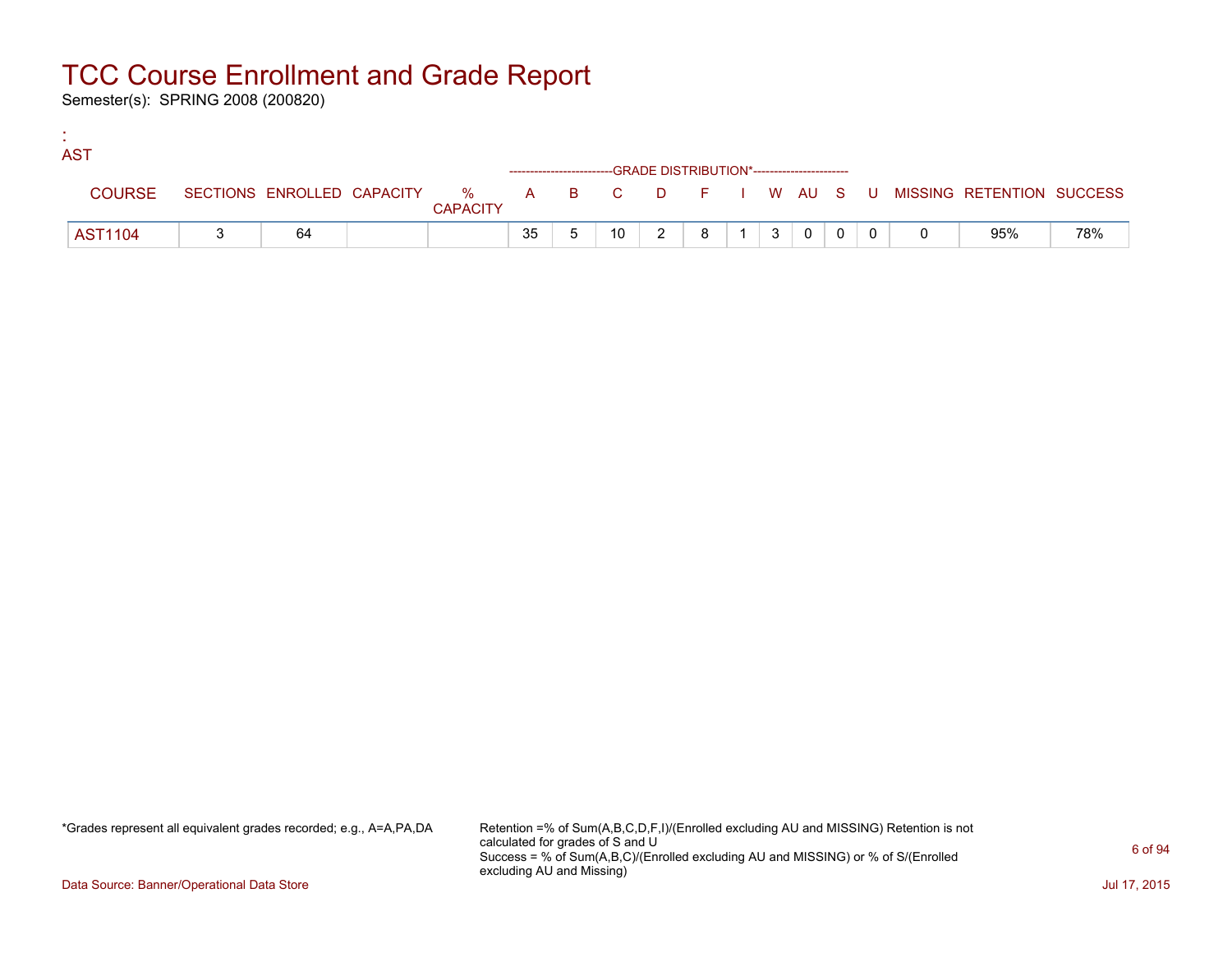Semester(s): SPRING 2008 (200820)

:

| <b>AST</b>     |    |                 |    |                 |                                                                    |   |                |              |  |                                                                               |     |
|----------------|----|-----------------|----|-----------------|--------------------------------------------------------------------|---|----------------|--------------|--|-------------------------------------------------------------------------------|-----|
|                |    |                 |    |                 | ------------------------GRADE DISTRIBUTION*----------------------- |   |                |              |  |                                                                               |     |
| <b>COURSE</b>  |    | <b>CAPACITY</b> |    |                 |                                                                    |   |                |              |  | SECTIONS ENROLLED CAPACITY 5 % A B C D F I W AU S U MISSING RETENTION SUCCESS |     |
| <b>AST1104</b> | 64 |                 | 35 | 10 <sup>1</sup> |                                                                    | 8 | 3 <sup>1</sup> | $\mathbf{0}$ |  | 95%                                                                           | 78% |

\*Grades represent all equivalent grades recorded; e.g., A=A,PA,DA Retention =% of Sum(A,B,C,D,F,I)/(Enrolled excluding AU and MISSING) Retention is not calculated for grades of S and U Success = % of Sum(A,B,C)/(Enrolled excluding AU and MISSING) or % of S/(Enrolled excluding AU and Missing)

Data Source: Banner/Operational Data Store Jul 17, 2015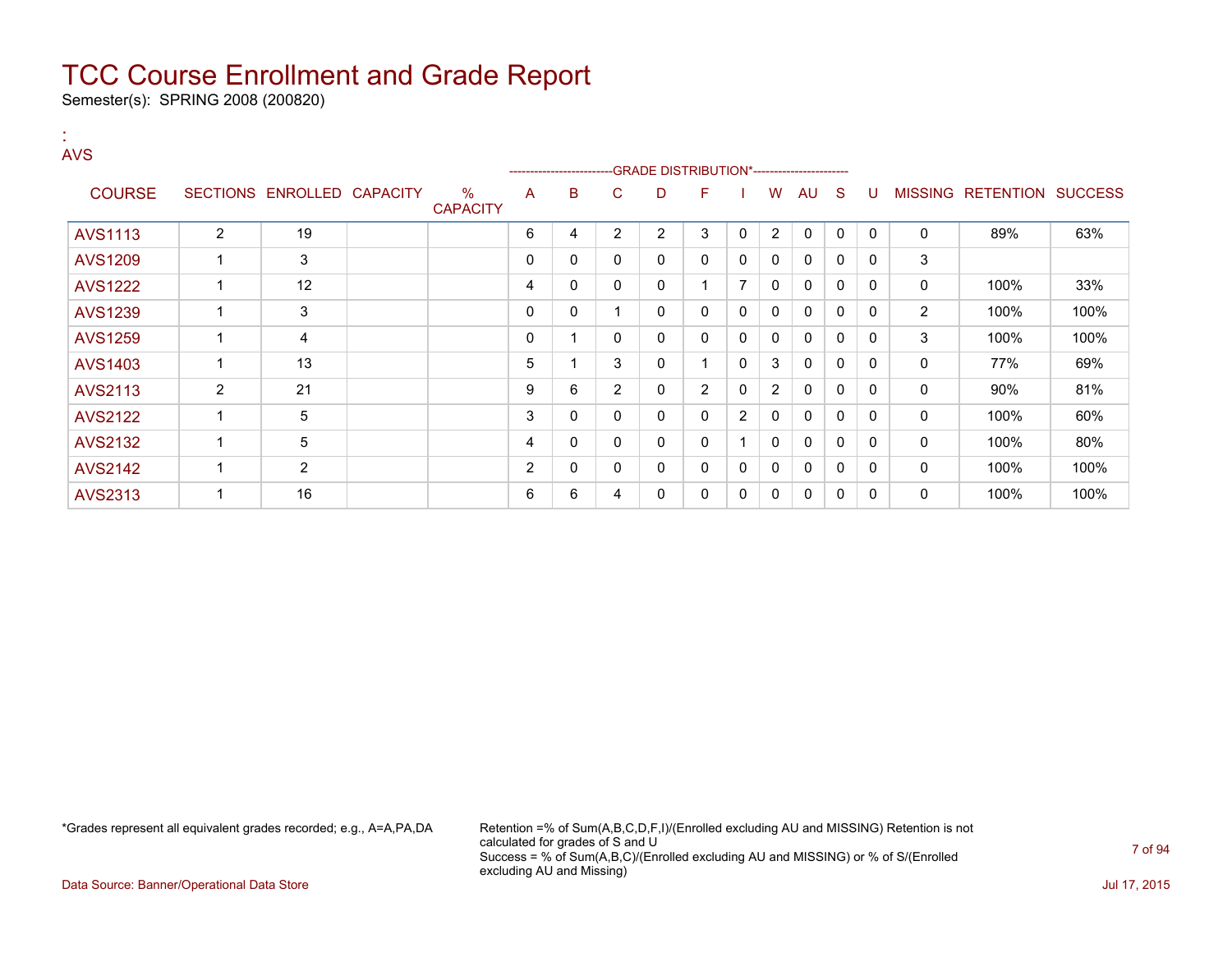Semester(s): SPRING 2008 (200820)

:

| <b>AVS</b>     |   |                            |                         |   | ------------------------ |                | -GRADE DISTRIBUTION*----------------------- |                |                |                |              |              |              |                |                           |      |
|----------------|---|----------------------------|-------------------------|---|--------------------------|----------------|---------------------------------------------|----------------|----------------|----------------|--------------|--------------|--------------|----------------|---------------------------|------|
| <b>COURSE</b>  |   | SECTIONS ENROLLED CAPACITY | $\%$<br><b>CAPACITY</b> | A | B                        | C              | D                                           | F              |                | W              | AU           | <sub>S</sub> | U            |                | MISSING RETENTION SUCCESS |      |
| <b>AVS1113</b> | 2 | 19                         |                         | 6 | 4                        | 2              | $\overline{2}$                              | 3              | $\mathbf{0}$   | $\overline{2}$ | 0            | 0            | $\mathbf{0}$ | 0              | 89%                       | 63%  |
| <b>AVS1209</b> |   | 3                          |                         | 0 | 0                        | 0              | 0                                           | 0              | $\mathbf{0}$   | $\mathbf{0}$   | $\mathbf{0}$ | 0            | $\Omega$     | 3              |                           |      |
| <b>AVS1222</b> |   | 12                         |                         | 4 | 0                        | 0              | $\mathbf 0$                                 |                | 7              | 0              | $\Omega$     | $\mathbf{0}$ | 0            | 0              | 100%                      | 33%  |
| <b>AVS1239</b> |   | 3                          |                         | 0 | 0                        |                | 0                                           | 0              | $\mathbf{0}$   | $\mathbf{0}$   | $\mathbf{0}$ | 0            | $\Omega$     | $\overline{2}$ | 100%                      | 100% |
| <b>AVS1259</b> |   | 4                          |                         | 0 |                          | $\mathbf{0}$   | 0                                           | 0              | $\mathbf{0}$   | $\mathbf{0}$   | $\Omega$     | $\Omega$     | 0            | 3              | 100%                      | 100% |
| AVS1403        |   | 13                         |                         | 5 |                          | 3              | 0                                           |                | $\mathbf{0}$   | 3              | 0            | 0            | 0            | 0              | 77%                       | 69%  |
| AVS2113        | 2 | 21                         |                         | 9 | 6                        | $\overline{2}$ | 0                                           | $\overline{2}$ | $\Omega$       | $\overline{2}$ | $\mathbf{0}$ | 0            | $\Omega$     | 0              | 90%                       | 81%  |
| <b>AVS2122</b> |   | 5                          |                         | 3 | 0                        | $\mathbf{0}$   | 0                                           | $\mathbf{0}$   | $\overline{2}$ | $\mathbf{0}$   | $\Omega$     | 0            | 0            | 0              | 100%                      | 60%  |
| <b>AVS2132</b> |   | 5                          |                         | 4 | 0                        | $\mathbf{0}$   | $\mathbf 0$                                 | $\mathbf{0}$   |                | $\mathbf{0}$   | $\Omega$     | $\Omega$     | 0            | 0              | 100%                      | 80%  |
| <b>AVS2142</b> |   | 2                          |                         | 2 | 0                        | $\mathbf{0}$   | 0                                           | 0              | $\Omega$       | $\mathbf{0}$   | $\mathbf{0}$ | 0            | $\Omega$     | 0              | 100%                      | 100% |
| AVS2313        |   | 16                         |                         | 6 | 6                        | 4              | 0                                           | 0              | 0              | 0              | 0            | 0            | $\Omega$     | 0              | 100%                      | 100% |

\*Grades represent all equivalent grades recorded; e.g., A=A,PA,DA Retention =% of Sum(A,B,C,D,F,I)/(Enrolled excluding AU and MISSING) Retention is not calculated for grades of S and U Success = % of Sum(A,B,C)/(Enrolled excluding AU and MISSING) or % of S/(Enrolled excluding AU and Missing)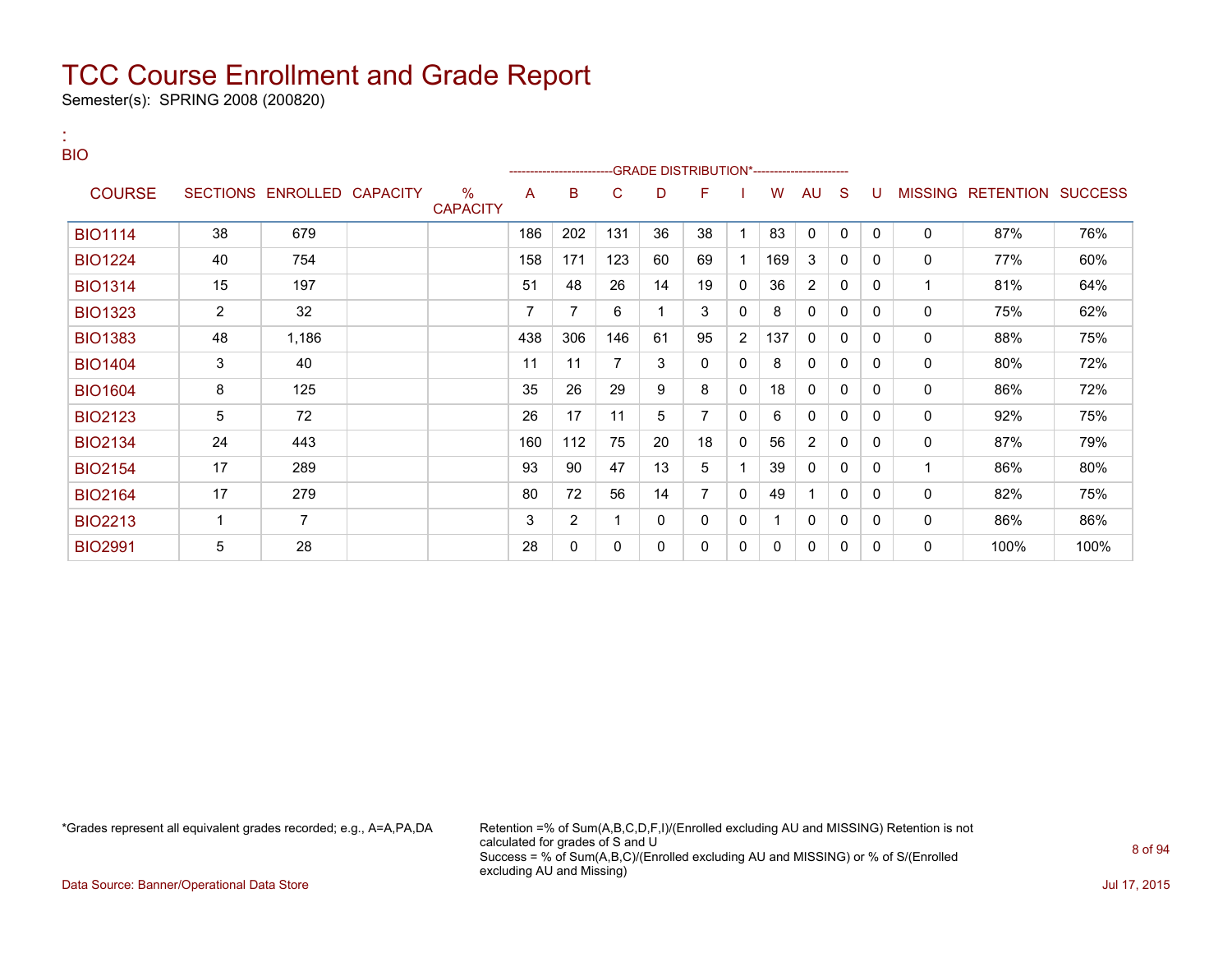Semester(s): SPRING 2008 (200820)

:

| <b>BIO</b>     |                |                            |                         |     | ------------------------ |     |    | -GRADE DISTRIBUTION*---------------------- |   |     |                |              |          |          |                                  |      |
|----------------|----------------|----------------------------|-------------------------|-----|--------------------------|-----|----|--------------------------------------------|---|-----|----------------|--------------|----------|----------|----------------------------------|------|
| <b>COURSE</b>  |                | SECTIONS ENROLLED CAPACITY | $\%$<br><b>CAPACITY</b> | A   | B                        | C   | D  | F                                          |   | W   | <b>AU</b>      | <sub>S</sub> | U        |          | <b>MISSING RETENTION SUCCESS</b> |      |
| <b>BIO1114</b> | 38             | 679                        |                         | 186 | 202                      | 131 | 36 | 38                                         |   | 83  | $\mathbf 0$    | $\mathbf{0}$ | $\Omega$ | 0        | 87%                              | 76%  |
| <b>BIO1224</b> | 40             | 754                        |                         | 158 | 171                      | 123 | 60 | 69                                         |   | 169 | 3              | 0            | 0        | 0        | 77%                              | 60%  |
| <b>BIO1314</b> | 15             | 197                        |                         | 51  | 48                       | 26  | 14 | 19                                         | 0 | 36  | $\overline{2}$ | 0            | 0        | 1        | 81%                              | 64%  |
| <b>BIO1323</b> | $\overline{2}$ | 32                         |                         | 7   | 7                        | 6   | 1  | 3                                          | 0 | 8   | $\mathbf{0}$   | 0            | $\Omega$ | $\Omega$ | 75%                              | 62%  |
| <b>BIO1383</b> | 48             | 1,186                      |                         | 438 | 306                      | 146 | 61 | 95                                         | 2 | 137 | $\mathbf{0}$   | 0            | 0        | $\Omega$ | 88%                              | 75%  |
| <b>BIO1404</b> | $\mathbf{3}$   | 40                         |                         | 11  | 11                       | 7   | 3  | 0                                          | 0 | 8   | $\mathbf{0}$   | 0            | 0        | 0        | 80%                              | 72%  |
| <b>BIO1604</b> | 8              | 125                        |                         | 35  | 26                       | 29  | 9  | 8                                          | 0 | 18  | $\Omega$       | 0            | $\Omega$ | $\Omega$ | 86%                              | 72%  |
| <b>BIO2123</b> | $\sqrt{5}$     | 72                         |                         | 26  | 17                       | 11  | 5  | $\overline{7}$                             | 0 | 6   | 0              | 0            | $\Omega$ | $\Omega$ | 92%                              | 75%  |
| <b>BIO2134</b> | 24             | 443                        |                         | 160 | 112                      | 75  | 20 | 18                                         | 0 | 56  | 2              | 0            | 0        | 0        | 87%                              | 79%  |
| <b>BIO2154</b> | 17             | 289                        |                         | 93  | 90                       | 47  | 13 | 5                                          |   | 39  | 0              | 0            | 0        | 1        | 86%                              | 80%  |
| <b>BIO2164</b> | 17             | 279                        |                         | 80  | 72                       | 56  | 14 | 7                                          | 0 | 49  |                | 0            | $\Omega$ | 0        | 82%                              | 75%  |
| <b>BIO2213</b> | $\mathbf{1}$   | $\overline{7}$             |                         | 3   | 2                        | 1   | 0  | 0                                          | 0 |     | $\Omega$       | 0            | 0        | 0        | 86%                              | 86%  |
| <b>BIO2991</b> | 5              | 28                         |                         | 28  | 0                        | 0   | 0  | 0                                          | 0 | 0   | 0              | 0            | 0        | 0        | 100%                             | 100% |

\*Grades represent all equivalent grades recorded; e.g., A=A,PA,DA Retention =% of Sum(A,B,C,D,F,I)/(Enrolled excluding AU and MISSING) Retention is not calculated for grades of S and U Success = % of Sum(A,B,C)/(Enrolled excluding AU and MISSING) or % of S/(Enrolled excluding AU and Missing)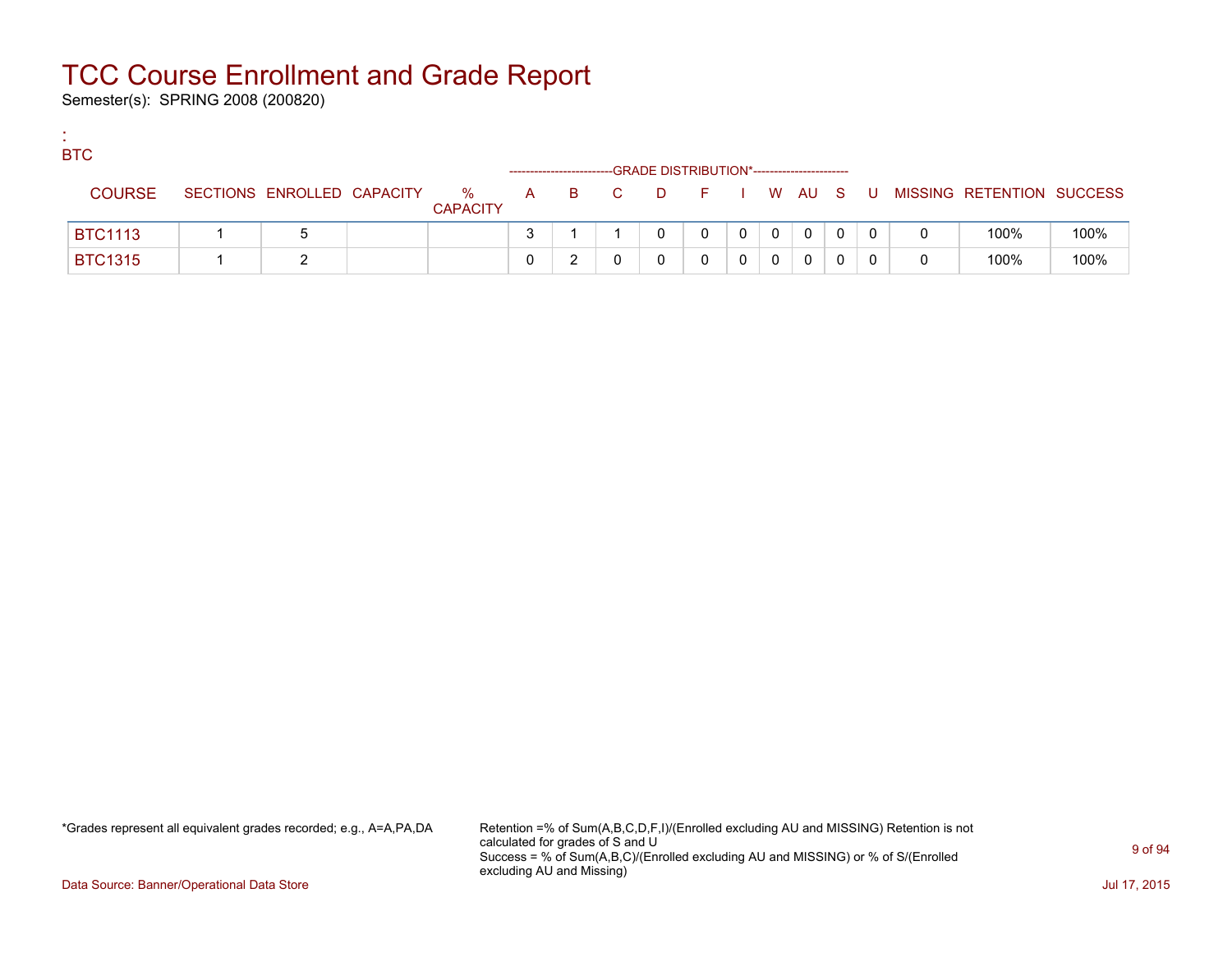Semester(s): SPRING 2008 (200820)

:

| <b>BTC</b>     |                            |                      |  |       | -GRADE DISTRIBUTION*----------------------- |         |          |          |    |   |                           |      |
|----------------|----------------------------|----------------------|--|-------|---------------------------------------------|---------|----------|----------|----|---|---------------------------|------|
| <b>COURSE</b>  | SECTIONS ENROLLED CAPACITY | %<br><b>CAPACITY</b> |  | A B C | <b>D</b>                                    | $F = 1$ |          | I W AU S | -U |   | MISSING RETENTION SUCCESS |      |
| <b>BTC1113</b> |                            |                      |  |       |                                             |         | $\Omega$ | $\Omega$ |    | 0 | 100%                      | 100% |
| <b>BTC1315</b> |                            |                      |  |       |                                             |         |          | 0        |    | 0 | 100%                      | 100% |

\*Grades represent all equivalent grades recorded; e.g., A=A,PA,DA Retention =% of Sum(A,B,C,D,F,I)/(Enrolled excluding AU and MISSING) Retention is not calculated for grades of S and U Success = % of Sum(A,B,C)/(Enrolled excluding AU and MISSING) or % of S/(Enrolled excluding AU and Missing)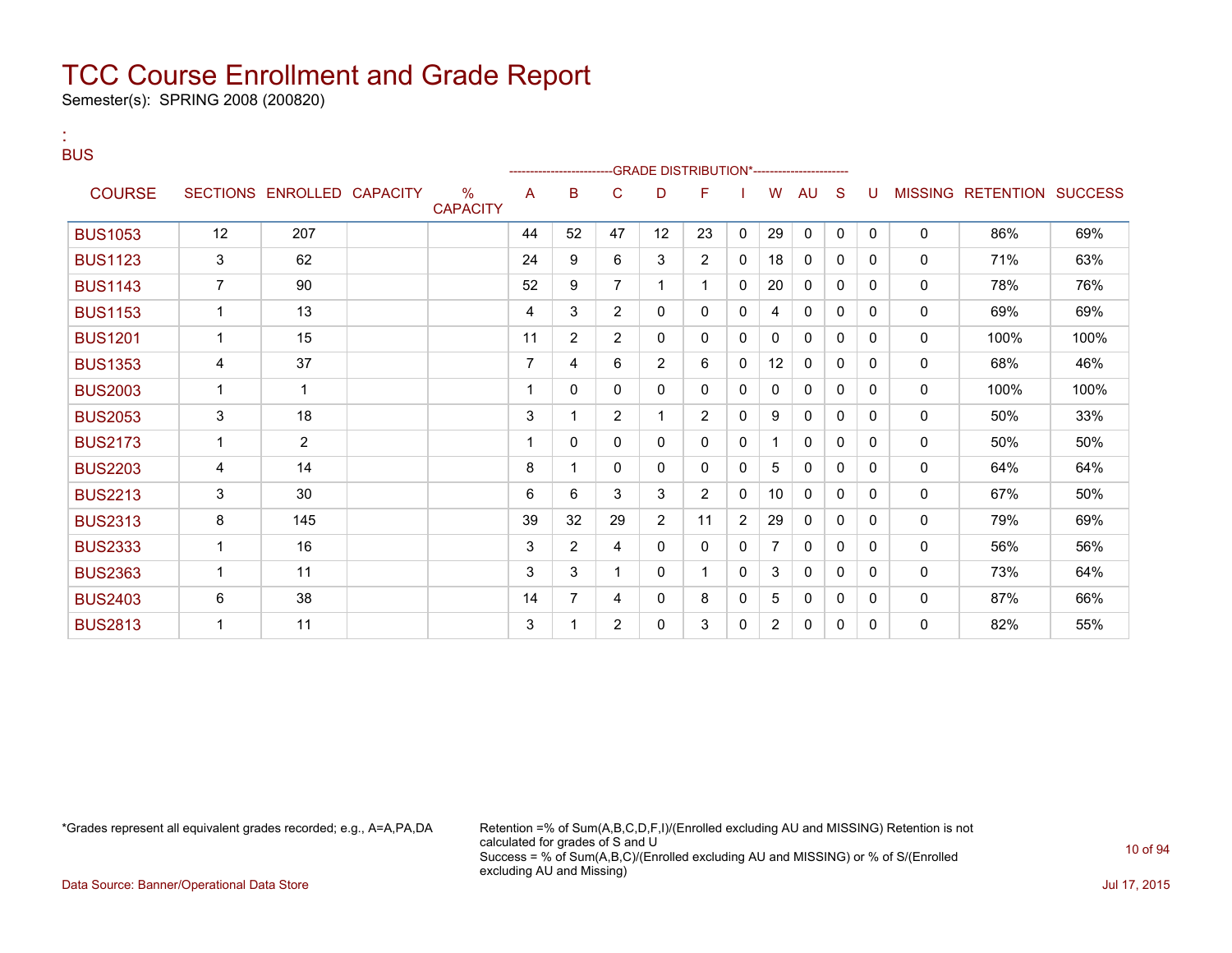Semester(s): SPRING 2008 (200820)

:

| <b>BUS</b>     |                |                            |                         | --------------------- |                |                |                | <b>GRADE DISTRIBUTION*----------------------</b> |                |                |              |          |          |              |                           |      |
|----------------|----------------|----------------------------|-------------------------|-----------------------|----------------|----------------|----------------|--------------------------------------------------|----------------|----------------|--------------|----------|----------|--------------|---------------------------|------|
| <b>COURSE</b>  |                | SECTIONS ENROLLED CAPACITY | $\%$<br><b>CAPACITY</b> | A                     | B              | C              | D              | F                                                |                | w              | AU           | S        |          |              | MISSING RETENTION SUCCESS |      |
| <b>BUS1053</b> | 12             | 207                        |                         | 44                    | 52             | 47             | 12             | 23                                               | $\Omega$       | 29             | $\mathbf{0}$ | $\Omega$ | $\Omega$ | $\mathbf{0}$ | 86%                       | 69%  |
| <b>BUS1123</b> | 3              | 62                         |                         | 24                    | 9              | 6              | 3              | $\overline{2}$                                   | $\mathbf{0}$   | 18             | 0            | 0        | 0        | $\mathbf{0}$ | 71%                       | 63%  |
| <b>BUS1143</b> | $\overline{7}$ | 90                         |                         | 52                    | 9              | $\overline{7}$ | $\mathbf{1}$   | $\mathbf 1$                                      | $\Omega$       | 20             | $\mathbf{0}$ | $\Omega$ | 0        | $\mathbf{0}$ | 78%                       | 76%  |
| <b>BUS1153</b> | 1              | 13                         |                         | 4                     | 3              | $\overline{2}$ | 0              | 0                                                | 0              | 4              | $\mathbf{0}$ | $\Omega$ | 0        | $\mathbf{0}$ | 69%                       | 69%  |
| <b>BUS1201</b> | $\overline{1}$ | 15                         |                         | 11                    | $\overline{2}$ | $\overline{2}$ | 0              | 0                                                | 0              | 0              | $\mathbf{0}$ | 0        | 0        | 0            | 100%                      | 100% |
| <b>BUS1353</b> | 4              | 37                         |                         | $\overline{7}$        | 4              | 6              | $\overline{2}$ | 6                                                | 0              | 12             | 0            | 0        | 0        | 0            | 68%                       | 46%  |
| <b>BUS2003</b> | 1              | $\overline{1}$             |                         |                       | 0              | 0              | 0              | 0                                                | 0              | 0              | 0            | 0        | 0        | 0            | 100%                      | 100% |
| <b>BUS2053</b> | $\mathbf{3}$   | 18                         |                         | 3                     | 1              | $\overline{2}$ | 1              | 2                                                | 0              | 9              | 0            | 0        | 0        | 0            | 50%                       | 33%  |
| <b>BUS2173</b> | 1              | $\overline{2}$             |                         |                       | 0              | 0              | $\mathbf{0}$   | 0                                                | 0              | 1              | $\mathbf{0}$ | 0        | 0        | 0            | 50%                       | 50%  |
| <b>BUS2203</b> | 4              | 14                         |                         | 8                     | 1              | 0              | 0              | 0                                                | 0              | 5              | $\mathbf{0}$ | 0        | 0        | 0            | 64%                       | 64%  |
| <b>BUS2213</b> | 3              | 30                         |                         | 6                     | 6              | 3              | 3              | 2                                                | 0              | 10             | 0            | 0        | 0        | 0            | 67%                       | 50%  |
| <b>BUS2313</b> | 8              | 145                        |                         | 39                    | 32             | 29             | $\overline{2}$ | 11                                               | $\overline{2}$ | 29             | 0            | 0        | 0        | 0            | 79%                       | 69%  |
| <b>BUS2333</b> | 1              | 16                         |                         | 3                     | $\overline{2}$ | 4              | $\mathbf{0}$   | 0                                                | 0              | 7              | 0            | $\Omega$ | 0        | 0            | 56%                       | 56%  |
| <b>BUS2363</b> | 1              | 11                         |                         | 3                     | 3              | 1              | 0              | 1                                                | 0              | 3              | 0            | 0        | 0        | $\mathbf{0}$ | 73%                       | 64%  |
| <b>BUS2403</b> | 6              | 38                         |                         | 14                    | $\overline{7}$ | 4              | 0              | 8                                                | 0              | 5              | 0            | 0        | 0        | 0            | 87%                       | 66%  |
| <b>BUS2813</b> | 1              | 11                         |                         | 3                     | 1              | 2              | 0              | 3                                                | 0              | $\overline{2}$ | $\mathbf{0}$ | 0        | 0        | 0            | 82%                       | 55%  |

\*Grades represent all equivalent grades recorded; e.g., A=A,PA,DA Retention =% of Sum(A,B,C,D,F,I)/(Enrolled excluding AU and MISSING) Retention is not calculated for grades of S and U Success = % of Sum(A,B,C)/(Enrolled excluding AU and MISSING) or % of S/(Enrolled excluding AU and Missing)

Data Source: Banner/Operational Data Store Jul 17, 2015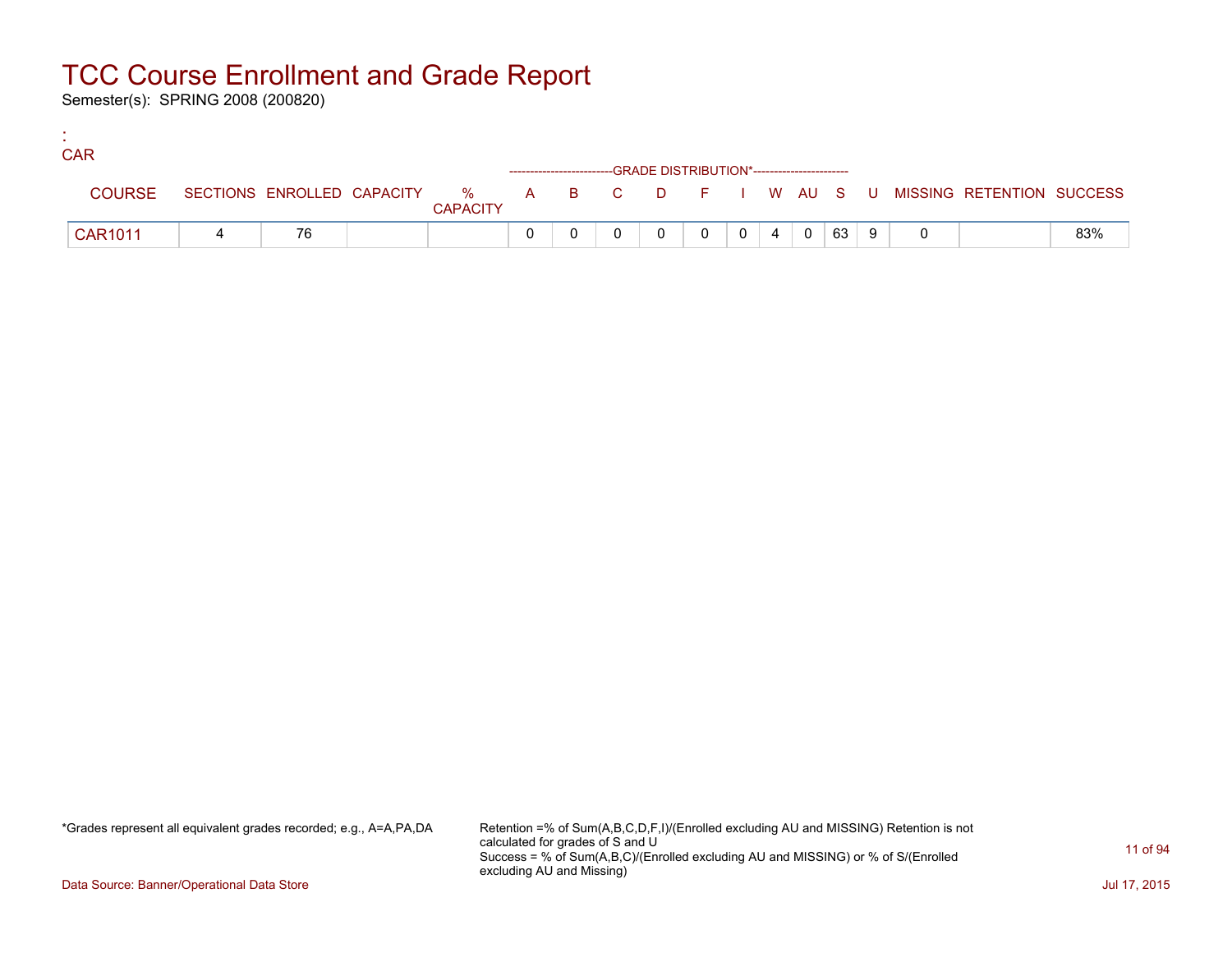Semester(s): SPRING 2008 (200820)

:

| <b>CAR</b>     |    |                 |  |                                                                    |          |  |                                                                     |     |  |                                                                             |     |
|----------------|----|-----------------|--|--------------------------------------------------------------------|----------|--|---------------------------------------------------------------------|-----|--|-----------------------------------------------------------------------------|-----|
|                |    |                 |  | ------------------------GRADE DISTRIBUTION*----------------------- |          |  |                                                                     |     |  |                                                                             |     |
| <b>COURSE</b>  |    | <b>CAPACITY</b> |  |                                                                    |          |  |                                                                     |     |  | SECTIONS ENROLLED CAPACITY % A B C D F I W AU S U MISSING RETENTION SUCCESS |     |
| <b>CAR1011</b> | 76 |                 |  |                                                                    | $\Omega$ |  | $\begin{array}{c c c c c c} \hline 0 & 4 & 0 \\ \hline \end{array}$ | 639 |  |                                                                             | 83% |

\*Grades represent all equivalent grades recorded; e.g., A=A,PA,DA Retention =% of Sum(A,B,C,D,F,I)/(Enrolled excluding AU and MISSING) Retention is not calculated for grades of S and U Success = % of Sum(A,B,C)/(Enrolled excluding AU and MISSING) or % of S/(Enrolled excluding AU and Missing)

Data Source: Banner/Operational Data Store Jul 17, 2015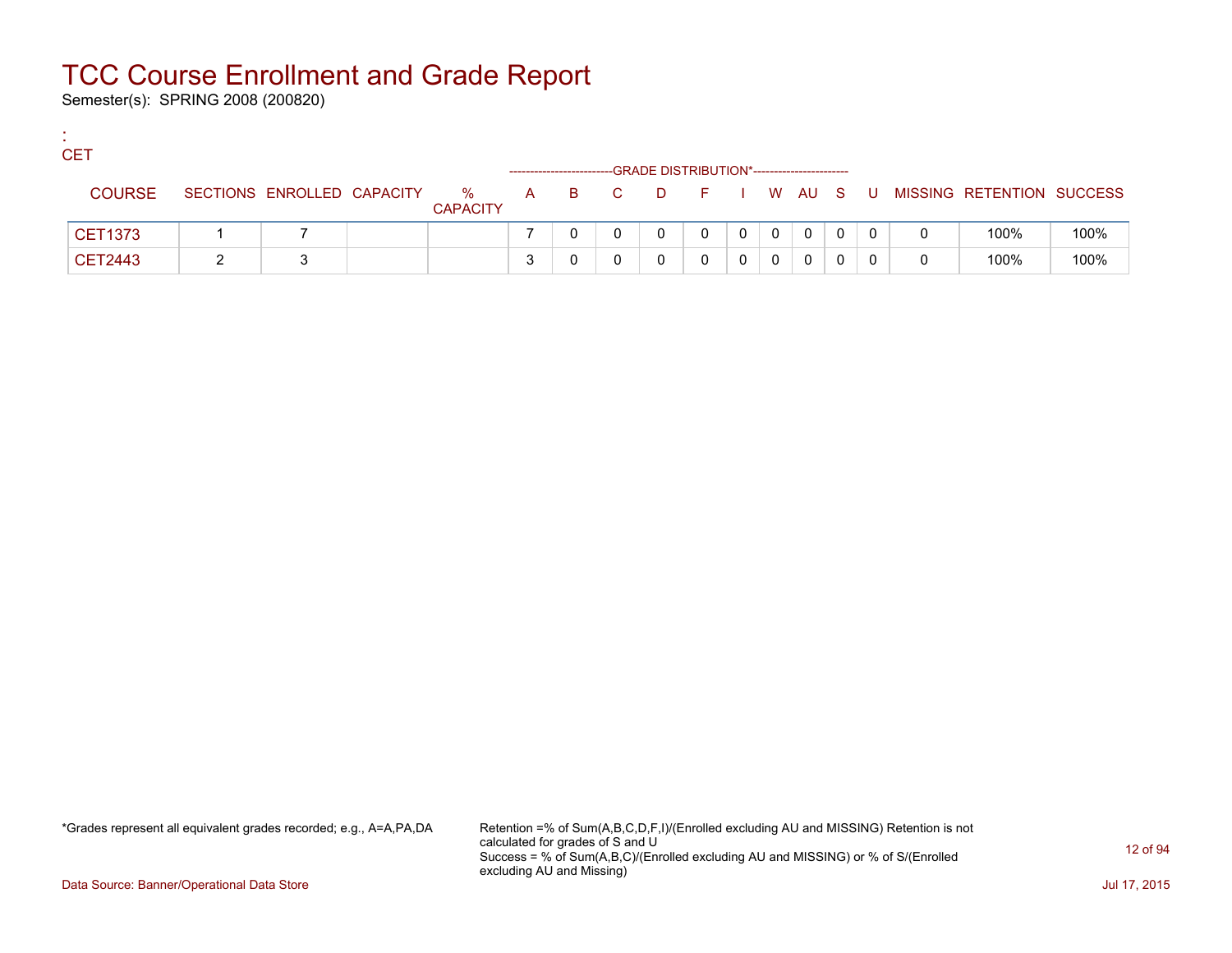Semester(s): SPRING 2008 (200820)

:

| <b>CET</b>     |                            |                      |  |       | -GRADE DISTRIBUTION*----------------------- |   |   |              |    |                           |      |
|----------------|----------------------------|----------------------|--|-------|---------------------------------------------|---|---|--------------|----|---------------------------|------|
| <b>COURSE</b>  | SECTIONS ENROLLED CAPACITY | %<br><b>CAPACITY</b> |  | A B C | DFIWAUS                                     |   |   |              | U. | MISSING RETENTION SUCCESS |      |
| <b>CET1373</b> |                            |                      |  |       |                                             | 0 | 0 | $\mathbf{0}$ |    | 100%                      | 100% |
| CET2443        |                            |                      |  |       |                                             |   |   | 0            |    | 100%                      | 100% |

\*Grades represent all equivalent grades recorded; e.g., A=A,PA,DA Retention =% of Sum(A,B,C,D,F,I)/(Enrolled excluding AU and MISSING) Retention is not calculated for grades of S and U Success = % of Sum(A,B,C)/(Enrolled excluding AU and MISSING) or % of S/(Enrolled excluding AU and Missing)

Data Source: Banner/Operational Data Store Jul 17, 2015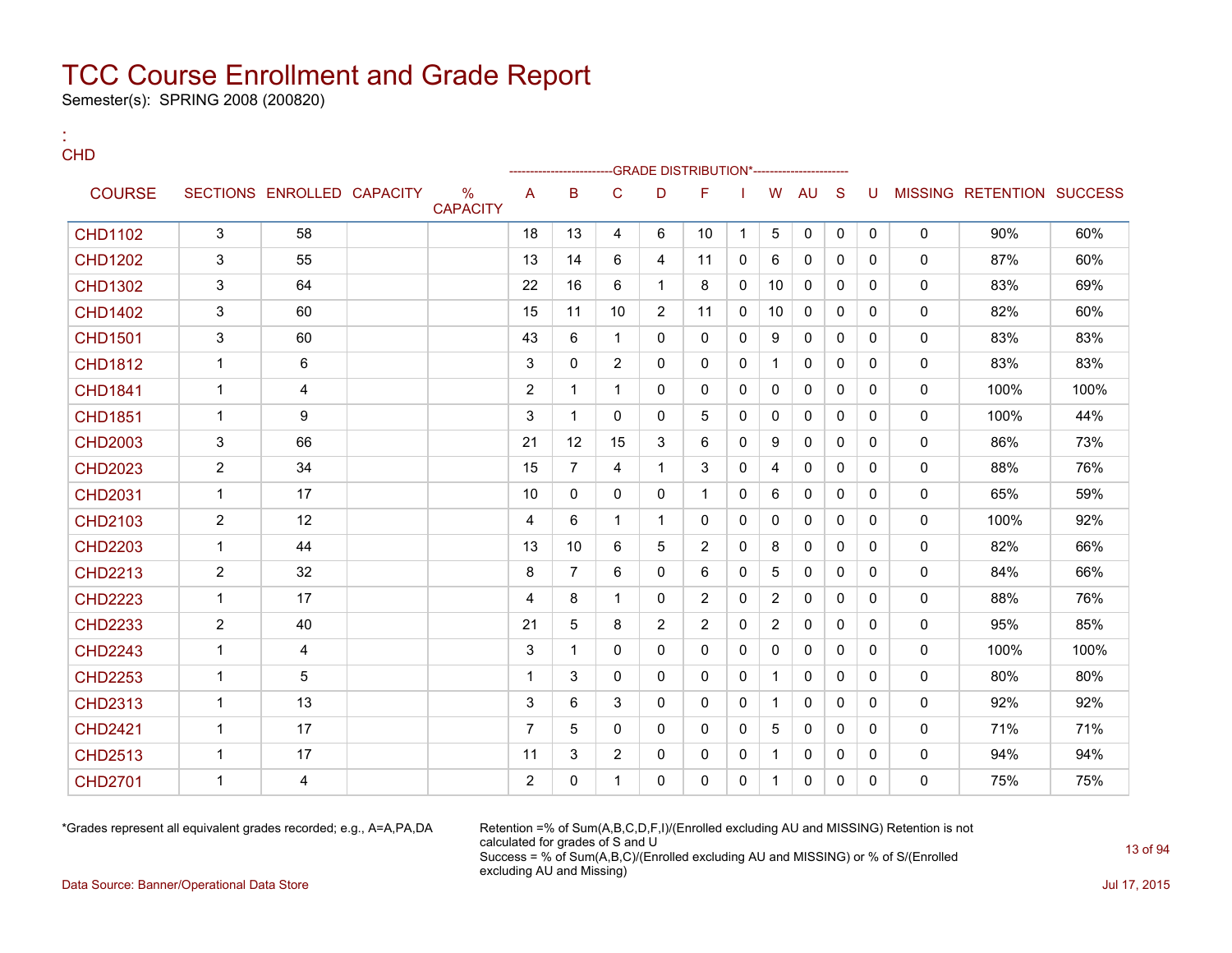Semester(s): SPRING 2008 (200820)

:

| <b>CHD</b>     |                |                            |                                  |                |                 |                |                | -GRADE DISTRIBUTION*------------------ |              |                |              |              |              |              |                           |      |
|----------------|----------------|----------------------------|----------------------------------|----------------|-----------------|----------------|----------------|----------------------------------------|--------------|----------------|--------------|--------------|--------------|--------------|---------------------------|------|
| <b>COURSE</b>  |                | SECTIONS ENROLLED CAPACITY | $\frac{0}{0}$<br><b>CAPACITY</b> | A              | B               | C              | D              | F                                      |              | W              | <b>AU</b>    | <sub>S</sub> | U            |              | MISSING RETENTION SUCCESS |      |
| <b>CHD1102</b> | 3              | 58                         |                                  | 18             | 13              | 4              | 6              | 10                                     | $\mathbf 1$  | 5              | $\mathbf{0}$ | $\mathbf{0}$ | $\mathbf{0}$ | $\mathbf{0}$ | 90%                       | 60%  |
| <b>CHD1202</b> | 3              | 55                         |                                  | 13             | 14              | 6              | 4              | 11                                     | $\mathbf{0}$ | 6              | $\Omega$     | $\Omega$     | $\mathbf{0}$ | $\Omega$     | 87%                       | 60%  |
| <b>CHD1302</b> | 3              | 64                         |                                  | 22             | 16              | 6              | $\mathbf{1}$   | 8                                      | 0            | 10             | $\Omega$     | $\Omega$     | $\Omega$     | $\mathbf{0}$ | 83%                       | 69%  |
| <b>CHD1402</b> | 3              | 60                         |                                  | 15             | 11              | 10             | $\overline{2}$ | 11                                     | 0            | 10             | 0            | $\mathbf{0}$ | $\mathbf{0}$ | $\mathbf{0}$ | 82%                       | 60%  |
| <b>CHD1501</b> | 3              | 60                         |                                  | 43             | 6               | $\mathbf{1}$   | $\Omega$       | $\mathbf{0}$                           | $\Omega$     | 9              | $\Omega$     | $\Omega$     | $\Omega$     | $\mathbf{0}$ | 83%                       | 83%  |
| <b>CHD1812</b> | $\mathbf{1}$   | 6                          |                                  | 3              | 0               | $\overline{2}$ | 0              | $\mathbf{0}$                           | 0            | $\mathbf{1}$   | $\mathbf{0}$ | $\Omega$     | $\Omega$     | $\mathbf{0}$ | 83%                       | 83%  |
| <b>CHD1841</b> | $\mathbf{1}$   | 4                          |                                  | $\overline{2}$ | 1               | $\mathbf{1}$   | 0              | $\mathbf{0}$                           | 0            | 0              | 0            | $\Omega$     | $\Omega$     | $\mathbf 0$  | 100%                      | 100% |
| <b>CHD1851</b> | $\mathbf{1}$   | 9                          |                                  | 3              | $\mathbf{1}$    | $\Omega$       | 0              | 5                                      | 0            | $\mathbf{0}$   | $\mathbf{0}$ | $\Omega$     | $\Omega$     | $\mathbf{0}$ | 100%                      | 44%  |
| <b>CHD2003</b> | 3              | 66                         |                                  | 21             | 12              | 15             | 3              | 6                                      | 0            | 9              | $\Omega$     | $\Omega$     | $\Omega$     | $\mathbf 0$  | 86%                       | 73%  |
| <b>CHD2023</b> | $\overline{2}$ | 34                         |                                  | 15             | $\overline{7}$  | 4              | $\mathbf{1}$   | 3                                      | 0            | 4              | $\mathbf{0}$ | $\mathbf{0}$ | $\mathbf{0}$ | $\mathbf{0}$ | 88%                       | 76%  |
| <b>CHD2031</b> | $\mathbf{1}$   | 17                         |                                  | 10             | 0               | $\Omega$       | 0              | $\mathbf{1}$                           | $\Omega$     | 6              | $\Omega$     | $\Omega$     | $\Omega$     | $\mathbf{0}$ | 65%                       | 59%  |
| CHD2103        | $\overline{2}$ | 12                         |                                  | 4              | 6               | $\mathbf{1}$   | $\mathbf{1}$   | 0                                      | 0            | 0              | 0            | $\mathbf{0}$ | $\mathbf{0}$ | $\mathbf 0$  | 100%                      | 92%  |
| <b>CHD2203</b> | $\mathbf{1}$   | 44                         |                                  | 13             | 10 <sup>°</sup> | 6              | 5              | 2                                      | $\Omega$     | 8              | $\Omega$     | $\Omega$     | $\Omega$     | $\mathbf{0}$ | 82%                       | 66%  |
| <b>CHD2213</b> | $\overline{2}$ | 32                         |                                  | 8              | $\overline{7}$  | 6              | 0              | 6                                      | 0            | 5              | 0            | $\mathbf{0}$ | $\mathbf{0}$ | $\mathbf 0$  | 84%                       | 66%  |
| <b>CHD2223</b> | $\mathbf{1}$   | 17                         |                                  | 4              | 8               | $\mathbf 1$    | $\Omega$       | 2                                      | 0            | 2              | $\mathbf{0}$ | $\Omega$     | $\Omega$     | $\mathbf{0}$ | 88%                       | 76%  |
| <b>CHD2233</b> | $\overline{2}$ | 40                         |                                  | 21             | 5               | 8              | $\overline{2}$ | 2                                      | 0            | $\overline{2}$ | 0            | $\mathbf{0}$ | $\mathbf{0}$ | $\mathbf 0$  | 95%                       | 85%  |
| <b>CHD2243</b> | $\mathbf{1}$   | 4                          |                                  | 3              | 1               | $\Omega$       | $\Omega$       | $\Omega$                               | 0            | $\Omega$       | $\mathbf{0}$ | $\Omega$     | $\Omega$     | $\mathbf{0}$ | 100%                      | 100% |
| <b>CHD2253</b> | $\mathbf{1}$   | 5                          |                                  | $\mathbf{1}$   | 3               | 0              | 0              | $\mathbf{0}$                           | 0            | $\mathbf{1}$   | 0            | $\Omega$     | $\mathbf{0}$ | $\mathbf 0$  | 80%                       | 80%  |
| <b>CHD2313</b> | $\mathbf{1}$   | 13                         |                                  | 3              | 6               | 3              | $\Omega$       | $\Omega$                               | 0            | $\mathbf{1}$   | $\Omega$     | $\Omega$     | $\Omega$     | $\mathbf{0}$ | 92%                       | 92%  |
| <b>CHD2421</b> | $\mathbf{1}$   | 17                         |                                  | $\overline{7}$ | 5               | 0              | $\Omega$       | $\mathbf{0}$                           | 0            | 5              | 0            | $\Omega$     | $\mathbf{0}$ | $\mathbf 0$  | 71%                       | 71%  |
| <b>CHD2513</b> | $\mathbf{1}$   | 17                         |                                  | 11             | 3               | $\overline{2}$ | 0              | $\mathbf{0}$                           | 0            | $\mathbf{1}$   | 0            | $\mathbf{0}$ | $\mathbf{0}$ | $\mathbf 0$  | 94%                       | 94%  |
| <b>CHD2701</b> | $\mathbf{1}$   | 4                          |                                  | $\overline{2}$ | 0               | $\mathbf{1}$   | $\Omega$       | $\Omega$                               | $\mathbf{0}$ | $\mathbf{1}$   | $\mathbf{0}$ | $\mathbf{0}$ | $\Omega$     | $\mathbf{0}$ | 75%                       | 75%  |

\*Grades represent all equivalent grades recorded; e.g., A=A,PA,DA Retention =% of Sum(A,B,C,D,F,I)/(Enrolled excluding AU and MISSING) Retention is not calculated for grades of S and U Success = % of Sum(A,B,C)/(Enrolled excluding AU and MISSING) or % of S/(Enrolled excluding AU and Missing)

Data Source: Banner/Operational Data Store Jul 17, 2015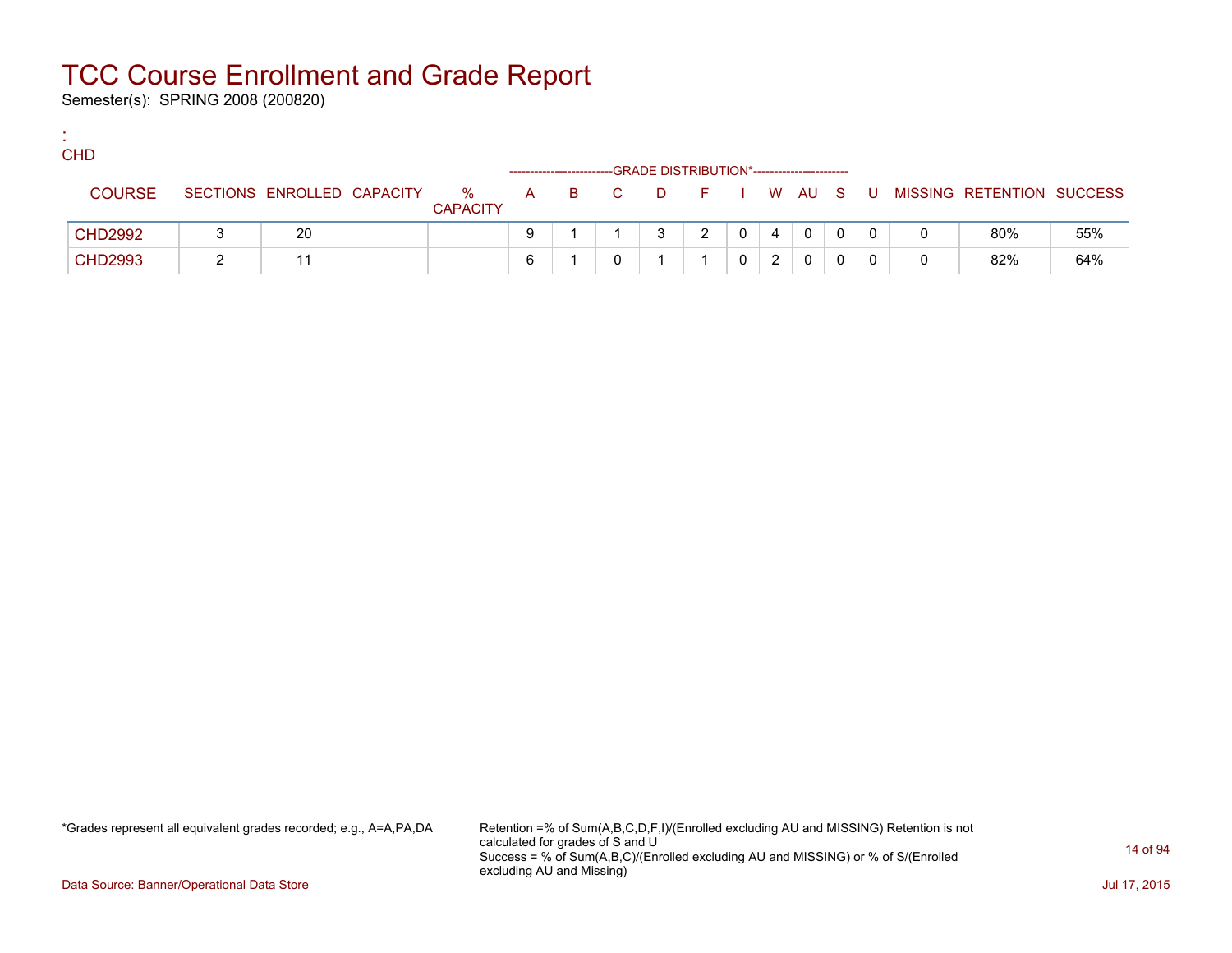Semester(s): SPRING 2008 (200820)

:

| <b>CHD</b>     |                            |                      |   |       |   | -GRADE DISTRIBUTION*---------------------- |              |   |              |   |                           |     |
|----------------|----------------------------|----------------------|---|-------|---|--------------------------------------------|--------------|---|--------------|---|---------------------------|-----|
| <b>COURSE</b>  | SECTIONS ENROLLED CAPACITY | %<br><b>CAPACITY</b> |   | A B C |   | DFIWAUS                                    |              |   |              | U | MISSING RETENTION SUCCESS |     |
| <b>CHD2992</b> | 20                         |                      |   |       | ર | 2                                          | $\mathbf{0}$ | 4 | $\mathbf{0}$ |   | 80%                       | 55% |
| <b>CHD2993</b> |                            |                      | 6 |       |   |                                            |              |   | 0            |   | 82%                       | 64% |

\*Grades represent all equivalent grades recorded; e.g., A=A,PA,DA Retention =% of Sum(A,B,C,D,F,I)/(Enrolled excluding AU and MISSING) Retention is not calculated for grades of S and U Success = % of Sum(A,B,C)/(Enrolled excluding AU and MISSING) or % of S/(Enrolled excluding AU and Missing)

Data Source: Banner/Operational Data Store Jul 17, 2015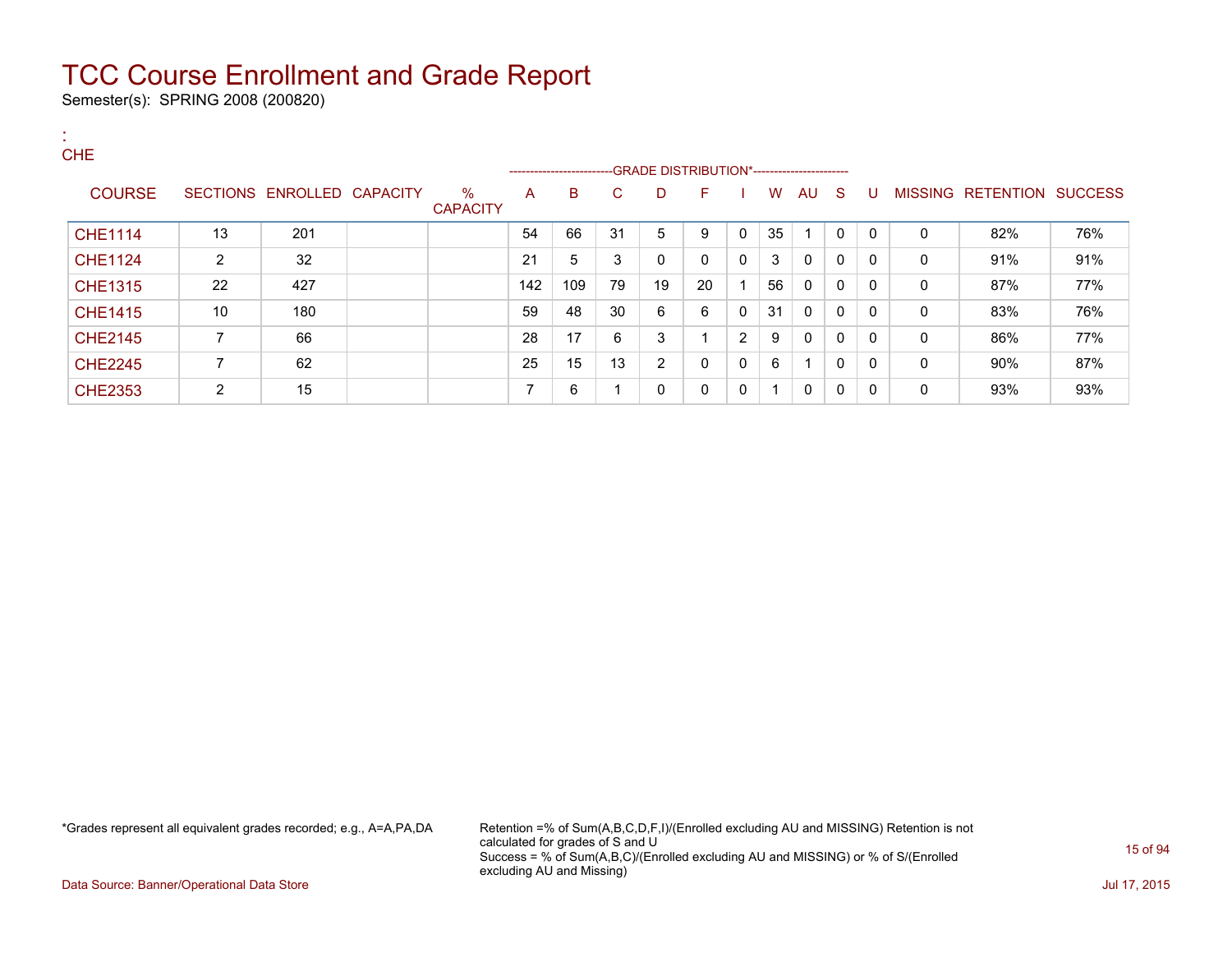Semester(s): SPRING 2008 (200820)

| х.<br><b>CHE</b> |                |                            |                         |     |                          |    |    |                                              |                |    |              |              |              |             |                           |     |
|------------------|----------------|----------------------------|-------------------------|-----|--------------------------|----|----|----------------------------------------------|----------------|----|--------------|--------------|--------------|-------------|---------------------------|-----|
|                  |                |                            |                         |     | ------------------------ |    |    | --GRADE DISTRIBUTION*----------------------- |                |    |              |              |              |             |                           |     |
| <b>COURSE</b>    |                | SECTIONS ENROLLED CAPACITY | $\%$<br><b>CAPACITY</b> | A   | B                        | C  | D  | F                                            |                | W  | AU           | -S           | U            |             | MISSING RETENTION SUCCESS |     |
| <b>CHE1114</b>   | 13             | 201                        |                         | 54  | 66                       | 31 | 5  | 9                                            | $\mathbf{0}$   | 35 |              | $\mathbf{0}$ | $\mathbf{0}$ | $\Omega$    | 82%                       | 76% |
| <b>CHE1124</b>   | $\overline{2}$ | 32                         |                         | 21  | 5                        | 3  | 0  | $\mathbf{0}$                                 | 0              | 3  | 0            | 0            | $\Omega$     | $\mathbf 0$ | 91%                       | 91% |
| <b>CHE1315</b>   | 22             | 427                        |                         | 142 | 109                      | 79 | 19 | 20                                           |                | 56 | $\mathbf 0$  | 0            | $\Omega$     | $\mathbf 0$ | 87%                       | 77% |
| <b>CHE1415</b>   | 10             | 180                        |                         | 59  | 48                       | 30 | 6  | 6                                            | 0              | 31 | 0            | 0            | $\Omega$     | 0           | 83%                       | 76% |
| <b>CHE2145</b>   | 7              | 66                         |                         | 28  | 17                       | 6  | 3  | и                                            | $\overline{2}$ | 9  | $\mathbf{0}$ | 0            | $\Omega$     | $\Omega$    | 86%                       | 77% |
| <b>CHE2245</b>   | 7              | 62                         |                         | 25  | 15                       | 13 | 2  | $\mathbf{0}$                                 | 0              | 6  |              | 0            | 0            | $\mathbf 0$ | 90%                       | 87% |
| <b>CHE2353</b>   | $\overline{2}$ | 15                         |                         | 7   | 6                        |    | 0  | 0                                            | 0              | -4 | 0            | 0            | $\Omega$     | 0           | 93%                       | 93% |

\*Grades represent all equivalent grades recorded; e.g., A=A,PA,DA Retention =% of Sum(A,B,C,D,F,I)/(Enrolled excluding AU and MISSING) Retention is not calculated for grades of S and U Success = % of Sum(A,B,C)/(Enrolled excluding AU and MISSING) or % of S/(Enrolled excluding AU and Missing)

Data Source: Banner/Operational Data Store Jul 17, 2015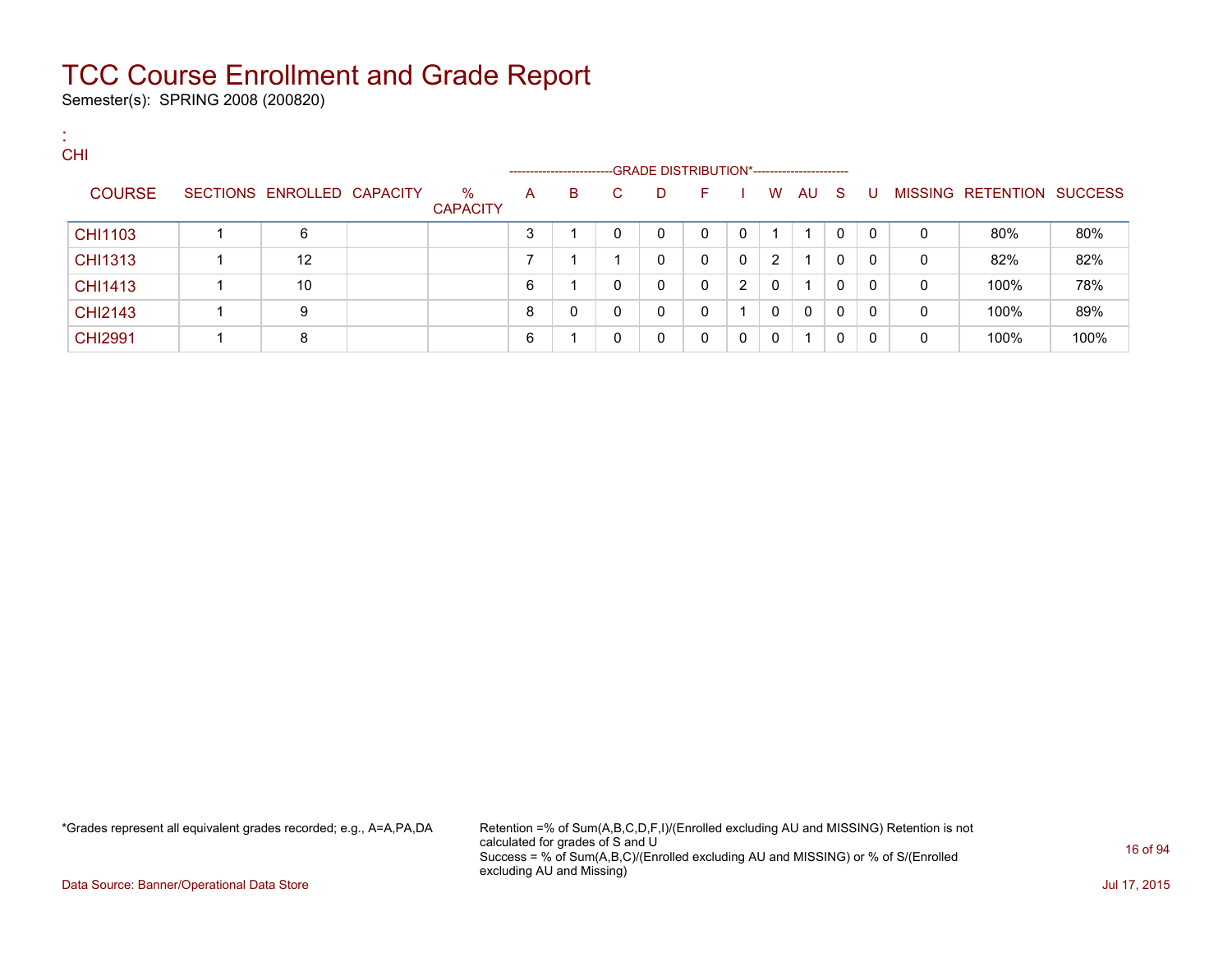Semester(s): SPRING 2008 (200820)

:

| <b>CHI</b>     |                            |                         |   | ----------------------- |          |             |              |                |   |    |              |              |   |                           |      |
|----------------|----------------------------|-------------------------|---|-------------------------|----------|-------------|--------------|----------------|---|----|--------------|--------------|---|---------------------------|------|
| <b>COURSE</b>  | SECTIONS ENROLLED CAPACITY | $\%$<br><b>CAPACITY</b> | A | B                       | C.       | D           | F.           |                | W | AU | - S          | U            |   | MISSING RETENTION SUCCESS |      |
| CHI1103        | 6                          |                         | 3 |                         | 0        | 0           | $\mathbf{0}$ | 0              |   |    | 0            | $\mathbf{0}$ | 0 | 80%                       | 80%  |
| CHI1313        | 12                         |                         |   |                         |          | 0           | $\Omega$     | $\mathbf{0}$   | 2 |    | 0            | $\Omega$     | 0 | 82%                       | 82%  |
| <b>CHI1413</b> | 10                         |                         | 6 |                         |          | 0           | $\mathbf{0}$ | $\overline{2}$ | 0 |    | $\mathbf{0}$ | $\Omega$     | 0 | 100%                      | 78%  |
| <b>CHI2143</b> | 9                          |                         | 8 | 0                       | $\Omega$ | $\mathbf 0$ | 0            |                | 0 | 0  | 0            | $\mathbf 0$  | 0 | 100%                      | 89%  |
| <b>CHI2991</b> | 8                          |                         | 6 |                         |          | $\Omega$    | 0            | $\Omega$       | 0 |    | 0            | $\Omega$     | 0 | 100%                      | 100% |

\*Grades represent all equivalent grades recorded; e.g., A=A,PA,DA Retention =% of Sum(A,B,C,D,F,I)/(Enrolled excluding AU and MISSING) Retention is not calculated for grades of S and U Success = % of Sum(A,B,C)/(Enrolled excluding AU and MISSING) or % of S/(Enrolled excluding AU and Missing)

Data Source: Banner/Operational Data Store Jul 17, 2015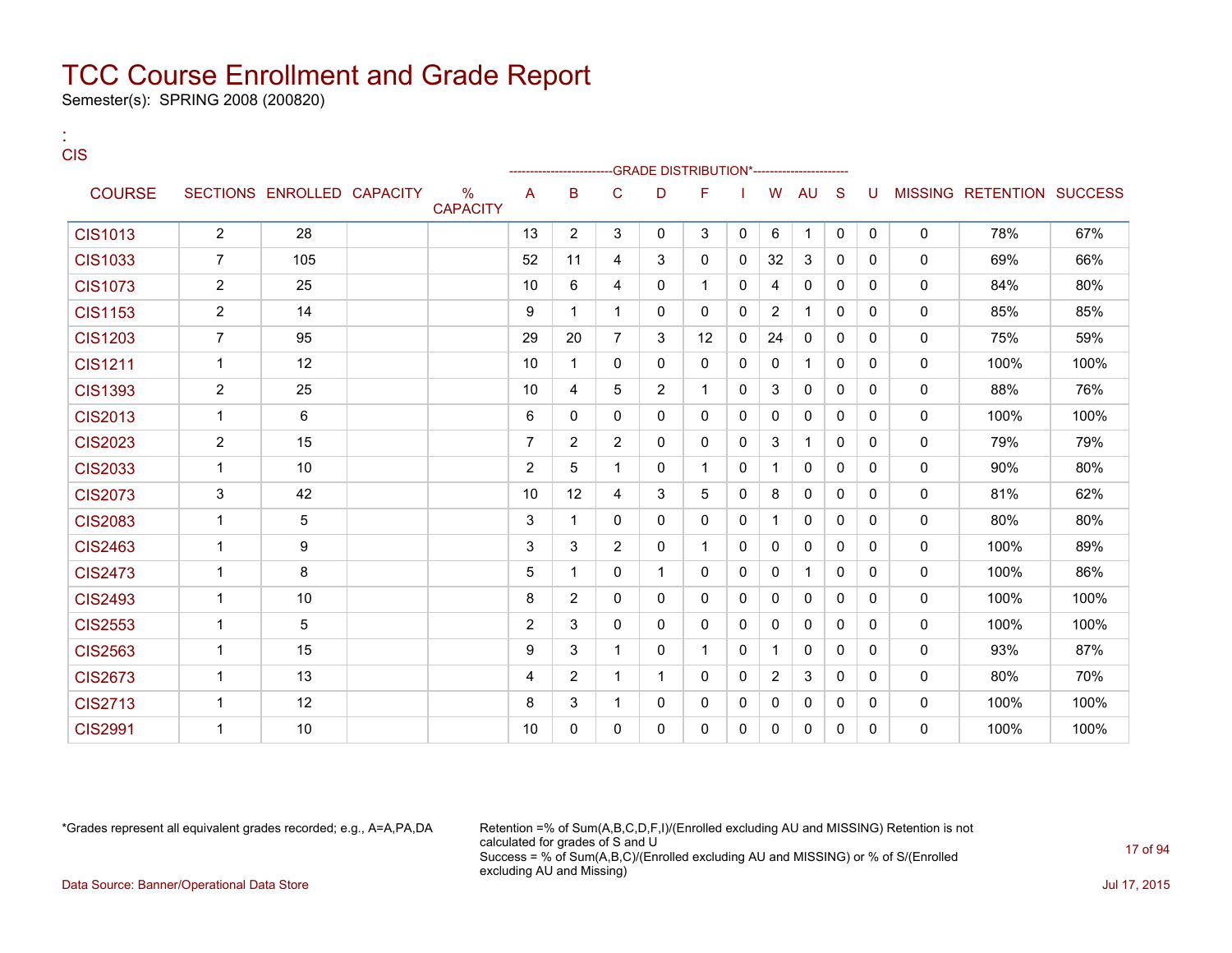Semester(s): SPRING 2008 (200820)

:

| <b>CIS</b>     |                |                            |                                  |                |                |                |                | -GRADE DISTRIBUTION*----------------------- |              |                |              |              |              |              |                                  |      |
|----------------|----------------|----------------------------|----------------------------------|----------------|----------------|----------------|----------------|---------------------------------------------|--------------|----------------|--------------|--------------|--------------|--------------|----------------------------------|------|
| <b>COURSE</b>  |                | SECTIONS ENROLLED CAPACITY | $\frac{0}{0}$<br><b>CAPACITY</b> | A              | в              | C              | D              | F                                           |              | W              | AU           | <sub>S</sub> | U            |              | <b>MISSING RETENTION SUCCESS</b> |      |
| <b>CIS1013</b> | $\overline{2}$ | 28                         |                                  | 13             | $\overline{2}$ | 3              | 0              | 3                                           | 0            | 6              | $\mathbf 1$  | 0            | 0            | $\mathbf 0$  | 78%                              | 67%  |
| <b>CIS1033</b> | $\overline{7}$ | 105                        |                                  | 52             | 11             | 4              | 3              | $\mathbf{0}$                                | 0            | 32             | 3            | 0            | 0            | 0            | 69%                              | 66%  |
| <b>CIS1073</b> | $\overline{2}$ | 25                         |                                  | 10             | 6              | 4              | 0              | 1                                           | 0            | 4              | 0            | 0            | 0            | 0            | 84%                              | 80%  |
| <b>CIS1153</b> | 2              | 14                         |                                  | 9              | 1              | 1              | 0              | 0                                           | 0            | $\overline{2}$ | $\mathbf 1$  | 0            | 0            | 0            | 85%                              | 85%  |
| <b>CIS1203</b> | $\overline{7}$ | 95                         |                                  | 29             | 20             | $\overline{7}$ | 3              | 12                                          | 0            | 24             | $\mathbf{0}$ | $\Omega$     | $\mathbf{0}$ | $\mathbf{0}$ | 75%                              | 59%  |
| <b>CIS1211</b> | $\mathbf{1}$   | 12                         |                                  | 10             | $\mathbf{1}$   | 0              | 0              | $\mathbf{0}$                                | 0            | 0              | $\mathbf 1$  | 0            | 0            | 0            | 100%                             | 100% |
| <b>CIS1393</b> | $\overline{2}$ | 25                         |                                  | 10             | 4              | 5              | $\overline{2}$ | $\mathbf{1}$                                | 0            | 3              | $\Omega$     | 0            | $\Omega$     | 0            | 88%                              | 76%  |
| <b>CIS2013</b> | 1              | 6                          |                                  | 6              | $\mathbf{0}$   | 0              | 0              | $\mathbf{0}$                                | 0            | 0              | 0            | 0            | 0            | 0            | 100%                             | 100% |
| <b>CIS2023</b> | $\overline{2}$ | 15                         |                                  | $\overline{7}$ | $\overline{2}$ | $\overline{2}$ | 0              | $\mathbf{0}$                                | 0            | 3              | $\mathbf{1}$ | $\Omega$     | 0            | 0            | 79%                              | 79%  |
| <b>CIS2033</b> | $\mathbf{1}$   | 10                         |                                  | $\overline{2}$ | 5              | 1              | 0              | 1                                           | $\mathbf{0}$ | $\mathbf 1$    | $\mathbf{0}$ | 0            | 0            | $\mathbf{0}$ | 90%                              | 80%  |
| <b>CIS2073</b> | $\mathsf 3$    | 42                         |                                  | 10             | 12             | 4              | 3              | 5                                           | 0            | 8              | $\mathbf{0}$ | 0            | 0            | 0            | 81%                              | 62%  |
| <b>CIS2083</b> | $\mathbf{1}$   | 5                          |                                  | 3              | $\mathbf{1}$   | 0              | 0              | $\mathbf{0}$                                | 0            | $\mathbf 1$    | 0            | 0            | 0            | 0            | 80%                              | 80%  |
| <b>CIS2463</b> | $\mathbf{1}$   | 9                          |                                  | 3              | 3              | $\overline{2}$ | $\Omega$       | $\mathbf{1}$                                | 0            | $\mathbf{0}$   | $\Omega$     | $\Omega$     | 0            | $\mathbf{0}$ | 100%                             | 89%  |
| <b>CIS2473</b> | 1              | 8                          |                                  | 5              | 1              | 0              | $\mathbf{1}$   | $\mathbf{0}$                                | 0            | 0              | $\mathbf{1}$ | 0            | 0            | 0            | 100%                             | 86%  |
| <b>CIS2493</b> | $\mathbf 1$    | 10                         |                                  | 8              | $\overline{2}$ | 0              | 0              | $\mathbf{0}$                                | 0            | 0              | $\mathbf{0}$ | 0            | 0            | $\mathbf{0}$ | 100%                             | 100% |
| <b>CIS2553</b> | $\mathbf{1}$   | 5                          |                                  | 2              | 3              | 0              | 0              | $\mathbf{0}$                                | 0            | $\mathbf{0}$   | $\mathbf{0}$ | $\Omega$     | $\mathbf{0}$ | $\mathbf{0}$ | 100%                             | 100% |
| <b>CIS2563</b> | $\mathbf{1}$   | 15                         |                                  | 9              | 3              | $\mathbf 1$    | 0              | $\mathbf{1}$                                | 0            | 1              | $\mathbf{0}$ | 0            | 0            | 0            | 93%                              | 87%  |
| <b>CIS2673</b> | $\mathbf 1$    | 13                         |                                  | 4              | $\overline{c}$ | $\mathbf 1$    | $\mathbf{1}$   | $\Omega$                                    | 0            | $\overline{2}$ | 3            | $\Omega$     | $\Omega$     | $\mathbf{0}$ | 80%                              | 70%  |
| <b>CIS2713</b> | 1              | 12                         |                                  | 8              | 3              | 1              | 0              | 0                                           | 0            | 0              | 0            | 0            | 0            | 0            | 100%                             | 100% |
| <b>CIS2991</b> | 1              | 10                         |                                  | 10             | 0              | 0              | 0              | $\mathbf{0}$                                | 0            | 0              | $\mathbf{0}$ | 0            | 0            | $\mathbf{0}$ | 100%                             | 100% |

\*Grades represent all equivalent grades recorded; e.g., A=A,PA,DA Retention =% of Sum(A,B,C,D,F,I)/(Enrolled excluding AU and MISSING) Retention is not calculated for grades of S and U Success = % of Sum(A,B,C)/(Enrolled excluding AU and MISSING) or % of S/(Enrolled excluding AU and Missing) Data Source: Banner/Operational Data Store Jul 17, 2015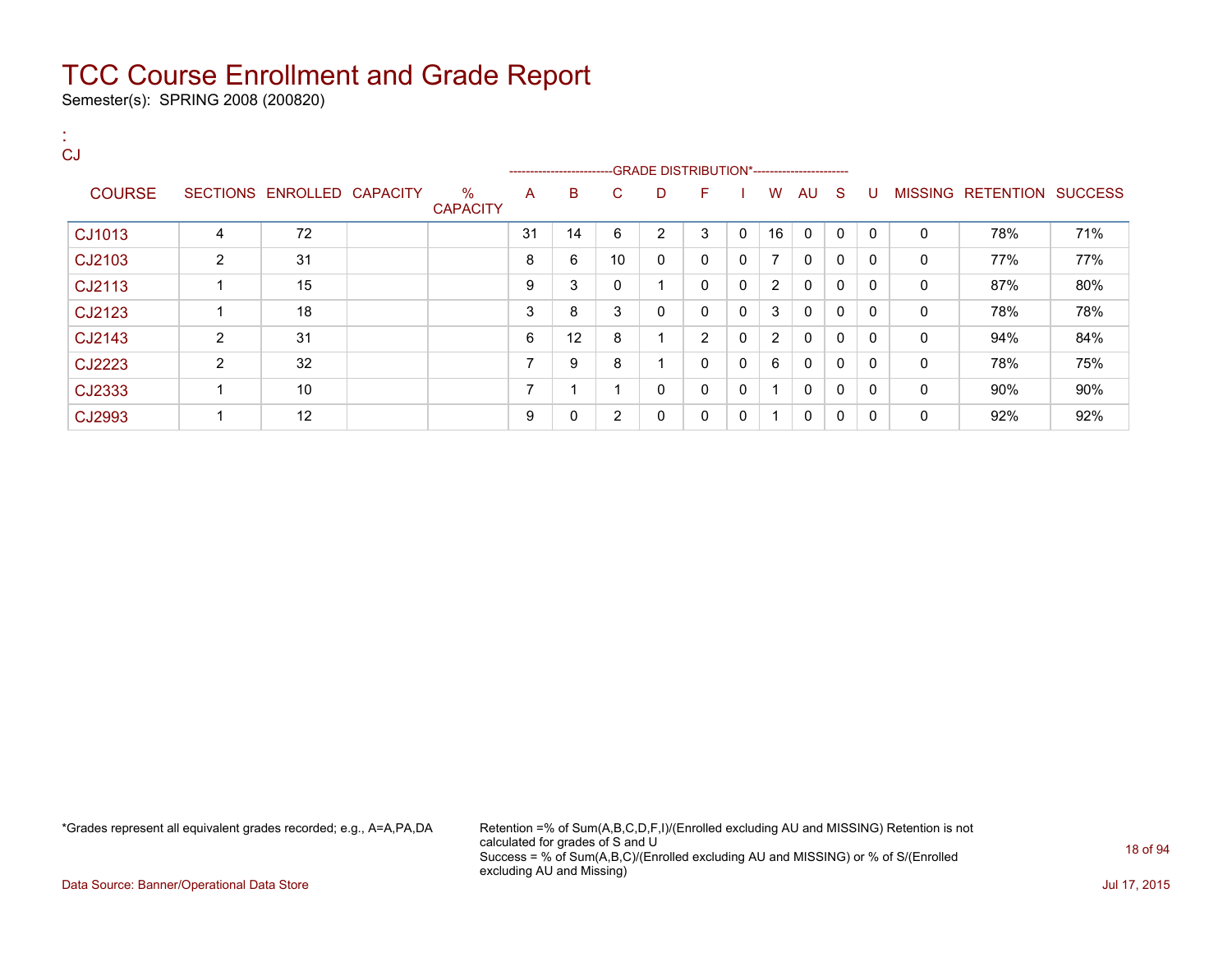Semester(s): SPRING 2008 (200820)

| CJ            |                |                            |                         |                |                         |              |              |                                              |              |                         |              |              |              |              |                           |     |
|---------------|----------------|----------------------------|-------------------------|----------------|-------------------------|--------------|--------------|----------------------------------------------|--------------|-------------------------|--------------|--------------|--------------|--------------|---------------------------|-----|
|               |                |                            |                         |                | ----------------------- |              |              | --GRADE DISTRIBUTION*----------------------- |              |                         |              |              |              |              |                           |     |
| <b>COURSE</b> |                | SECTIONS ENROLLED CAPACITY | $\%$<br><b>CAPACITY</b> | A              | B                       | C.           | D            | F                                            |              | W                       | AU S         |              | -U           |              | MISSING RETENTION SUCCESS |     |
| CJ1013        | 4              | 72                         |                         | 31             | 14                      | 6            | 2            | 3                                            | 0            | 16                      | $\mathbf{0}$ | $\mathbf{0}$ | $\Omega$     | $\mathbf{0}$ | 78%                       | 71% |
| CJ2103        | 2              | 31                         |                         | 8              | 6                       | 10           | $\mathbf{0}$ | $\mathbf{0}$                                 | $\Omega$     | $\overline{7}$          | $\mathbf{0}$ | $\mathbf{0}$ | $\Omega$     | $\mathbf{0}$ | 77%                       | 77% |
| CJ2113        | 1              | 15                         |                         | 9              | 3                       | $\mathbf{0}$ | 1            | $\mathbf{0}$                                 | $\Omega$     | 2                       | $\mathbf{0}$ | 0            | 0            | $\mathbf{0}$ | 87%                       | 80% |
| CJ2123        | 4              | 18                         |                         | 3              | 8                       | 3            | 0            | 0                                            | 0            | 3                       | 0            | $\mathbf{0}$ | $\mathbf{0}$ | 0            | 78%                       | 78% |
| CJ2143        | 2              | 31                         |                         | 6              | 12                      | 8            | 1            | $\overline{2}$                               | 0            | $\overline{2}$          | 0            | $\mathbf{0}$ | $\mathbf{0}$ | 0            | 94%                       | 84% |
| CJ2223        | $\overline{2}$ | 32                         |                         | ⇁              | 9                       | 8            | и            | $\mathbf{0}$                                 | $\Omega$     | 6                       | $\mathbf{0}$ | $\mathbf{0}$ | $\Omega$     | $\mathbf{0}$ | 78%                       | 75% |
| CJ2333        | 4              | 10                         |                         | $\overline{ }$ |                         | -1           | 0            | $\mathbf{0}$                                 | $\mathbf{0}$ | 1                       | $\mathbf{0}$ | 0            | $\Omega$     | $\mathbf{0}$ | 90%                       | 90% |
| CJ2993        | 1              | 12                         |                         | 9              | 0                       | 2            | 0            | 0                                            | 0            | $\overline{\mathbf{A}}$ | $\mathbf{0}$ | $\mathbf{0}$ | 0            | 0            | 92%                       | 92% |

\*Grades represent all equivalent grades recorded; e.g., A=A,PA,DA Retention =% of Sum(A,B,C,D,F,I)/(Enrolled excluding AU and MISSING) Retention is not calculated for grades of S and U Success = % of Sum(A,B,C)/(Enrolled excluding AU and MISSING) or % of S/(Enrolled excluding AU and Missing)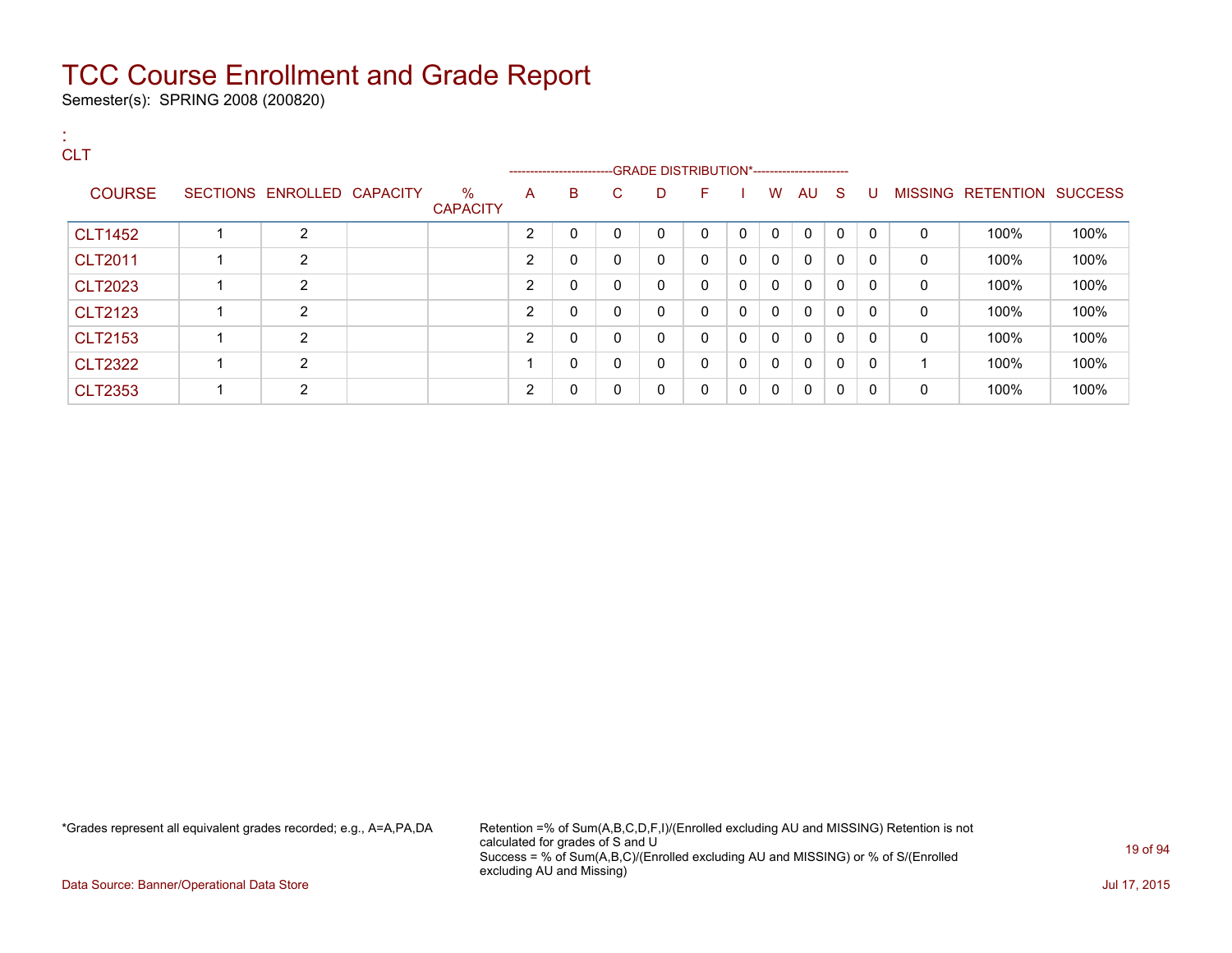Semester(s): SPRING 2008 (200820)

### : **CLT** ---GRADE DISTRIBUTION\*------------------------COURSE SECTIONS ENROLLED CAPACITY % **CAPACITY** A B C D F I W AU S U MISSING RETENTION SUCCESS CLT1452 1 2 2 0 0 0 0 0 0 0 0 0 0 100% 100% CLT2011 1 2 2 0 0 0 0 0 0 0 0 0 0 100% 100% CLT2023 1 2 2 0 0 0 0 0 0 0 0 0 0 100% 100% CLT2123 1 2 2 0 0 0 0 0 0 0 0 0 0 100% 100% CLT2153 1 2 2 0 0 0 0 0 0 0 0 0 0 100% 100% CLT2322 1 2 1 0 0 0 0 0 0 0 0 0 1 100% 100% CLT2353 1 2 2 0 0 0 0 0 0 0 0 0 0 100% 100%

\*Grades represent all equivalent grades recorded; e.g., A=A,PA,DA Retention =% of Sum(A,B,C,D,F,I)/(Enrolled excluding AU and MISSING) Retention is not calculated for grades of S and U Success = % of Sum(A,B,C)/(Enrolled excluding AU and MISSING) or % of S/(Enrolled excluding AU and Missing)

Data Source: Banner/Operational Data Store Jul 17, 2015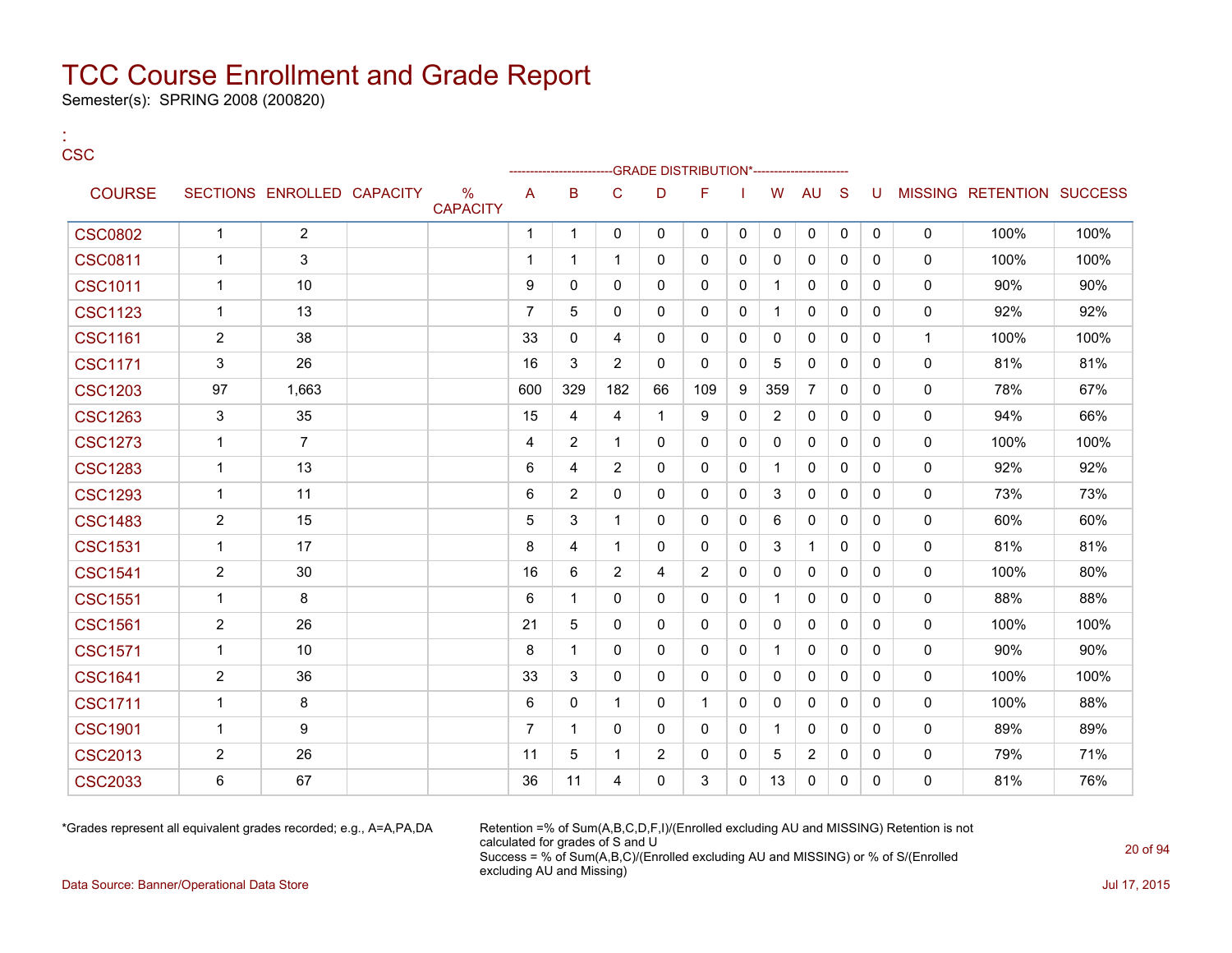Semester(s): SPRING 2008 (200820)

#### : **CSC**

|                |                |                            |                      |                | --------------------- |                |                | -GRADE DISTRIBUTION*----------------------- |              |                |                |              |              |              |                           |      |
|----------------|----------------|----------------------------|----------------------|----------------|-----------------------|----------------|----------------|---------------------------------------------|--------------|----------------|----------------|--------------|--------------|--------------|---------------------------|------|
| <b>COURSE</b>  |                | SECTIONS ENROLLED CAPACITY | %<br><b>CAPACITY</b> | A              | B                     | C              | D              | F                                           |              | W              | AU             | <sub>S</sub> | U            |              | MISSING RETENTION SUCCESS |      |
| <b>CSC0802</b> | $\mathbf{1}$   | $\overline{2}$             |                      | $\mathbf{1}$   | $\mathbf{1}$          | $\mathbf 0$    | $\mathbf 0$    | $\mathbf{0}$                                | 0            | $\Omega$       | 0              | 0            | 0            | $\mathbf 0$  | 100%                      | 100% |
| <b>CSC0811</b> | 1              | 3                          |                      | $\mathbf 1$    | 1                     | $\mathbf{1}$   | $\mathbf{0}$   | $\Omega$                                    | $\mathbf{0}$ | 0              | 0              | $\mathbf{0}$ | 0            | $\mathbf 0$  | 100%                      | 100% |
| <b>CSC1011</b> | $\mathbf{1}$   | 10                         |                      | 9              | $\mathbf{0}$          | $\mathbf{0}$   | 0              | 0                                           | $\mathbf{0}$ | 1              | $\mathbf{0}$   | 0            | 0            | $\mathbf 0$  | 90%                       | 90%  |
| <b>CSC1123</b> | $\mathbf{1}$   | 13                         |                      | $\overline{7}$ | 5                     | $\mathbf{0}$   | $\mathbf{0}$   | 0                                           | 0            | 1              | 0              | $\mathbf{0}$ | $\Omega$     | 0            | 92%                       | 92%  |
| <b>CSC1161</b> | $\overline{2}$ | 38                         |                      | 33             | $\mathbf{0}$          | 4              | $\mathbf{0}$   | 0                                           | 0            | $\mathbf{0}$   | $\mathbf{0}$   | $\mathbf{0}$ | $\mathbf{0}$ | $\mathbf{1}$ | 100%                      | 100% |
| <b>CSC1171</b> | 3              | 26                         |                      | 16             | 3                     | $\overline{2}$ | $\Omega$       | $\Omega$                                    | $\mathbf{0}$ | 5              | 0              | $\Omega$     | $\Omega$     | $\mathbf 0$  | 81%                       | 81%  |
| <b>CSC1203</b> | 97             | 1,663                      |                      | 600            | 329                   | 182            | 66             | 109                                         | 9            | 359            | $\overline{7}$ | $\Omega$     | $\Omega$     | $\mathbf 0$  | 78%                       | 67%  |
| <b>CSC1263</b> | 3              | 35                         |                      | 15             | 4                     | 4              | $\mathbf{1}$   | 9                                           | $\mathbf{0}$ | $\overline{2}$ | $\Omega$       | $\Omega$     | $\mathbf{0}$ | $\mathbf 0$  | 94%                       | 66%  |
| <b>CSC1273</b> | $\mathbf{1}$   | $\overline{7}$             |                      | 4              | $\overline{2}$        | $\mathbf{1}$   | $\mathbf{0}$   | 0                                           | $\mathbf{0}$ | $\mathbf{0}$   | $\Omega$       | $\Omega$     | $\mathbf{0}$ | $\mathbf 0$  | 100%                      | 100% |
| <b>CSC1283</b> | $\mathbf{1}$   | 13                         |                      | 6              | 4                     | 2              | $\mathbf{0}$   | $\Omega$                                    | 0            |                | $\Omega$       | $\Omega$     | $\mathbf{0}$ | $\mathbf 0$  | 92%                       | 92%  |
| <b>CSC1293</b> | $\mathbf{1}$   | 11                         |                      | 6              | $\overline{2}$        | 0              | 0              | 0                                           | 0            | 3              | 0              | $\mathbf{0}$ | $\mathbf{0}$ | 0            | 73%                       | 73%  |
| <b>CSC1483</b> | $\overline{2}$ | 15                         |                      | 5              | 3                     | 1              | 0              | 0                                           | 0            | 6              | 0              | 0            | 0            | 0            | 60%                       | 60%  |
| <b>CSC1531</b> | $\mathbf 1$    | 17                         |                      | 8              | 4                     | 1              | $\mathbf{0}$   | 0                                           | 0            | 3              | $\mathbf{1}$   | $\mathbf{0}$ | $\mathbf{0}$ | 0            | 81%                       | 81%  |
| <b>CSC1541</b> | $\overline{2}$ | 30                         |                      | 16             | 6                     | 2              | 4              | 2                                           | 0            | 0              | 0              | 0            | 0            | 0            | 100%                      | 80%  |
| <b>CSC1551</b> | $\mathbf{1}$   | 8                          |                      | 6              | $\mathbf{1}$          | $\Omega$       | $\mathbf{0}$   | 0                                           | 0            | 1              | 0              | $\mathbf{0}$ | $\mathbf{0}$ | 0            | 88%                       | 88%  |
| <b>CSC1561</b> | $\overline{2}$ | 26                         |                      | 21             | 5                     | $\mathbf 0$    | 0              | 0                                           | 0            | 0              | 0              | 0            | $\mathbf{0}$ | 0            | 100%                      | 100% |
| <b>CSC1571</b> | $\mathbf{1}$   | 10                         |                      | 8              | $\mathbf{1}$          | $\mathbf 0$    | $\mathbf{0}$   | 0                                           | $\mathbf{0}$ | 1              | $\Omega$       | $\mathbf{0}$ | $\Omega$     | $\mathbf 0$  | 90%                       | 90%  |
| <b>CSC1641</b> | $\overline{2}$ | 36                         |                      | 33             | 3                     | $\mathbf 0$    | 0              | 0                                           | 0            | 0              | $\mathbf{0}$   | 0            | $\mathbf{0}$ | 0            | 100%                      | 100% |
| <b>CSC1711</b> | $\mathbf{1}$   | 8                          |                      | 6              | 0                     | $\mathbf{1}$   | 0              | $\mathbf{1}$                                | 0            | 0              | $\mathbf{0}$   | $\mathbf{0}$ | $\mathbf{0}$ | 0            | 100%                      | 88%  |
| <b>CSC1901</b> | $\mathbf{1}$   | 9                          |                      | $\overline{7}$ | $\mathbf{1}$          | $\Omega$       | 0              | 0                                           | 0            | 1              | $\mathbf{0}$   | $\Omega$     | $\Omega$     | 0            | 89%                       | 89%  |
| <b>CSC2013</b> | $\overline{2}$ | 26                         |                      | 11             | 5                     | 1              | $\overline{2}$ | 0                                           | 0            | 5              | 2              | 0            | 0            | 0            | 79%                       | 71%  |
| <b>CSC2033</b> | 6              | 67                         |                      | 36             | 11                    | 4              | $\mathbf{0}$   | 3                                           | 0            | 13             | 0              | 0            | $\Omega$     | 0            | 81%                       | 76%  |

\*Grades represent all equivalent grades recorded; e.g., A=A,PA,DA Retention =% of Sum(A,B,C,D,F,I)/(Enrolled excluding AU and MISSING) Retention is not calculated for grades of S and U Success = % of Sum(A,B,C)/(Enrolled excluding AU and MISSING) or % of S/(Enrolled excluding AU and Missing)

Data Source: Banner/Operational Data Store Jul 17, 2015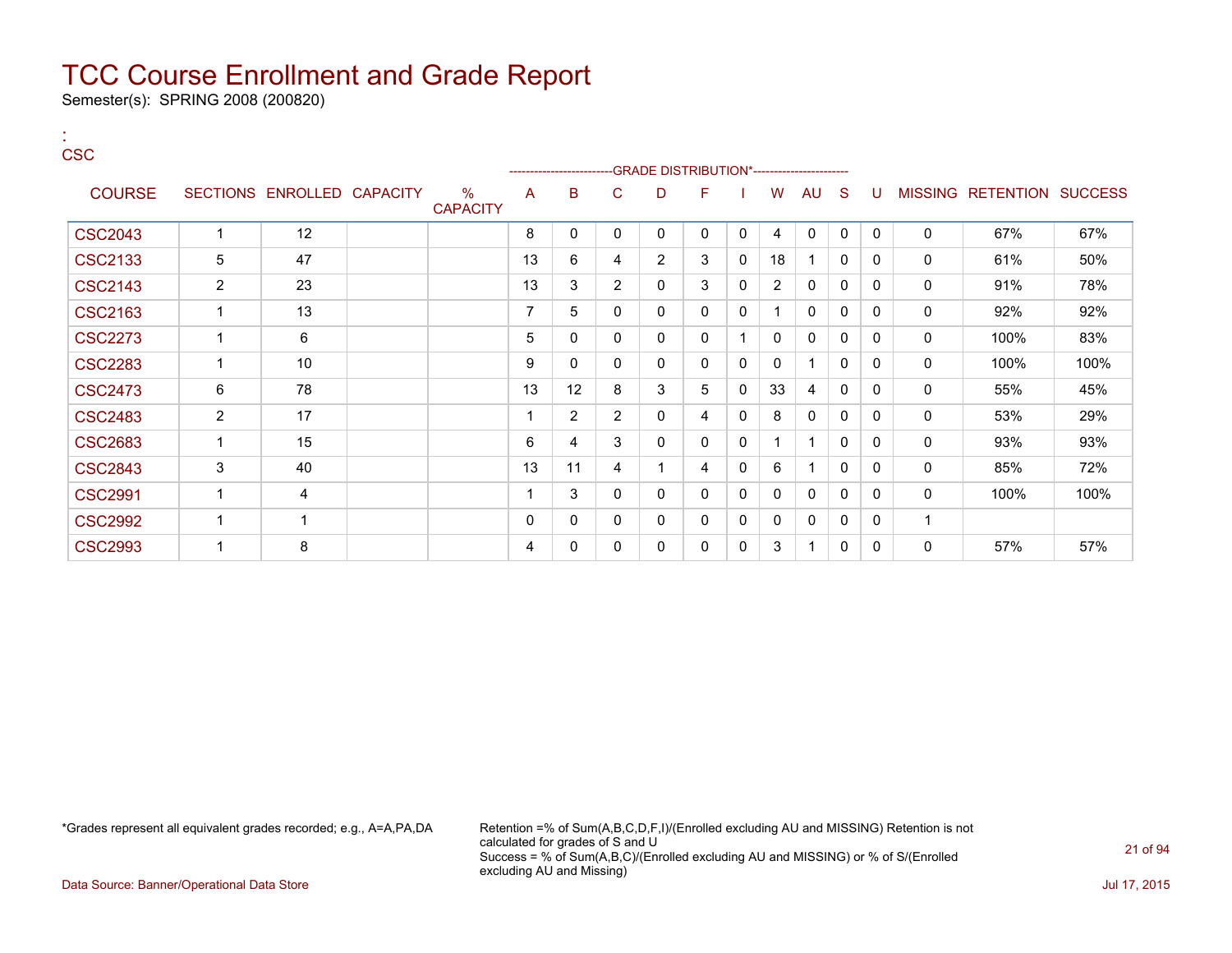Semester(s): SPRING 2008 (200820)

#### : **CSC**

|                |                |                            |                         |             | ------------------------GRADE                DISTRIBUTION*---------------------- |                |                |              |              |                |              |              |              |              |                                  |      |
|----------------|----------------|----------------------------|-------------------------|-------------|----------------------------------------------------------------------------------|----------------|----------------|--------------|--------------|----------------|--------------|--------------|--------------|--------------|----------------------------------|------|
| <b>COURSE</b>  |                | SECTIONS ENROLLED CAPACITY | $\%$<br><b>CAPACITY</b> | A           | B                                                                                | C              | D              | F            |              | W              | <b>AU</b>    | <sub>S</sub> | U            |              | <b>MISSING RETENTION SUCCESS</b> |      |
| <b>CSC2043</b> |                | 12                         |                         | 8           | $\mathbf{0}$                                                                     | $\mathbf{0}$   | $\mathbf{0}$   | $\mathbf{0}$ | $\mathbf{0}$ | 4              | $\mathbf{0}$ | $\mathbf{0}$ | $\mathbf{0}$ | $\mathbf{0}$ | 67%                              | 67%  |
| <b>CSC2133</b> | 5              | 47                         |                         | 13          | 6                                                                                | 4              | $\overline{2}$ | 3            | $\mathbf{0}$ | 18             |              | $\mathbf{0}$ | 0            | 0            | 61%                              | 50%  |
| <b>CSC2143</b> | $\overline{2}$ | 23                         |                         | 13          | 3                                                                                | 2              | $\Omega$       | 3            | 0            | $\overline{2}$ | 0            | 0            | 0            | 0            | 91%                              | 78%  |
| <b>CSC2163</b> | -1             | 13                         |                         | 7           | 5                                                                                | $\mathbf{0}$   | $\mathbf{0}$   | $\mathbf{0}$ | 0            |                | 0            | $\mathbf{0}$ | 0            | 0            | 92%                              | 92%  |
| <b>CSC2273</b> |                | 6                          |                         | 5           | 0                                                                                | $\mathbf{0}$   | 0              | 0            | -1           | $\mathbf{0}$   | $\mathbf{0}$ | 0            | 0            | 0            | 100%                             | 83%  |
| <b>CSC2283</b> | 1              | 10                         |                         | 9           | $\mathbf{0}$                                                                     | $\mathbf{0}$   | $\Omega$       | 0            | $\mathbf{0}$ | $\mathbf{0}$   |              | $\mathbf{0}$ | 0            | 0            | 100%                             | 100% |
| <b>CSC2473</b> | 6              | 78                         |                         | 13          | 12                                                                               | 8              | 3              | 5            | $\mathbf{0}$ | 33             | 4            | 0            | 0            | 0            | 55%                              | 45%  |
| <b>CSC2483</b> | $\overline{2}$ | 17                         |                         | 1           | $\overline{2}$                                                                   | $\overline{2}$ | $\Omega$       | 4            | 0            | 8              | $\mathbf 0$  | $\mathbf{0}$ | 0            | 0            | 53%                              | 29%  |
| <b>CSC2683</b> |                | 15                         |                         | 6           | 4                                                                                | 3              | $\mathbf{0}$   | 0            | 0            |                |              | $\mathbf{0}$ | 0            | 0            | 93%                              | 93%  |
| <b>CSC2843</b> | 3              | 40                         |                         | 13          | 11                                                                               | 4              |                | 4            | 0            | 6              |              | $\mathbf{0}$ | 0            | 0            | 85%                              | 72%  |
| <b>CSC2991</b> |                | 4                          |                         | 1           | 3                                                                                | $\mathbf{0}$   | $\Omega$       | $\Omega$     | $\mathbf 0$  | $\Omega$       | $\mathbf{0}$ | $\mathbf{0}$ | 0            | $\Omega$     | 100%                             | 100% |
| <b>CSC2992</b> |                | -1                         |                         | $\mathbf 0$ | $\mathbf{0}$                                                                     | 0              | 0              | $\mathbf{0}$ | $\mathbf 0$  | $\mathbf{0}$   | 0            | 0            | 0            | -1           |                                  |      |
| <b>CSC2993</b> |                | 8                          |                         | 4           | 0                                                                                | 0              | $\mathbf{0}$   | $\mathbf{0}$ | 0            | 3              | 1            | $\mathbf{0}$ | 0            | 0            | 57%                              | 57%  |

\*Grades represent all equivalent grades recorded; e.g., A=A,PA,DA Retention =% of Sum(A,B,C,D,F,I)/(Enrolled excluding AU and MISSING) Retention is not calculated for grades of S and U Success = % of Sum(A,B,C)/(Enrolled excluding AU and MISSING) or % of S/(Enrolled excluding AU and Missing)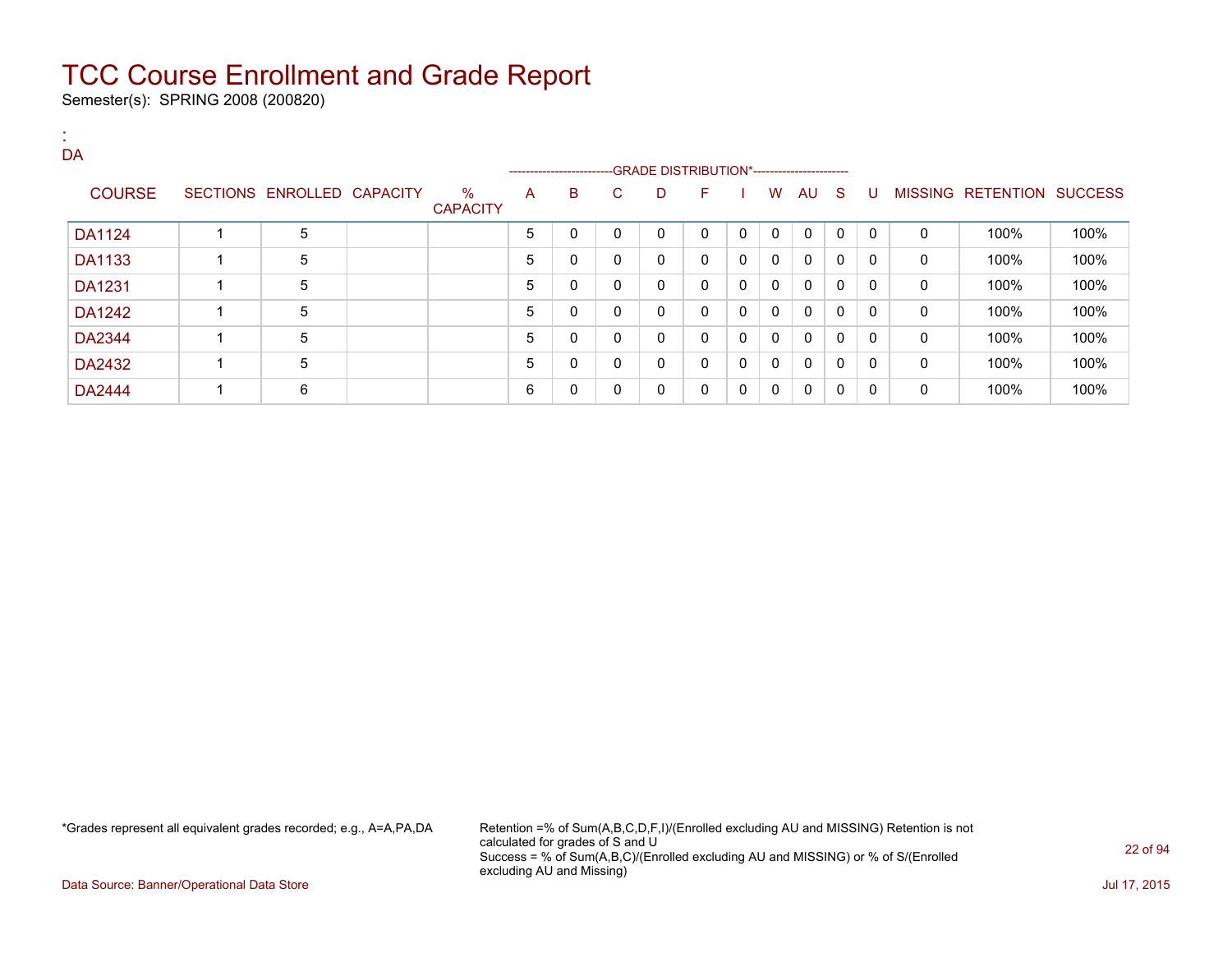Semester(s): SPRING 2008 (200820)

| DA            |                            |                         |   |                        |              |                                              |              |              |              |              |              |              |              |                           |      |
|---------------|----------------------------|-------------------------|---|------------------------|--------------|----------------------------------------------|--------------|--------------|--------------|--------------|--------------|--------------|--------------|---------------------------|------|
|               |                            |                         |   | ---------------------- |              | --GRADE DISTRIBUTION*----------------------- |              |              |              |              |              |              |              |                           |      |
| <b>COURSE</b> | SECTIONS ENROLLED CAPACITY | $\%$<br><b>CAPACITY</b> | A | B                      | C.           | D                                            | F.           |              | W            | AU S         |              | U            |              | MISSING RETENTION SUCCESS |      |
| <b>DA1124</b> | 5                          |                         | 5 | 0                      | $\mathbf{0}$ | 0                                            | $\Omega$     | $\mathbf{0}$ | $\mathbf{0}$ | $\mathbf{0}$ | $\mathbf{0}$ | $\mathbf{0}$ | $\mathbf{0}$ | 100%                      | 100% |
| DA1133        | 5                          |                         | 5 | 0                      | 0            | 0                                            | $\mathbf{0}$ | 0            | $\mathbf{0}$ | $\mathbf{0}$ | $\mathbf{0}$ | $\mathbf{0}$ | 0            | 100%                      | 100% |
| DA1231        | 5                          |                         | 5 | 0                      | $\mathbf{0}$ | 0                                            | $\Omega$     | $\Omega$     | $\mathbf{0}$ | 0            | $\mathbf{0}$ | 0            | $\Omega$     | 100%                      | 100% |
| DA1242        | 5                          |                         | 5 | 0                      | $\mathbf{0}$ | 0                                            | $\Omega$     | 0            | $\mathbf{0}$ | $\mathbf{0}$ | $\mathbf{0}$ | $\mathbf{0}$ | 0            | 100%                      | 100% |
| DA2344        | 5                          |                         | 5 | 0                      | $\mathbf{0}$ | 0                                            | $\Omega$     | 0            | $\mathbf{0}$ | 0            | $\mathbf{0}$ | 0            | $\mathbf{0}$ | 100%                      | 100% |
| DA2432        | 5                          |                         | 5 | 0                      | $\mathbf{0}$ | 0                                            | $\Omega$     | 0            | $\mathbf{0}$ | $\mathbf{0}$ | $\mathbf{0}$ | $\mathbf{0}$ | 0            | 100%                      | 100% |
| <b>DA2444</b> | 6                          |                         | 6 | 0                      | 0            | 0                                            | 0            | 0            | 0            | 0            | $\mathbf{0}$ | 0            | 0            | 100%                      | 100% |

\*Grades represent all equivalent grades recorded; e.g., A=A,PA,DA Retention =% of Sum(A,B,C,D,F,I)/(Enrolled excluding AU and MISSING) Retention is not calculated for grades of S and U Success = % of Sum(A,B,C)/(Enrolled excluding AU and MISSING) or % of S/(Enrolled excluding AU and Missing)

Data Source: Banner/Operational Data Store Jul 17, 2015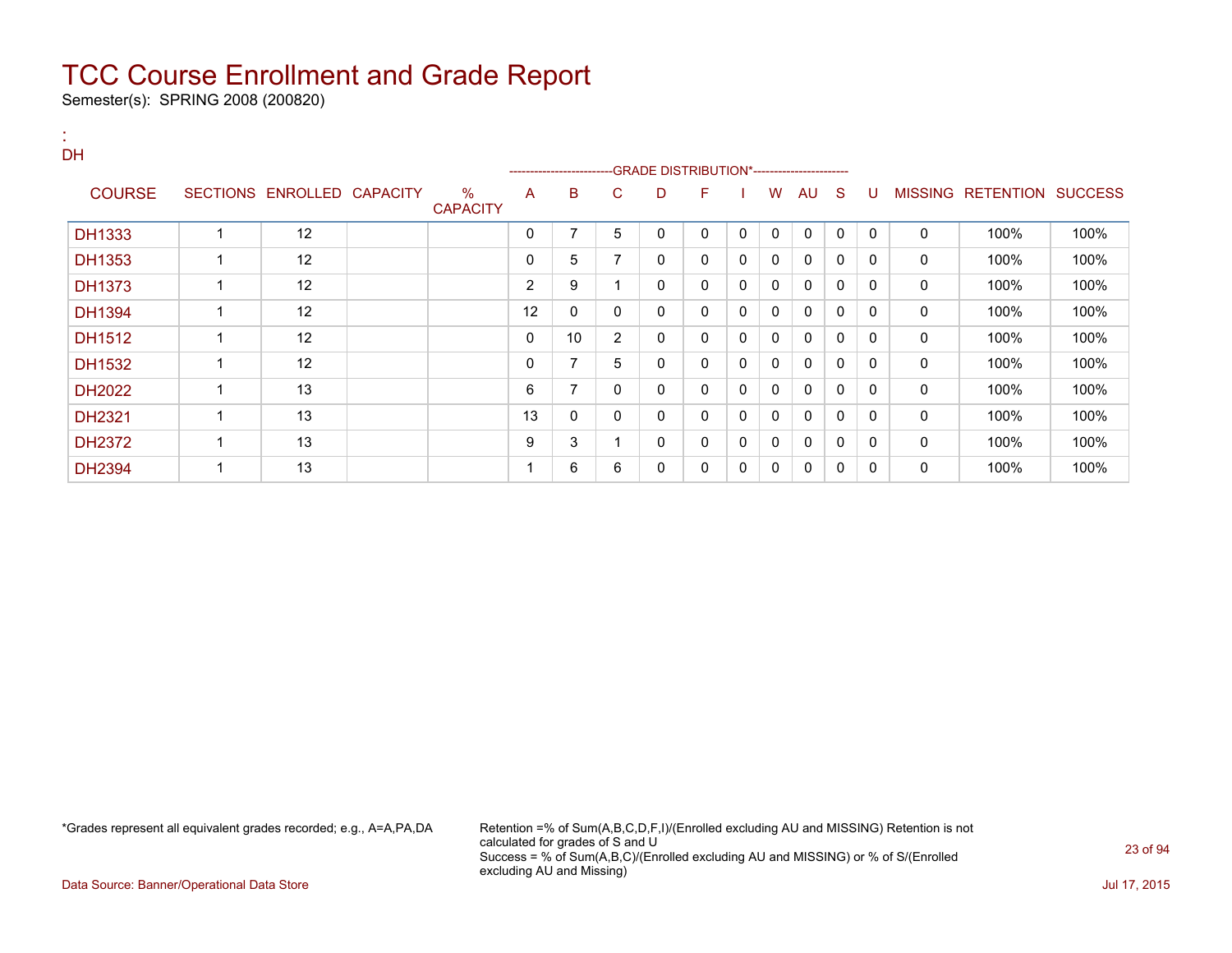Semester(s): SPRING 2008 (200820)

:

| <b>DH</b>     |                         |                            |                      |    | ---------------------- |                | -GRADE DISTRIBUTION*----------------------- |   |              |              |              |              |          |              |                   |                |
|---------------|-------------------------|----------------------------|----------------------|----|------------------------|----------------|---------------------------------------------|---|--------------|--------------|--------------|--------------|----------|--------------|-------------------|----------------|
| <b>COURSE</b> |                         | SECTIONS ENROLLED CAPACITY | %<br><b>CAPACITY</b> | A  | B                      | C.             | D                                           | F |              | W            | AU           | S            | -U       |              | MISSING RETENTION | <b>SUCCESS</b> |
| DH1333        | 1                       | 12                         |                      | 0  | 7                      | 5              | 0                                           | 0 | $\mathbf{0}$ | $\mathbf{0}$ | $\mathbf{0}$ | $\mathbf{0}$ | $\Omega$ | $\mathbf{0}$ | 100%              | 100%           |
| DH1353        | 1                       | 12                         |                      | 0  | 5                      | 7              | $\mathbf{0}$                                | 0 | 0            | 0            | $\mathbf{0}$ | 0            | $\Omega$ | 0            | 100%              | 100%           |
| <b>DH1373</b> | 1                       | 12                         |                      | 2  | 9                      |                | $\mathbf{0}$                                | 0 | $\Omega$     | $\mathbf{0}$ | $\mathbf{0}$ | $\mathbf{0}$ | $\Omega$ | $\mathbf{0}$ | 100%              | 100%           |
| <b>DH1394</b> | 1                       | 12                         |                      | 12 | 0                      | 0              | 0                                           | 0 | $\mathbf{0}$ | $\mathbf{0}$ | $\mathbf{0}$ | $\mathbf{0}$ | $\Omega$ | 0            | 100%              | 100%           |
| DH1512        | 1                       | 12                         |                      | 0  | 10                     | $\overline{2}$ | $\mathbf{0}$                                | 0 | $\mathbf{0}$ | $\Omega$     | $\mathbf{0}$ | $\mathbf{0}$ | $\Omega$ | $\mathbf{0}$ | 100%              | 100%           |
| DH1532        |                         | 12                         |                      | 0  | 7                      | 5              | $\mathbf{0}$                                | 0 | $\mathbf{0}$ | $\Omega$     | $\mathbf{0}$ | $\mathbf{0}$ | $\Omega$ | $\mathbf 0$  | 100%              | 100%           |
| DH2022        | 1                       | 13                         |                      | 6  | 7                      | 0              | $\mathbf{0}$                                | 0 | 0            | $\Omega$     | $\mathbf{0}$ | $\mathbf{0}$ | $\Omega$ | 0            | 100%              | 100%           |
| <b>DH2321</b> | $\overline{\mathbf{A}}$ | 13                         |                      | 13 | 0                      | 0              | 0                                           | 0 | $\Omega$     | 0            | $\mathbf{0}$ | 0            | 0        | 0            | 100%              | 100%           |
| <b>DH2372</b> | 1                       | 13                         |                      | 9  | 3                      |                | 0                                           | 0 | 0            | 0            | $\mathbf{0}$ | $\mathbf{0}$ | 0        | 0            | 100%              | 100%           |
| <b>DH2394</b> | 1                       | 13                         |                      |    | 6                      | 6              | 0                                           | 0 | 0            | 0            | $\mathbf{0}$ | $\mathbf{0}$ | $\Omega$ | 0            | 100%              | 100%           |

\*Grades represent all equivalent grades recorded; e.g., A=A,PA,DA Retention =% of Sum(A,B,C,D,F,I)/(Enrolled excluding AU and MISSING) Retention is not calculated for grades of S and U Success = % of Sum(A,B,C)/(Enrolled excluding AU and MISSING) or % of S/(Enrolled excluding AU and Missing)

Data Source: Banner/Operational Data Store Jul 17, 2015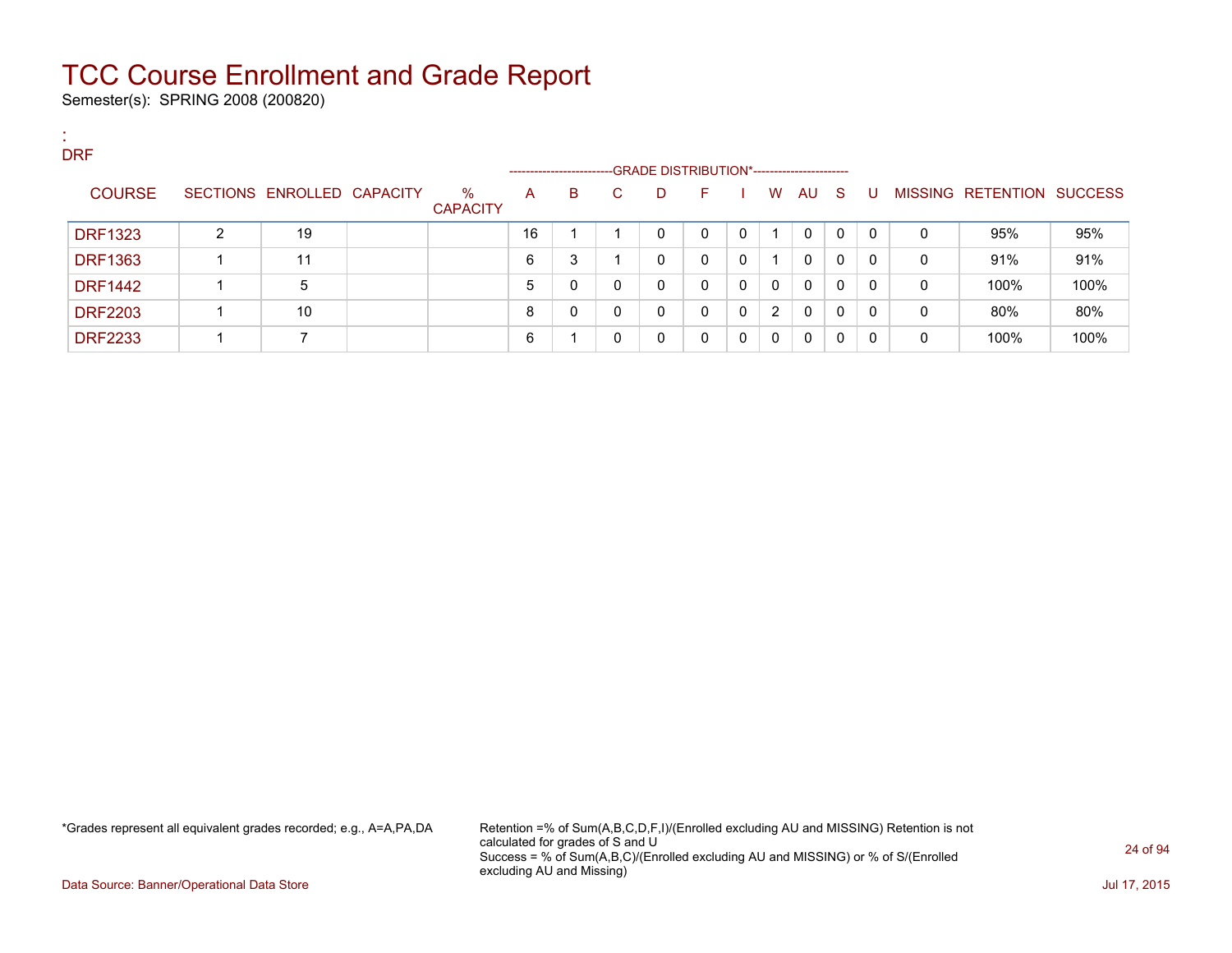Semester(s): SPRING 2008 (200820)

:

| . .<br><b>DRF</b> |   |                            |                         |                           |   |    |                                                   |    |          |                |              |    |   |   |                           |      |
|-------------------|---|----------------------------|-------------------------|---------------------------|---|----|---------------------------------------------------|----|----------|----------------|--------------|----|---|---|---------------------------|------|
| <b>COURSE</b>     |   | SECTIONS ENROLLED CAPACITY | $\%$<br><b>CAPACITY</b> | --------------------<br>A | B | C. | -GRADE DISTRIBUTION*-----------------------<br>D. | F. |          | W              | AU           | -S | U |   | MISSING RETENTION SUCCESS |      |
| <b>DRF1323</b>    | 2 | 19                         |                         | 16                        |   |    | $\Omega$                                          | 0  | 0        |                | 0            | 0  | 0 | 0 | 95%                       | 95%  |
| <b>DRF1363</b>    |   | 11                         |                         | 6                         | 3 |    | 0                                                 | 0  | $\Omega$ |                | $\mathbf{0}$ | 0  | 0 | 0 | 91%                       | 91%  |
| <b>DRF1442</b>    |   | 5                          |                         | 5                         | 0 | 0  | 0                                                 | 0  | - 0      | 0              | $\mathbf{0}$ | 0  | 0 | 0 | 100%                      | 100% |
| <b>DRF2203</b>    |   | 10                         |                         | 8                         | 0 | 0  | 0                                                 | 0  | $\Omega$ | $\overline{2}$ | $\mathbf{0}$ | 0  | 0 | 0 | 80%                       | 80%  |
| <b>DRF2233</b>    |   |                            |                         | 6                         |   | 0  | 0                                                 | 0  | $\Omega$ | 0              | 0            | 0  | 0 | 0 | 100%                      | 100% |

\*Grades represent all equivalent grades recorded; e.g., A=A,PA,DA Retention =% of Sum(A,B,C,D,F,I)/(Enrolled excluding AU and MISSING) Retention is not calculated for grades of S and U Success = % of Sum(A,B,C)/(Enrolled excluding AU and MISSING) or % of S/(Enrolled excluding AU and Missing)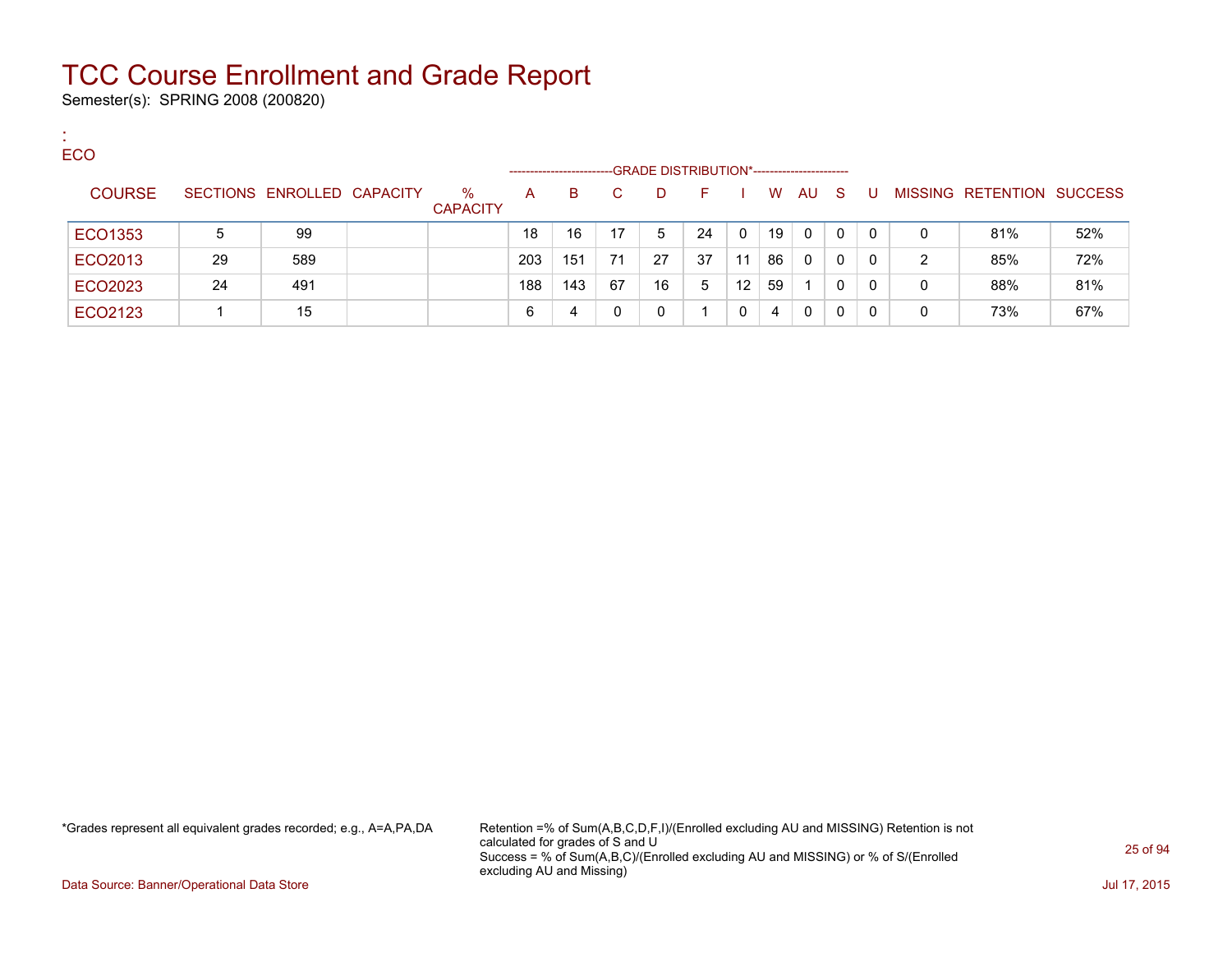Semester(s): SPRING 2008 (200820)

:

| <b>ECO</b>    |    |                            |                         |                   |     |    |                                             |    |          |    |          |              |              |   |                                  |     |
|---------------|----|----------------------------|-------------------------|-------------------|-----|----|---------------------------------------------|----|----------|----|----------|--------------|--------------|---|----------------------------------|-----|
|               |    |                            |                         | ----------------- |     |    | -GRADE DISTRIBUTION*----------------------- |    |          |    |          |              |              |   |                                  |     |
| <b>COURSE</b> |    | SECTIONS ENROLLED CAPACITY | $\%$<br><b>CAPACITY</b> | A                 | B.  |    | D.                                          |    |          | W  | AU       | -S           | U            |   | <b>MISSING RETENTION SUCCESS</b> |     |
| ECO1353       | 5  | -99                        |                         | 18                | 16  | 17 | 5                                           | 24 | $\Omega$ | 19 | $\Omega$ | $\Omega$     | $\Omega$     | 0 | 81%                              | 52% |
| ECO2013       | 29 | 589                        |                         | 203               | 151 | 71 | 27                                          | 37 | 11       | 86 | $\Omega$ | $\mathbf{0}$ | 0            | 2 | 85%                              | 72% |
| ECO2023       | 24 | 491                        |                         | 188               | 143 | 67 | 16                                          | 5  | 12       | 59 |          | 0            | $\mathbf{0}$ | 0 | 88%                              | 81% |
| ECO2123       |    | 15                         |                         | 6                 | 4   |    |                                             |    |          | 4  | $\Omega$ | 0            |              | 0 | 73%                              | 67% |

\*Grades represent all equivalent grades recorded; e.g., A=A,PA,DA Retention =% of Sum(A,B,C,D,F,I)/(Enrolled excluding AU and MISSING) Retention is not calculated for grades of S and U Success = % of Sum(A,B,C)/(Enrolled excluding AU and MISSING) or % of S/(Enrolled excluding AU and Missing)

Data Source: Banner/Operational Data Store Jul 17, 2015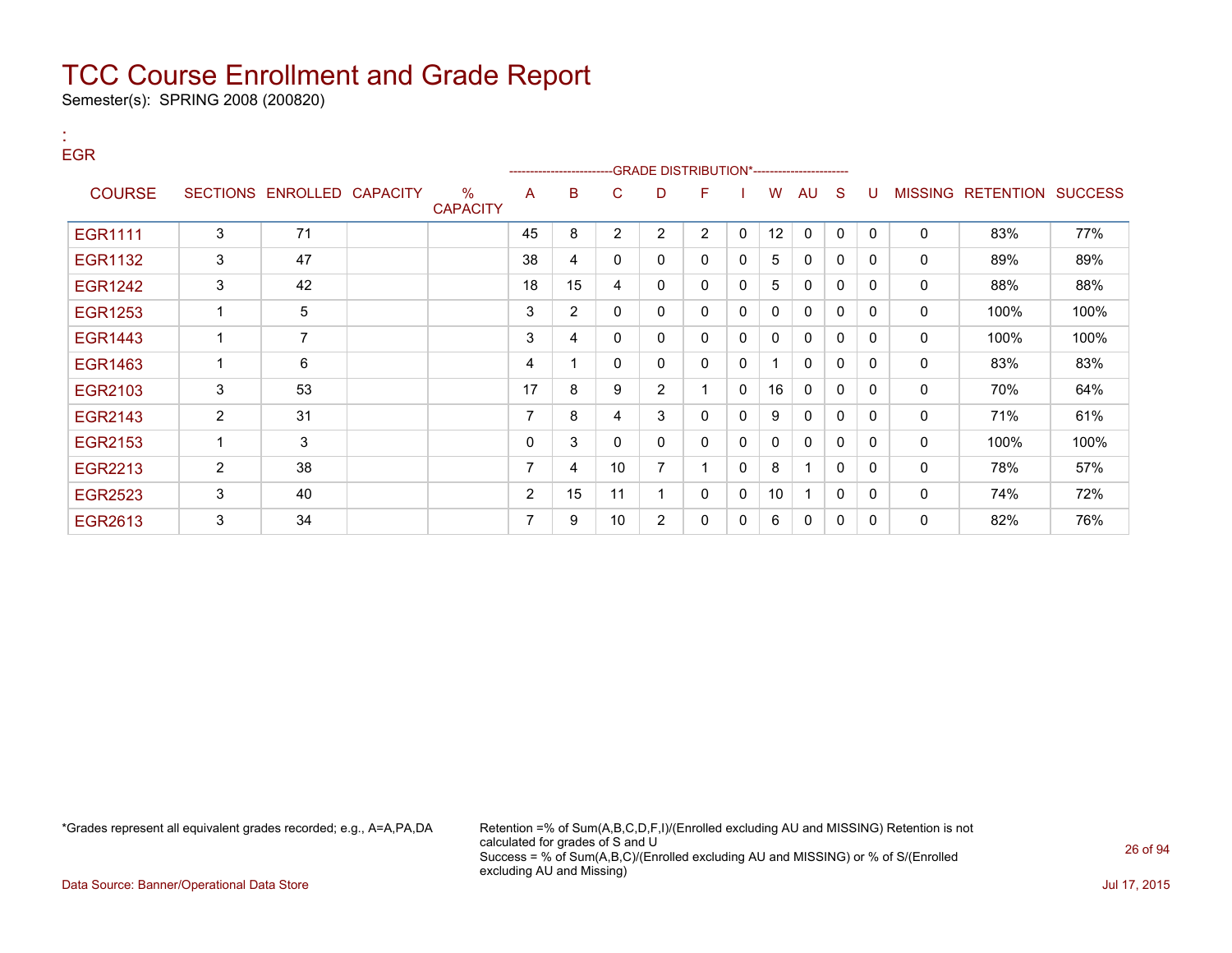Semester(s): SPRING 2008 (200820)

| <b>EGR</b>     |                |                            |                      |                | -------------------- |                 |                | -GRADE DISTRIBUTION*---------------------- |              |              |    |              |              |                |                          |      |
|----------------|----------------|----------------------------|----------------------|----------------|----------------------|-----------------|----------------|--------------------------------------------|--------------|--------------|----|--------------|--------------|----------------|--------------------------|------|
| <b>COURSE</b>  |                | SECTIONS ENROLLED CAPACITY | %<br><b>CAPACITY</b> | A              | в                    | C               | D              | F                                          |              | W            | AU | S            | U            | <b>MISSING</b> | <b>RETENTION SUCCESS</b> |      |
| <b>EGR1111</b> | 3              | 71                         |                      | 45             | 8                    | $\overline{2}$  | $\overline{2}$ | $\overline{2}$                             | $\mathbf{0}$ | 12           | 0  | $\mathbf{0}$ | $\mathbf{0}$ | $\mathbf{0}$   | 83%                      | 77%  |
| EGR1132        | 3              | 47                         |                      | 38             | 4                    | 0               | $\mathbf 0$    | 0                                          | 0            | 5            | 0  | 0            | $\Omega$     | $\mathbf 0$    | 89%                      | 89%  |
| <b>EGR1242</b> | 3              | 42                         |                      | 18             | 15                   | 4               | 0              | 0                                          | 0            | 5            | 0  | 0            | $\Omega$     | 0              | 88%                      | 88%  |
| <b>EGR1253</b> | 1              | 5                          |                      | 3              | $\overline{2}$       | 0               | 0              | $\mathbf{0}$                               | 0            | $\mathbf{0}$ | 0  | 0            | $\Omega$     | 0              | 100%                     | 100% |
| <b>EGR1443</b> | 1              | $\overline{7}$             |                      | 3              | 4                    | 0               | 0              | 0                                          | 0            | 0            | 0  | 0            | $\Omega$     | 0              | 100%                     | 100% |
| EGR1463        | 1              | 6                          |                      | 4              | 1                    | 0               | 0              | $\mathbf{0}$                               | 0            | 1            | 0  | 0            | $\Omega$     | 0              | 83%                      | 83%  |
| EGR2103        | 3              | 53                         |                      | 17             | 8                    | 9               | $\overline{2}$ |                                            | $\Omega$     | 16           | 0  | 0            | $\Omega$     | $\mathbf{0}$   | 70%                      | 64%  |
| EGR2143        | $\overline{2}$ | 31                         |                      | 7              | 8                    | 4               | 3              | $\mathbf{0}$                               | 0            | 9            | 0  | 0            | $\Omega$     | $\mathbf{0}$   | 71%                      | 61%  |
| EGR2153        | 1              | 3                          |                      | 0              | 3                    | 0               | 0              | 0                                          | 0            | 0            | 0  | 0            | $\Omega$     | 0              | 100%                     | 100% |
| EGR2213        | $\overline{2}$ | 38                         |                      | 7              | 4                    | 10 <sup>1</sup> | $\overline{7}$ |                                            | 0            | 8            | 1  | $\mathbf{0}$ | $\Omega$     | 0              | 78%                      | 57%  |
| <b>EGR2523</b> | 3              | 40                         |                      | $\overline{2}$ | 15                   | 11              | 1              | 0                                          | 0            | 10           |    | 0            | $\Omega$     | 0              | 74%                      | 72%  |
| EGR2613        | 3              | 34                         |                      | 7              | 9                    | 10              | $\overline{c}$ | 0                                          | 0            | 6            | 0  | 0            | 0            | 0              | 82%                      | 76%  |

:

\*Grades represent all equivalent grades recorded; e.g., A=A,PA,DA Retention =% of Sum(A,B,C,D,F,I)/(Enrolled excluding AU and MISSING) Retention is not calculated for grades of S and U Success = % of Sum(A,B,C)/(Enrolled excluding AU and MISSING) or % of S/(Enrolled excluding AU and Missing)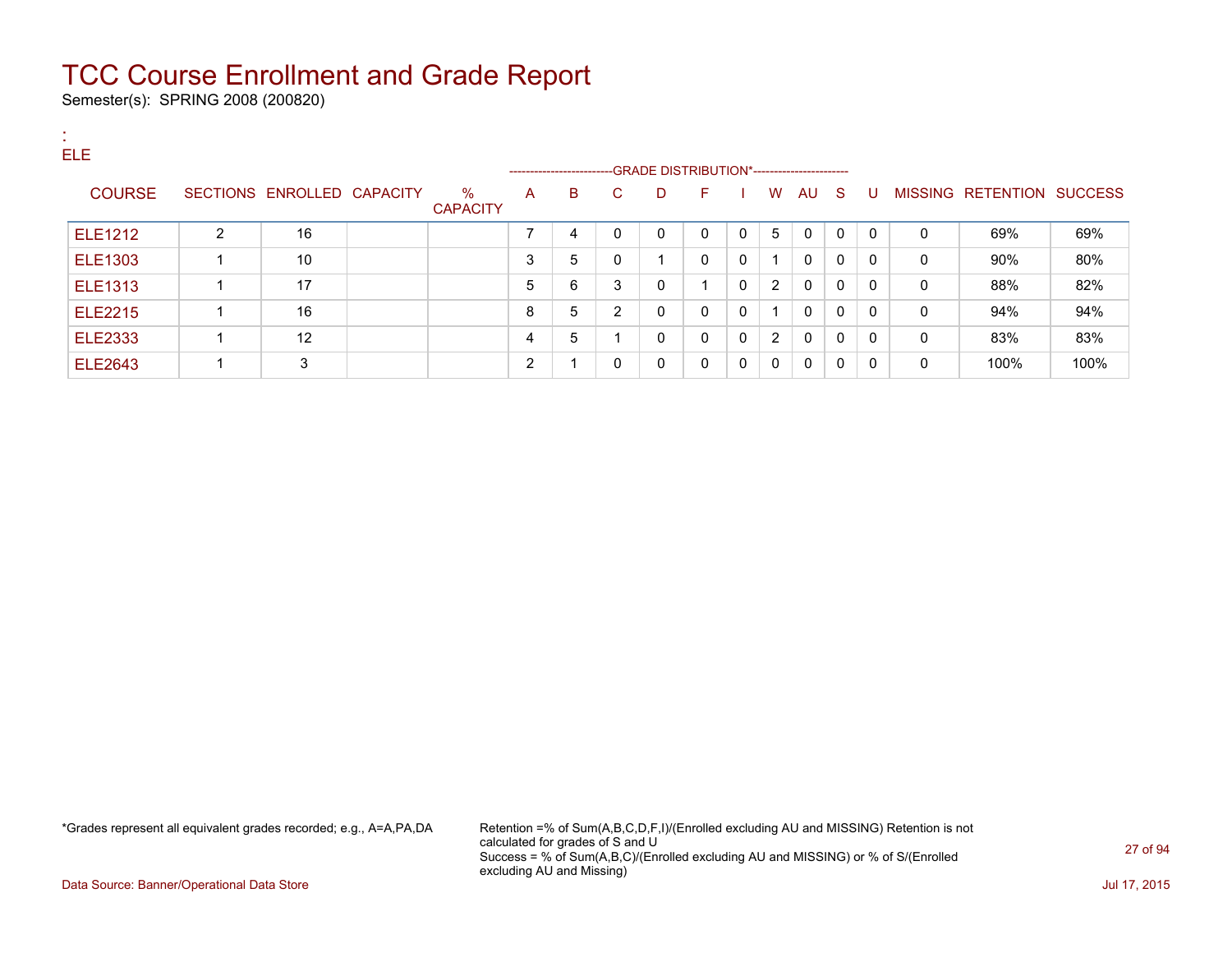Semester(s): SPRING 2008 (200820)

:

| . .<br><b>ELE</b> |                |                            |                         |   | ----------------------- |    | --GRADE DISTRIBUTION*----------------------- |              |              |             |              |              |              |          |                   |                |
|-------------------|----------------|----------------------------|-------------------------|---|-------------------------|----|----------------------------------------------|--------------|--------------|-------------|--------------|--------------|--------------|----------|-------------------|----------------|
| <b>COURSE</b>     |                | SECTIONS ENROLLED CAPACITY | $\%$<br><b>CAPACITY</b> | A | B                       | C. | D                                            | F.           |              | W           | AU           | <b>S</b>     | U            |          | MISSING RETENTION | <b>SUCCESS</b> |
| ELE1212           | $\overline{2}$ | 16                         |                         |   | 4                       | 0  | 0                                            | $\Omega$     | $\mathbf{0}$ | 5           | 0            | $\Omega$     | $\mathbf{0}$ | $\Omega$ | 69%               | 69%            |
| <b>ELE1303</b>    |                | 10                         |                         | 3 | 5                       | 0  |                                              | $\Omega$     | 0            |             | 0            | 0            | $\Omega$     | 0        | 90%               | 80%            |
| <b>ELE1313</b>    |                | 17                         |                         | 5 | 6                       | 3  | 0                                            |              | 0            | 2           | 0            | $\mathbf{0}$ | $\mathbf{0}$ | 0        | 88%               | 82%            |
| <b>ELE2215</b>    |                | 16                         |                         | 8 | 5                       | 2  | 0                                            | $\mathbf{0}$ | $\Omega$     |             | $\mathbf{0}$ | 0            | $\mathbf{0}$ | 0        | 94%               | 94%            |
| <b>ELE2333</b>    |                | 12                         |                         | 4 | 5                       |    | 0                                            | $\mathbf{0}$ | $\mathbf{0}$ | 2           | $\mathbf{0}$ | 0            | $\Omega$     | 0        | 83%               | 83%            |
| <b>ELE2643</b>    |                | 3                          |                         | ົ |                         | 0  | 0                                            | 0            | $\mathbf{0}$ | $\mathbf 0$ | 0            | 0            | $\Omega$     | 0        | 100%              | 100%           |

\*Grades represent all equivalent grades recorded; e.g., A=A,PA,DA Retention =% of Sum(A,B,C,D,F,I)/(Enrolled excluding AU and MISSING) Retention is not calculated for grades of S and U Success = % of Sum(A,B,C)/(Enrolled excluding AU and MISSING) or % of S/(Enrolled excluding AU and Missing)

Data Source: Banner/Operational Data Store Jul 17, 2015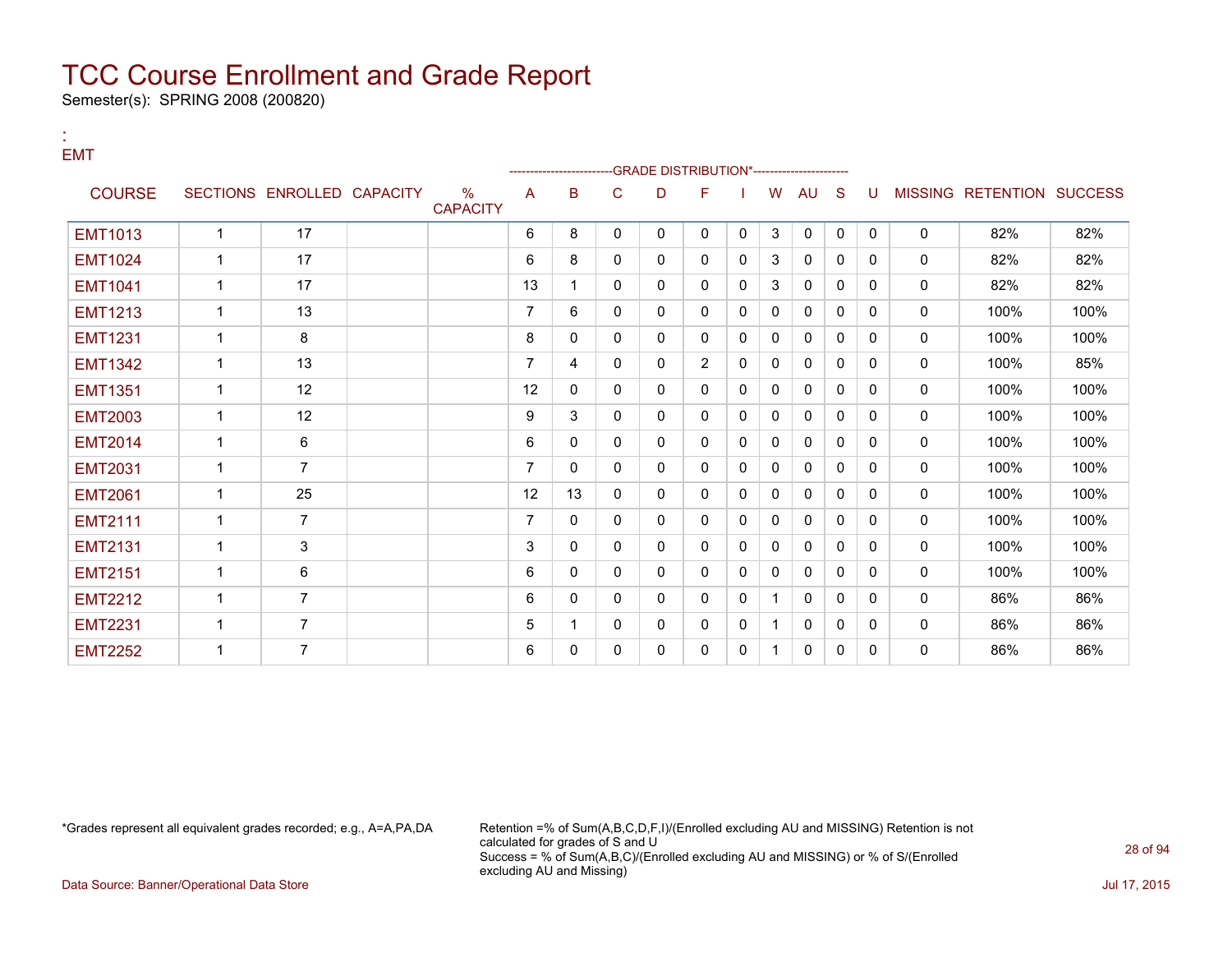Semester(s): SPRING 2008 (200820)

#### : EMT

|                |                |                            |                         |                |              |              | <b>GRADE DISTRIBUTION*---------------------</b> |                |              |    |              |              |          |              |                                  |      |
|----------------|----------------|----------------------------|-------------------------|----------------|--------------|--------------|-------------------------------------------------|----------------|--------------|----|--------------|--------------|----------|--------------|----------------------------------|------|
| <b>COURSE</b>  |                | SECTIONS ENROLLED CAPACITY | $\%$<br><b>CAPACITY</b> | A              | в            | C            | D                                               | F              |              | W  | AU           | S            |          |              | <b>MISSING RETENTION SUCCESS</b> |      |
| <b>EMT1013</b> | $\mathbf{1}$   | 17                         |                         | 6              | 8            | $\mathbf{0}$ | $\mathbf{0}$                                    | 0              | $\Omega$     | 3  | $\mathbf 0$  | $\mathbf 0$  | $\Omega$ | $\mathbf 0$  | 82%                              | 82%  |
| <b>EMT1024</b> | 1              | 17                         |                         | 6              | 8            | 0            | 0                                               | 0              | 0            | 3  | 0            | $\mathbf{0}$ | $\Omega$ | 0            | 82%                              | 82%  |
| <b>EMT1041</b> | 1              | 17                         |                         | 13             | 1            | $\mathbf{0}$ | 0                                               | 0              | 0            | 3  | $\mathbf{0}$ | $\mathbf{0}$ | 0        | $\mathbf{0}$ | 82%                              | 82%  |
| <b>EMT1213</b> | 1              | 13                         |                         | 7              | 6            | $\mathbf{0}$ | 0                                               | 0              | $\mathbf{0}$ | 0  | 0            | $\Omega$     | 0        | 0            | 100%                             | 100% |
| <b>EMT1231</b> | $\mathbf{1}$   | 8                          |                         | 8              | $\mathbf{0}$ | $\Omega$     | 0                                               | 0              | $\Omega$     | 0  | $\mathbf{0}$ | $\Omega$     | $\Omega$ | 0            | 100%                             | 100% |
| <b>EMT1342</b> | 1              | 13                         |                         | $\overline{7}$ | 4            | $\Omega$     | 0                                               | $\overline{2}$ | $\Omega$     | 0  | $\mathbf{0}$ | $\Omega$     | $\Omega$ | $\mathbf{0}$ | 100%                             | 85%  |
| <b>EMT1351</b> | 1              | 12                         |                         | 12             | $\mathbf{0}$ | $\Omega$     | 0                                               | 0              | 0            | 0  | $\mathbf{0}$ | $\Omega$     | $\Omega$ | 0            | 100%                             | 100% |
| <b>EMT2003</b> | $\mathbf{1}$   | 12                         |                         | 9              | 3            | $\mathbf{0}$ | 0                                               | 0              | 0            | 0  | $\mathbf{0}$ | $\Omega$     | 0        | $\mathbf 0$  | 100%                             | 100% |
| <b>EMT2014</b> | $\mathbf{1}$   | 6                          |                         | 6              | $\mathbf{0}$ | $\mathbf{0}$ | 0                                               | 0              | $\mathbf{0}$ | 0  | 0            | $\mathbf{0}$ | 0        | 0            | 100%                             | 100% |
| <b>EMT2031</b> | 1              | $\overline{7}$             |                         | $\overline{7}$ | $\mathbf{0}$ | $\mathbf{0}$ | 0                                               | 0              | 0            | 0  | 0            | $\mathbf{0}$ | 0        | 0            | 100%                             | 100% |
| <b>EMT2061</b> | 1              | 25                         |                         | 12             | 13           | $\Omega$     | 0                                               | 0              | 0            | 0  | $\mathbf{0}$ | $\Omega$     | $\Omega$ | 0            | 100%                             | 100% |
| <b>EMT2111</b> |                | $\overline{7}$             |                         | $\overline{7}$ | $\mathbf{0}$ | $\mathbf{0}$ | 0                                               | 0              | $\mathbf{0}$ | 0  | $\mathbf{0}$ | $\Omega$     | 0        | $\mathbf 0$  | 100%                             | 100% |
| <b>EMT2131</b> | 1              | 3                          |                         | 3              | $\mathbf{0}$ | $\Omega$     | 0                                               | 0              | $\Omega$     | 0  | 0            | $\Omega$     | 0        | 0            | 100%                             | 100% |
| <b>EMT2151</b> | 1              | 6                          |                         | 6              | $\mathbf{0}$ | $\Omega$     | 0                                               | 0              | $\Omega$     | 0  | $\mathbf{0}$ | $\Omega$     | $\Omega$ | $\mathbf{0}$ | 100%                             | 100% |
| <b>EMT2212</b> |                | $\overline{7}$             |                         | 6              | $\mathbf{0}$ | $\Omega$     | 0                                               | 0              | 0            | 1. | $\mathbf{0}$ | $\Omega$     | $\Omega$ | $\mathbf{0}$ | 86%                              | 86%  |
| <b>EMT2231</b> | $\overline{1}$ | $\overline{7}$             |                         | 5              | 1            | 0            | 0                                               | 0              | 0            | 1. | 0            | 0            | $\Omega$ | 0            | 86%                              | 86%  |
| <b>EMT2252</b> | 1              | $\overline{7}$             |                         | 6              | 0            | 0            | 0                                               | 0              | 0            | 1. | 0            | 0            | 0        | $\mathbf 0$  | 86%                              | 86%  |

\*Grades represent all equivalent grades recorded; e.g., A=A,PA,DA Retention =% of Sum(A,B,C,D,F,I)/(Enrolled excluding AU and MISSING) Retention is not calculated for grades of S and U Success = % of Sum(A,B,C)/(Enrolled excluding AU and MISSING) or % of S/(Enrolled excluding AU and Missing)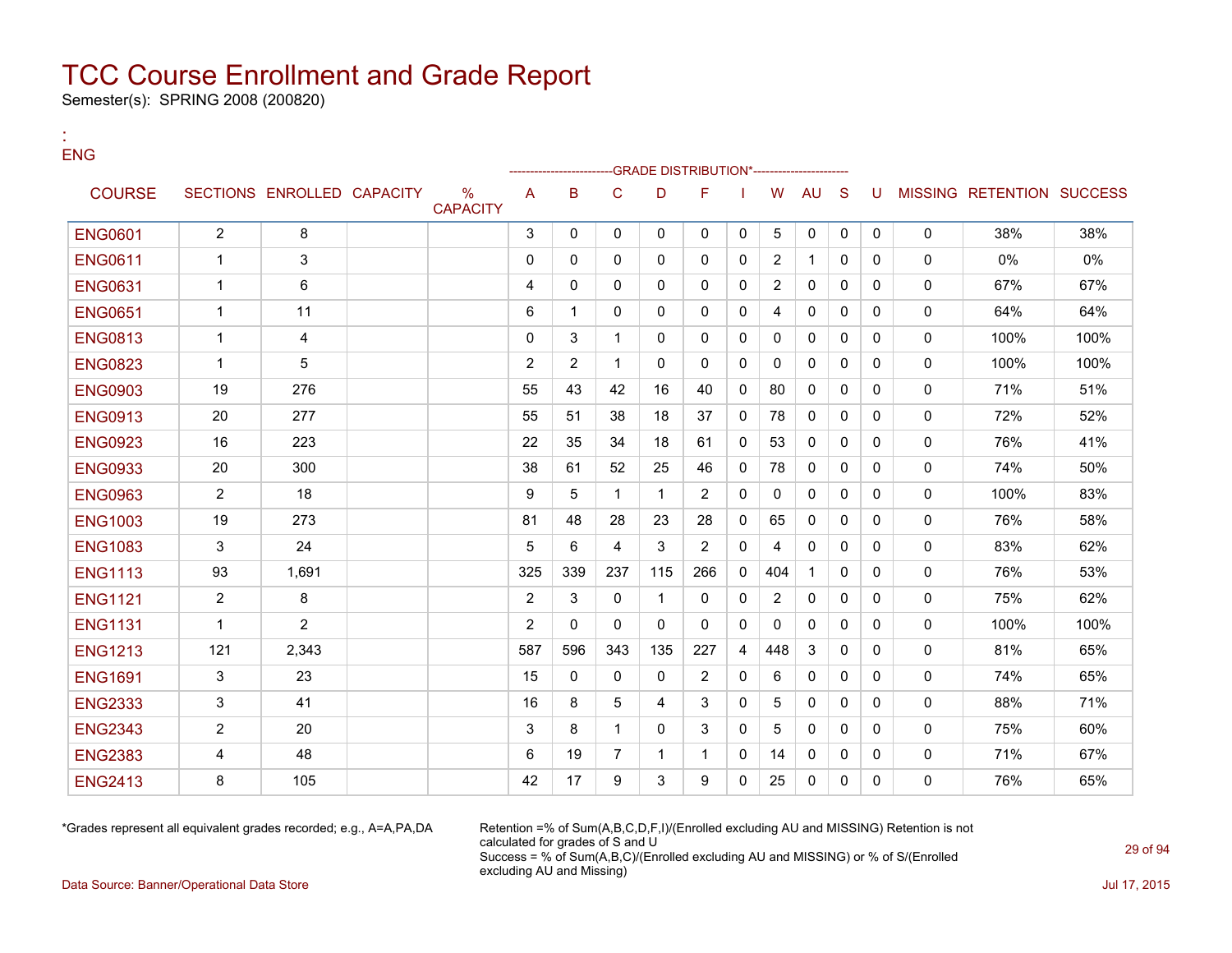Semester(s): SPRING 2008 (200820)

:

| ENG            |                |                            |                                  |                |              |                |              | -GRADE DISTRIBUTION*----------------- |              |                |              |              |              |              |                           |      |
|----------------|----------------|----------------------------|----------------------------------|----------------|--------------|----------------|--------------|---------------------------------------|--------------|----------------|--------------|--------------|--------------|--------------|---------------------------|------|
| <b>COURSE</b>  |                | SECTIONS ENROLLED CAPACITY | $\frac{0}{0}$<br><b>CAPACITY</b> | A              | B            | C              | D            | F                                     |              | W              | <b>AU</b>    | <sub>S</sub> | U            |              | MISSING RETENTION SUCCESS |      |
| <b>ENG0601</b> | $\overline{2}$ | 8                          |                                  | 3              | $\mathbf{0}$ | $\mathbf{0}$   | $\mathbf{0}$ | $\mathbf{0}$                          | $\mathbf{0}$ | 5              | $\Omega$     | $\mathbf{0}$ | $\mathbf{0}$ | $\mathbf{0}$ | 38%                       | 38%  |
| <b>ENG0611</b> | $\mathbf{1}$   | 3                          |                                  | $\Omega$       | $\Omega$     | $\mathbf{0}$   | $\mathbf{0}$ | $\mathbf{0}$                          | $\mathbf{0}$ | $\overline{2}$ | $\mathbf{1}$ | $\Omega$     | $\Omega$     | $\mathbf{0}$ | 0%                        | 0%   |
| <b>ENG0631</b> | 1              | 6                          |                                  | 4              | $\Omega$     | $\Omega$       | $\mathbf{0}$ | $\Omega$                              | $\Omega$     | $\overline{2}$ | $\mathbf{0}$ | $\Omega$     | $\Omega$     | $\mathbf{0}$ | 67%                       | 67%  |
| <b>ENG0651</b> | $\mathbf 1$    | 11                         |                                  | 6              | $\mathbf 1$  | $\mathbf{0}$   | $\mathbf{0}$ | $\mathbf{0}$                          | $\mathbf{0}$ | 4              | 0            | $\Omega$     | $\mathbf{0}$ | $\mathbf{0}$ | 64%                       | 64%  |
| <b>ENG0813</b> | $\mathbf{1}$   | $\overline{4}$             |                                  | $\Omega$       | 3            | $\mathbf 1$    | $\Omega$     | $\Omega$                              | $\Omega$     | $\Omega$       | $\mathbf{0}$ | $\Omega$     | $\Omega$     | $\mathbf{0}$ | 100%                      | 100% |
| <b>ENG0823</b> | $\mathbf 1$    | 5                          |                                  | $\overline{2}$ | 2            | $\mathbf 1$    | $\Omega$     | $\mathbf{0}$                          | $\Omega$     | $\mathbf{0}$   | $\mathbf{0}$ | 0            | $\Omega$     | $\mathbf{0}$ | 100%                      | 100% |
| <b>ENG0903</b> | 19             | 276                        |                                  | 55             | 43           | 42             | 16           | 40                                    | $\Omega$     | 80             | $\mathbf{0}$ | $\Omega$     | $\Omega$     | $\mathbf 0$  | 71%                       | 51%  |
| <b>ENG0913</b> | 20             | 277                        |                                  | 55             | 51           | 38             | 18           | 37                                    | $\Omega$     | 78             | $\Omega$     | 0            | $\Omega$     | $\mathbf{0}$ | 72%                       | 52%  |
| <b>ENG0923</b> | 16             | 223                        |                                  | 22             | 35           | 34             | 18           | 61                                    | $\Omega$     | 53             | $\mathbf{0}$ | $\Omega$     | $\Omega$     | $\mathbf{0}$ | 76%                       | 41%  |
| <b>ENG0933</b> | 20             | 300                        |                                  | 38             | 61           | 52             | 25           | 46                                    | $\mathbf{0}$ | 78             | $\mathbf{0}$ | 0            | $\mathbf{0}$ | $\mathbf{0}$ | 74%                       | 50%  |
| <b>ENG0963</b> | $\overline{2}$ | 18                         |                                  | 9              | 5            | $\mathbf{1}$   | $\mathbf{1}$ | $\overline{2}$                        | $\Omega$     | $\Omega$       | $\mathbf{0}$ | $\Omega$     | $\Omega$     | $\mathbf{0}$ | 100%                      | 83%  |
| <b>ENG1003</b> | 19             | 273                        |                                  | 81             | 48           | 28             | 23           | 28                                    | 0            | 65             | 0            | $\mathbf{0}$ | $\mathbf{0}$ | $\mathbf 0$  | 76%                       | 58%  |
| <b>ENG1083</b> | 3              | 24                         |                                  | 5              | 6            | 4              | 3            | $\overline{2}$                        | $\Omega$     | 4              | $\mathbf{0}$ | $\Omega$     | $\Omega$     | $\mathbf{0}$ | 83%                       | 62%  |
| <b>ENG1113</b> | 93             | 1,691                      |                                  | 325            | 339          | 237            | 115          | 266                                   | $\mathbf{0}$ | 404            | 1            | $\mathbf{0}$ | $\mathbf{0}$ | $\mathbf 0$  | 76%                       | 53%  |
| <b>ENG1121</b> | $\overline{2}$ | 8                          |                                  | 2              | 3            | $\mathbf{0}$   | $\mathbf{1}$ | $\Omega$                              | $\Omega$     | $\overline{2}$ | $\mathbf{0}$ | $\Omega$     | $\Omega$     | $\mathbf{0}$ | 75%                       | 62%  |
| <b>ENG1131</b> | $\mathbf{1}$   | $\overline{2}$             |                                  | 2              | $\Omega$     | $\mathbf{0}$   | $\mathbf{0}$ | $\mathbf{0}$                          | $\mathbf{0}$ | $\mathbf{0}$   | $\mathbf{0}$ | $\Omega$     | $\Omega$     | $\mathbf 0$  | 100%                      | 100% |
| <b>ENG1213</b> | 121            | 2,343                      |                                  | 587            | 596          | 343            | 135          | 227                                   | 4            | 448            | 3            | $\Omega$     | $\Omega$     | $\mathbf{0}$ | 81%                       | 65%  |
| <b>ENG1691</b> | 3              | 23                         |                                  | 15             | $\Omega$     | $\mathbf{0}$   | $\mathbf{0}$ | $\overline{2}$                        | $\Omega$     | 6              | 0            | $\mathbf{0}$ | $\Omega$     | $\mathbf 0$  | 74%                       | 65%  |
| <b>ENG2333</b> | 3              | 41                         |                                  | 16             | 8            | 5              | 4            | 3                                     | $\Omega$     | 5              | $\Omega$     | $\Omega$     | $\Omega$     | $\mathbf{0}$ | 88%                       | 71%  |
| <b>ENG2343</b> | $\overline{2}$ | 20                         |                                  | 3              | 8            | $\mathbf 1$    | $\Omega$     | 3                                     | $\Omega$     | 5              | $\mathbf{0}$ | $\Omega$     | $\Omega$     | $\mathbf 0$  | 75%                       | 60%  |
| <b>ENG2383</b> | 4              | 48                         |                                  | 6              | 19           | $\overline{7}$ | 1            | $\mathbf 1$                           | $\Omega$     | 14             | 0            | $\mathbf{0}$ | $\Omega$     | $\mathbf 0$  | 71%                       | 67%  |
| <b>ENG2413</b> | 8              | 105                        |                                  | 42             | 17           | 9              | 3            | 9                                     | $\Omega$     | 25             | $\mathbf{0}$ | $\Omega$     | $\Omega$     | $\mathbf 0$  | 76%                       | 65%  |

\*Grades represent all equivalent grades recorded; e.g., A=A,PA,DA Retention =% of Sum(A,B,C,D,F,I)/(Enrolled excluding AU and MISSING) Retention is not calculated for grades of S and U Success = % of Sum(A,B,C)/(Enrolled excluding AU and MISSING) or % of S/(Enrolled excluding AU and Missing)

Data Source: Banner/Operational Data Store Jul 17, 2015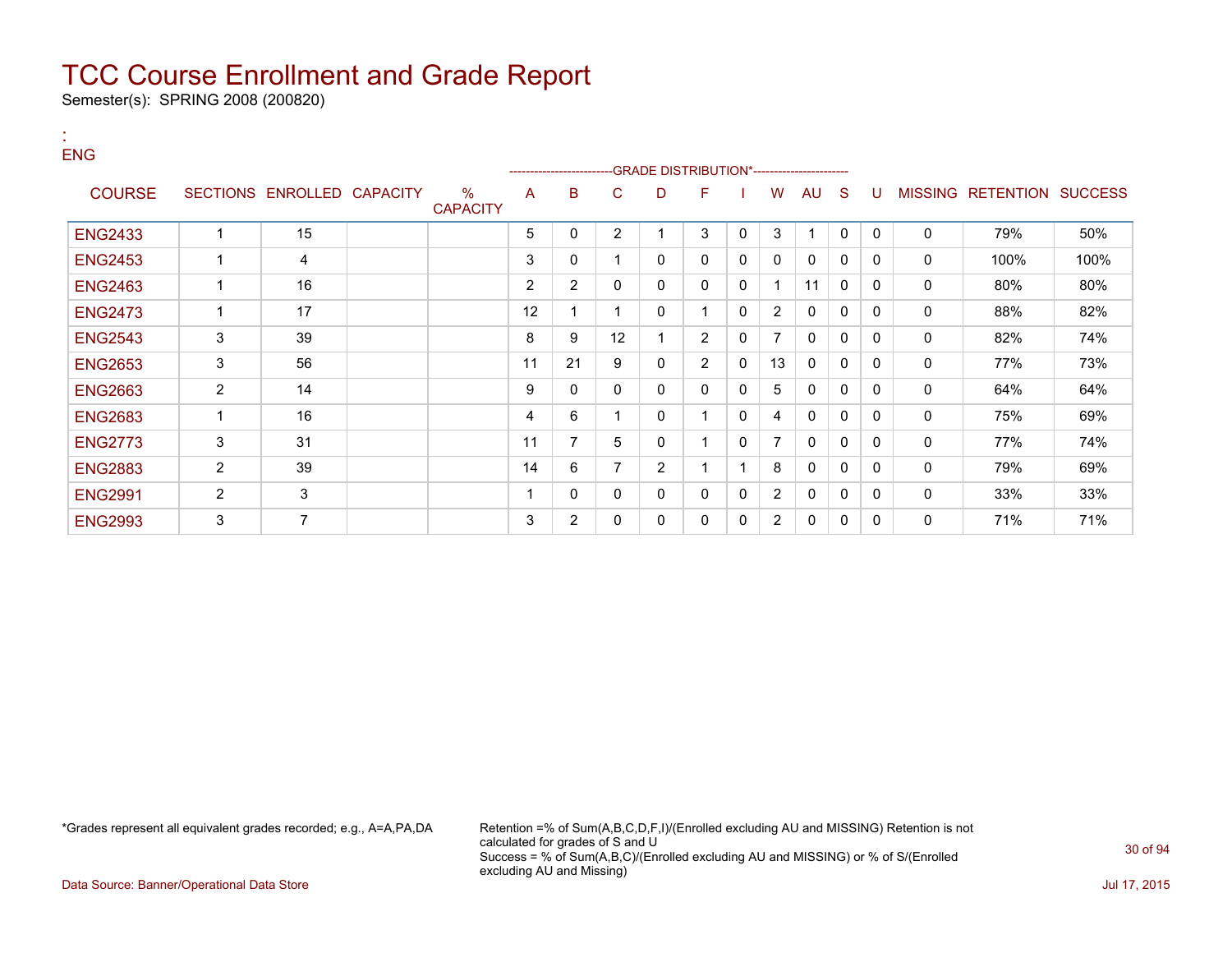Semester(s): SPRING 2008 (200820)

| <b>ENG</b>     |                |                            |                         |    | ---------------------- |    |                | -GRADE DISTRIBUTION*---------------------- |              |                |              |              |             |                |                          |      |
|----------------|----------------|----------------------------|-------------------------|----|------------------------|----|----------------|--------------------------------------------|--------------|----------------|--------------|--------------|-------------|----------------|--------------------------|------|
| <b>COURSE</b>  |                | SECTIONS ENROLLED CAPACITY | $\%$<br><b>CAPACITY</b> | A  | B                      | C  | D              | F                                          |              | w              | AU           | <sub>S</sub> | U           | <b>MISSING</b> | <b>RETENTION SUCCESS</b> |      |
| <b>ENG2433</b> |                | 15                         |                         | 5  | 0                      | 2  |                | 3                                          | 0            | 3              |              | $\mathbf{0}$ | $\mathbf 0$ | $\mathbf 0$    | 79%                      | 50%  |
| <b>ENG2453</b> |                | 4                          |                         | 3  | 0                      |    | 0              | 0                                          | 0            | 0              | 0            | 0            | 0           | 0              | 100%                     | 100% |
| <b>ENG2463</b> |                | 16                         |                         | 2  | $\overline{2}$         |    | 0              | 0                                          | 0            |                | 11           | 0            | 0           | 0              | 80%                      | 80%  |
| <b>ENG2473</b> |                | 17                         |                         | 12 |                        |    | 0              |                                            | $\mathbf{0}$ | $\overline{2}$ | 0            | 0            | 0           | 0              | 88%                      | 82%  |
| <b>ENG2543</b> | 3              | 39                         |                         | 8  | 9                      | 12 |                | $\overline{2}$                             | 0            | 7              | 0            | 0            | 0           | 0              | 82%                      | 74%  |
| <b>ENG2653</b> | 3              | 56                         |                         | 11 | 21                     | 9  | 0              | $\overline{2}$                             | $\mathbf{0}$ | 13             | $\mathbf 0$  | 0            | 0           | 0              | 77%                      | 73%  |
| <b>ENG2663</b> | $\overline{2}$ | 14                         |                         | 9  | 0                      | 0  | 0              | 0                                          | 0            | 5              | 0            | 0            | 0           | $\mathbf 0$    | 64%                      | 64%  |
| <b>ENG2683</b> | $\mathbf 1$    | 16                         |                         | 4  | 6                      |    | 0              |                                            | $\mathbf{0}$ | 4              | $\mathbf 0$  | 0            | 0           | 0              | 75%                      | 69%  |
| <b>ENG2773</b> | 3              | 31                         |                         | 11 | 7                      | 5  | 0              |                                            | $\Omega$     | 7              | $\mathbf{0}$ | 0            | $\Omega$    | 0              | 77%                      | 74%  |
| <b>ENG2883</b> | 2              | 39                         |                         | 14 | 6                      |    | $\overline{2}$ |                                            |              | 8              | $\mathbf{0}$ | 0            | 0           | 0              | 79%                      | 69%  |
| <b>ENG2991</b> | $\overline{2}$ | 3                          |                         | 1  | 0                      | 0  | 0              | 0                                          | 0            | $\overline{2}$ | $\mathbf{0}$ | 0            | $\Omega$    | 0              | 33%                      | 33%  |
| <b>ENG2993</b> | 3              | $\overline{7}$             |                         | 3  | $\overline{2}$         | 0  | 0              | 0                                          | 0            | $\overline{2}$ | $\mathbf{0}$ | 0            | $\Omega$    | 0              | 71%                      | 71%  |

:

\*Grades represent all equivalent grades recorded; e.g., A=A,PA,DA Retention =% of Sum(A,B,C,D,F,I)/(Enrolled excluding AU and MISSING) Retention is not calculated for grades of S and U Success = % of Sum(A,B,C)/(Enrolled excluding AU and MISSING) or % of S/(Enrolled excluding AU and Missing)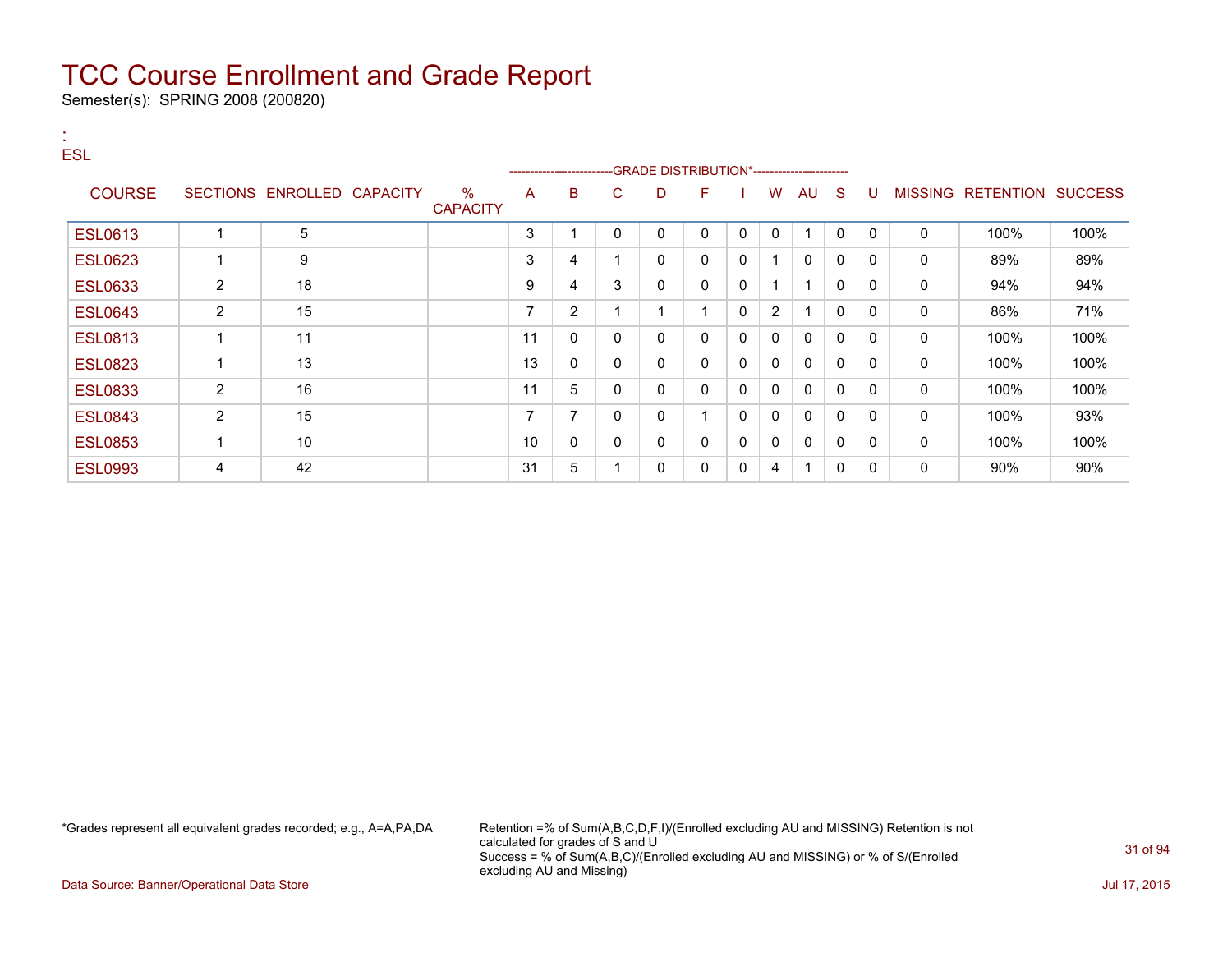Semester(s): SPRING 2008 (200820)

| . .<br><b>ESL</b> |                      |                            |                         |    |                |              |             | -GRADE DISTRIBUTION*---------------------- |              |                      |                      |              |              |              |                           |      |
|-------------------|----------------------|----------------------------|-------------------------|----|----------------|--------------|-------------|--------------------------------------------|--------------|----------------------|----------------------|--------------|--------------|--------------|---------------------------|------|
| <b>COURSE</b>     |                      | SECTIONS ENROLLED CAPACITY | $\%$<br><b>CAPACITY</b> | A  | B              | C            | D           | F                                          |              | W                    | AU                   | S.           | U            |              | MISSING RETENTION SUCCESS |      |
| <b>ESL0613</b>    | $\mathbf 1$          | 5                          |                         | 3  | 1              | 0            | 0           | $\mathbf{0}$                               | 0            | $\mathbf{0}$         | $\blacktriangleleft$ | $\mathbf{0}$ | $\mathbf{0}$ | $\mathbf{0}$ | 100%                      | 100% |
| <b>ESL0623</b>    | $\mathbf 1$          | 9                          |                         | 3  | 4              |              | $\mathbf 0$ | 0                                          | 0            | $\blacktriangleleft$ | $\mathbf{0}$         | $\mathbf{0}$ | $\mathbf{0}$ | $\mathbf 0$  | 89%                       | 89%  |
| <b>ESL0633</b>    | $\overline{2}$       | 18                         |                         | 9  | 4              | 3            | $\mathbf 0$ | $\Omega$                                   | 0            | 1                    | -1                   | $\mathbf{0}$ | $\mathbf{0}$ | $\mathbf 0$  | 94%                       | 94%  |
| <b>ESL0643</b>    | $\overline{2}$       | 15                         |                         | 7  | $\overline{2}$ |              | 1           | 4                                          | $\mathbf{0}$ | $\overline{2}$       |                      | 0            | $\mathbf{0}$ | $\mathbf 0$  | 86%                       | 71%  |
| <b>ESL0813</b>    | $\blacktriangleleft$ | 11                         |                         | 11 | 0              | 0            | 0           | $\mathbf{0}$                               | 0            | $\mathbf 0$          | 0                    | $\mathbf{0}$ | $\mathbf{0}$ | 0            | 100%                      | 100% |
| <b>ESL0823</b>    | $\mathbf 1$          | 13                         |                         | 13 | 0              | 0            | 0           | 0                                          | 0            | 0                    | 0                    | 0            | 0            | 0            | 100%                      | 100% |
| <b>ESL0833</b>    | $\overline{2}$       | 16                         |                         | 11 | 5              | 0            | 0           | $\mathbf{0}$                               | $\mathbf{0}$ | 0                    | $\mathbf{0}$         | 0            | $\Omega$     | 0            | 100%                      | 100% |
| <b>ESL0843</b>    | 2                    | 15                         |                         | 7  | $\overline{7}$ | $\mathbf{0}$ | 0           | 4                                          | $\mathbf{0}$ | $\mathbf{0}$         | $\mathbf{0}$         | $\mathbf{0}$ | 0            | 0            | 100%                      | 93%  |
| <b>ESL0853</b>    | $\mathbf 1$          | 10                         |                         | 10 | $\mathbf{0}$   | $\mathbf{0}$ | $\mathbf 0$ | $\mathbf{0}$                               | 0            | $\mathbf{0}$         | $\mathbf{0}$         | 0            | 0            | $\mathbf{0}$ | 100%                      | 100% |
| <b>ESL0993</b>    | 4                    | 42                         |                         | 31 | 5              |              | 0           | 0                                          | 0            | 4                    |                      | 0            | 0            | 0            | 90%                       | 90%  |

\*Grades represent all equivalent grades recorded; e.g., A=A,PA,DA Retention =% of Sum(A,B,C,D,F,I)/(Enrolled excluding AU and MISSING) Retention is not calculated for grades of S and U Success = % of Sum(A,B,C)/(Enrolled excluding AU and MISSING) or % of S/(Enrolled excluding AU and Missing)

Data Source: Banner/Operational Data Store Jul 17, 2015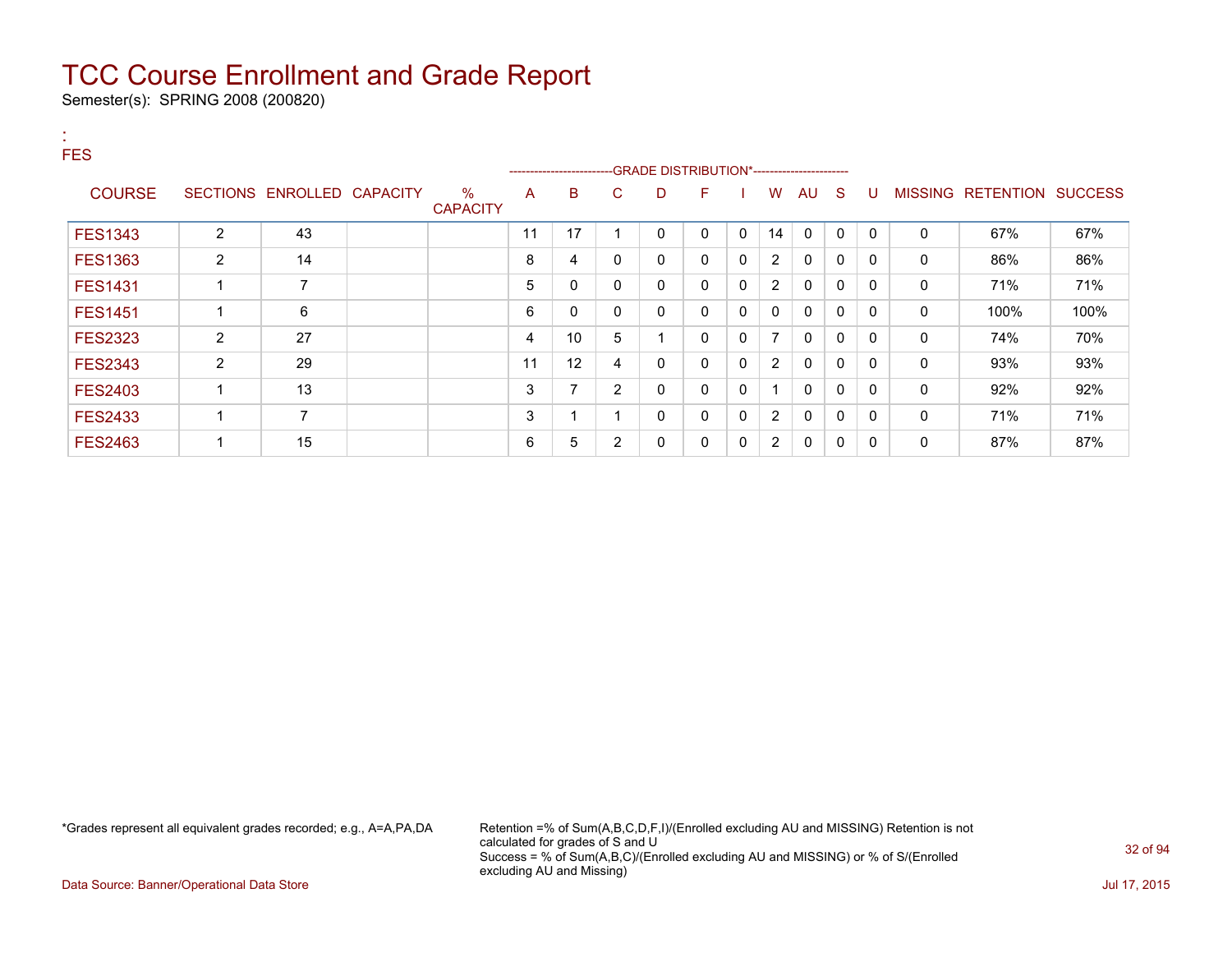Semester(s): SPRING 2008 (200820)

| <b>FES</b>     |                          |                 |                 |                         |    | ----------------------   |                |              |              |             |                |              |              |              |                |                  |                |
|----------------|--------------------------|-----------------|-----------------|-------------------------|----|--------------------------|----------------|--------------|--------------|-------------|----------------|--------------|--------------|--------------|----------------|------------------|----------------|
| <b>COURSE</b>  | <b>SECTIONS</b>          | <b>ENROLLED</b> | <b>CAPACITY</b> | $\%$<br><b>CAPACITY</b> | A  | B                        | C              | D            | F            |             | W              | AU           | S.           | U            | <b>MISSING</b> | <b>RETENTION</b> | <b>SUCCESS</b> |
| <b>FES1343</b> | 2                        | 43              |                 |                         | 11 | 17                       |                | $\mathbf{0}$ | $\mathbf{0}$ | $\mathbf 0$ | 14             | $\mathbf 0$  | $\mathbf{0}$ | $\mathbf{0}$ | $\mathbf{0}$   | 67%              | 67%            |
| <b>FES1363</b> | $\overline{2}$           | 14              |                 |                         | 8  | 4                        | 0              | 0            | $\mathbf 0$  | 0           | 2              | $\mathbf{0}$ | 0            | $\Omega$     | $\mathbf 0$    | 86%              | 86%            |
| <b>FES1431</b> | 1                        | 7               |                 |                         | 5  | $\mathbf 0$              | 0              | $\mathbf 0$  | 0            | 0           | 2              | 0            | $\mathbf{0}$ | $\Omega$     | $\mathbf 0$    | 71%              | 71%            |
| <b>FES1451</b> | 1                        | 6               |                 |                         | 6  | 0                        | $\mathbf{0}$   | 0            | $\mathbf{0}$ | 0           | $\mathbf{0}$   | $\mathbf{0}$ | $\mathbf{0}$ | $\Omega$     | $\mathbf{0}$   | 100%             | 100%           |
| <b>FES2323</b> | $\overline{2}$           | 27              |                 |                         | 4  | 10                       | 5              | и            | $\mathbf{0}$ | 0           | $\overline{7}$ | $\mathbf{0}$ | $\mathbf{0}$ | $\mathbf{0}$ | $\mathbf 0$    | 74%              | 70%            |
| <b>FES2343</b> | $\overline{2}$           | 29              |                 |                         | 11 | 12                       | 4              | 0            | 0            | 0           | 2              | 0            | $\mathbf{0}$ | $\Omega$     | 0              | 93%              | 93%            |
| <b>FES2403</b> | $\overline{\phantom{a}}$ | 13              |                 |                         | 3  | $\overline{\phantom{a}}$ | $\overline{2}$ | 0            | 0            | 0           |                | 0            | 0            | $\Omega$     | 0              | 92%              | 92%            |
| <b>FES2433</b> | 1                        | 7               |                 |                         | 3  |                          |                | 0            | 0            | 0           | $\overline{2}$ | 0            | 0            | $\Omega$     | 0              | 71%              | 71%            |
| <b>FES2463</b> | 1                        | 15              |                 |                         | 6  | 5                        | 2              | 0            | 0            | 0           | $\overline{2}$ | 0            | $\mathbf{0}$ | $\Omega$     | 0              | 87%              | 87%            |

\*Grades represent all equivalent grades recorded; e.g., A=A,PA,DA Retention =% of Sum(A,B,C,D,F,I)/(Enrolled excluding AU and MISSING) Retention is not calculated for grades of S and U Success = % of Sum(A,B,C)/(Enrolled excluding AU and MISSING) or % of S/(Enrolled excluding AU and Missing)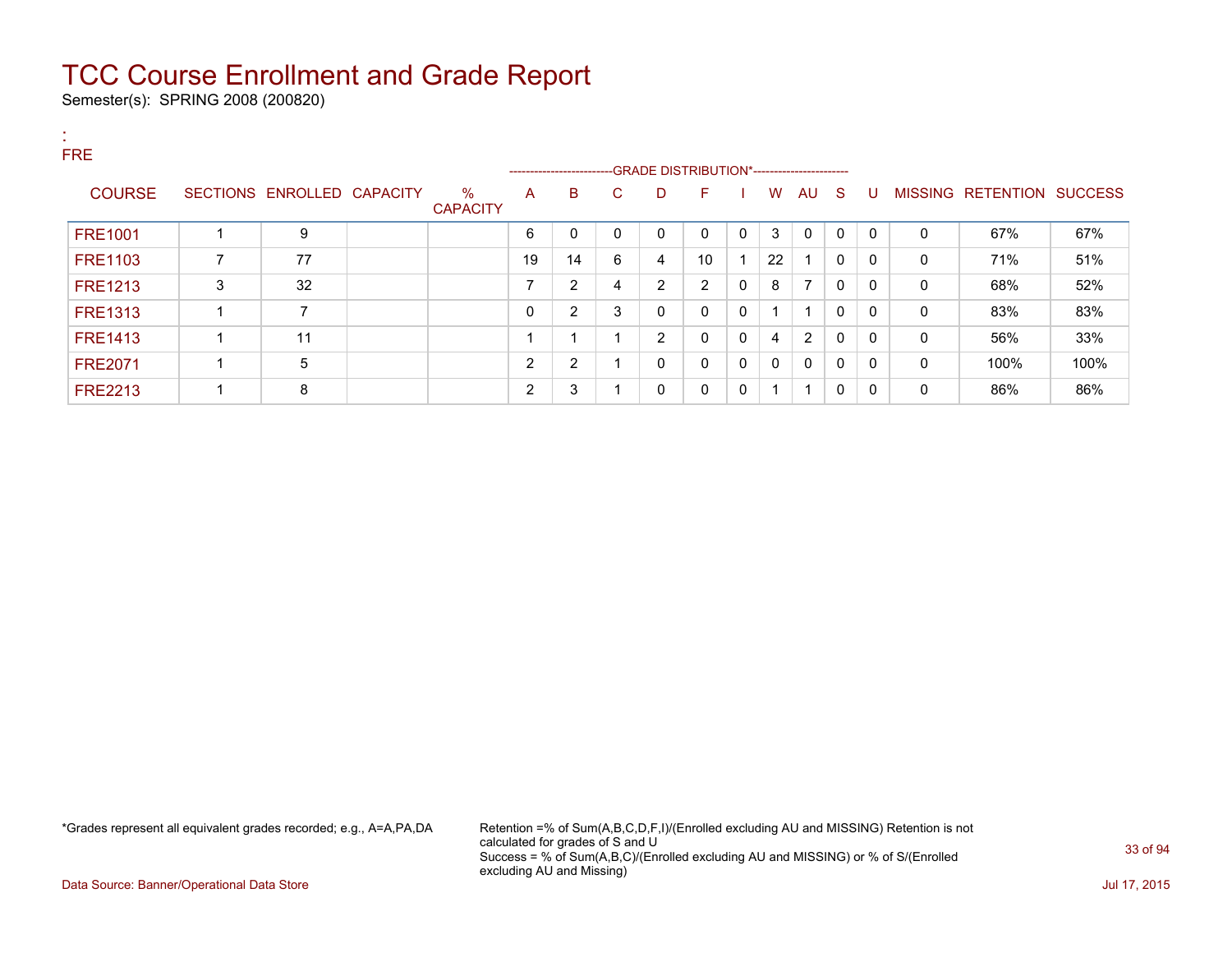Semester(s): SPRING 2008 (200820)

:

| <b>FRE</b> |                |   |                            |                         |              |                                                                                  |    |   |                |             |              |                         |              |              |              |                           |      |
|------------|----------------|---|----------------------------|-------------------------|--------------|----------------------------------------------------------------------------------|----|---|----------------|-------------|--------------|-------------------------|--------------|--------------|--------------|---------------------------|------|
|            |                |   |                            |                         |              | ------------------------GRADE                DISTRIBUTION*---------------------- |    |   |                |             |              |                         |              |              |              |                           |      |
|            | <b>COURSE</b>  |   | SECTIONS ENROLLED CAPACITY | $\%$<br><b>CAPACITY</b> | A            | B                                                                                | C. | D | F              |             | W            | AU                      | -S           | U            |              | MISSING RETENTION SUCCESS |      |
|            |                |   |                            |                         |              |                                                                                  |    |   |                |             |              |                         |              |              |              |                           |      |
|            | <b>FRE1001</b> |   | 9                          |                         | 6            | 0                                                                                | 0  | 0 | $\Omega$       | 0           | 3            | 0                       | $\mathbf{0}$ | 0            | 0            | 67%                       | 67%  |
|            | <b>FRE1103</b> | ⇁ | 77                         |                         | 19           | 14                                                                               | 6  | 4 | 10             |             | 22           | $\overline{\mathbf{A}}$ | 0            | 0            | 0            | 71%                       | 51%  |
|            | <b>FRE1213</b> | 3 | 32                         |                         |              | 2                                                                                | 4  | 2 | $\overline{2}$ | 0           | 8            | 7                       | $\mathbf{0}$ | 0            | $\mathbf{0}$ | 68%                       | 52%  |
|            | <b>FRE1313</b> |   | 7                          |                         | 0            | 2                                                                                | 3  | 0 | $\Omega$       | 0           |              |                         | 0            | 0            | 0            | 83%                       | 83%  |
|            | <b>FRE1413</b> |   | 11                         |                         |              |                                                                                  |    | 2 | $\Omega$       | 0           | 4            | 2                       | $\mathbf{0}$ | $\mathbf 0$  | 0            | 56%                       | 33%  |
|            | <b>FRE2071</b> |   | 5                          |                         | <sup>o</sup> | 2                                                                                |    | 0 | $\mathbf{0}$   | $\mathbf 0$ | $\mathbf{0}$ | $\mathbf{0}$            | $\mathbf{0}$ | $\mathbf{0}$ | $\mathbf{0}$ | 100%                      | 100% |
|            | <b>FRE2213</b> |   | 8                          |                         | $\sim$       | 3                                                                                |    | 0 | $\Omega$       | $\mathbf 0$ | 1            | -1                      | $\mathbf{0}$ | $\mathbf{0}$ | $\Omega$     | 86%                       | 86%  |

\*Grades represent all equivalent grades recorded; e.g., A=A,PA,DA Retention =% of Sum(A,B,C,D,F,I)/(Enrolled excluding AU and MISSING) Retention is not calculated for grades of S and U Success = % of Sum(A,B,C)/(Enrolled excluding AU and MISSING) or % of S/(Enrolled excluding AU and Missing)

Data Source: Banner/Operational Data Store Jul 17, 2015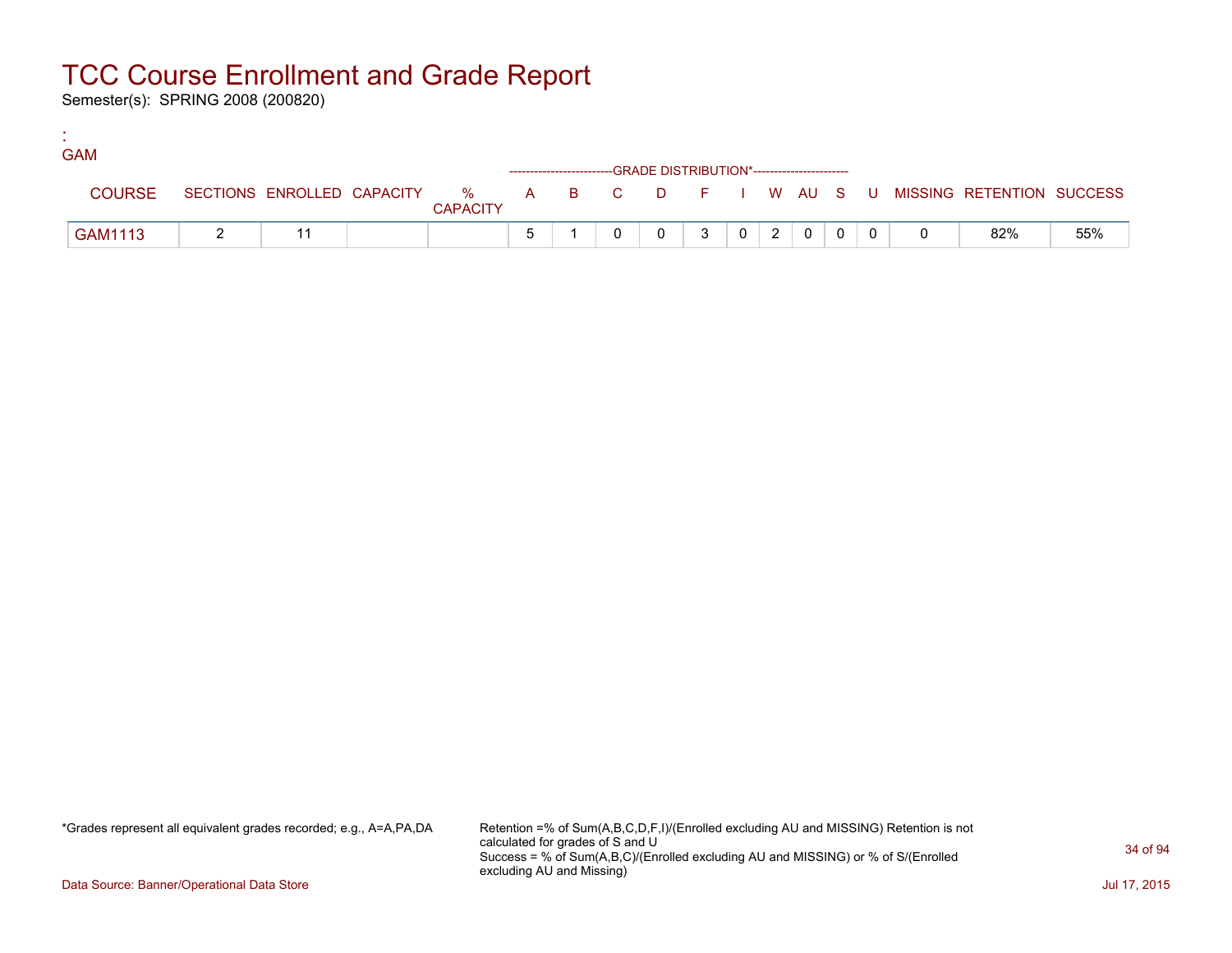Semester(s): SPRING 2008 (200820)

:

| <b>GAM</b> |               |  |                 |  |                                                                    |                |                |                |  |                                                                             |     |
|------------|---------------|--|-----------------|--|--------------------------------------------------------------------|----------------|----------------|----------------|--|-----------------------------------------------------------------------------|-----|
|            |               |  |                 |  | ------------------------GRADE DISTRIBUTION*----------------------- |                |                |                |  |                                                                             |     |
|            | <b>COURSE</b> |  | <b>CAPACITY</b> |  |                                                                    |                |                |                |  | SECTIONS ENROLLED CAPACITY % A B C D F I W AU S U MISSING RETENTION SUCCESS |     |
|            | GAM1113       |  |                 |  |                                                                    | 3 <sup>1</sup> | $\overline{2}$ | $\overline{0}$ |  | 82%                                                                         | 55% |

\*Grades represent all equivalent grades recorded; e.g., A=A,PA,DA Retention =% of Sum(A,B,C,D,F,I)/(Enrolled excluding AU and MISSING) Retention is not calculated for grades of S and U Success = % of Sum(A,B,C)/(Enrolled excluding AU and MISSING) or % of S/(Enrolled excluding AU and Missing)

Data Source: Banner/Operational Data Store Jul 17, 2015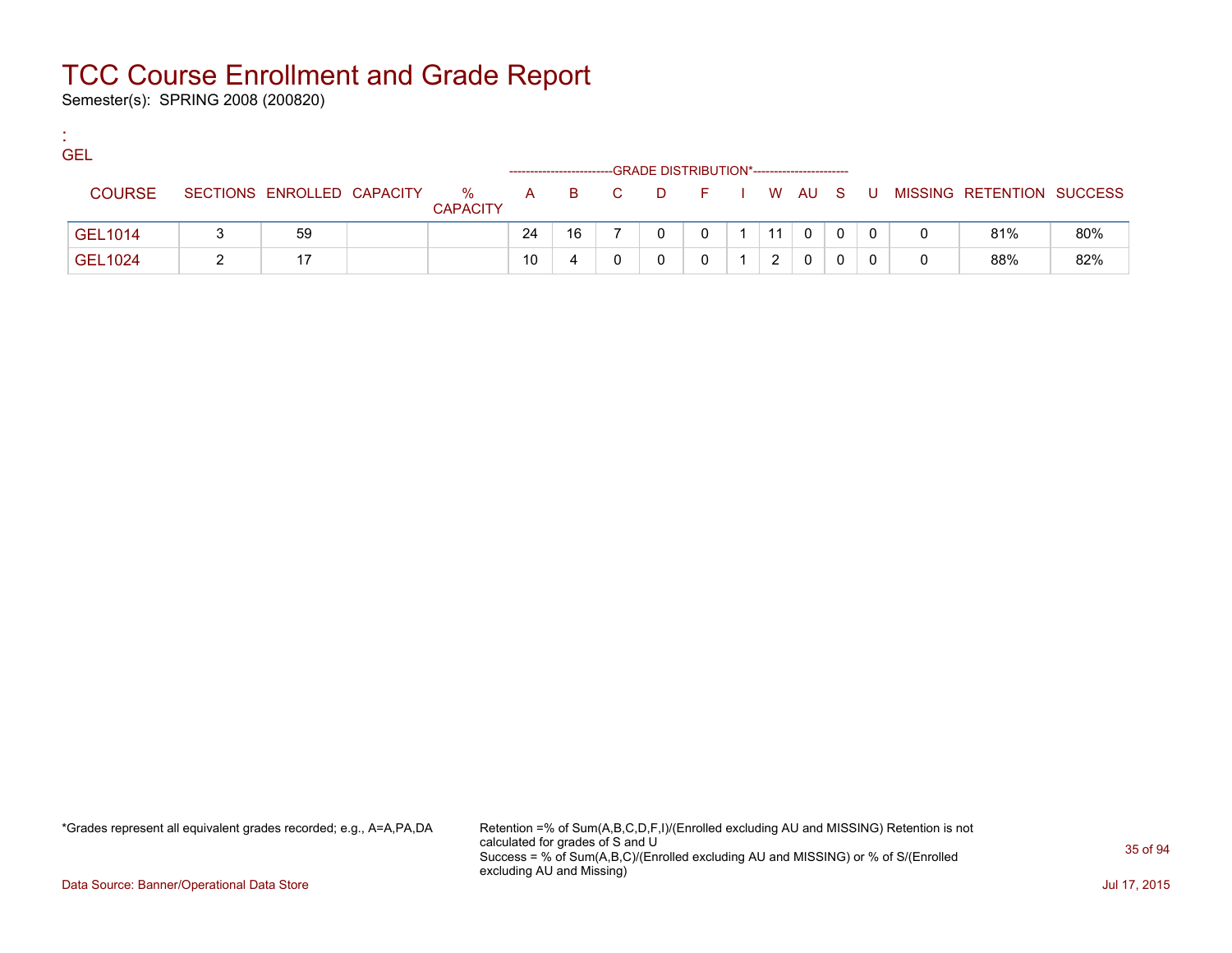Semester(s): SPRING 2008 (200820)

:

| <b>GEL</b>    |                            |                      |    |    |       | -GRADE DISTRIBUTION*----------------------- |    |              |  |                             |     |
|---------------|----------------------------|----------------------|----|----|-------|---------------------------------------------|----|--------------|--|-----------------------------|-----|
| <b>COURSE</b> | SECTIONS ENROLLED CAPACITY | %<br><b>CAPACITY</b> |    |    | A B C | DFIWAUS                                     |    |              |  | U MISSING RETENTION SUCCESS |     |
| GEL1014       | 59                         |                      | 24 | 16 |       |                                             | 11 | $\mathbf{0}$ |  | 81%                         | 80% |
| GEL1024       |                            |                      | 10 |    |       |                                             |    | 0            |  | 88%                         | 82% |

\*Grades represent all equivalent grades recorded; e.g., A=A,PA,DA Retention =% of Sum(A,B,C,D,F,I)/(Enrolled excluding AU and MISSING) Retention is not calculated for grades of S and U Success = % of Sum(A,B,C)/(Enrolled excluding AU and MISSING) or % of S/(Enrolled excluding AU and Missing)

Data Source: Banner/Operational Data Store Jul 17, 2015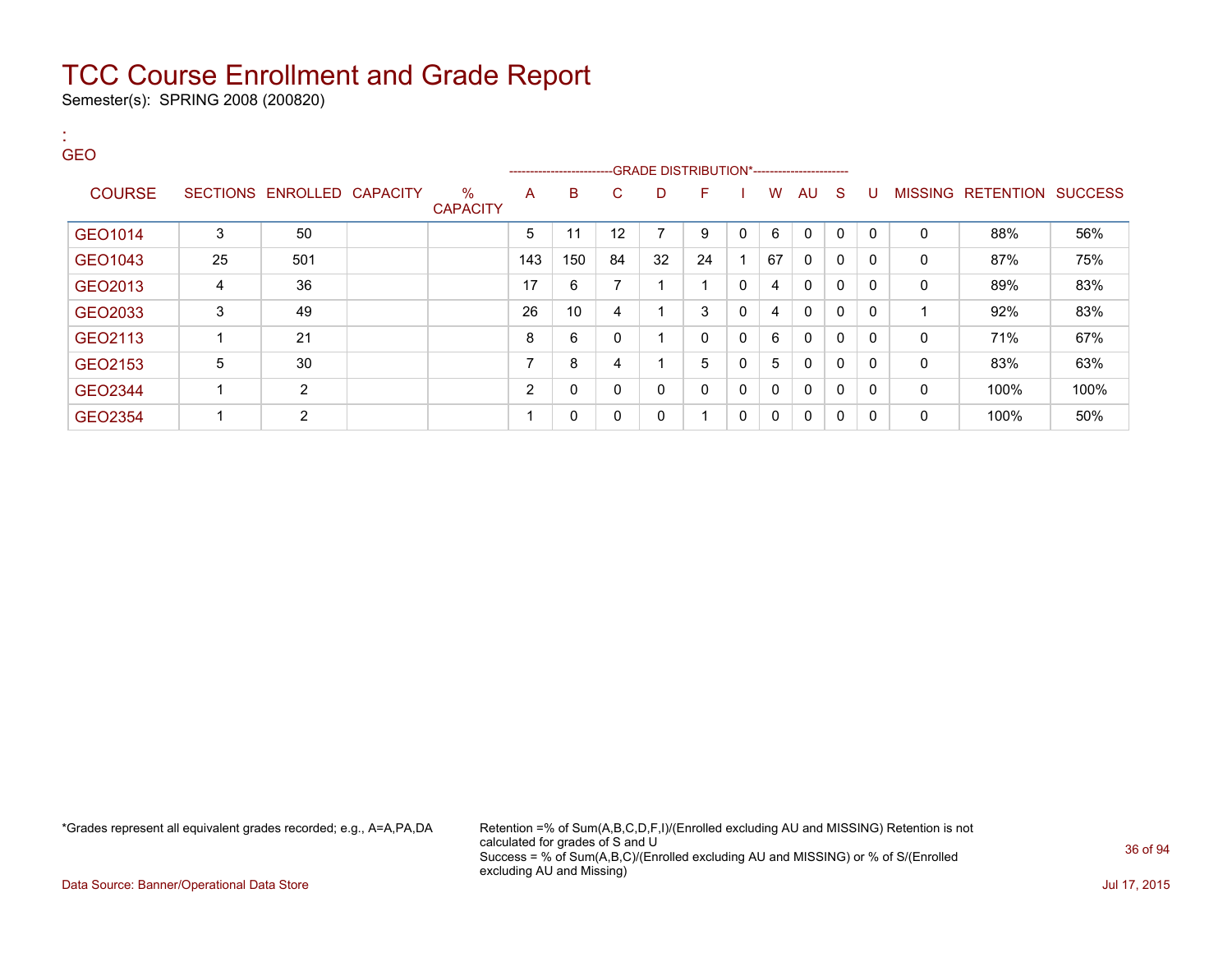Semester(s): SPRING 2008 (200820)

:

| <b>GEO</b>    |    |                            |                         |                          |                              |    | --GRADE DISTRIBUTION*----------------------- |              |   |              |              |              |              |          |                                  |      |
|---------------|----|----------------------------|-------------------------|--------------------------|------------------------------|----|----------------------------------------------|--------------|---|--------------|--------------|--------------|--------------|----------|----------------------------------|------|
| <b>COURSE</b> |    | SECTIONS ENROLLED CAPACITY | $\%$<br><b>CAPACITY</b> | A                        | -----------------------<br>B | C  | D                                            | F            |   | W            | AU           | - S          | U            |          | <b>MISSING RETENTION SUCCESS</b> |      |
| GEO1014       | 3  | 50                         |                         | 5                        | 11                           | 12 | 7                                            | 9            | 0 | 6            | $\Omega$     | $\Omega$     | $\mathbf{0}$ | 0        | 88%                              | 56%  |
| GEO1043       | 25 | 501                        |                         | 143                      | 150                          | 84 | 32                                           | 24           |   | 67           | $\mathbf{0}$ | $\mathbf{0}$ | $\mathbf{0}$ | 0        | 87%                              | 75%  |
| GEO2013       | 4  | 36                         |                         | 17                       | 6                            | ⇁  |                                              | 1            | 0 | 4            | 0            | 0            | 0            | $\Omega$ | 89%                              | 83%  |
| GEO2033       | 3  | 49                         |                         | 26                       | 10                           | 4  |                                              | 3            | 0 | 4            | $\mathbf{0}$ | 0            | $\mathbf{0}$ |          | 92%                              | 83%  |
| GEO2113       |    | 21                         |                         | 8                        | 6                            | 0  |                                              | $\mathbf{0}$ | 0 | 6            | $\mathbf{0}$ | 0            | 0            | 0        | 71%                              | 67%  |
| GEO2153       | 5  | 30                         |                         | $\overline{ }$           | 8                            | 4  |                                              | 5            | 0 | 5            | 0            | 0            | 0            | 0        | 83%                              | 63%  |
| GEO2344       |    | $\overline{2}$             |                         | $\overline{2}$           | 0                            | 0  | 0                                            | $\mathbf{0}$ | 0 | $\mathbf{0}$ | $\mathbf{0}$ | $\Omega$     | $\mathbf{0}$ | 0        | 100%                             | 100% |
| GEO2354       |    | $\overline{2}$             |                         | $\overline{\phantom{a}}$ | 0                            | 0  | 0                                            | 1            | 0 | 0            | 0            | $\mathbf{0}$ | 0            | $\Omega$ | 100%                             | 50%  |

\*Grades represent all equivalent grades recorded; e.g., A=A,PA,DA Retention =% of Sum(A,B,C,D,F,I)/(Enrolled excluding AU and MISSING) Retention is not calculated for grades of S and U Success = % of Sum(A,B,C)/(Enrolled excluding AU and MISSING) or % of S/(Enrolled excluding AU and Missing)

Data Source: Banner/Operational Data Store Jul 17, 2015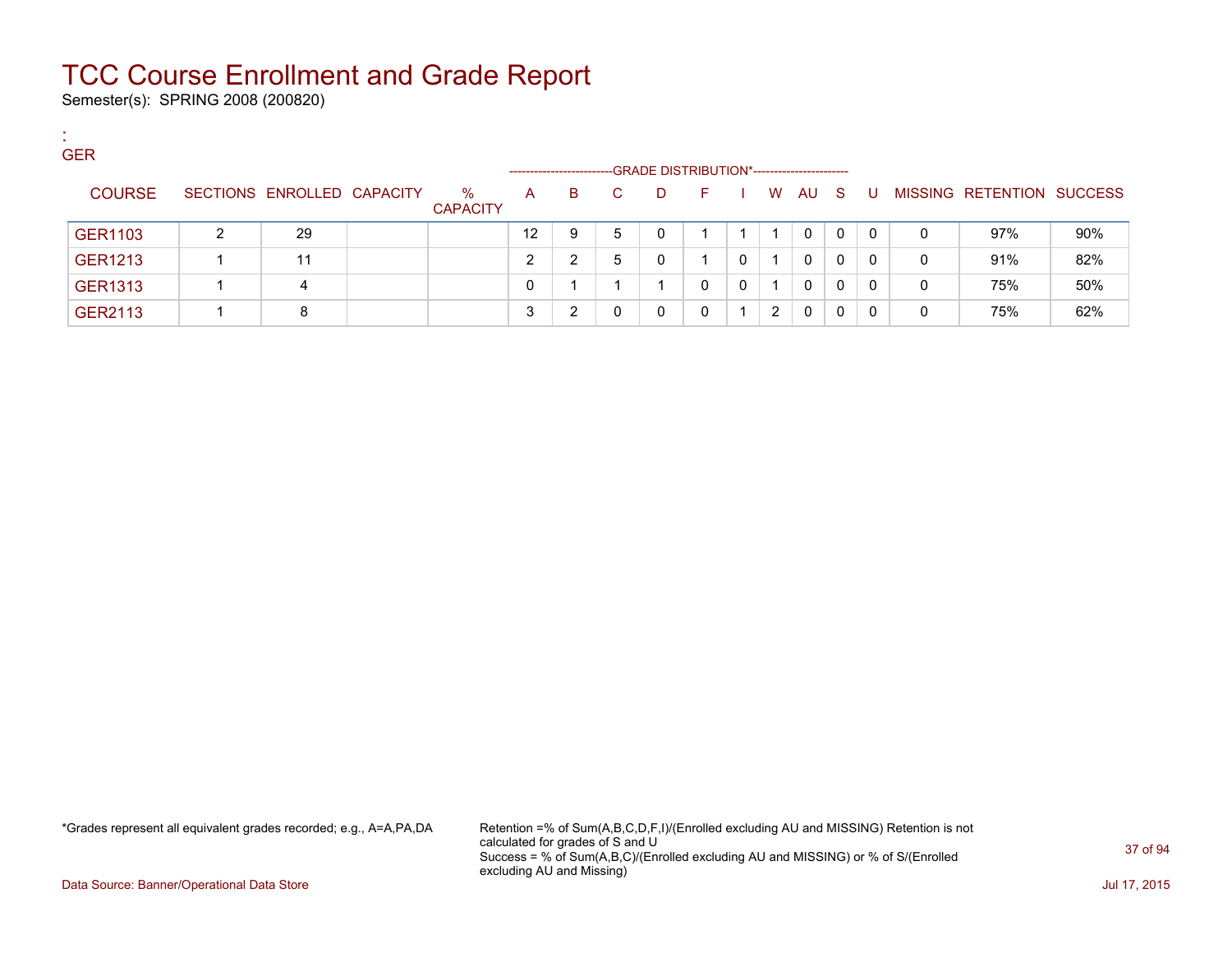Semester(s): SPRING 2008 (200820)

:

| <b>GER</b>     |                            |                      |                    |    |    |   |                                              |   |   |              |              |          |   |                           |     |
|----------------|----------------------------|----------------------|--------------------|----|----|---|----------------------------------------------|---|---|--------------|--------------|----------|---|---------------------------|-----|
|                |                            |                      | ------------------ |    |    |   | -GRADE DISTRIBUTION*------------------------ |   |   |              |              |          |   |                           |     |
| <b>COURSE</b>  | SECTIONS ENROLLED CAPACITY | %<br><b>CAPACITY</b> | A                  | B. | C. | D | F                                            |   | W | AU           | - S          | - U -    |   | MISSING RETENTION SUCCESS |     |
| <b>GER1103</b> | 29                         |                      | $12 \overline{ }$  | 9  | 5  | 0 |                                              |   |   | $\mathbf{0}$ | $\mathbf{0}$ | $\Omega$ | 0 | 97%                       | 90% |
| <b>GER1213</b> | 11                         |                      | 2                  |    | 5  | 0 |                                              | 0 |   | 0            | 0            | $\Omega$ | 0 | 91%                       | 82% |
| <b>GER1313</b> | 4                          |                      | 0                  |    |    |   | 0                                            | 0 |   | $\mathbf{0}$ | 0            | $\Omega$ | 0 | 75%                       | 50% |
| GER2113        | 8                          |                      | 2<br>ູບ            |    |    | 0 |                                              |   | 2 | $\mathbf{0}$ | 0            | 0        | 0 | 75%                       | 62% |

\*Grades represent all equivalent grades recorded; e.g., A=A,PA,DA Retention =% of Sum(A,B,C,D,F,I)/(Enrolled excluding AU and MISSING) Retention is not calculated for grades of S and U Success = % of Sum(A,B,C)/(Enrolled excluding AU and MISSING) or % of S/(Enrolled excluding AU and Missing)

Data Source: Banner/Operational Data Store Jul 17, 2015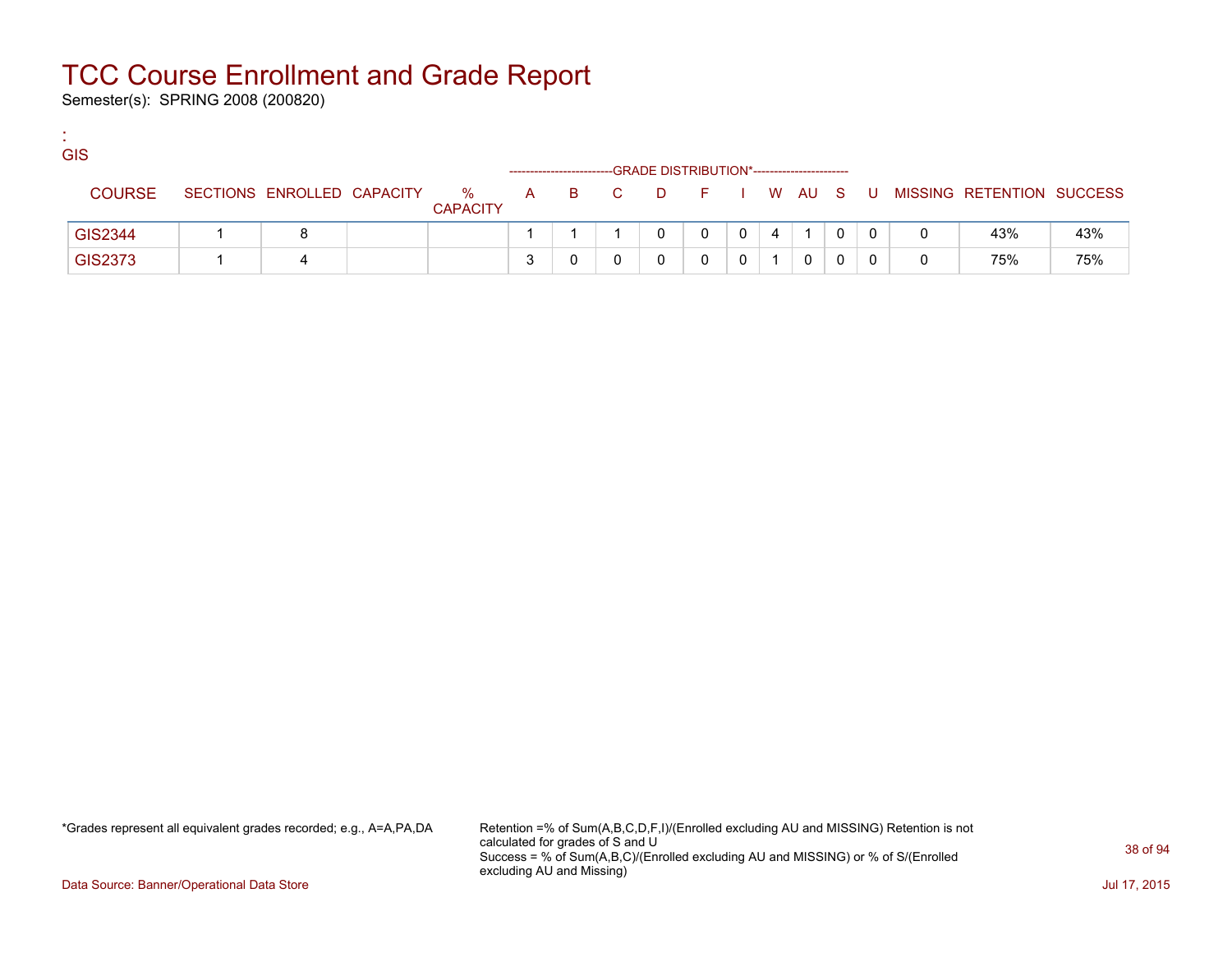Semester(s): SPRING 2008 (200820)

:

| <b>GIS</b>    |                            |                      |   |       | -GRADE DISTRIBUTION*----------------------- |   |          |   |   |       |                           |     |
|---------------|----------------------------|----------------------|---|-------|---------------------------------------------|---|----------|---|---|-------|---------------------------|-----|
| <b>COURSE</b> | SECTIONS ENROLLED CAPACITY | %<br><b>CAPACITY</b> |   | A B C | DFIWAUS                                     |   |          |   |   | . U . | MISSING RETENTION SUCCESS |     |
| GIS2344       | 8                          |                      |   |       | 0                                           | 0 | $\Omega$ | 4 |   |       | 43%                       | 43% |
| GIS2373       | Δ                          |                      | ີ |       |                                             |   |          |   | 0 |       | 75%                       | 75% |

\*Grades represent all equivalent grades recorded; e.g., A=A,PA,DA Retention =% of Sum(A,B,C,D,F,I)/(Enrolled excluding AU and MISSING) Retention is not calculated for grades of S and U Success = % of Sum(A,B,C)/(Enrolled excluding AU and MISSING) or % of S/(Enrolled excluding AU and Missing)

Data Source: Banner/Operational Data Store Jul 17, 2015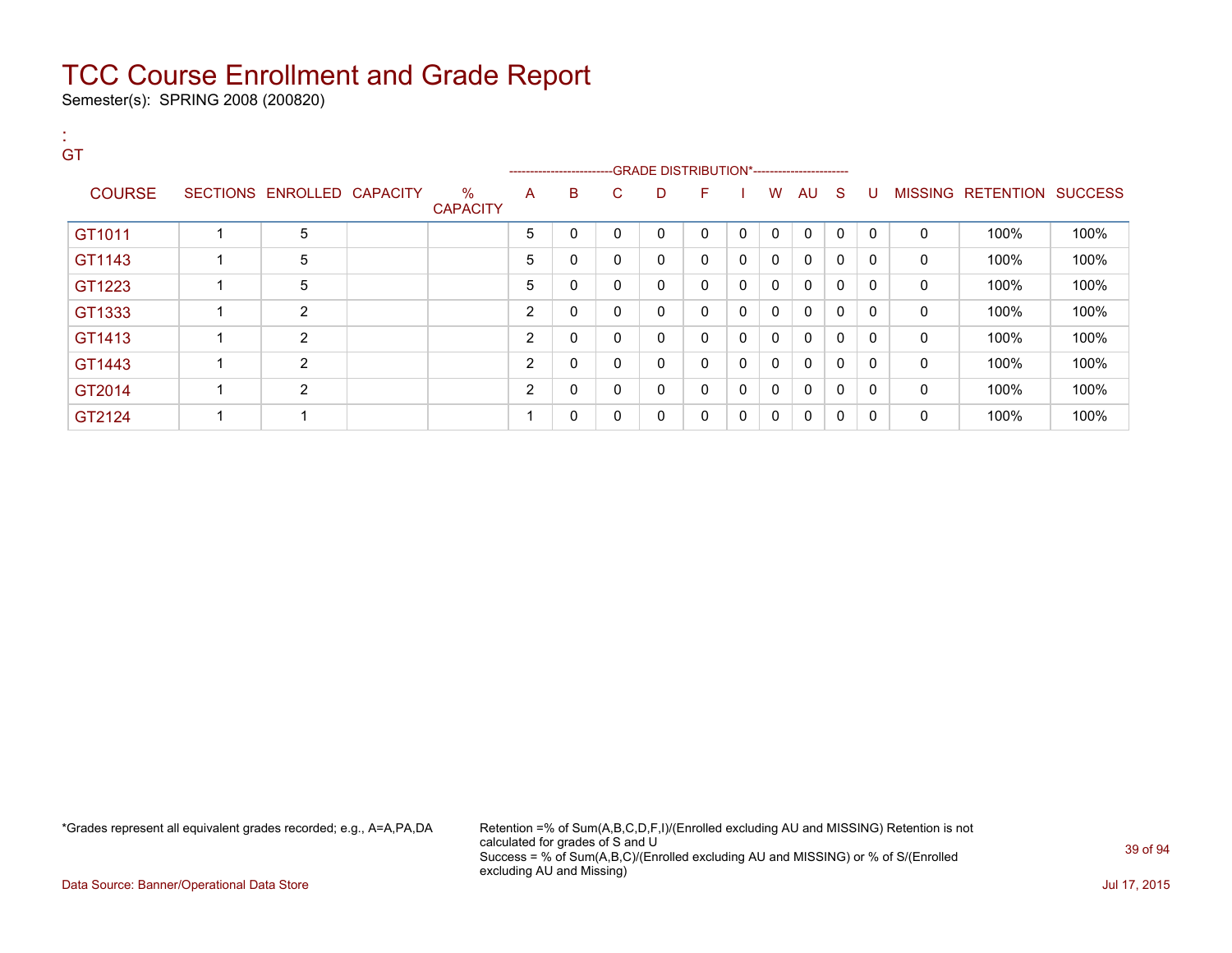Semester(s): SPRING 2008 (200820)

| GT            |                            |                         |                |                       |              |              |                                              |              |              |              |              |              |              |                   |                |
|---------------|----------------------------|-------------------------|----------------|-----------------------|--------------|--------------|----------------------------------------------|--------------|--------------|--------------|--------------|--------------|--------------|-------------------|----------------|
|               |                            |                         |                | --------------------- |              |              | --GRADE DISTRIBUTION*----------------------- |              |              |              |              |              |              |                   |                |
| <b>COURSE</b> | SECTIONS ENROLLED CAPACITY | $\%$<br><b>CAPACITY</b> | A              | B                     | C.           | D            | F.                                           |              | W            | AU S         |              | U            |              | MISSING RETENTION | <b>SUCCESS</b> |
| GT1011        | 5                          |                         | 5              | 0                     | $\mathbf{0}$ | $\mathbf{0}$ | $\Omega$                                     | $\mathbf{0}$ | $\Omega$     | $\mathbf{0}$ | $\Omega$     | $\mathbf{0}$ | 0            | 100%              | 100%           |
| GT1143        | 5                          |                         | 5              | 0                     | 0            | 0            | 0                                            | 0            | 0            | 0            | 0            | 0            | 0            | 100%              | 100%           |
| GT1223        | 5                          |                         | 5              | 0                     | $\mathbf{0}$ | 0            | $\mathbf{0}$                                 | 0            | $\mathbf{0}$ | $\mathbf{0}$ | 0            | 0            | $\mathbf{0}$ | 100%              | 100%           |
| GT1333        | $\overline{2}$             |                         | 2              | $\mathbf 0$           | 0            | 0            | $\mathbf{0}$                                 | 0            | $\mathbf 0$  | 0            | 0            | 0            | $\mathbf 0$  | 100%              | 100%           |
| GT1413        | $\overline{2}$             |                         | $\overline{2}$ | 0                     | 0            | 0            | 0                                            | 0            | 0            | 0            | 0            | 0            | 0            | 100%              | 100%           |
| GT1443        | 2                          |                         | 2              | 0                     | $\mathbf{0}$ | 0            | $\mathbf{0}$                                 | 0            | $\Omega$     | $\mathbf{0}$ | 0            | 0            | 0            | 100%              | 100%           |
| GT2014        | 2                          |                         | $\overline{2}$ | 0                     | $\mathbf{0}$ | 0            | $\mathbf{0}$                                 | 0            | 0            | 0            | $\mathbf{0}$ | $\mathbf{0}$ | 0            | 100%              | 100%           |
| GT2124        |                            |                         |                | 0                     | 0            | 0            | 0                                            | 0            | 0            | 0            | 0            | 0            | 0            | 100%              | 100%           |

\*Grades represent all equivalent grades recorded; e.g., A=A,PA,DA Retention =% of Sum(A,B,C,D,F,I)/(Enrolled excluding AU and MISSING) Retention is not calculated for grades of S and U Success = % of Sum(A,B,C)/(Enrolled excluding AU and MISSING) or % of S/(Enrolled excluding AU and Missing)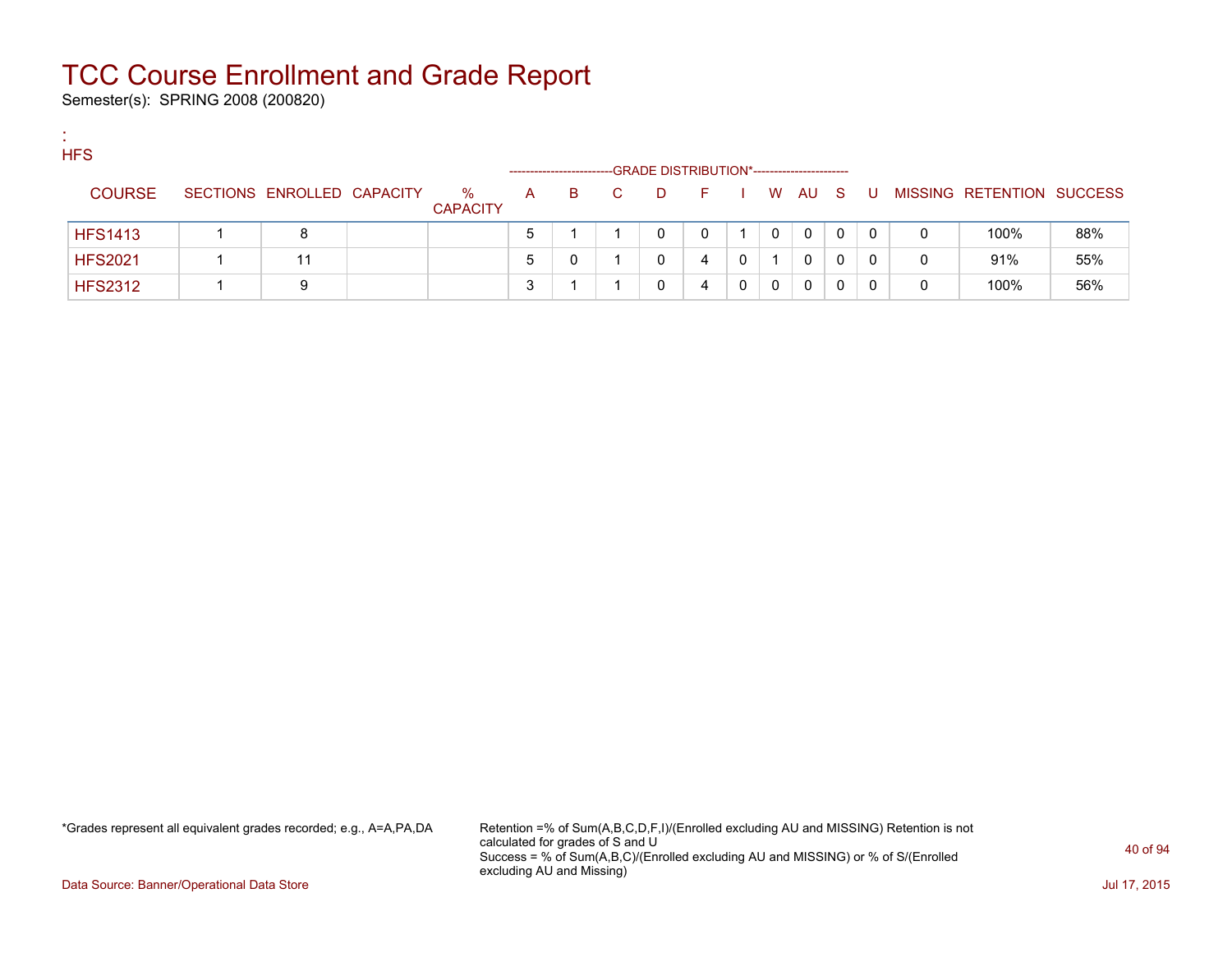Semester(s): SPRING 2008 (200820)

:

| <b>HFS</b>     |                            |                      |              | ---------------------- |    |   | -GRADE DISTRIBUTION*----------------------- |              |        |   |              |   |                           |     |
|----------------|----------------------------|----------------------|--------------|------------------------|----|---|---------------------------------------------|--------------|--------|---|--------------|---|---------------------------|-----|
| <b>COURSE</b>  | SECTIONS ENROLLED CAPACITY | %<br><b>CAPACITY</b> | $\mathsf{A}$ | B.                     | C. | D | E.                                          |              | I WAUS |   | - U -        |   | MISSING RETENTION SUCCESS |     |
| <b>HFS1413</b> | 8                          |                      | $5^{\circ}$  |                        |    |   |                                             |              | 0      | 0 | $\mathbf{0}$ | 0 | 100%                      | 88% |
| <b>HFS2021</b> | 11                         |                      | 5            |                        |    |   | 4                                           | $\mathbf{0}$ | 0      |   | 0            | 0 | 91%                       | 55% |
| <b>HFS2312</b> | 9                          |                      | 3            |                        |    |   | 4                                           |              | 0      |   |              | 0 | 100%                      | 56% |

\*Grades represent all equivalent grades recorded; e.g., A=A,PA,DA Retention =% of Sum(A,B,C,D,F,I)/(Enrolled excluding AU and MISSING) Retention is not calculated for grades of S and U Success = % of Sum(A,B,C)/(Enrolled excluding AU and MISSING) or % of S/(Enrolled excluding AU and Missing)

Data Source: Banner/Operational Data Store Jul 17, 2015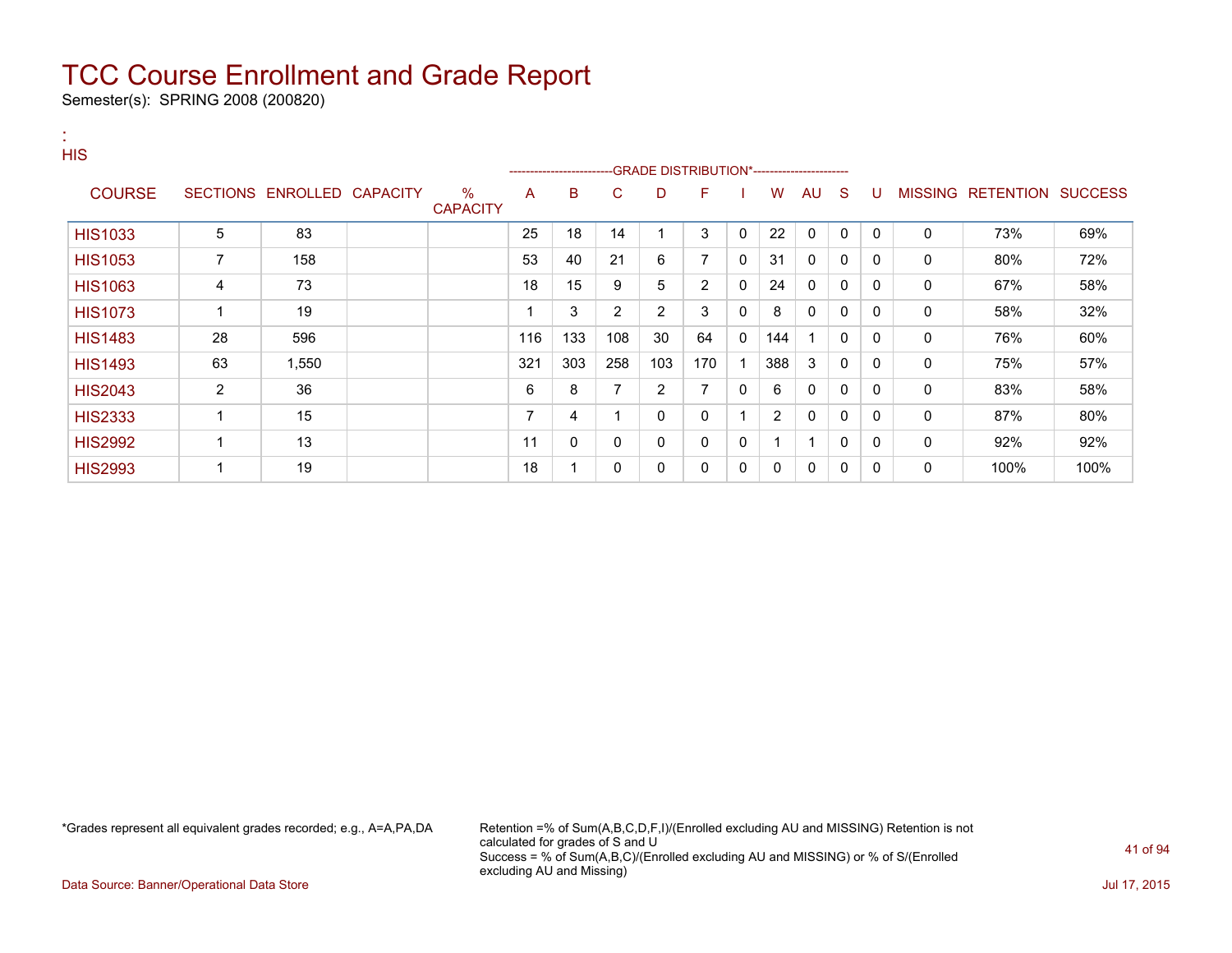Semester(s): SPRING 2008 (200820)

| ×<br><b>HIS</b> |                |                            |                      |     |     |                |                                             |                |              |     |              |              |              |              |                           |      |
|-----------------|----------------|----------------------------|----------------------|-----|-----|----------------|---------------------------------------------|----------------|--------------|-----|--------------|--------------|--------------|--------------|---------------------------|------|
|                 |                |                            |                      |     |     |                | -GRADE DISTRIBUTION*----------------------- |                |              |     |              |              |              |              |                           |      |
| <b>COURSE</b>   |                | SECTIONS ENROLLED CAPACITY | %<br><b>CAPACITY</b> | A   | B   | C.             | D                                           | F              |              | W   | AU.          | <sub>S</sub> | U            |              | MISSING RETENTION SUCCESS |      |
| <b>HIS1033</b>  | 5              | 83                         |                      | 25  | 18  | 14             |                                             | 3              | $\mathbf{0}$ | 22  | $\mathbf{0}$ | $\mathbf{0}$ | $\mathbf{0}$ | $\Omega$     | 73%                       | 69%  |
| <b>HIS1053</b>  | $\overline{7}$ | 158                        |                      | 53  | 40  | 21             | 6                                           | $\overline{7}$ | 0            | 31  | $\Omega$     | $\mathbf{0}$ | $\mathbf{0}$ | $\mathbf 0$  | 80%                       | 72%  |
| <b>HIS1063</b>  | 4              | 73                         |                      | 18  | 15  | 9              | 5                                           | $\overline{2}$ | 0            | 24  | $\Omega$     | 0            | 0            | $\Omega$     | 67%                       | 58%  |
| <b>HIS1073</b>  | 1              | 19                         |                      |     | 3   | $\overline{2}$ | $\overline{2}$                              | 3              | 0            | 8   | 0            | 0            | $\Omega$     | $\mathbf{0}$ | 58%                       | 32%  |
| <b>HIS1483</b>  | 28             | 596                        |                      | 116 | 133 | 108            | 30                                          | 64             | $\Omega$     | 144 |              | $\mathbf{0}$ | $\Omega$     | $\Omega$     | 76%                       | 60%  |
| <b>HIS1493</b>  | 63             | 1,550                      |                      | 321 | 303 | 258            | 103                                         | 170            |              | 388 | 3            | 0            | $\mathbf{0}$ | $\Omega$     | 75%                       | 57%  |
| <b>HIS2043</b>  | $\overline{2}$ | 36                         |                      | 6   | 8   | 7              | 2                                           | 7              | 0            | 6   | 0            | 0            | 0            | $\Omega$     | 83%                       | 58%  |
| <b>HIS2333</b>  |                | 15                         |                      | 7   | 4   |                | 0                                           | 0              |              | 2   | 0            | 0            | 0            | 0            | 87%                       | 80%  |
| <b>HIS2992</b>  |                | 13                         |                      | 11  | 0   | 0              | 0                                           | 0              | 0            |     | 1            | $\mathbf{0}$ | $\mathbf{0}$ | 0            | 92%                       | 92%  |
| <b>HIS2993</b>  |                | 19                         |                      | 18  | 1   | 0              | 0                                           | 0              | 0            | 0   | 0            | 0            | 0            | 0            | 100%                      | 100% |

\*Grades represent all equivalent grades recorded; e.g., A=A,PA,DA Retention =% of Sum(A,B,C,D,F,I)/(Enrolled excluding AU and MISSING) Retention is not calculated for grades of S and U Success = % of Sum(A,B,C)/(Enrolled excluding AU and MISSING) or % of S/(Enrolled excluding AU and Missing)

Data Source: Banner/Operational Data Store Jul 17, 2015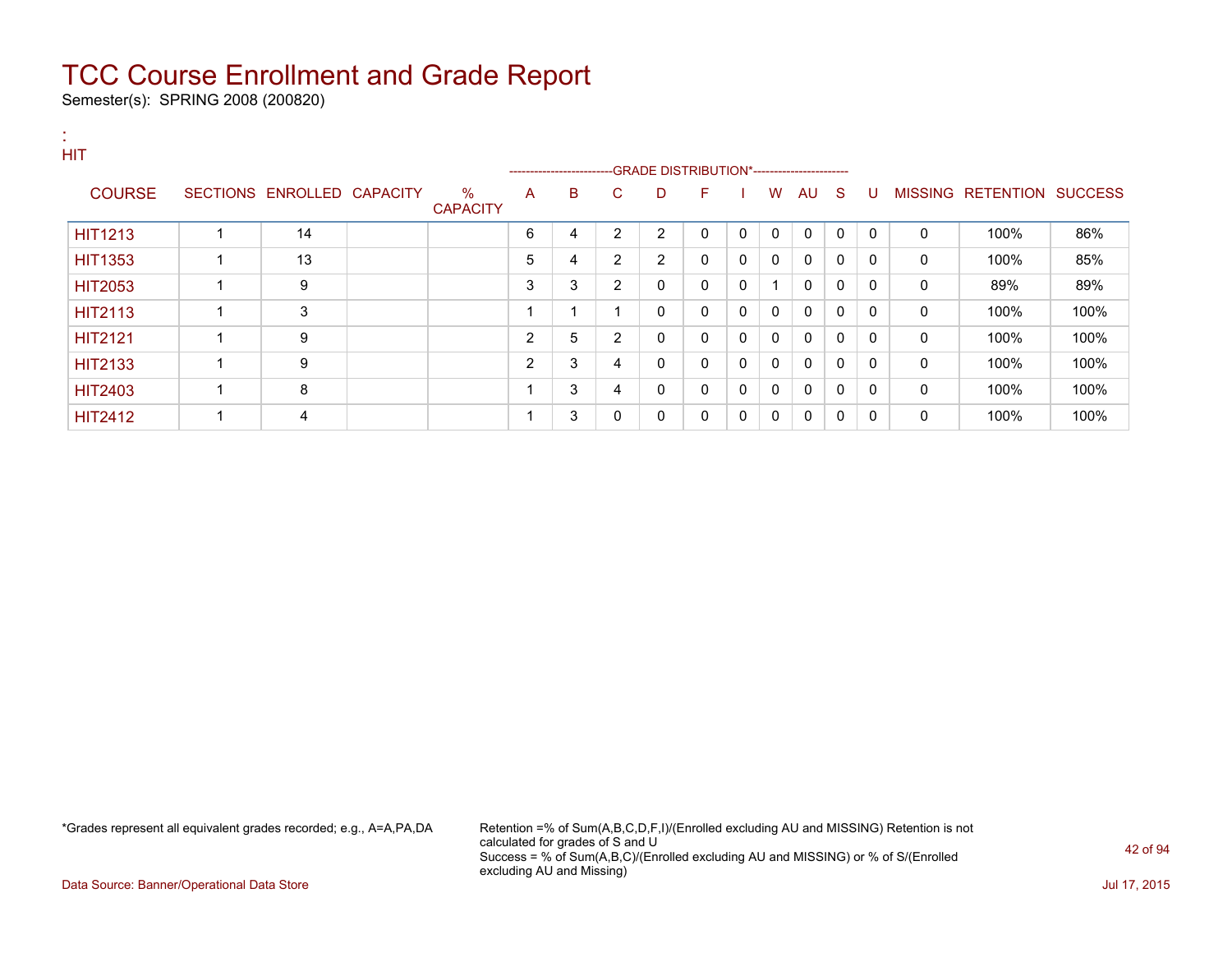Semester(s): SPRING 2008 (200820)

| <b>HIT</b>     |                            |                         |   | ------------------------GRADE                DISTRIBUTION*---------------------- |                |   |              |              |              |              |          |              |          |                           |      |
|----------------|----------------------------|-------------------------|---|----------------------------------------------------------------------------------|----------------|---|--------------|--------------|--------------|--------------|----------|--------------|----------|---------------------------|------|
| <b>COURSE</b>  | SECTIONS ENROLLED CAPACITY | $\%$<br><b>CAPACITY</b> | A | B                                                                                | C.             | D | F            |              | W            | AU           | - S      | U            |          | MISSING RETENTION SUCCESS |      |
| <b>HIT1213</b> | 14                         |                         | 6 | 4                                                                                | 2              | 2 | $\Omega$     | $\mathbf{0}$ | $\mathbf{0}$ | $\mathbf{0}$ | $\Omega$ | $\mathbf{0}$ | $\Omega$ | 100%                      | 86%  |
| <b>HIT1353</b> | 13                         |                         | 5 | 4                                                                                | 2              | 2 | $\mathbf{0}$ | 0            | 0            | 0            | 0        | $\Omega$     | $\Omega$ | 100%                      | 85%  |
| <b>HIT2053</b> | 9                          |                         | 3 | 3                                                                                | $\overline{2}$ | 0 | $\mathbf{0}$ | 0            |              | 0            | 0        | 0            | 0        | 89%                       | 89%  |
| <b>HIT2113</b> | 3                          |                         |   |                                                                                  |                | 0 | 0            | 0            | 0            | 0            | 0        | 0            | 0        | 100%                      | 100% |
| <b>HIT2121</b> | 9                          |                         | 2 | 5                                                                                | $\overline{2}$ | 0 | $\mathbf{0}$ | 0            | 0            | 0            | 0        | 0            | 0        | 100%                      | 100% |
| <b>HIT2133</b> | 9                          |                         | 2 | 3                                                                                | 4              | 0 | $\mathbf{0}$ | 0            | $\mathbf{0}$ | $\mathbf{0}$ | 0        | $\Omega$     | 0        | 100%                      | 100% |
| <b>HIT2403</b> | 8                          |                         |   | 3                                                                                | 4              | 0 | $\mathbf{0}$ | 0            | 0            | 0            | 0        | 0            | 0        | 100%                      | 100% |
| <b>HIT2412</b> | 4                          |                         |   | 3                                                                                | $\mathbf{0}$   | 0 | 0            | 0            | 0            | $\mathbf{0}$ | 0        | 0            | 0        | 100%                      | 100% |

\*Grades represent all equivalent grades recorded; e.g., A=A,PA,DA Retention =% of Sum(A,B,C,D,F,I)/(Enrolled excluding AU and MISSING) Retention is not calculated for grades of S and U Success = % of Sum(A,B,C)/(Enrolled excluding AU and MISSING) or % of S/(Enrolled excluding AU and Missing)

Data Source: Banner/Operational Data Store Jul 17, 2015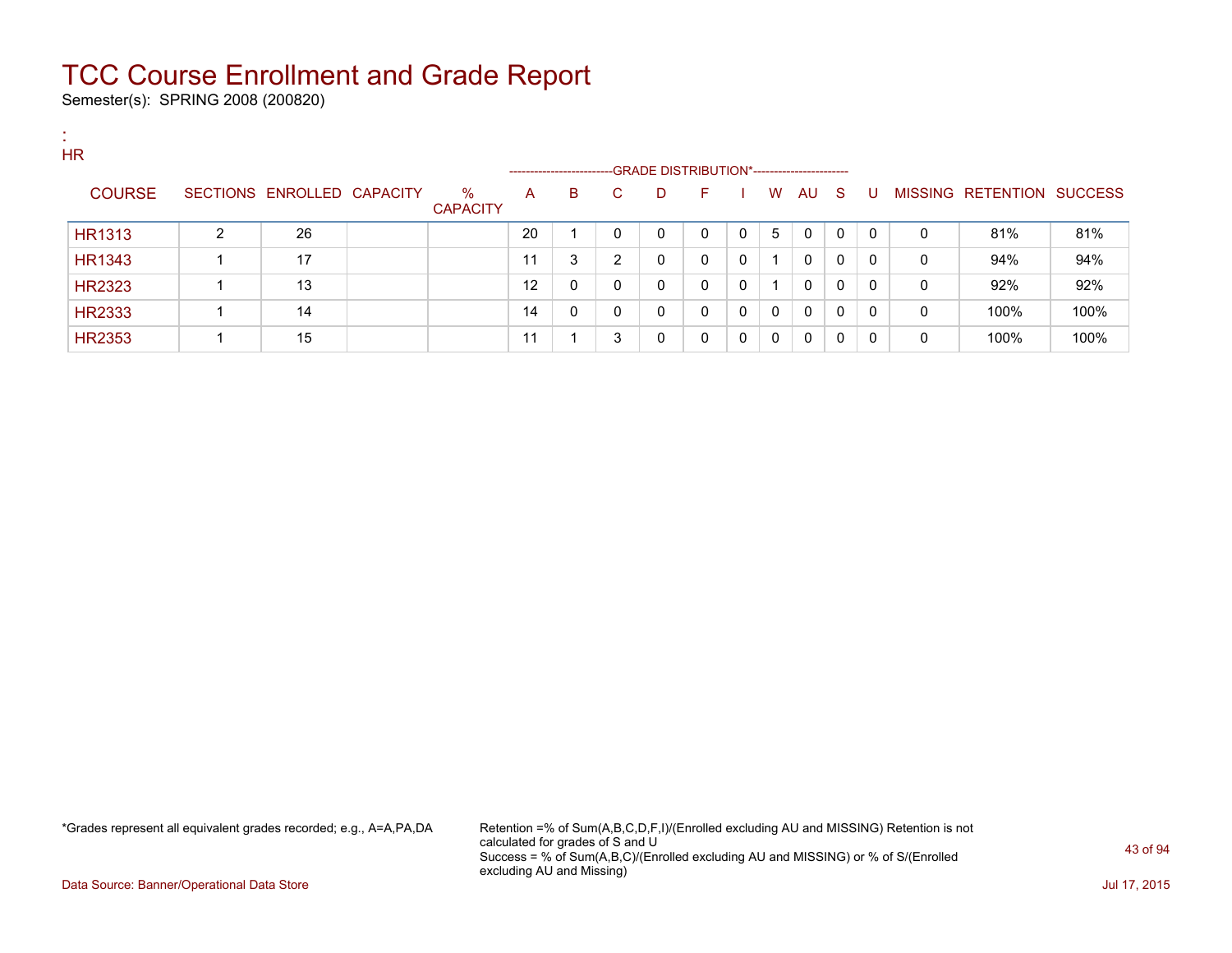Semester(s): SPRING 2008 (200820)

:

| . .<br><b>HR</b> |   |                   |                 |                         | -------------------- |              |    | --GRADE DISTRIBUTION*----------------------- |              |             |   |    |              |             |   |                   |                |
|------------------|---|-------------------|-----------------|-------------------------|----------------------|--------------|----|----------------------------------------------|--------------|-------------|---|----|--------------|-------------|---|-------------------|----------------|
| <b>COURSE</b>    |   | SECTIONS ENROLLED | <b>CAPACITY</b> | $\%$<br><b>CAPACITY</b> | A                    | В            | C. | D                                            | E            |             | W | AU | -S           | U           |   | MISSING RETENTION | <b>SUCCESS</b> |
| <b>HR1313</b>    | 2 | 26                |                 |                         | 20                   |              | 0  | 0                                            | 0            | 0           | 5 | 0  | $\mathbf{0}$ | $\Omega$    | 0 | 81%               | 81%            |
| <b>HR1343</b>    |   | 17                |                 |                         | 11                   | 3            | 2  | 0                                            | 0            | 0           |   | 0  | $\mathbf{0}$ | $\mathbf 0$ | 0 | 94%               | 94%            |
| <b>HR2323</b>    |   | 13                |                 |                         | 12                   | $\mathbf{0}$ | 0  | 0                                            | $\mathbf{0}$ | $\mathbf 0$ |   | 0  | $\mathbf{0}$ | $\Omega$    | 0 | 92%               | 92%            |
| <b>HR2333</b>    |   | 14                |                 |                         | 14                   | 0            | 0  | $\mathbf 0$                                  | $\mathbf{0}$ | 0           | 0 | 0  | 0            | 0           | 0 | 100%              | 100%           |
| <b>HR2353</b>    |   | 15                |                 |                         | 11                   |              | 3  | 0                                            | 0            | 0           | 0 | 0  | 0            | $\Omega$    | 0 | 100%              | 100%           |

\*Grades represent all equivalent grades recorded; e.g., A=A,PA,DA Retention =% of Sum(A,B,C,D,F,I)/(Enrolled excluding AU and MISSING) Retention is not calculated for grades of S and U Success = % of Sum(A,B,C)/(Enrolled excluding AU and MISSING) or % of S/(Enrolled excluding AU and Missing)

Data Source: Banner/Operational Data Store Jul 17, 2015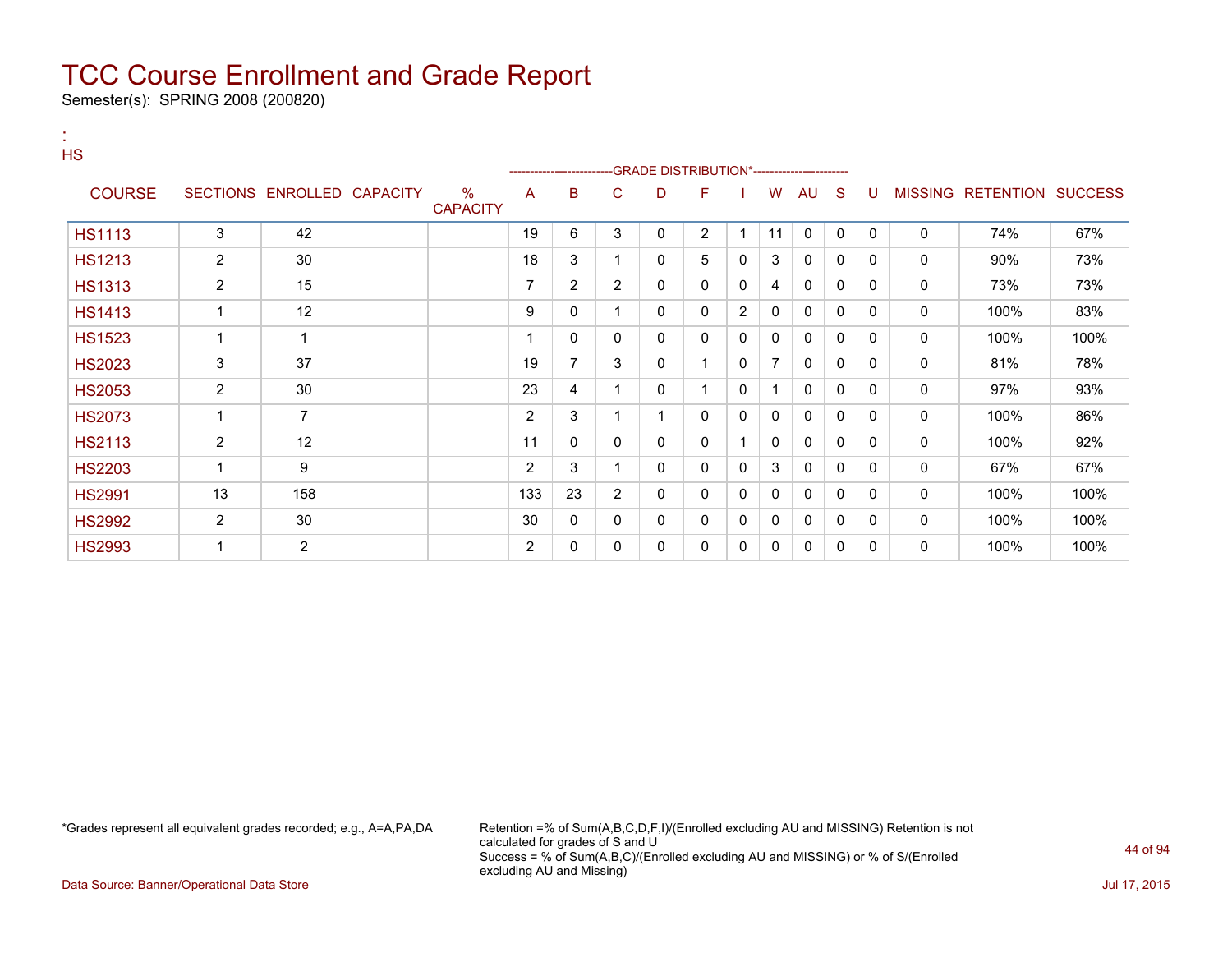Semester(s): SPRING 2008 (200820)

:

| <b>HS</b>     |                |                            |                      |                | ----------------------- |                |              | -GRADE DISTRIBUTION*---------------------- |   |    |              |              |              |             |                           |      |
|---------------|----------------|----------------------------|----------------------|----------------|-------------------------|----------------|--------------|--------------------------------------------|---|----|--------------|--------------|--------------|-------------|---------------------------|------|
| <b>COURSE</b> |                | SECTIONS ENROLLED CAPACITY | %<br><b>CAPACITY</b> | A              | в                       | С              | D            | F                                          |   | W  | AU           | <sub>S</sub> | U            |             | MISSING RETENTION SUCCESS |      |
| <b>HS1113</b> | 3              | 42                         |                      | 19             | 6                       | 3              | 0            | $\overline{c}$                             | 1 | 11 | $\mathbf 0$  | 0            | $\mathbf{0}$ | 0           | 74%                       | 67%  |
| <b>HS1213</b> | 2              | 30                         |                      | 18             | 3                       |                | 0            | 5                                          | 0 | 3  | 0            | 0            | 0            | 0           | 90%                       | 73%  |
| <b>HS1313</b> | $\overline{2}$ | 15                         |                      | 7              | $\overline{2}$          | $\overline{2}$ | 0            | 0                                          | 0 | 4  | 0            | 0            | 0            | 0           | 73%                       | 73%  |
| <b>HS1413</b> | 1              | 12                         |                      | 9              | 0                       | 1              | 0            | 0                                          | 2 | 0  | $\mathbf{0}$ | 0            | 0            | 0           | 100%                      | 83%  |
| <b>HS1523</b> |                | 1                          |                      |                | 0                       | 0              | $\mathbf{0}$ | 0                                          | 0 | 0  | 0            | $\mathbf{0}$ | 0            | 0           | 100%                      | 100% |
| <b>HS2023</b> | 3              | 37                         |                      | 19             | $\overline{7}$          | 3              | 0            | 1                                          | 0 | 7  | $\mathbf{0}$ | $\mathbf{0}$ | 0            | 0           | 81%                       | 78%  |
| <b>HS2053</b> | $\overline{2}$ | 30                         |                      | 23             | 4                       | 1              | 0            | 1                                          | 0 | 1  | $\mathbf{0}$ | 0            | 0            | 0           | 97%                       | 93%  |
| <b>HS2073</b> |                | $\overline{7}$             |                      | 2              | 3                       |                |              | 0                                          | 0 | 0  | 0            | 0            | 0            | 0           | 100%                      | 86%  |
| <b>HS2113</b> | $\overline{2}$ | 12                         |                      | 11             | 0                       | 0              | 0            | 0                                          |   | 0  | 0            | 0            | 0            | 0           | 100%                      | 92%  |
| <b>HS2203</b> |                | 9                          |                      | $\overline{2}$ | 3                       |                | $\mathbf{0}$ | 0                                          | 0 | 3  | 0            | 0            | 0            | $\mathbf 0$ | 67%                       | 67%  |
| <b>HS2991</b> | 13             | 158                        |                      | 133            | 23                      | 2              | 0            | 0                                          | 0 | 0  | 0            | 0            | 0            | 0           | 100%                      | 100% |
| <b>HS2992</b> | $\overline{2}$ | 30                         |                      | 30             | 0                       | 0              | 0            | 0                                          | 0 | 0  | $\mathbf{0}$ | 0            | 0            | 0           | 100%                      | 100% |
| <b>HS2993</b> |                | 2                          |                      | 2              | 0                       | 0              | 0            | 0                                          | 0 | 0  | 0            | 0            | 0            | 0           | 100%                      | 100% |

\*Grades represent all equivalent grades recorded; e.g., A=A,PA,DA Retention =% of Sum(A,B,C,D,F,I)/(Enrolled excluding AU and MISSING) Retention is not calculated for grades of S and U Success = % of Sum(A,B,C)/(Enrolled excluding AU and MISSING) or % of S/(Enrolled excluding AU and Missing)

Data Source: Banner/Operational Data Store Jul 17, 2015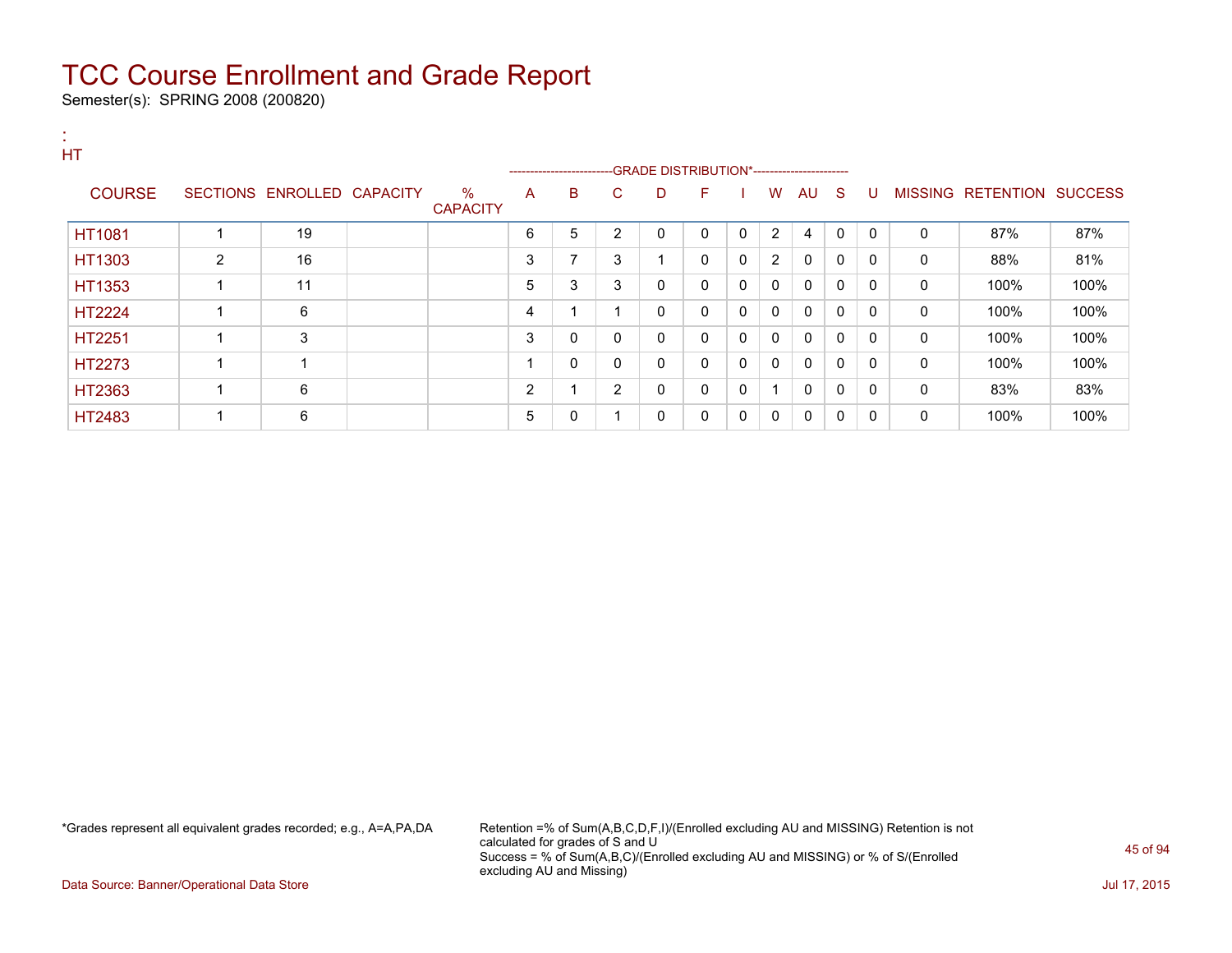Semester(s): SPRING 2008 (200820)

| HT            |   |                            |                         |                | ----------------------- |                |              |              |              |                |              |              |              |              |                           |      |
|---------------|---|----------------------------|-------------------------|----------------|-------------------------|----------------|--------------|--------------|--------------|----------------|--------------|--------------|--------------|--------------|---------------------------|------|
| <b>COURSE</b> |   | SECTIONS ENROLLED CAPACITY | $\%$<br><b>CAPACITY</b> | A              | B                       | C              | D            | F            |              | W              | AU S         |              | -U           |              | MISSING RETENTION SUCCESS |      |
| <b>HT1081</b> | 1 | 19                         |                         | 6              | 5                       | 2              | $\mathbf{0}$ | $\Omega$     | $\mathbf{0}$ | 2              | 4            | 0            | $\Omega$     | $\mathbf{0}$ | 87%                       | 87%  |
| HT1303        | 2 | 16                         |                         | 3              | $\overline{ }$          | 3              | -1           | 0            | 0            | $\overline{2}$ | 0            | 0            | 0            | 0            | 88%                       | 81%  |
| HT1353        | 1 | 11                         |                         | 5              | 3                       | 3              | 0            | $\mathbf{0}$ | $\mathbf{0}$ | $\mathbf{0}$   | $\mathbf{0}$ | $\mathbf{0}$ | 0            | 0            | 100%                      | 100% |
| <b>HT2224</b> | 1 | 6                          |                         | 4              |                         |                | 0            | $\mathbf{0}$ | $\mathbf{0}$ | $\mathbf{0}$   | $\mathbf{0}$ | $\mathbf{0}$ | 0            | 0            | 100%                      | 100% |
| HT2251        | 1 | 3                          |                         | 3              | 0                       | 0              | 0            | 0            | 0            | 0              | 0            | 0            | $\mathbf{0}$ | 0            | 100%                      | 100% |
| HT2273        | 1 |                            |                         |                | 0                       | $\mathbf{0}$   | 0            | $\mathbf{0}$ | $\mathbf{0}$ | $\mathbf{0}$   | $\mathbf{0}$ | 0            | $\mathbf{0}$ | 0            | 100%                      | 100% |
| HT2363        | 1 | 6                          |                         | $\overline{2}$ |                         | $\overline{2}$ | 0            | $\Omega$     | 0            | 1              | $\mathbf{0}$ | 0            | $\mathbf{0}$ | 0            | 83%                       | 83%  |
| HT2483        | 1 | 6                          |                         | 5              | 0                       |                | 0            | 0            | $\mathbf{0}$ | 0              | 0            | 0            | 0            | 0            | 100%                      | 100% |

\*Grades represent all equivalent grades recorded; e.g., A=A,PA,DA Retention =% of Sum(A,B,C,D,F,I)/(Enrolled excluding AU and MISSING) Retention is not calculated for grades of S and U Success = % of Sum(A,B,C)/(Enrolled excluding AU and MISSING) or % of S/(Enrolled excluding AU and Missing)

Data Source: Banner/Operational Data Store Jul 17, 2015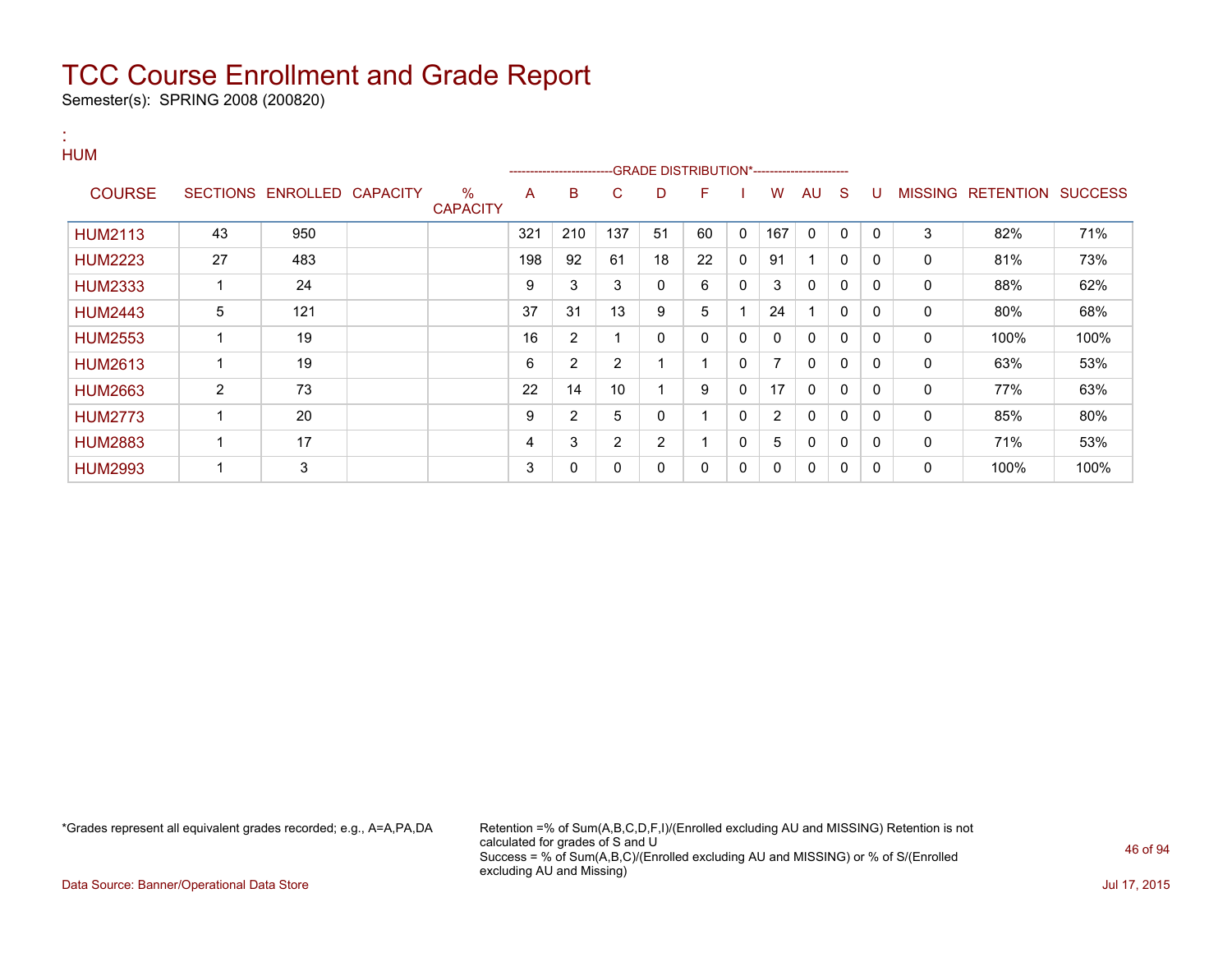Semester(s): SPRING 2008 (200820)

#### : HUM

|                |    |                            |                      |     | -----------------------GRADE DISTRIBUTION*----------------------- |                |    |    |             |                |              |              |          |                |                          |      |
|----------------|----|----------------------------|----------------------|-----|-------------------------------------------------------------------|----------------|----|----|-------------|----------------|--------------|--------------|----------|----------------|--------------------------|------|
| <b>COURSE</b>  |    | SECTIONS ENROLLED CAPACITY | %<br><b>CAPACITY</b> | A   | B                                                                 | C              | D  | F  |             | w              | AU           | S            | -U       | <b>MISSING</b> | <b>RETENTION SUCCESS</b> |      |
| <b>HUM2113</b> | 43 | 950                        |                      | 321 | 210                                                               | 137            | 51 | 60 | $\mathbf 0$ | 167            | $\mathbf 0$  | 0            | $\Omega$ | 3              | 82%                      | 71%  |
| <b>HUM2223</b> | 27 | 483                        |                      | 198 | 92                                                                | 61             | 18 | 22 | $\Omega$    | 91             |              | $\mathbf{0}$ | $\Omega$ | 0              | 81%                      | 73%  |
| <b>HUM2333</b> |    | 24                         |                      | 9   | 3                                                                 | 3              | 0  | 6  | 0           | 3              | 0            | 0            | $\Omega$ | 0              | 88%                      | 62%  |
| <b>HUM2443</b> | 5  | 121                        |                      | 37  | 31                                                                | 13             | 9  | 5  |             | 24             |              | $\mathbf{0}$ | $\Omega$ | $\mathbf{0}$   | 80%                      | 68%  |
| <b>HUM2553</b> |    | 19                         |                      | 16  | 2                                                                 |                | 0  | 0  | 0           | 0              | 0            | $\mathbf{0}$ | $\Omega$ | 0              | 100%                     | 100% |
| <b>HUM2613</b> |    | 19                         |                      | 6   | 2                                                                 | 2              |    |    | 0           |                | 0            | $\mathbf{0}$ | $\Omega$ | 0              | 63%                      | 53%  |
| <b>HUM2663</b> | 2  | 73                         |                      | 22  | 14                                                                | 10             |    | 9  | 0           | 17             | $\mathbf{0}$ | $\mathbf{0}$ | 0        | 0              | 77%                      | 63%  |
| <b>HUM2773</b> |    | 20                         |                      | 9   | 2                                                                 | 5              | 0  |    | 0           | $\overline{2}$ | $\mathbf{0}$ | $\mathbf{0}$ | 0        | 0              | 85%                      | 80%  |
| <b>HUM2883</b> |    | 17                         |                      | 4   | 3                                                                 | $\overline{2}$ | 2  |    | 0           | 5              | $\mathbf 0$  | $\mathbf{0}$ | $\Omega$ | 0              | 71%                      | 53%  |
| <b>HUM2993</b> |    | 3                          |                      | 3   | 0                                                                 | 0              | 0  | 0  | 0           | 0              | 0            | 0            | $\Omega$ | 0              | 100%                     | 100% |

\*Grades represent all equivalent grades recorded; e.g., A=A,PA,DA Retention =% of Sum(A,B,C,D,F,I)/(Enrolled excluding AU and MISSING) Retention is not calculated for grades of S and U Success = % of Sum(A,B,C)/(Enrolled excluding AU and MISSING) or % of S/(Enrolled excluding AU and Missing)

Data Source: Banner/Operational Data Store Jul 17, 2015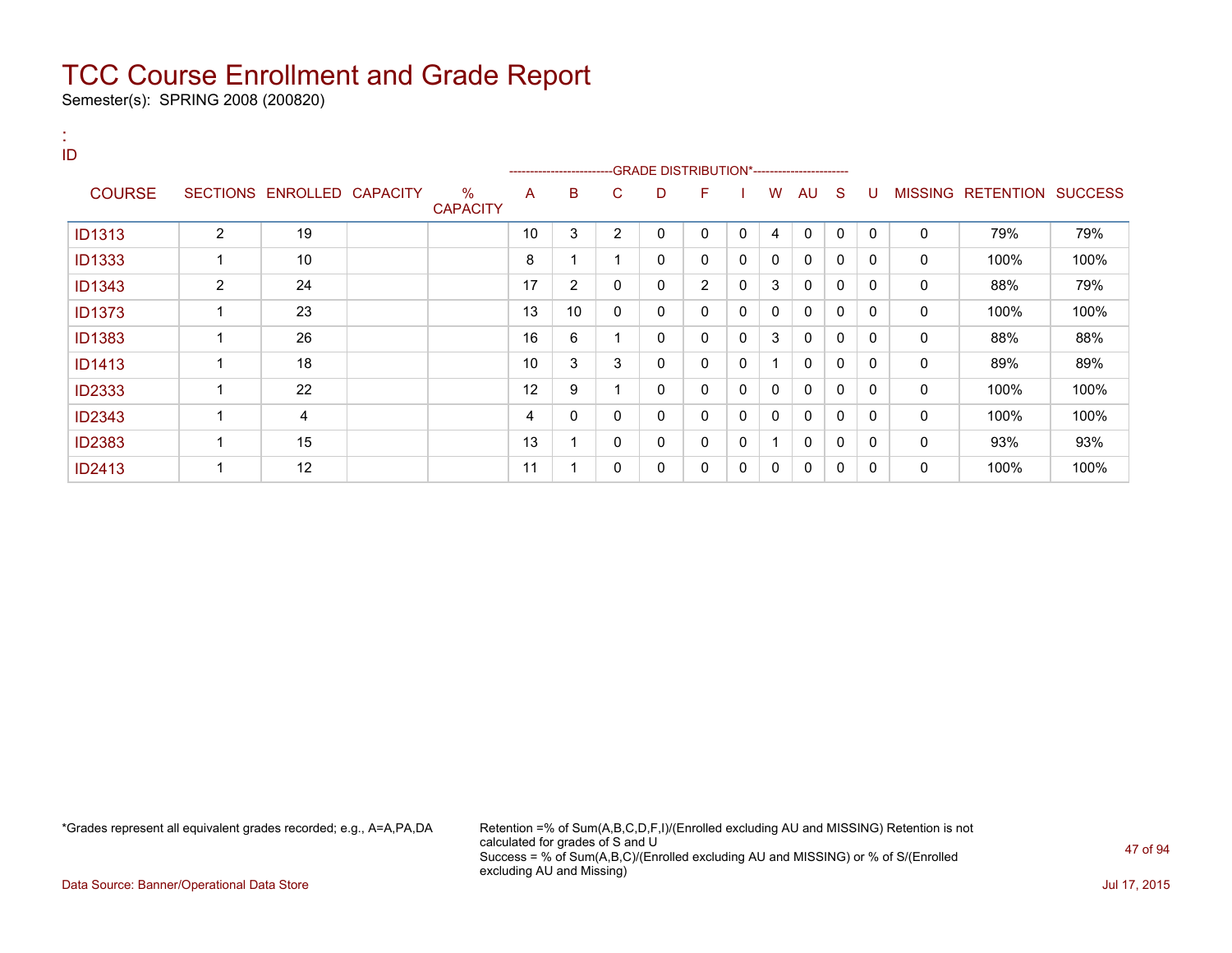Semester(s): SPRING 2008 (200820)

| 18.<br>ID     |                |                            |                         | --------------------- |                |                | -GRADE DISTRIBUTION*---------------------- |                |              |              |              |              |              |             |                           |      |
|---------------|----------------|----------------------------|-------------------------|-----------------------|----------------|----------------|--------------------------------------------|----------------|--------------|--------------|--------------|--------------|--------------|-------------|---------------------------|------|
| <b>COURSE</b> |                | SECTIONS ENROLLED CAPACITY | $\%$<br><b>CAPACITY</b> | A                     | B              | C.             | D                                          | F.             |              | W            | AU           | -S           | U            |             | MISSING RETENTION SUCCESS |      |
| <b>ID1313</b> | 2              | 19                         |                         | 10                    | 3              | $\overline{2}$ | $\mathbf{0}$                               | $\Omega$       | $\mathbf{0}$ | 4            | $\mathbf{0}$ | $\Omega$     | $\Omega$     | 0           | 79%                       | 79%  |
| <b>ID1333</b> | 1              | 10                         |                         | 8                     | 1              | 1              | 0                                          | $\Omega$       | $\mathbf{0}$ | $\mathbf{0}$ | $\mathbf{0}$ | 0            | $\Omega$     | $\mathbf 0$ | 100%                      | 100% |
| <b>ID1343</b> | $\overline{2}$ | 24                         |                         | 17                    | $\overline{2}$ | 0              | $\Omega$                                   | $\overline{2}$ | 0            | 3            | $\Omega$     | $\Omega$     | <sup>0</sup> | $\mathbf 0$ | 88%                       | 79%  |
| <b>ID1373</b> | 1              | 23                         |                         | 13                    | 10             | 0              | 0                                          | $\mathbf{0}$   | $\mathbf{0}$ | $\mathbf{0}$ | $\mathbf{0}$ | 0            | $\Omega$     | $\mathbf 0$ | 100%                      | 100% |
| <b>ID1383</b> | 1              | 26                         |                         | 16                    | 6              | 1              | 0                                          | 0              | 0            | 3            | $\mathbf{0}$ | $\Omega$     | $\Omega$     | 0           | 88%                       | 88%  |
| <b>ID1413</b> |                | 18                         |                         | 10                    | 3              | 3              | 0                                          | 0              | 0            | 1            | 0            | 0            | $\mathbf{0}$ | 0           | 89%                       | 89%  |
| <b>ID2333</b> | 1              | 22                         |                         | 12                    | 9              |                | 0                                          | $\mathbf{0}$   | 0            | $\Omega$     | $\mathbf{0}$ | $\Omega$     | $\Omega$     | 0           | 100%                      | 100% |
| <b>ID2343</b> | 1              | 4                          |                         | 4                     | 0              | 0              | 0                                          | $\mathbf{0}$   | $\mathbf{0}$ | $\mathbf{0}$ | $\mathbf{0}$ | $\mathbf{0}$ | $\Omega$     | $\mathbf 0$ | 100%                      | 100% |
| <b>ID2383</b> |                | 15                         |                         | 13                    | 1              | 0              | 0                                          | $\mathbf{0}$   | 0            | 1            | $\mathbf{0}$ | $\Omega$     | $\Omega$     | $\mathbf 0$ | 93%                       | 93%  |
| <b>ID2413</b> | 1              | 12                         |                         | 11                    | 1              | 0              | 0                                          | 0              | 0            | 0            | 0            | 0            | 0            | 0           | 100%                      | 100% |

\*Grades represent all equivalent grades recorded; e.g., A=A,PA,DA Retention =% of Sum(A,B,C,D,F,I)/(Enrolled excluding AU and MISSING) Retention is not calculated for grades of S and U Success = % of Sum(A,B,C)/(Enrolled excluding AU and MISSING) or % of S/(Enrolled excluding AU and Missing)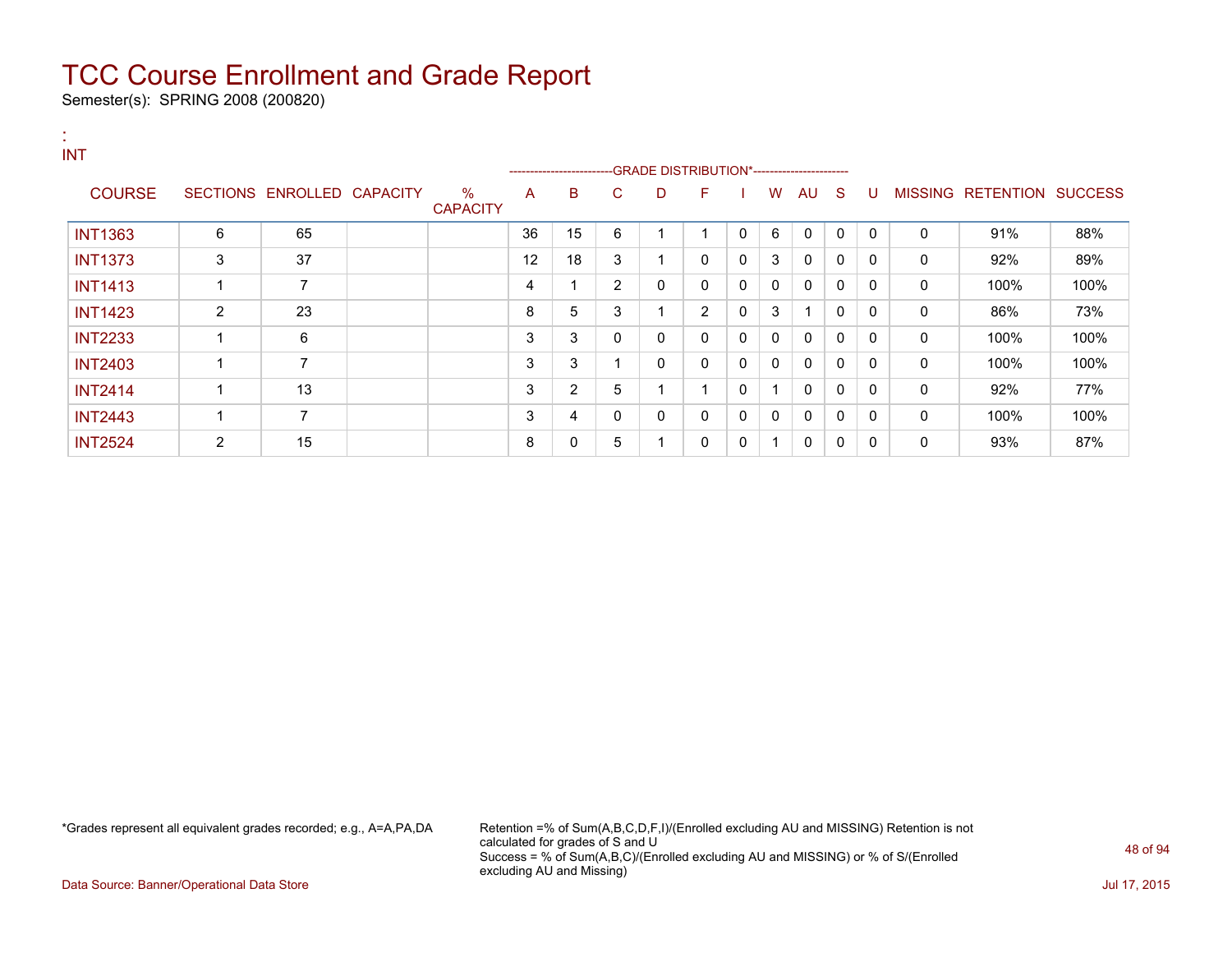Semester(s): SPRING 2008 (200820)

| . н.<br><b>INT</b> |   |                            |                         |    | ---------------------- |                |             |                |   |                |              |              |              |   |                   |                |
|--------------------|---|----------------------------|-------------------------|----|------------------------|----------------|-------------|----------------|---|----------------|--------------|--------------|--------------|---|-------------------|----------------|
| <b>COURSE</b>      |   | SECTIONS ENROLLED CAPACITY | $\%$<br><b>CAPACITY</b> | A  | B                      | C              | D           | F              |   | W              | AU           | -S           | U            |   | MISSING RETENTION | <b>SUCCESS</b> |
| <b>INT1363</b>     | 6 | 65                         |                         | 36 | 15                     | 6              |             | ◢              | 0 | 6              | $\mathbf{0}$ | $\mathbf{0}$ | $\mathbf{0}$ | 0 | 91%               | 88%            |
| <b>INT1373</b>     | 3 | 37                         |                         | 12 | 18                     | 3              |             | 0              | 0 | 3              | 0            | 0            | 0            | 0 | 92%               | 89%            |
| <b>INT1413</b>     |   | 7                          |                         | 4  |                        | $\overline{2}$ | $\mathbf 0$ | 0              | 0 | 0              | 0            | 0            | $\Omega$     | 0 | 100%              | 100%           |
| <b>INT1423</b>     | 2 | 23                         |                         | 8  | 5                      | 3              | и           | $\overline{2}$ | 0 | 3              |              | 0            | $\Omega$     | 0 | 86%               | 73%            |
| <b>INT2233</b>     |   | 6                          |                         | 3  | 3                      | 0              | 0           | 0              | 0 | 0              | 0            | 0            | 0            | 0 | 100%              | 100%           |
| <b>INT2403</b>     |   | 7                          |                         | 3  | 3                      |                | 0           | 0              | 0 | 0              | 0            | 0            | 0            | 0 | 100%              | 100%           |
| <b>INT2414</b>     |   | 13                         |                         | 3  | $\overline{2}$         | 5              | и           | 1              | 0 | $\overline{ }$ | 0            | $\mathbf{0}$ | 0            | 0 | 92%               | 77%            |
| <b>INT2443</b>     |   | 7                          |                         | 3  | 4                      | 0              | 0           | 0              | 0 | 0              | 0            | 0            | 0            | 0 | 100%              | 100%           |
| <b>INT2524</b>     | 2 | 15                         |                         | 8  | 0                      | 5              | -1          | 0              | 0 | 1              | 0            | 0            | 0            | 0 | 93%               | 87%            |

\*Grades represent all equivalent grades recorded; e.g., A=A,PA,DA Retention =% of Sum(A,B,C,D,F,I)/(Enrolled excluding AU and MISSING) Retention is not calculated for grades of S and U Success = % of Sum(A,B,C)/(Enrolled excluding AU and MISSING) or % of S/(Enrolled excluding AU and Missing)

Data Source: Banner/Operational Data Store Jul 17, 2015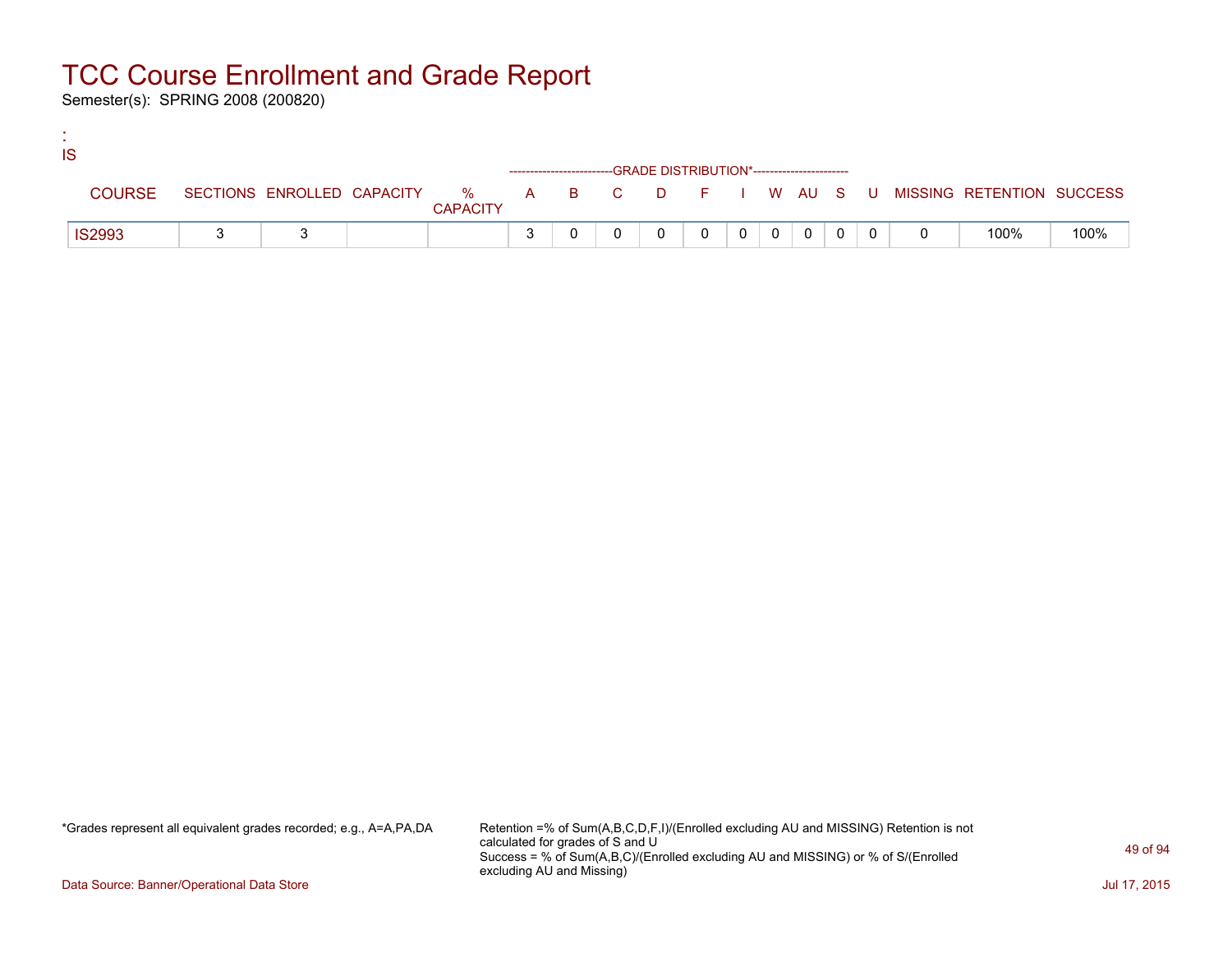Semester(s): SPRING 2008 (200820)

:

| IS |               |  |                 |                                                                    |  |  |           |                |  |                                                                             |      |
|----|---------------|--|-----------------|--------------------------------------------------------------------|--|--|-----------|----------------|--|-----------------------------------------------------------------------------|------|
|    |               |  |                 | ------------------------GRADE DISTRIBUTION*----------------------- |  |  |           |                |  |                                                                             |      |
|    | <b>COURSE</b> |  | <b>CAPACITY</b> |                                                                    |  |  |           |                |  | SECTIONS ENROLLED CAPACITY % A B C D F I W AU S U MISSING RETENTION SUCCESS |      |
|    | <b>IS2993</b> |  |                 |                                                                    |  |  | $0$   $0$ | $\overline{0}$ |  | 100%                                                                        | 100% |

\*Grades represent all equivalent grades recorded; e.g., A=A,PA,DA Retention =% of Sum(A,B,C,D,F,I)/(Enrolled excluding AU and MISSING) Retention is not calculated for grades of S and U Success = % of Sum(A,B,C)/(Enrolled excluding AU and MISSING) or % of S/(Enrolled excluding AU and Missing)

Data Source: Banner/Operational Data Store Jul 17, 2015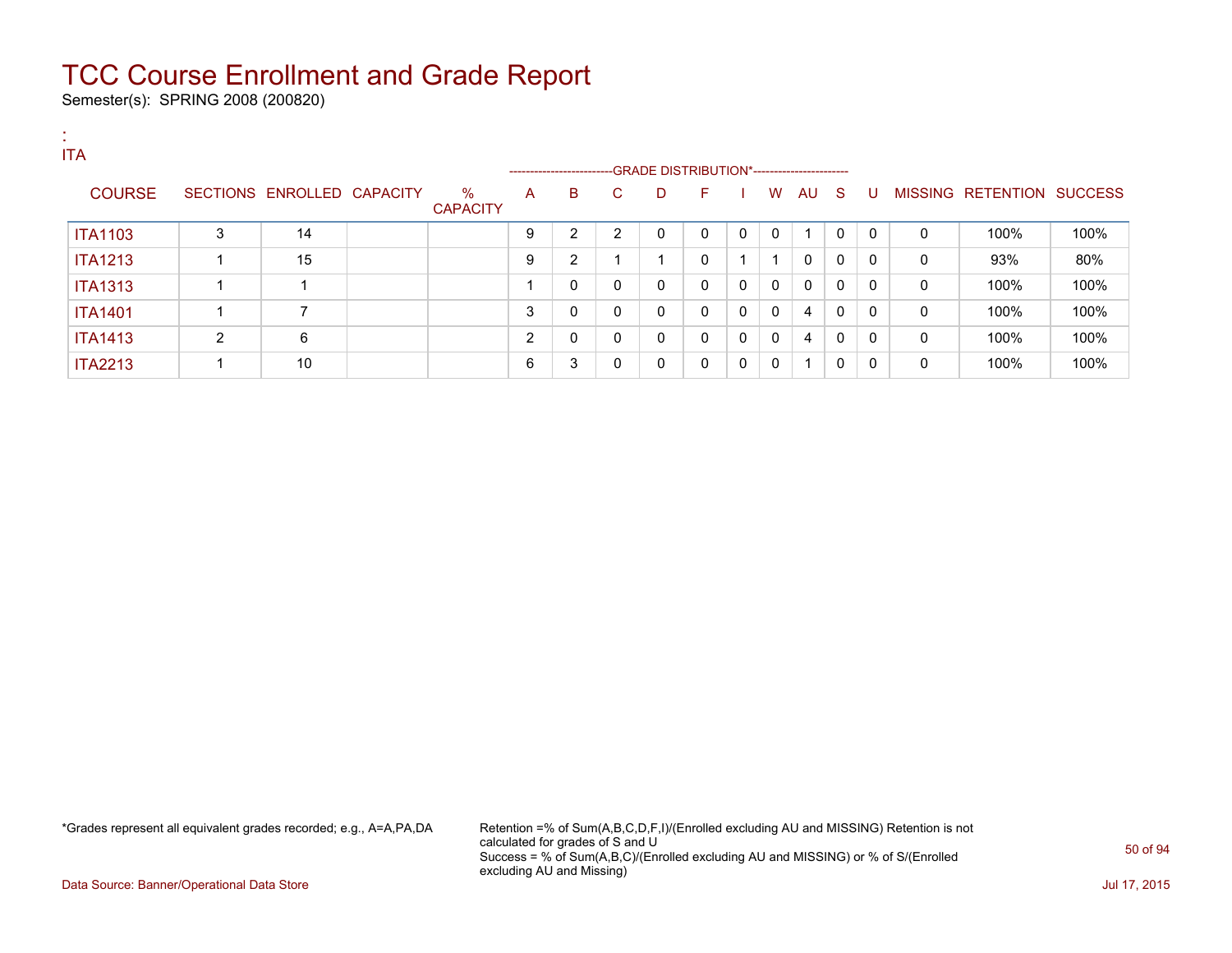Semester(s): SPRING 2008 (200820)

| . .<br>. .<br><b>ITA</b> |   |                            |                      |   | --------------------------GRADE DISTRIBUTION*----------------------- |    |   |              |              |              |      |             |              |   |                           |      |
|--------------------------|---|----------------------------|----------------------|---|----------------------------------------------------------------------|----|---|--------------|--------------|--------------|------|-------------|--------------|---|---------------------------|------|
| <b>COURSE</b>            |   | SECTIONS ENROLLED CAPACITY | %<br><b>CAPACITY</b> | A | B                                                                    | C. | D | F            |              | W            | AU S |             | U            |   | MISSING RETENTION SUCCESS |      |
| <b>ITA1103</b>           | 3 | 14                         |                      | 9 | 2                                                                    | 2  | 0 | 0            | 0            | $\mathbf{0}$ |      | 0           | $\Omega$     | 0 | 100%                      | 100% |
| <b>ITA1213</b>           |   | 15                         |                      | 9 | 2                                                                    |    |   | 0            |              | и            | 0    | 0           | 0            | 0 | 93%                       | 80%  |
| <b>ITA1313</b>           |   | -1                         |                      |   | 0                                                                    | 0  | 0 | $\mathbf{0}$ | $\mathbf{0}$ | $\mathbf{0}$ | 0    | 0           | $\Omega$     | 0 | 100%                      | 100% |
| <b>ITA1401</b>           |   | 7                          |                      | 3 | 0                                                                    | 0  | 0 | $\mathbf{0}$ | 0            | $\mathbf{0}$ | 4    | $\mathbf 0$ | 0            | 0 | 100%                      | 100% |
| <b>ITA1413</b>           | 2 | 6                          |                      | 2 | 0                                                                    | 0  | 0 | 0            | 0            | $\mathbf{0}$ | 4    | 0           | $\mathbf{0}$ | 0 | 100%                      | 100% |
| <b>ITA2213</b>           |   | 10                         |                      | 6 | 3                                                                    | 0  | 0 | 0            | 0            | 0            |      | 0           | 0            | 0 | 100%                      | 100% |

\*Grades represent all equivalent grades recorded; e.g., A=A,PA,DA Retention =% of Sum(A,B,C,D,F,I)/(Enrolled excluding AU and MISSING) Retention is not calculated for grades of S and U Success = % of Sum(A,B,C)/(Enrolled excluding AU and MISSING) or % of S/(Enrolled excluding AU and Missing)

Data Source: Banner/Operational Data Store Jul 17, 2015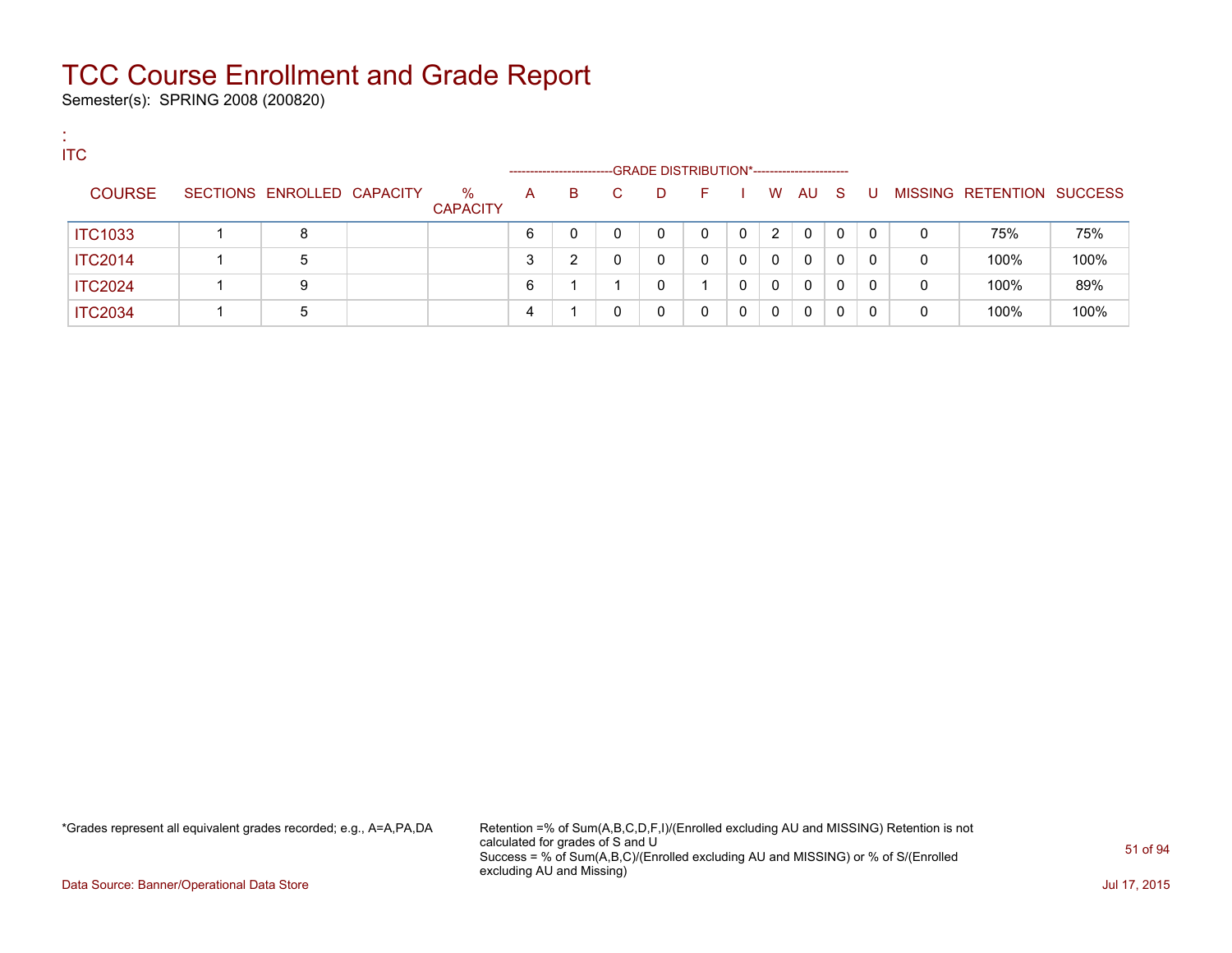Semester(s): SPRING 2008 (200820)

:

| <b>ITC</b>     |                            |                         |                         |   |    |                                                   |    |          |          |          |              |              |   |                           |      |
|----------------|----------------------------|-------------------------|-------------------------|---|----|---------------------------------------------------|----|----------|----------|----------|--------------|--------------|---|---------------------------|------|
| <b>COURSE</b>  | SECTIONS ENROLLED CAPACITY | $\%$<br><b>CAPACITY</b> | ------------------<br>A | B | C. | -GRADE DISTRIBUTION*-----------------------<br>D. | F. |          | W        | AU       | - S          | -U           |   | MISSING RETENTION SUCCESS |      |
| <b>ITC1033</b> | 8                          |                         | 6                       | 0 |    |                                                   | 0  | $\Omega$ | 2        | $\Omega$ | $\mathbf{0}$ | $\mathbf{0}$ | 0 | 75%                       | 75%  |
| <b>ITC2014</b> | 5                          |                         | 3                       | ົ | 0  |                                                   | 0  | $\Omega$ | 0        | $\Omega$ | 0            | $\mathbf{0}$ | 0 | 100%                      | 100% |
| <b>ITC2024</b> | 9                          |                         | 6                       |   |    |                                                   |    |          | 0        | $\Omega$ | 0            | 0            | 0 | 100%                      | 89%  |
| <b>ITC2034</b> | 5                          |                         |                         |   |    |                                                   | 0  | $\Omega$ | $\Omega$ | 0        | 0            | 0            | 0 | 100%                      | 100% |

\*Grades represent all equivalent grades recorded; e.g., A=A,PA,DA Retention =% of Sum(A,B,C,D,F,I)/(Enrolled excluding AU and MISSING) Retention is not calculated for grades of S and U Success = % of Sum(A,B,C)/(Enrolled excluding AU and MISSING) or % of S/(Enrolled excluding AU and Missing)

Data Source: Banner/Operational Data Store Jul 17, 2015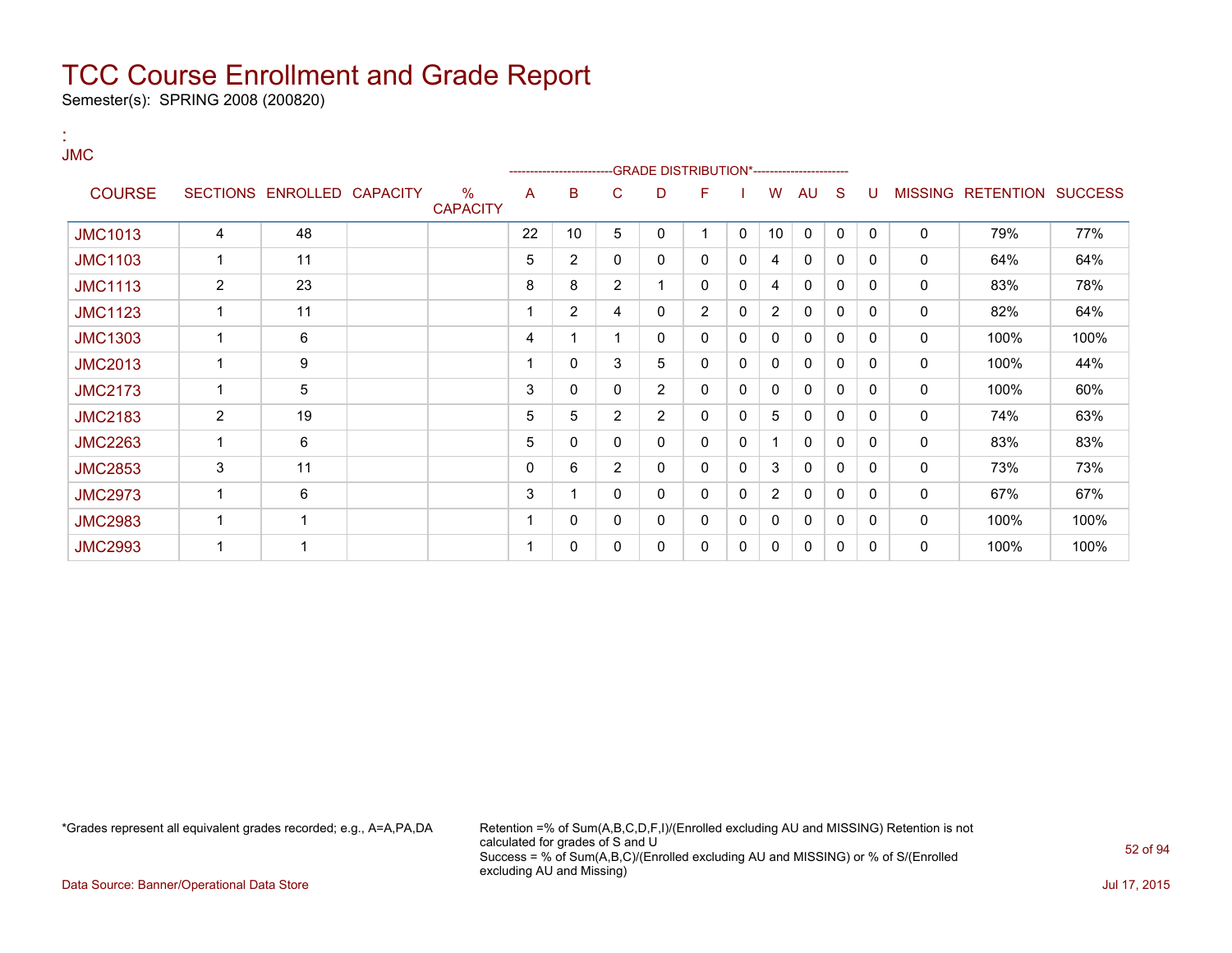Semester(s): SPRING 2008 (200820)

:

| <b>JMC</b>     |                |                            |                                  |    | ------------------------ |                |                | -GRADE DISTRIBUTION*---------------------- |   |                |              |              |              |   |                           |      |
|----------------|----------------|----------------------------|----------------------------------|----|--------------------------|----------------|----------------|--------------------------------------------|---|----------------|--------------|--------------|--------------|---|---------------------------|------|
| <b>COURSE</b>  |                | SECTIONS ENROLLED CAPACITY | $\frac{0}{0}$<br><b>CAPACITY</b> | A  | B                        | C              | D              | F                                          |   | W              | AU           | <sub>S</sub> | U            |   | MISSING RETENTION SUCCESS |      |
| <b>JMC1013</b> | 4              | 48                         |                                  | 22 | 10                       | 5              | 0              | 1                                          | 0 | 10             | $\mathbf 0$  | $\mathbf{0}$ | $\Omega$     | 0 | 79%                       | 77%  |
| <b>JMC1103</b> | $\mathbf 1$    | 11                         |                                  | 5  | 2                        | 0              | 0              | 0                                          | 0 | 4              | 0            | 0            | $\Omega$     | 0 | 64%                       | 64%  |
| <b>JMC1113</b> | $\overline{2}$ | 23                         |                                  | 8  | 8                        | $\overline{2}$ | 1              | 0                                          | 0 | 4              | 0            | 0            | $\Omega$     | 0 | 83%                       | 78%  |
| <b>JMC1123</b> | 1              | 11                         |                                  |    | $\overline{2}$           | 4              | 0              | $\overline{2}$                             | 0 | $\overline{2}$ | 0            | 0            | 0            | 0 | 82%                       | 64%  |
| <b>JMC1303</b> | 1              | 6                          |                                  | 4  |                          | 1              | 0              | 0                                          | 0 | 0              | $\Omega$     | 0            | $\Omega$     | 0 | 100%                      | 100% |
| <b>JMC2013</b> | $\mathbf 1$    | 9                          |                                  |    | 0                        | 3              | 5              | 0                                          | 0 | 0              | $\mathbf{0}$ | 0            | $\Omega$     | 0 | 100%                      | 44%  |
| <b>JMC2173</b> | 1              | 5                          |                                  | 3  | 0                        | 0              | 2              | 0                                          | 0 | 0              | 0            | 0            | 0            | 0 | 100%                      | 60%  |
| <b>JMC2183</b> | $\overline{2}$ | 19                         |                                  | 5  | 5                        | $\overline{2}$ | $\overline{2}$ | 0                                          | 0 | 5              | 0            | 0            | $\Omega$     | 0 | 74%                       | 63%  |
| <b>JMC2263</b> | 1              | 6                          |                                  | 5  | 0                        | 0              | 0              | 0                                          | 0 | 1              | $\mathbf{0}$ | 0            | $\Omega$     | 0 | 83%                       | 83%  |
| <b>JMC2853</b> | 3              | 11                         |                                  | 0  | 6                        | $\overline{2}$ | $\mathbf{0}$   | 0                                          | 0 | 3              | $\mathbf{0}$ | 0            | $\Omega$     | 0 | 73%                       | 73%  |
| <b>JMC2973</b> | 1              | 6                          |                                  | 3  |                          | 0              | 0              | 0                                          | 0 | $\overline{2}$ | 0            | 0            | 0            | 0 | 67%                       | 67%  |
| <b>JMC2983</b> | 1              | 1                          |                                  |    | 0                        | 0              | 0              | 0                                          | 0 | 0              | $\mathbf{0}$ | 0            | $\mathbf{0}$ | 0 | 100%                      | 100% |
| <b>JMC2993</b> | 1              | 1                          |                                  |    | 0                        | 0              | 0              | 0                                          | 0 | 0              | 0            | 0            | $\Omega$     | 0 | 100%                      | 100% |

\*Grades represent all equivalent grades recorded; e.g., A=A,PA,DA Retention =% of Sum(A,B,C,D,F,I)/(Enrolled excluding AU and MISSING) Retention is not calculated for grades of S and U Success = % of Sum(A,B,C)/(Enrolled excluding AU and MISSING) or % of S/(Enrolled excluding AU and Missing)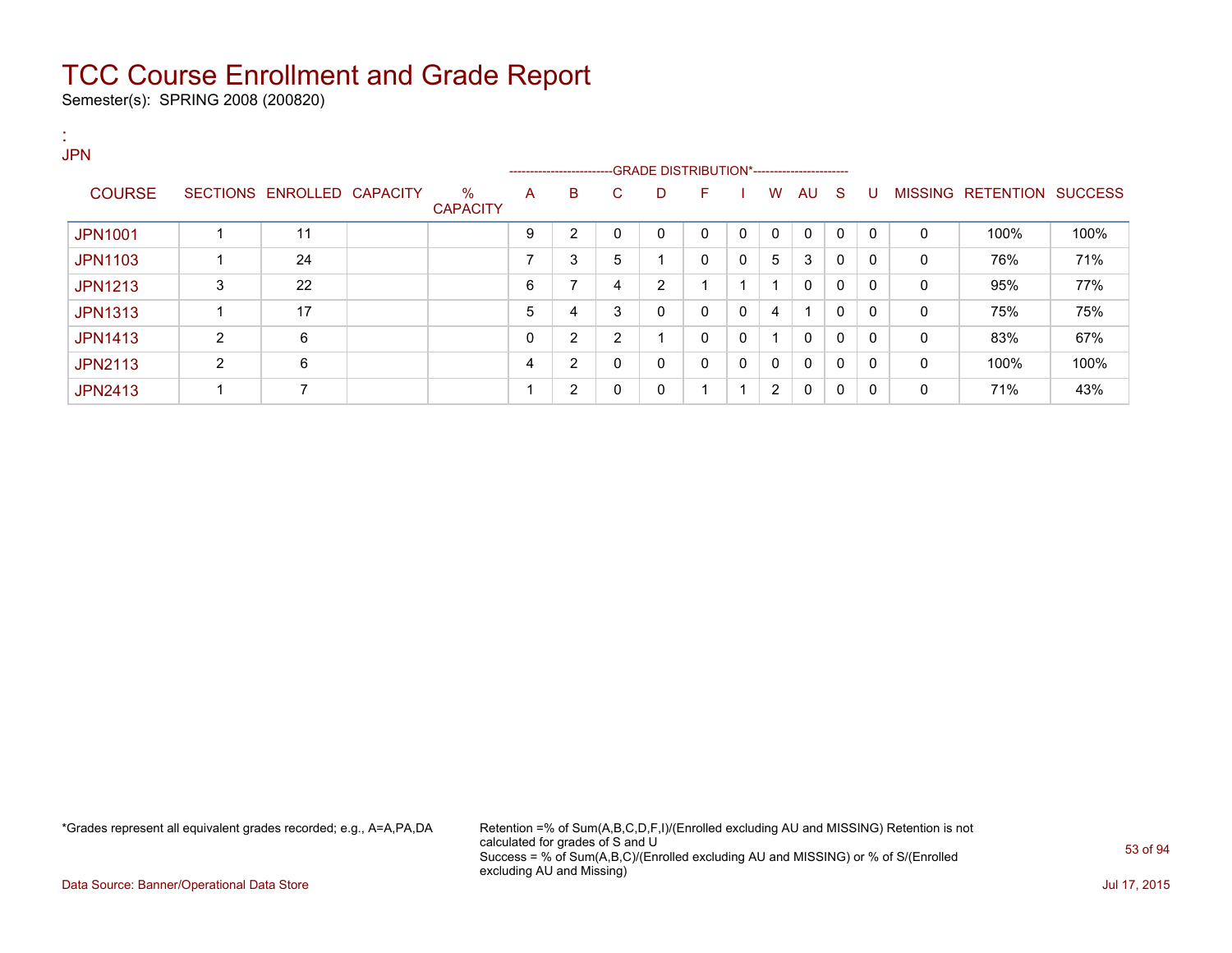Semester(s): SPRING 2008 (200820)

| п.<br><b>JPN</b> |                |                            |                         |                          |                          |    |                                              |              |   |              |              |              |              |          |                   |                |
|------------------|----------------|----------------------------|-------------------------|--------------------------|--------------------------|----|----------------------------------------------|--------------|---|--------------|--------------|--------------|--------------|----------|-------------------|----------------|
|                  |                |                            |                         |                          | ------------------------ |    | --GRADE DISTRIBUTION*----------------------- |              |   |              |              |              |              |          |                   |                |
| <b>COURSE</b>    |                | SECTIONS ENROLLED CAPACITY | $\%$<br><b>CAPACITY</b> | A                        | B                        | C. | D                                            | F            |   | W            | AU           | S.           | U            |          | MISSING RETENTION | <b>SUCCESS</b> |
| <b>JPN1001</b>   |                | 11                         |                         | 9                        | $\overline{2}$           | 0  | 0                                            | $\mathbf{0}$ | 0 | $\mathbf{0}$ | $\mathbf{0}$ | $\mathbf{0}$ | $\mathbf{0}$ | $\Omega$ | 100%              | 100%           |
| <b>JPN1103</b>   |                | 24                         |                         | $\overline{\phantom{a}}$ | 3                        | 5  |                                              | $\Omega$     | 0 | 5            | 3            | 0            | 0            | 0        | 76%               | 71%            |
| <b>JPN1213</b>   | 3              | 22                         |                         | 6                        | $\overline{ }$           | 4  | 2                                            | ٠            |   |              | 0            | 0            | $\Omega$     | $\Omega$ | 95%               | 77%            |
| <b>JPN1313</b>   |                | 17                         |                         | 5                        | 4                        | 3  | 0                                            | $\mathbf{0}$ | 0 | 4            |              | 0            | 0            | 0        | 75%               | 75%            |
| <b>JPN1413</b>   | $\overline{2}$ | 6                          |                         | $\Omega$                 | $\overline{2}$           | 2  | и                                            | $\mathbf{0}$ | 0 | -1           | $\mathbf{0}$ | 0            | $\Omega$     | $\Omega$ | 83%               | 67%            |
| <b>JPN2113</b>   | $\overline{2}$ | 6                          |                         | 4                        | 2                        | 0  | 0                                            | $\mathbf{0}$ | 0 | 0            | 0            | 0            | 0            | 0        | 100%              | 100%           |
| <b>JPN2413</b>   |                | 7                          |                         |                          | $\overline{2}$           | 0  | 0                                            | ٠            |   | 2            | 0            | 0            | 0            | 0        | 71%               | 43%            |

\*Grades represent all equivalent grades recorded; e.g., A=A,PA,DA Retention =% of Sum(A,B,C,D,F,I)/(Enrolled excluding AU and MISSING) Retention is not calculated for grades of S and U Success = % of Sum(A,B,C)/(Enrolled excluding AU and MISSING) or % of S/(Enrolled excluding AU and Missing)

Data Source: Banner/Operational Data Store Jul 17, 2015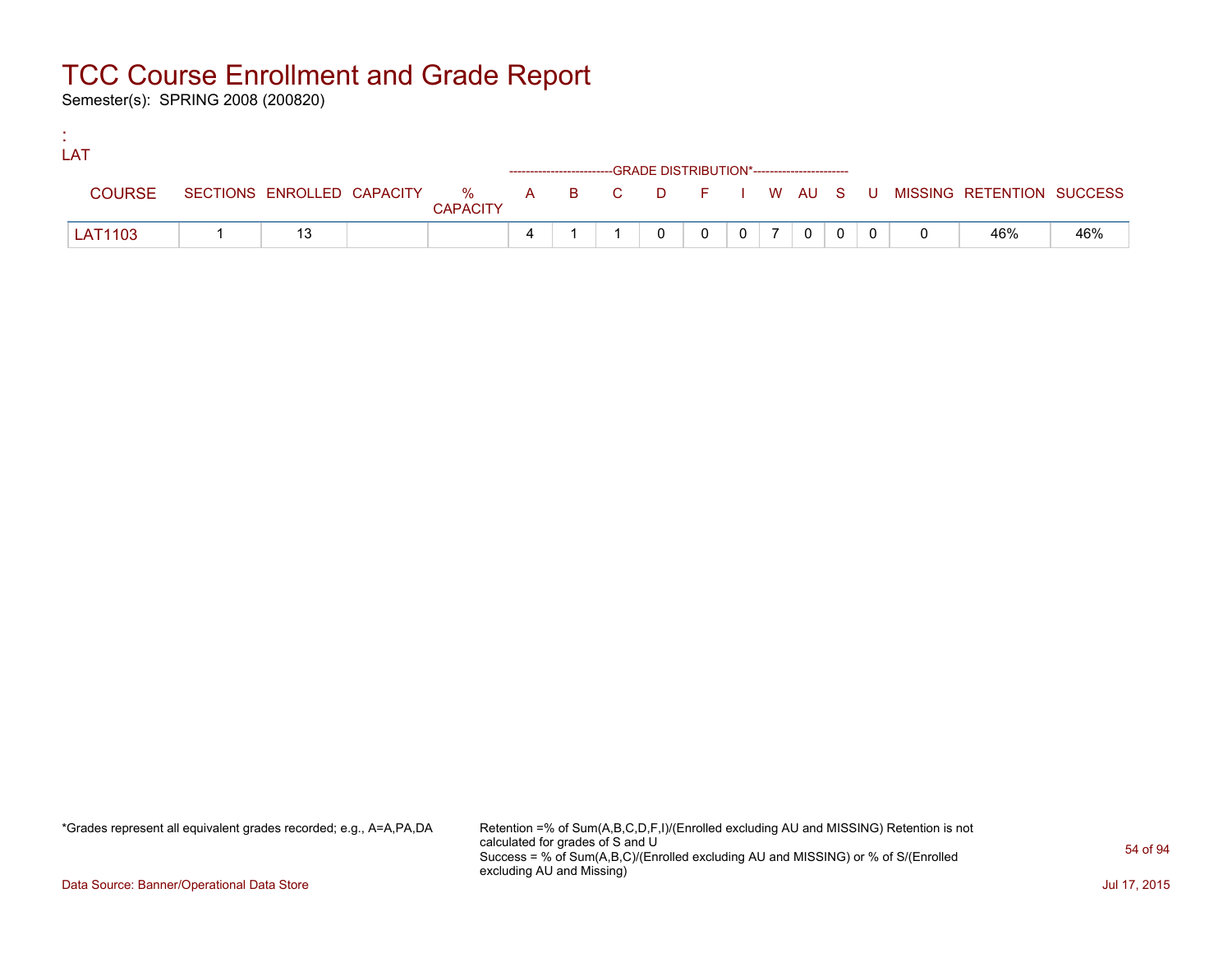Semester(s): SPRING 2008 (200820)

:

| LAT            |  |                 |  |                                                                    |                 |                |  |                                                                             |     |
|----------------|--|-----------------|--|--------------------------------------------------------------------|-----------------|----------------|--|-----------------------------------------------------------------------------|-----|
|                |  |                 |  | ------------------------GRADE DISTRIBUTION*----------------------- |                 |                |  |                                                                             |     |
| <b>COURSE</b>  |  | <b>CAPACITY</b> |  |                                                                    |                 |                |  | SECTIONS ENROLLED CAPACITY % A B C D F I W AU S U MISSING RETENTION SUCCESS |     |
| <b>LAT1103</b> |  |                 |  |                                                                    | $0 \mid 7 \mid$ | 0 <sup>1</sup> |  | 46%                                                                         | 46% |

\*Grades represent all equivalent grades recorded; e.g., A=A,PA,DA Retention =% of Sum(A,B,C,D,F,I)/(Enrolled excluding AU and MISSING) Retention is not calculated for grades of S and U Success = % of Sum(A,B,C)/(Enrolled excluding AU and MISSING) or % of S/(Enrolled excluding AU and Missing)

Data Source: Banner/Operational Data Store Jul 17, 2015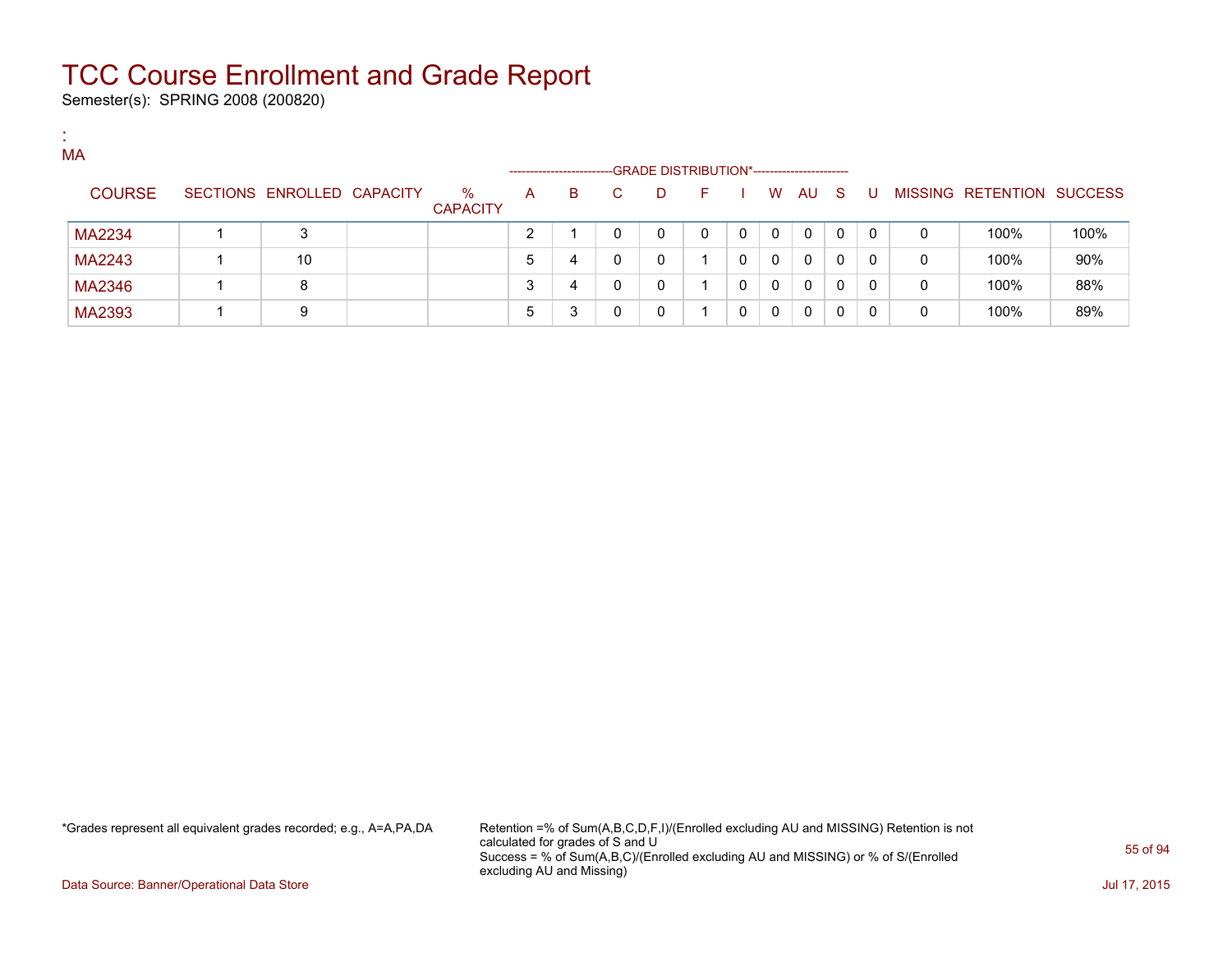Semester(s): SPRING 2008 (200820)

:

| MA            |                            |                         |   | ---------------------- |   | -GRADE DISTRIBUTION*----------------------- |      |          |          |          |          |              |   |                           |      |
|---------------|----------------------------|-------------------------|---|------------------------|---|---------------------------------------------|------|----------|----------|----------|----------|--------------|---|---------------------------|------|
| <b>COURSE</b> | SECTIONS ENROLLED CAPACITY | $\%$<br><b>CAPACITY</b> | A | B                      |   | D                                           | . E. |          | W        | AU.      | - S      |              |   | MISSING RETENTION SUCCESS |      |
| MA2234        | 3                          |                         | ົ |                        |   | 0                                           | 0    | $\Omega$ | $\Omega$ | $\Omega$ | $\Omega$ | $\Omega$     | 0 | 100%                      | 100% |
| MA2243        | 10                         |                         | 5 | 4                      | 0 | 0                                           |      |          | $\Omega$ | $\Omega$ | 0        | $\Omega$     | 0 | 100%                      | 90%  |
| MA2346        | 8                          |                         |   | 4                      |   | 0                                           |      |          | $\Omega$ | $\Omega$ | 0        | $\mathbf{0}$ | 0 | 100%                      | 88%  |
| MA2393        | 9                          |                         |   | 3                      |   | 0                                           |      |          | $\Omega$ | 0        |          | 0            | 0 | 100%                      | 89%  |

\*Grades represent all equivalent grades recorded; e.g., A=A,PA,DA Retention =% of Sum(A,B,C,D,F,I)/(Enrolled excluding AU and MISSING) Retention is not calculated for grades of S and U Success = % of Sum(A,B,C)/(Enrolled excluding AU and MISSING) or % of S/(Enrolled excluding AU and Missing)

Data Source: Banner/Operational Data Store Jul 17, 2015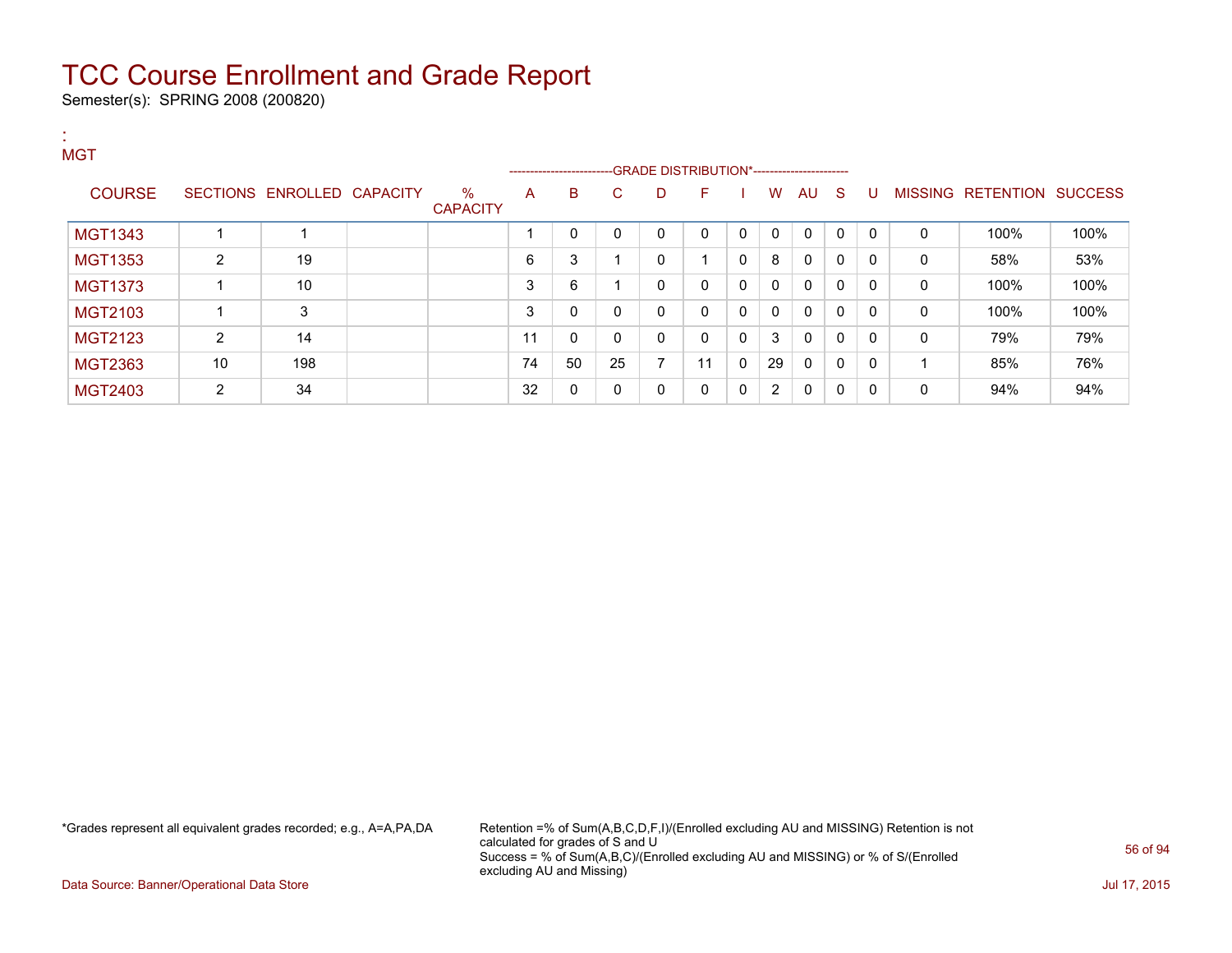Semester(s): SPRING 2008 (200820)

:

| <b>MGT</b>     |    |                            |                         |    |                                                                    |              |   |              |              |              |              |              |   |              |                           |      |
|----------------|----|----------------------------|-------------------------|----|--------------------------------------------------------------------|--------------|---|--------------|--------------|--------------|--------------|--------------|---|--------------|---------------------------|------|
|                |    |                            |                         |    | ------------------------GRADE DISTRIBUTION*----------------------- |              |   |              |              |              |              |              |   |              |                           |      |
| <b>COURSE</b>  |    | SECTIONS ENROLLED CAPACITY | $\%$<br><b>CAPACITY</b> | A  | B                                                                  | C.           | D | F            |              | W            | AU           | -S           | U |              | MISSING RETENTION SUCCESS |      |
|                |    |                            |                         |    |                                                                    |              |   |              |              |              |              |              |   |              |                           |      |
| <b>MGT1343</b> |    |                            |                         |    | 0                                                                  | $\mathbf{0}$ | 0 | $\Omega$     | 0            | 0            | 0            | $\mathbf{0}$ | 0 | 0            | 100%                      | 100% |
| <b>MGT1353</b> | 2  | 19                         |                         | 6  | 3                                                                  |              | 0 |              | 0            | 8            | 0            | $\mathbf{0}$ | 0 | 0            | 58%                       | 53%  |
| <b>MGT1373</b> |    | 10                         |                         | 3  | 6                                                                  |              | 0 | $\mathbf{0}$ | $\mathbf{0}$ | $\mathbf{0}$ | 0            | $\mathbf{0}$ | 0 | $\mathbf{0}$ | 100%                      | 100% |
| MGT2103        |    | 3                          |                         | 3  | $\mathbf 0$                                                        | 0            | 0 | $\Omega$     | 0            | $\mathbf{0}$ | $\mathbf{0}$ | $\mathbf{0}$ | 0 | $\mathbf{0}$ | 100%                      | 100% |
| MGT2123        | 2  | 14                         |                         | 11 | 0                                                                  | $\mathbf{0}$ | 0 | $\Omega$     | 0            | 3            | 0            | 0            | 0 | $\mathbf{0}$ | 79%                       | 79%  |
| MGT2363        | 10 | 198                        |                         | 74 | 50                                                                 | 25           | 7 | 11           | $\mathbf{0}$ | 29           | $\mathbf{0}$ | $\mathbf{0}$ | 0 |              | 85%                       | 76%  |
| <b>MGT2403</b> | 2  | 34                         |                         | 32 | $\mathbf 0$                                                        | $\mathbf{0}$ | 0 | $\Omega$     | $\mathbf{0}$ | 2            | $\mathbf{0}$ | $\mathbf{0}$ | 0 | 0            | 94%                       | 94%  |

\*Grades represent all equivalent grades recorded; e.g., A=A,PA,DA Retention =% of Sum(A,B,C,D,F,I)/(Enrolled excluding AU and MISSING) Retention is not calculated for grades of S and U Success = % of Sum(A,B,C)/(Enrolled excluding AU and MISSING) or % of S/(Enrolled excluding AU and Missing)

Data Source: Banner/Operational Data Store Jul 17, 2015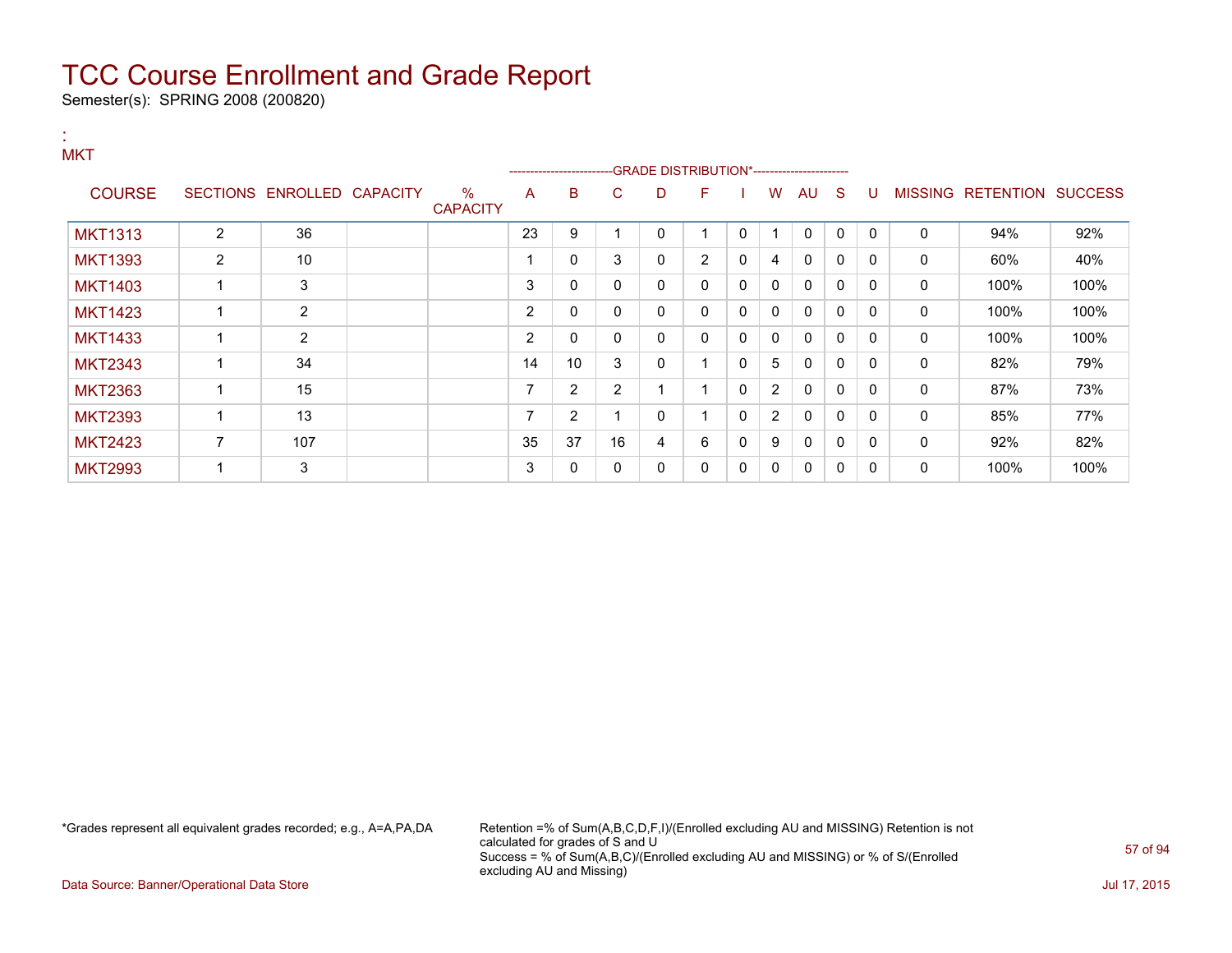Semester(s): SPRING 2008 (200820)

:

| <b>MKT</b>     |                |                            |                         |                | ------------------------ |                |             | -GRADE DISTRIBUTION*----------------------- |          |                |              |              |              |              |                                  |      |
|----------------|----------------|----------------------------|-------------------------|----------------|--------------------------|----------------|-------------|---------------------------------------------|----------|----------------|--------------|--------------|--------------|--------------|----------------------------------|------|
| <b>COURSE</b>  |                | SECTIONS ENROLLED CAPACITY | $\%$<br><b>CAPACITY</b> | A              | B                        | С              | D           | F                                           |          | W              | AU           | -S           | -0           |              | <b>MISSING RETENTION SUCCESS</b> |      |
| <b>MKT1313</b> | $\overline{2}$ | 36                         |                         | 23             | 9                        |                | $\mathbf 0$ |                                             | $\Omega$ | -1             | $\Omega$     | $\Omega$     | $\Omega$     | $\mathbf{0}$ | 94%                              | 92%  |
| <b>MKT1393</b> | $\overline{2}$ | 10                         |                         |                | 0                        | 3              | 0           | 2                                           | 0        | 4              | $\Omega$     | $\Omega$     | $\Omega$     | 0            | 60%                              | 40%  |
| <b>MKT1403</b> | 1              | 3                          |                         | 3              | 0                        | 0              | 0           | 0                                           | 0        | $\mathbf{0}$   | $\Omega$     | 0            | $\Omega$     | 0            | 100%                             | 100% |
| <b>MKT1423</b> | 1              | 2                          |                         | $\overline{2}$ | 0                        | 0              | 0           | $\Omega$                                    | 0        | 0              | $\mathbf{0}$ | 0            | $\Omega$     | 0            | 100%                             | 100% |
| <b>MKT1433</b> |                | $\overline{2}$             |                         | 2              | 0                        | 0              | 0           | $\mathbf{0}$                                | 0        | $\mathbf{0}$   | $\Omega$     | $\mathbf{0}$ | $\Omega$     | 0            | 100%                             | 100% |
| <b>MKT2343</b> |                | 34                         |                         | 14             | 10 <sup>°</sup>          | 3              | 0           |                                             | 0        | 5              | $\mathbf{0}$ | 0            | $\Omega$     | 0            | 82%                              | 79%  |
| <b>MKT2363</b> |                | 15                         |                         | ⇁              | 2                        | $\overline{2}$ |             |                                             | 0        | $\overline{2}$ | $\mathbf{0}$ | 0            | $\Omega$     | 0            | 87%                              | 73%  |
| <b>MKT2393</b> |                | 13                         |                         | ⇁              | 2                        |                | 0           |                                             | $\Omega$ | $\overline{2}$ | $\mathbf{0}$ | 0            | $\mathbf{0}$ | 0            | 85%                              | 77%  |
| <b>MKT2423</b> | 7              | 107                        |                         | 35             | 37                       | 16             | 4           | 6                                           | 0        | 9              | 0            | 0            | $\mathbf{0}$ | 0            | 92%                              | 82%  |
| <b>MKT2993</b> | ٠              | 3                          |                         | 3              | 0                        | 0              | 0           | 0                                           | 0        | 0              | $\Omega$     | 0            | 0            | 0            | 100%                             | 100% |

\*Grades represent all equivalent grades recorded; e.g., A=A,PA,DA Retention =% of Sum(A,B,C,D,F,I)/(Enrolled excluding AU and MISSING) Retention is not calculated for grades of S and U Success = % of Sum(A,B,C)/(Enrolled excluding AU and MISSING) or % of S/(Enrolled excluding AU and Missing)

Data Source: Banner/Operational Data Store Jul 17, 2015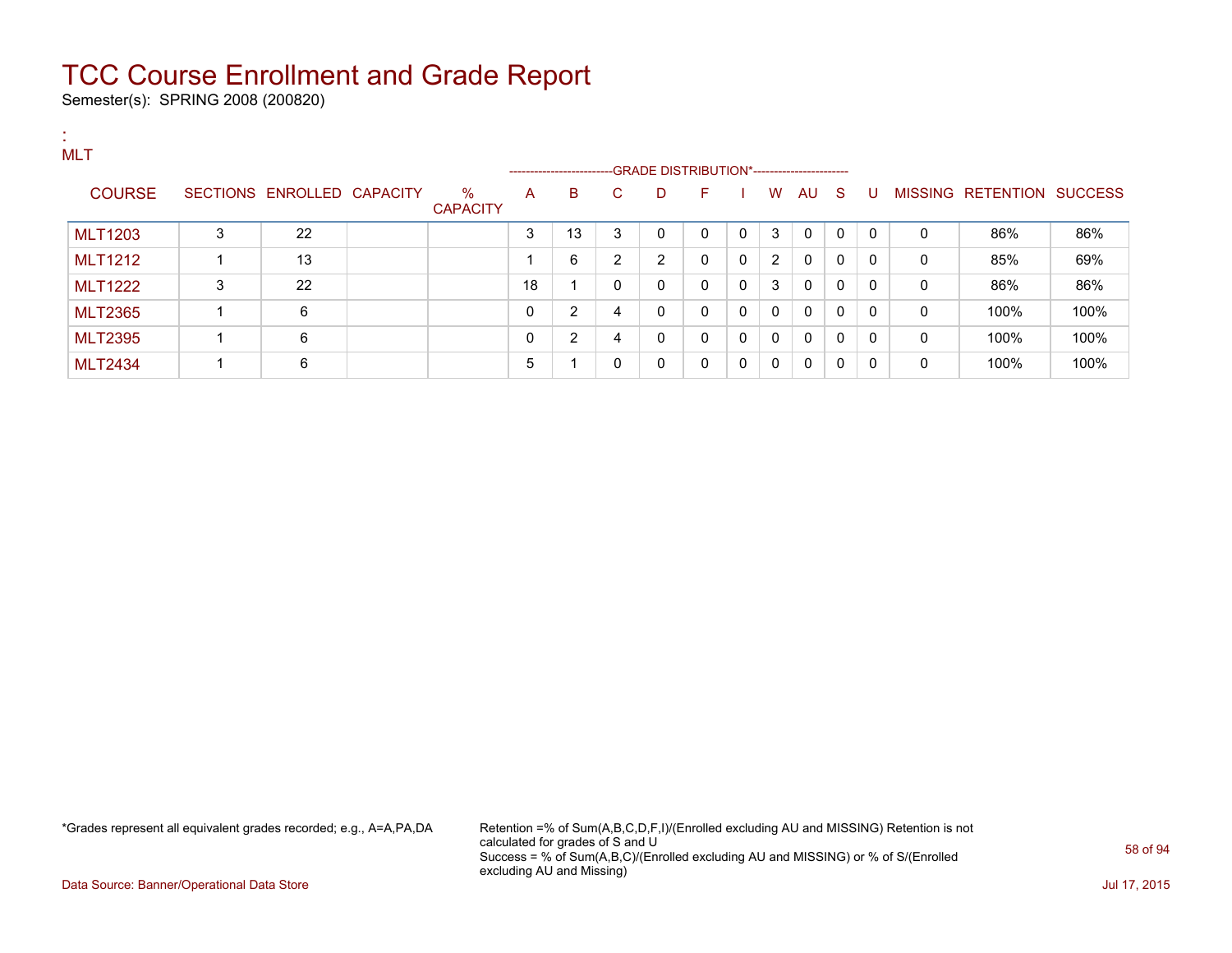Semester(s): SPRING 2008 (200820)

| <b>MLT</b>     |    |                            |                         |    | ---------------------- |              | --GRADE DISTRIBUTION*----------------------- |          |              |                |              |              |              |              |                           |      |
|----------------|----|----------------------------|-------------------------|----|------------------------|--------------|----------------------------------------------|----------|--------------|----------------|--------------|--------------|--------------|--------------|---------------------------|------|
| <b>COURSE</b>  |    | SECTIONS ENROLLED CAPACITY | $\%$<br><b>CAPACITY</b> | A  | B                      | C.           | D                                            | F        |              | W              | AU.          | $\mathbf{S}$ | U            |              | MISSING RETENTION SUCCESS |      |
| <b>MLT1203</b> | 3  | 22                         |                         | 3  | 13                     | 3            | $\Omega$                                     |          | $\mathbf{0}$ | 3              | $\Omega$     | $\Omega$     | $\Omega$     | 0            | 86%                       | 86%  |
| <b>MLT1212</b> | -1 | 13                         |                         |    | 6                      | 2            | 2                                            | $\Omega$ | $\mathbf{0}$ | $\overline{2}$ | $\Omega$     | $\Omega$     | $\Omega$     | 0            | 85%                       | 69%  |
| <b>MLT1222</b> | 3  | 22                         |                         | 18 |                        | $\mathbf{0}$ | 0                                            | $\Omega$ | $\mathbf 0$  | 3              | $\mathbf{0}$ | $\Omega$     | $\Omega$     | $\mathbf{0}$ | 86%                       | 86%  |
| <b>MLT2365</b> |    | 6                          |                         | 0  | $\overline{2}$         | 4            | 0                                            | $\Omega$ | $\mathbf{0}$ | $\mathbf{0}$   | $\mathbf{0}$ | $\mathbf{0}$ | $\Omega$     | $\mathbf{0}$ | 100%                      | 100% |
| <b>MLT2395</b> |    | 6                          |                         | 0  | 2                      | 4            | $\Omega$                                     | $\Omega$ | $\mathbf{0}$ | $\mathbf{0}$   | $\mathbf{0}$ | $\Omega$     | $\mathbf{0}$ | $\mathbf{0}$ | 100%                      | 100% |
| <b>MLT2434</b> |    | 6                          |                         | 5  |                        | $\Omega$     | 0                                            | $\Omega$ | $\mathbf{0}$ | 0              | 0            | 0            | $\mathbf{0}$ | $\Omega$     | 100%                      | 100% |

\*Grades represent all equivalent grades recorded; e.g., A=A,PA,DA Retention =% of Sum(A,B,C,D,F,I)/(Enrolled excluding AU and MISSING) Retention is not calculated for grades of S and U Success = % of Sum(A,B,C)/(Enrolled excluding AU and MISSING) or % of S/(Enrolled excluding AU and Missing)

Data Source: Banner/Operational Data Store Jul 17, 2015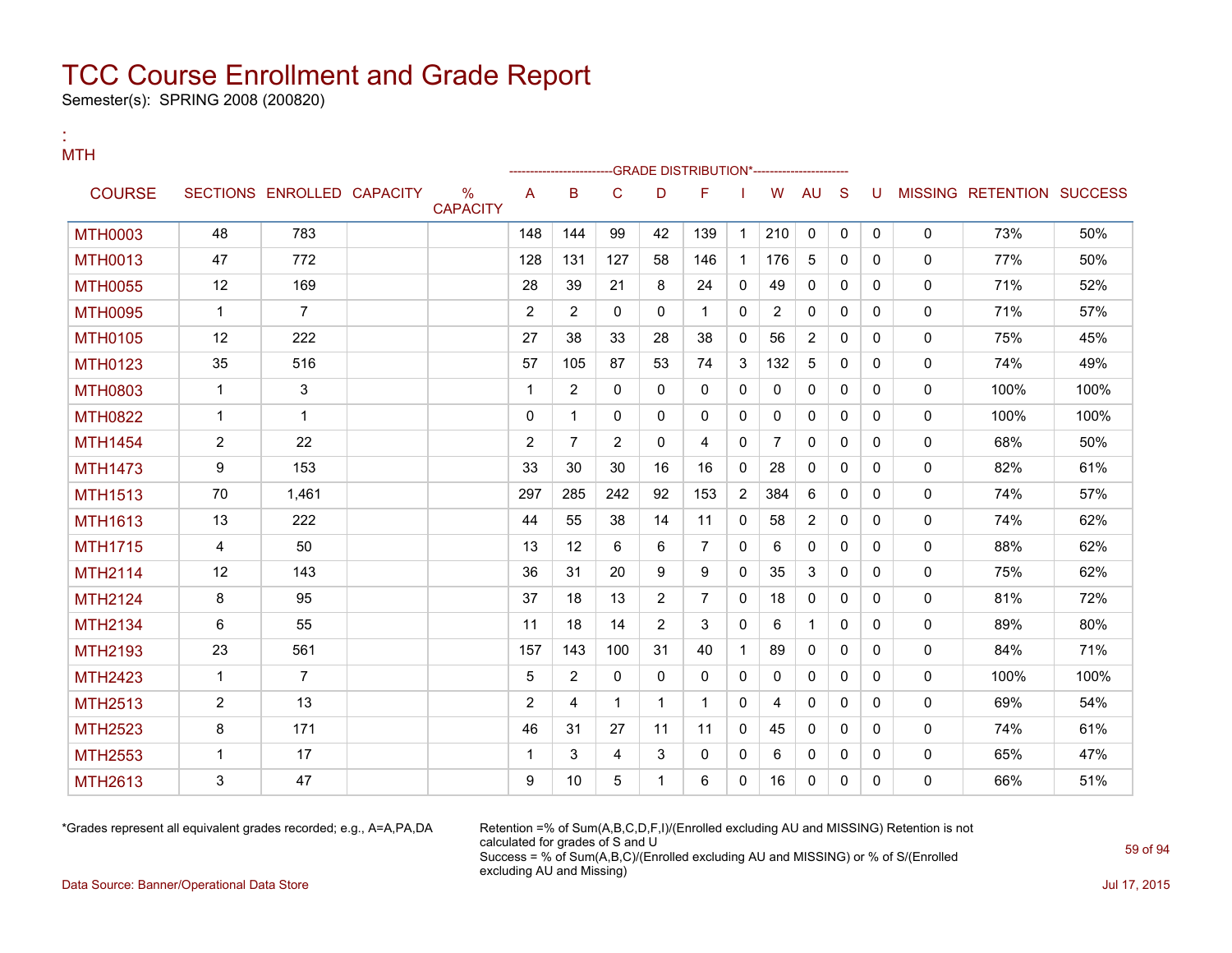Semester(s): SPRING 2008 (200820)

:

| <b>MTH</b>     |                |                            |                      |                |                         |                |                | -GRADE DISTRIBUTION*----------------- |                |                |              |              |              |              |                           |      |
|----------------|----------------|----------------------------|----------------------|----------------|-------------------------|----------------|----------------|---------------------------------------|----------------|----------------|--------------|--------------|--------------|--------------|---------------------------|------|
| <b>COURSE</b>  |                | SECTIONS ENROLLED CAPACITY | %<br><b>CAPACITY</b> | A              | B                       | C              | D              | F                                     |                | W              | <b>AU</b>    | -S           | U            |              | MISSING RETENTION SUCCESS |      |
| <b>MTH0003</b> | 48             | 783                        |                      | 148            | 144                     | 99             | 42             | 139                                   | $\mathbf{1}$   | 210            | $\Omega$     | $\mathbf{0}$ | $\mathbf{0}$ | $\mathbf{0}$ | 73%                       | 50%  |
| <b>MTH0013</b> | 47             | 772                        |                      | 128            | 131                     | 127            | 58             | 146                                   | $\mathbf{1}$   | 176            | 5            | $\Omega$     | $\Omega$     | $\mathbf{0}$ | 77%                       | 50%  |
| <b>MTH0055</b> | 12             | 169                        |                      | 28             | 39                      | 21             | 8              | 24                                    | $\Omega$       | 49             | $\mathbf{0}$ | $\Omega$     | $\Omega$     | $\Omega$     | 71%                       | 52%  |
| <b>MTH0095</b> | $\mathbf{1}$   | $\overline{7}$             |                      | $\overline{2}$ | $\overline{2}$          | $\mathbf{0}$   | $\mathbf{0}$   | $\mathbf{1}$                          | $\mathbf{0}$   | $\overline{2}$ | 0            | $\mathbf{0}$ | $\Omega$     | $\mathbf{0}$ | 71%                       | 57%  |
| <b>MTH0105</b> | 12             | 222                        |                      | 27             | 38                      | 33             | 28             | 38                                    | $\Omega$       | 56             | 2            | $\Omega$     | $\Omega$     | $\mathbf{0}$ | 75%                       | 45%  |
| <b>MTH0123</b> | 35             | 516                        |                      | 57             | 105                     | 87             | 53             | 74                                    | 3              | 132            | 5            | $\mathbf{0}$ | $\Omega$     | $\mathbf{0}$ | 74%                       | 49%  |
| <b>MTH0803</b> | $\mathbf{1}$   | 3                          |                      | $\overline{1}$ | $\overline{2}$          | $\mathbf{0}$   | $\Omega$       | $\mathbf{0}$                          | $\Omega$       | $\mathbf{0}$   | $\mathbf{0}$ | $\Omega$     | $\Omega$     | $\mathbf{0}$ | 100%                      | 100% |
| <b>MTH0822</b> | $\mathbf{1}$   | $\mathbf{1}$               |                      | $\mathbf{0}$   | 1                       | $\mathbf{0}$   | $\mathbf{0}$   | 0                                     | $\mathbf{0}$   | $\mathbf{0}$   | 0            | $\mathbf{0}$ | $\Omega$     | $\mathbf{0}$ | 100%                      | 100% |
| <b>MTH1454</b> | $\overline{2}$ | 22                         |                      | 2              | $\overline{7}$          | $\overline{2}$ | $\Omega$       | 4                                     | $\Omega$       | $\overline{7}$ | $\mathbf{0}$ | $\Omega$     | $\Omega$     | $\mathbf{0}$ | 68%                       | 50%  |
| <b>MTH1473</b> | 9              | 153                        |                      | 33             | 30                      | 30             | 16             | 16                                    | $\mathbf{0}$   | 28             | $\mathbf 0$  | $\mathbf{0}$ | $\Omega$     | $\mathbf{0}$ | 82%                       | 61%  |
| <b>MTH1513</b> | 70             | 1.461                      |                      | 297            | 285                     | 242            | 92             | 153                                   | $\overline{2}$ | 384            | 6            | $\mathbf{0}$ | $\Omega$     | $\mathbf{0}$ | 74%                       | 57%  |
| <b>MTH1613</b> | 13             | 222                        |                      | 44             | 55                      | 38             | 14             | 11                                    | $\mathbf{0}$   | 58             | 2            | $\mathbf{0}$ | $\Omega$     | $\mathbf{0}$ | 74%                       | 62%  |
| <b>MTH1715</b> | 4              | 50                         |                      | 13             | 12                      | 6              | 6              | $\overline{7}$                        | $\Omega$       | 6              | $\mathbf{0}$ | $\Omega$     | $\Omega$     | $\mathbf{0}$ | 88%                       | 62%  |
| <b>MTH2114</b> | 12             | 143                        |                      | 36             | 31                      | 20             | 9              | 9                                     | $\Omega$       | 35             | 3            | $\mathbf{0}$ | $\Omega$     | $\mathbf 0$  | 75%                       | 62%  |
| <b>MTH2124</b> | 8              | 95                         |                      | 37             | 18                      | 13             | 2              | $\overline{7}$                        | $\Omega$       | 18             | $\mathbf{0}$ | $\mathbf{0}$ | $\mathbf{0}$ | $\mathbf{0}$ | 81%                       | 72%  |
| <b>MTH2134</b> | 6              | 55                         |                      | 11             | 18                      | 14             | $\overline{2}$ | 3                                     | $\Omega$       | 6              | $\mathbf{1}$ | $\mathbf{0}$ | $\mathbf{0}$ | $\mathbf{0}$ | 89%                       | 80%  |
| MTH2193        | 23             | 561                        |                      | 157            | 143                     | 100            | 31             | 40                                    | $\mathbf 1$    | 89             | $\mathbf{0}$ | $\mathbf{0}$ | $\mathbf{0}$ | $\mathbf{0}$ | 84%                       | 71%  |
| <b>MTH2423</b> | $\mathbf{1}$   | $\overline{7}$             |                      | 5              | $\overline{2}$          | $\mathbf{0}$   | $\mathbf{0}$   | $\Omega$                              | $\mathbf{0}$   | $\mathbf{0}$   | $\mathbf{0}$ | $\mathbf{0}$ | $\mathbf{0}$ | $\mathbf{0}$ | 100%                      | 100% |
| <b>MTH2513</b> | $\overline{2}$ | 13                         |                      | 2              | $\overline{\mathbf{4}}$ | $\mathbf 1$    | $\mathbf{1}$   | $\mathbf{1}$                          | $\Omega$       | 4              | $\mathbf{0}$ | $\mathbf{0}$ | $\mathbf{0}$ | $\mathbf{0}$ | 69%                       | 54%  |
| <b>MTH2523</b> | 8              | 171                        |                      | 46             | 31                      | 27             | 11             | 11                                    | $\Omega$       | 45             | $\mathbf{0}$ | $\mathbf{0}$ | $\Omega$     | $\mathbf{0}$ | 74%                       | 61%  |
| <b>MTH2553</b> | $\mathbf{1}$   | 17                         |                      | $\overline{1}$ | 3                       | $\overline{4}$ | 3              | 0                                     | $\mathbf{0}$   | 6              | 0            | 0            | $\mathbf{0}$ | 0            | 65%                       | 47%  |
| MTH2613        | 3              | 47                         |                      | 9              | 10                      | 5              | $\mathbf{1}$   | 6                                     | $\Omega$       | 16             | $\mathbf 0$  | $\mathbf{0}$ | $\Omega$     | $\mathbf 0$  | 66%                       | 51%  |

\*Grades represent all equivalent grades recorded; e.g., A=A,PA,DA Retention =% of Sum(A,B,C,D,F,I)/(Enrolled excluding AU and MISSING) Retention is not calculated for grades of S and U Success = % of Sum(A,B,C)/(Enrolled excluding AU and MISSING) or % of S/(Enrolled excluding AU and Missing)

Data Source: Banner/Operational Data Store Jul 17, 2015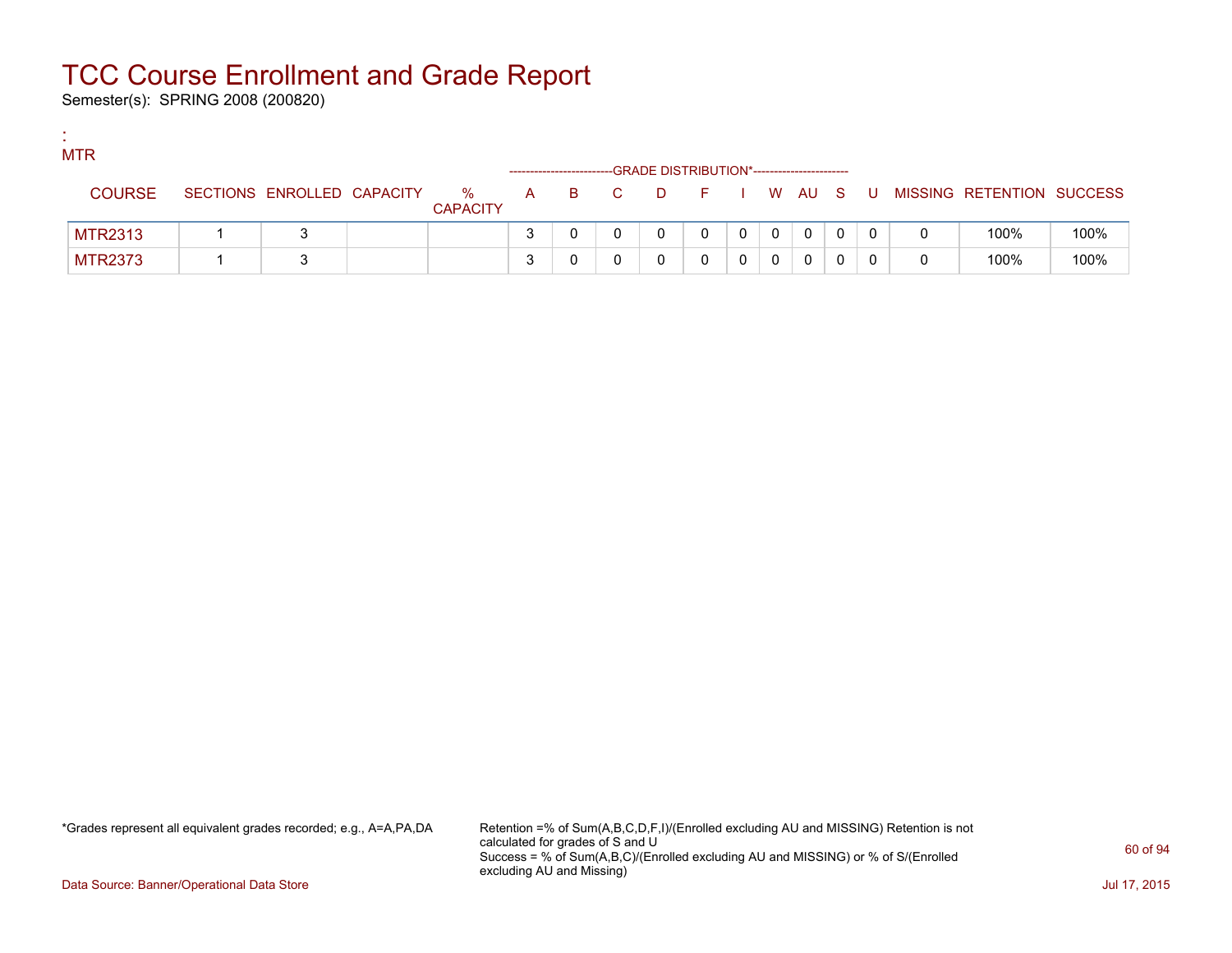Semester(s): SPRING 2008 (200820)

:

| <b>MTR</b>     |                            |                      |                               |     | -GRADE DISTRIBUTION*----------------------- |         |   |          |   |                           |      |
|----------------|----------------------------|----------------------|-------------------------------|-----|---------------------------------------------|---------|---|----------|---|---------------------------|------|
| <b>COURSE</b>  | SECTIONS ENROLLED CAPACITY | %<br><b>CAPACITY</b> | A                             | B C | $\Box$                                      | $F = 1$ |   | I WAUS   | U | MISSING RETENTION SUCCESS |      |
| <b>MTR2313</b> |                            |                      |                               |     |                                             |         | 0 | $\Omega$ |   | 100%                      | 100% |
| <b>MTR2373</b> |                            |                      | ິ<br>$\overline{\phantom{a}}$ |     |                                             |         |   | 0        |   | 100%                      | 100% |

\*Grades represent all equivalent grades recorded; e.g., A=A,PA,DA Retention =% of Sum(A,B,C,D,F,I)/(Enrolled excluding AU and MISSING) Retention is not calculated for grades of S and U Success = % of Sum(A,B,C)/(Enrolled excluding AU and MISSING) or % of S/(Enrolled excluding AU and Missing)

Data Source: Banner/Operational Data Store Jul 17, 2015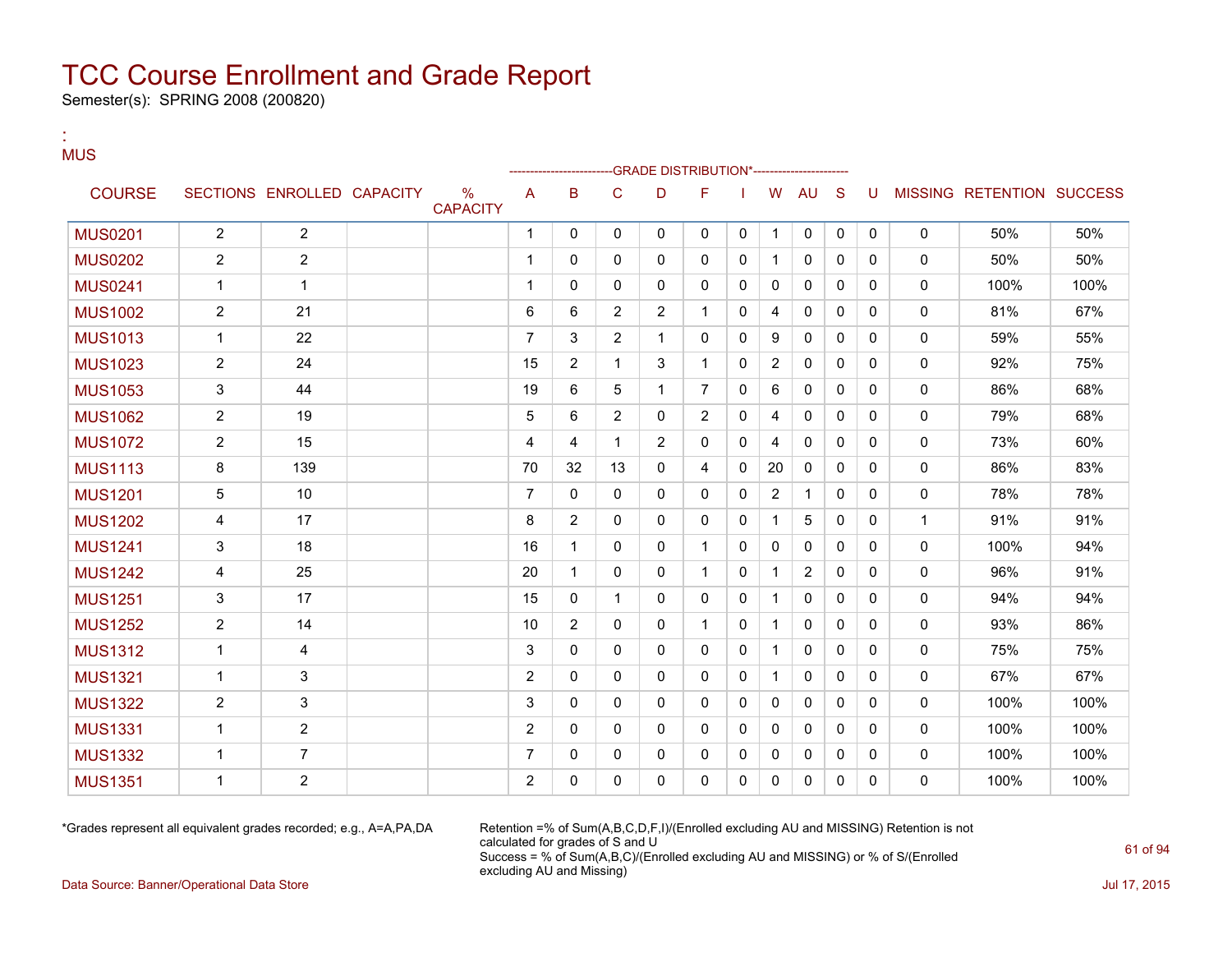Semester(s): SPRING 2008 (200820)

#### : MUS

|                |                |                            |                         |                | ---------------------- |                | -GRADE DISTRIBUTION*---------------------- |                |              |                |                |              |              |             |                           |      |
|----------------|----------------|----------------------------|-------------------------|----------------|------------------------|----------------|--------------------------------------------|----------------|--------------|----------------|----------------|--------------|--------------|-------------|---------------------------|------|
| <b>COURSE</b>  |                | SECTIONS ENROLLED CAPACITY | $\%$<br><b>CAPACITY</b> | A              | B                      | C              | D                                          | F              |              | W              | AU             | <sub>S</sub> | U            |             | MISSING RETENTION SUCCESS |      |
| <b>MUS0201</b> | $\overline{2}$ | $\mathbf{2}$               |                         | 1              | 0                      | 0              | 0                                          | 0              | 0            | 1              | 0              | 0            | $\mathbf 0$  | 0           | 50%                       | 50%  |
| <b>MUS0202</b> | 2              | $\overline{2}$             |                         | 1              | 0                      | $\mathbf{0}$   | 0                                          | $\mathbf{0}$   | 0            | 1.             | 0              | $\mathbf{0}$ | 0            | 0           | 50%                       | 50%  |
| <b>MUS0241</b> | 1              | $\mathbf{1}$               |                         | 1              | $\mathbf{0}$           | $\mathbf{0}$   | 0                                          | 0              | 0            | 0              | 0              | $\mathbf{0}$ | 0            | 0           | 100%                      | 100% |
| <b>MUS1002</b> | $\overline{2}$ | 21                         |                         | 6              | 6                      | $\overline{2}$ | 2                                          | $\mathbf{1}$   | 0            | 4              | 0              | $\mathbf{0}$ | $\Omega$     | 0           | 81%                       | 67%  |
| <b>MUS1013</b> | $\mathbf{1}$   | 22                         |                         | $\overline{7}$ | 3                      | $\overline{2}$ | $\mathbf{1}$                               | $\mathbf{0}$   | $\mathbf{0}$ | 9              | 0              | $\mathbf{0}$ | $\mathbf{0}$ | 0           | 59%                       | 55%  |
| <b>MUS1023</b> | $\overline{2}$ | 24                         |                         | 15             | $\overline{2}$         | 1              | 3                                          | $\mathbf{1}$   | $\mathbf{0}$ | $\overline{2}$ | 0              | $\mathbf{0}$ | 0            | 0           | 92%                       | 75%  |
| <b>MUS1053</b> | 3              | 44                         |                         | 19             | 6                      | 5              | 1                                          | $\overline{7}$ | $\mathbf{0}$ | 6              | 0              | $\mathbf{0}$ | 0            | 0           | 86%                       | 68%  |
| <b>MUS1062</b> | $\overline{2}$ | 19                         |                         | 5              | 6                      | $\overline{2}$ | $\mathbf{0}$                               | $\overline{2}$ | $\mathbf{0}$ | 4              | $\mathbf{0}$   | $\Omega$     | $\Omega$     | 0           | 79%                       | 68%  |
| <b>MUS1072</b> | 2              | 15                         |                         | 4              | 4                      | 1              | 2                                          | $\mathbf{0}$   | 0            | 4              | $\mathbf{0}$   | $\mathbf{0}$ | $\Omega$     | 0           | 73%                       | 60%  |
| <b>MUS1113</b> | 8              | 139                        |                         | 70             | 32                     | 13             | 0                                          | 4              | $\mathbf{0}$ | 20             | $\mathbf{0}$   | $\mathbf{0}$ | $\Omega$     | 0           | 86%                       | 83%  |
| <b>MUS1201</b> | 5              | 10                         |                         | 7              | $\mathbf{0}$           | $\mathbf{0}$   | 0                                          | $\mathbf{0}$   | 0            | $\overline{2}$ | 1              | $\mathbf{0}$ | 0            | 0           | 78%                       | 78%  |
| <b>MUS1202</b> | 4              | 17                         |                         | 8              | $\overline{2}$         | 0              | 0                                          | 0              | 0            | 1.             | 5              | $\mathbf{0}$ | 0            | $\mathbf 1$ | 91%                       | 91%  |
| <b>MUS1241</b> | 3              | 18                         |                         | 16             | 1                      | $\mathbf{0}$   | 0                                          | $\mathbf{1}$   | 0            | 0              | 0              | $\mathbf{0}$ | $\Omega$     | 0           | 100%                      | 94%  |
| <b>MUS1242</b> | 4              | 25                         |                         | 20             | $\mathbf{1}$           | 0              | 0                                          | $\mathbf 1$    | $\mathbf{0}$ | $\mathbf{1}$   | $\overline{2}$ | $\mathbf{0}$ | $\Omega$     | 0           | 96%                       | 91%  |
| <b>MUS1251</b> | 3              | 17                         |                         | 15             | $\mathbf{0}$           | 1              | 0                                          | $\mathbf{0}$   | $\mathbf{0}$ | $\mathbf{1}$   | 0              | $\Omega$     | $\Omega$     | 0           | 94%                       | 94%  |
| <b>MUS1252</b> | $\overline{2}$ | 14                         |                         | 10             | $\overline{2}$         | 0              | 0                                          | $\mathbf{1}$   | 0            | $\mathbf 1$    | 0              | $\mathbf{0}$ | $\mathbf{0}$ | 0           | 93%                       | 86%  |
| <b>MUS1312</b> | 1              | 4                          |                         | 3              | $\mathbf{0}$           | $\Omega$       | 0                                          | $\mathbf{0}$   | $\mathbf{0}$ | $\mathbf{1}$   | $\mathbf{0}$   | $\mathbf{0}$ | $\mathbf{0}$ | 0           | 75%                       | 75%  |
| <b>MUS1321</b> | 1              | 3                          |                         | $\overline{2}$ | $\mathbf{0}$           | 0              | 0                                          | 0              | 0            | 1              | 0              | $\mathbf{0}$ | $\Omega$     | 0           | 67%                       | 67%  |
| <b>MUS1322</b> | $\overline{c}$ | 3                          |                         | 3              | $\mathbf{0}$           | $\mathbf{0}$   | 0                                          | $\mathbf{0}$   | 0            | 0              | $\mathbf{0}$   | $\mathbf{0}$ | $\Omega$     | 0           | 100%                      | 100% |
| <b>MUS1331</b> | 1              | $\overline{2}$             |                         | $\overline{c}$ | $\mathbf{0}$           | $\mathbf{0}$   | 0                                          | $\mathbf{0}$   | $\mathbf{0}$ | $\Omega$       | $\mathbf{0}$   | $\Omega$     | 0            | 0           | 100%                      | 100% |
| <b>MUS1332</b> | 1              | $\overline{7}$             |                         | 7              | 0                      | 0              | 0                                          | 0              | 0            | 0              | 0              | 0            | 0            | 0           | 100%                      | 100% |
| <b>MUS1351</b> | -1             | $\overline{c}$             |                         | $\overline{c}$ | 0                      | 0              | 0                                          | 0              | 0            | 0              | 0              | 0            | 0            | 0           | 100%                      | 100% |

\*Grades represent all equivalent grades recorded; e.g., A=A,PA,DA Retention =% of Sum(A,B,C,D,F,I)/(Enrolled excluding AU and MISSING) Retention is not calculated for grades of S and U Success = % of Sum(A,B,C)/(Enrolled excluding AU and MISSING) or % of S/(Enrolled excluding AU and Missing)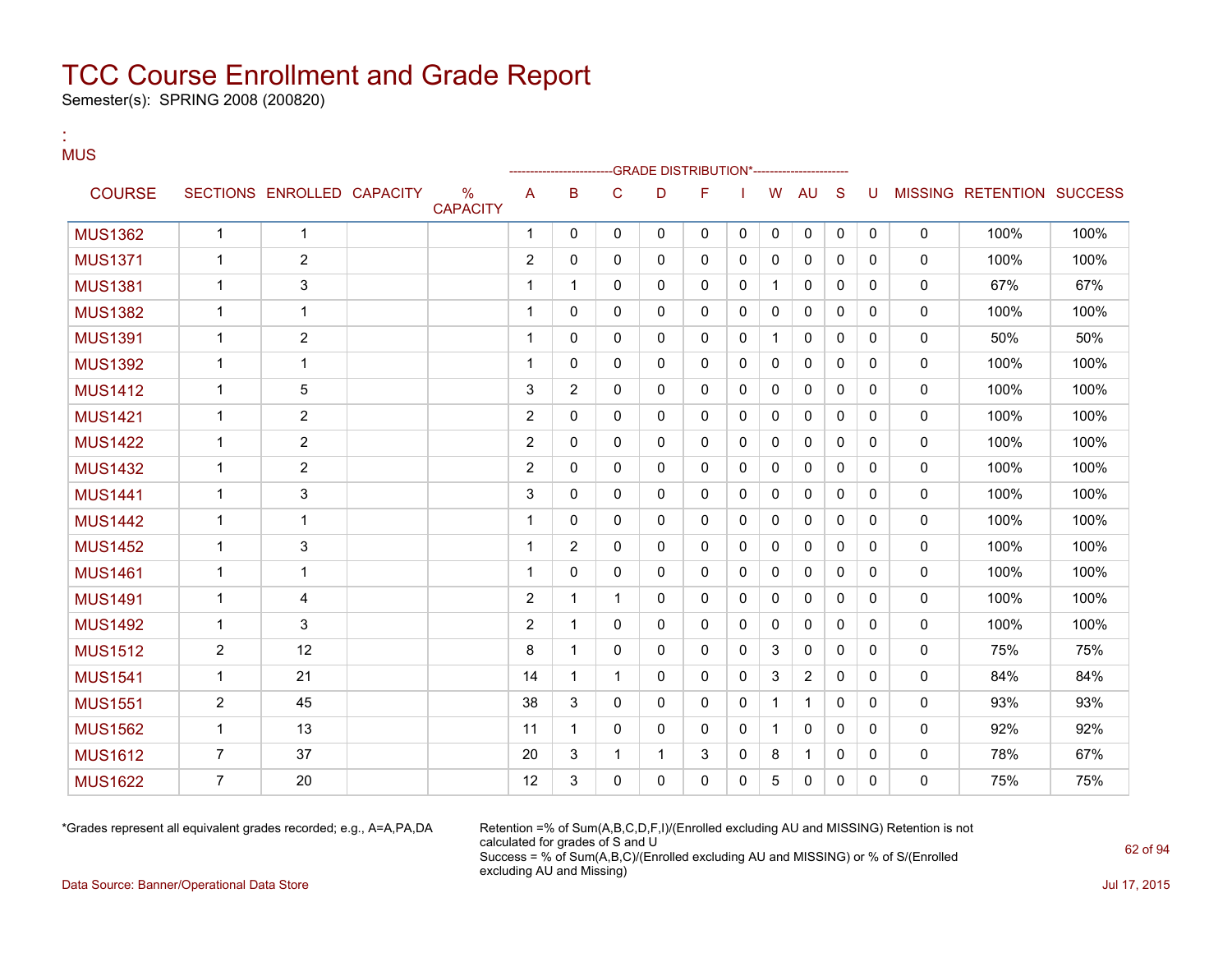Semester(s): SPRING 2008 (200820)

:

#### **MUS** --GRADE DISTRIBUTION\*------------------------COURSE SECTIONS ENROLLED CAPACITY % **CAPACITY** A B C D F I W AU S U MISSING RETENTION SUCCESS MUS1362 1 1 1 0 0 0 0 0 0 0 0 0 0 100% 100% MUS1371 1 2 2 0 0 0 0 0 0 0 0 0 0 100% 100% MUS1381 1 3 1 1 0 0 0 0 1 0 0 0 0 67% 67% MUS1382 1 1 1 0 0 0 0 0 0 0 0 0 0 100% 100% MUS1391 1 2 1 0 0 0 0 0 1 0 0 0 0 50% 50% MUS1392 1 1 1 0 0 0 0 0 0 0 0 0 0 100% 100% MUS1412 | 1 | 5 | | | 3 |2 |0 |0 |0 |0 |0 |0 |0 | 100% | 100% MUS1421 1 2 2 0 0 0 0 0 0 0 0 0 0 100% 100% MUS1422 1 2 2 0 0 0 0 0 0 0 0 0 0 100% 100% MUS1432 1 2 2 0 0 0 0 0 0 0 0 0 0 100% 100% MUS1441 1 3 3 0 0 0 0 0 0 0 0 0 0 100% 100% MUS1442 1 1 1 0 0 0 0 0 0 0 0 0 0 100% 100% MUS1452 | 1 | 3 | | 1 | 2 | 0 | 0 | 0 | 0 | 0 | 0 | 0 | 0 | 100% | 100% MUS1461 1 1 1 0 0 0 0 0 0 0 0 0 0 100% 100% MUS1491 | 1 | 4 | | | 2 | 1 | 1 | 0 | 0 | 0 | 0 | 0 | 0 | 0 | 100% | 100% MUS1492 | 1 | 3 | | 2 | 1 | 0 | 0 | 0 | 0 | 0 | 0 | 0 | 0 | 100% | 100% MUS1512 | 2 | 12 | | 8 | 1 | 0 | 0 | 0 | 3 | 0 | 0 | 0 | 0 | 75% | 75% MUS1541 | 1 | 21 | | 14 | 1 | 1 | 0 | 0 | 3 | 2 | 0 | 0 | 0 | 84% | 84% MUS1551 | 2 | 45 | | 38 3 | 0 | 0 | 0 | 1 | 1 | 0 | 0 | 0 | 93% | 93% MUS1562 1 13 11 1 0 0 0 0 1 0 0 0 0 92% 92% MUS1612 7 37 20 3 1 1 3 0 8 1 0 0 0 78% 67% MUS1622 | 7 | 20 | | 12 | 3 | 0 | 0 | 0 | 5 | 0 | 0 | 0 | 0 | 75% | 75% | 75%

\*Grades represent all equivalent grades recorded; e.g., A=A,PA,DA Retention =% of Sum(A,B,C,D,F,I)/(Enrolled excluding AU and MISSING) Retention is not calculated for grades of S and U Success = % of Sum(A,B,C)/(Enrolled excluding AU and MISSING) or % of S/(Enrolled excluding AU and Missing)

Data Source: Banner/Operational Data Store Jul 17, 2015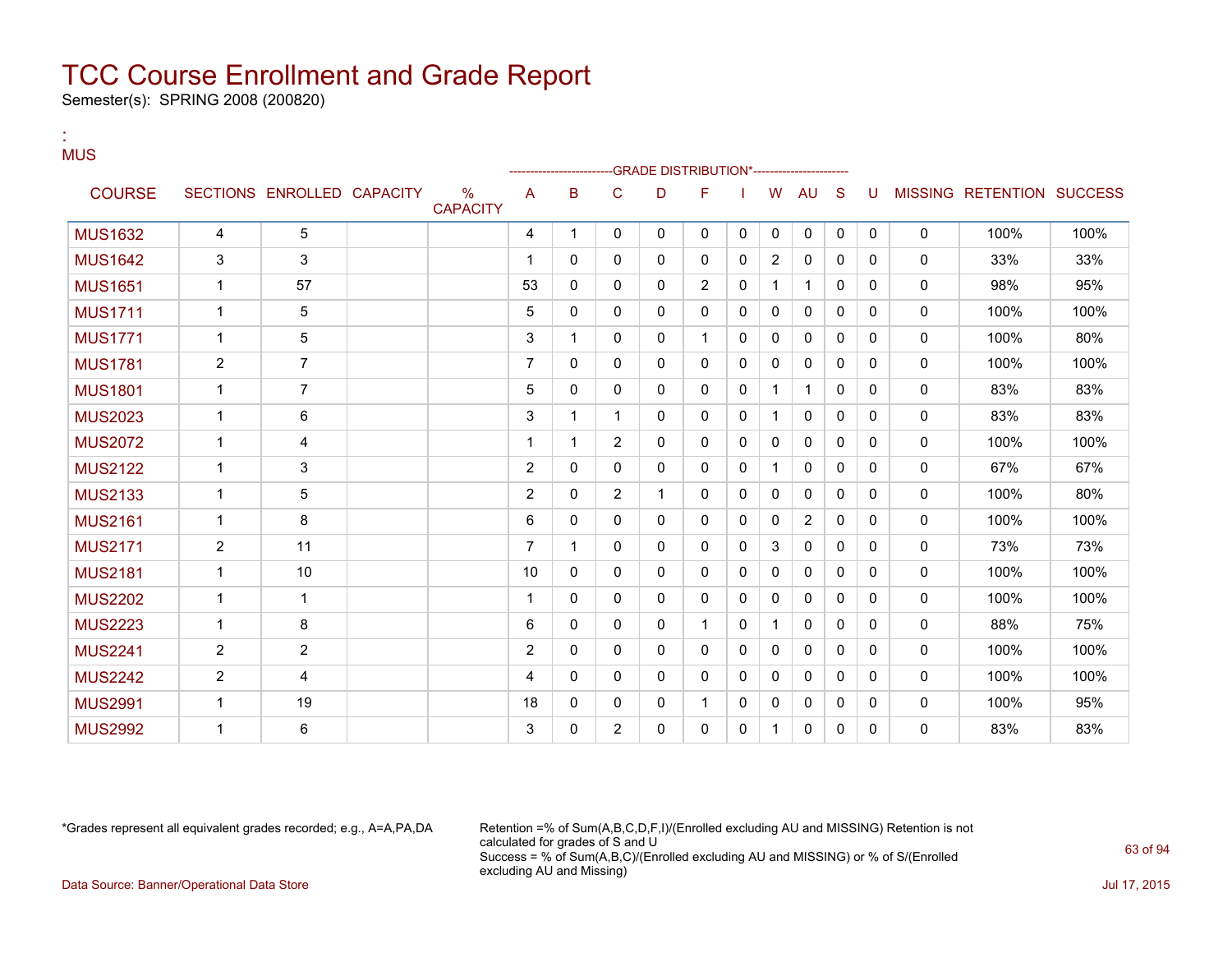Semester(s): SPRING 2008 (200820)

:

#### **MUS** --GRADE DISTRIBUTION\*------------------------COURSE SECTIONS ENROLLED CAPACITY % **CAPACITY** A B C D F I W AU S U MISSING RETENTION SUCCESS MUS1632 | 4 | 5 | | | 4 | 1 | 0 | 0 | 0 | 0 | 0 | 0 | 0 | 0 | 100% | 100% MUS1642 3 3 1 0 0 0 0 0 2 0 0 0 0 33% 33% MUS1651 | 1 | 57 | | | | | | | 53 | 0 | 0 | 0 | 2 | 0 | 1 | 1 | 0 | 0 | | 0 | | 98% | | 95% MUS1711 1 5 5 0 0 0 0 0 0 0 0 0 0 100% 100% MUS1771 1 5 3 1 0 0 1 0 0 0 0 0 0 100% 80% MUS1781 2 7 7 0 0 0 0 0 0 0 0 0 0 100% 100% MUS1801 1 7 5 0 0 0 0 0 1 1 0 0 0 83% 83% MUS2023 | 1 | 6 | | 3 | 1 | 1 | 0 | 0 | 1 | 0 | 0 | 0 | 0 | 83% | 83% MUS2072 | 1 | 4 | | 1 | 1 | 1 | 2 | 0 | 0 | 0 | 0 | 0 | 0 | 0 | 0 | 100% | 100% MUS2122 1 3 2 0 0 0 0 0 1 0 0 0 0 67% 67% MUS2133 | 1 | 5 | 2 0 2 1 | 0 | 0 | 0 | 0 | 0 | 0 100% | 80% MUS2161 1 8 6 0 0 0 0 0 0 2 0 0 0 100% 100% MUS2171 | 2 | 11 | | 7 | 1 | 0 | 0 | 0 | 3 | 0 | 0 | 0 | 0 | 73% | 73% MUS2181 1 10 10 0 0 0 0 0 0 0 0 0 0 100% 100% MUS2202 1 1 1 0 0 0 0 0 0 0 0 0 0 100% 100% MUS2223 1 8 3 6 0 0 0 1 0 1 0 0 0 0 88% 75% MUS2241 2 2 2 0 0 0 0 0 0 0 0 0 0 100% 100% MUS2242 2 4 4 0 0 0 0 0 0 0 0 0 0 100% 100% MUS2991 1 19 18 0 0 0 1 0 0 0 0 0 0 100% 95% MUS2992 | 1 | 6 | | 3 | 0 | 2 | 0 | 0 | 0 | 1 | 0 | 0 | 0 | 83% | 83%

\*Grades represent all equivalent grades recorded; e.g., A=A,PA,DA Retention =% of Sum(A,B,C,D,F,I)/(Enrolled excluding AU and MISSING) Retention is not calculated for grades of S and U Success = % of Sum(A,B,C)/(Enrolled excluding AU and MISSING) or % of S/(Enrolled excluding AU and Missing) Data Source: Banner/Operational Data Store Jul 17, 2015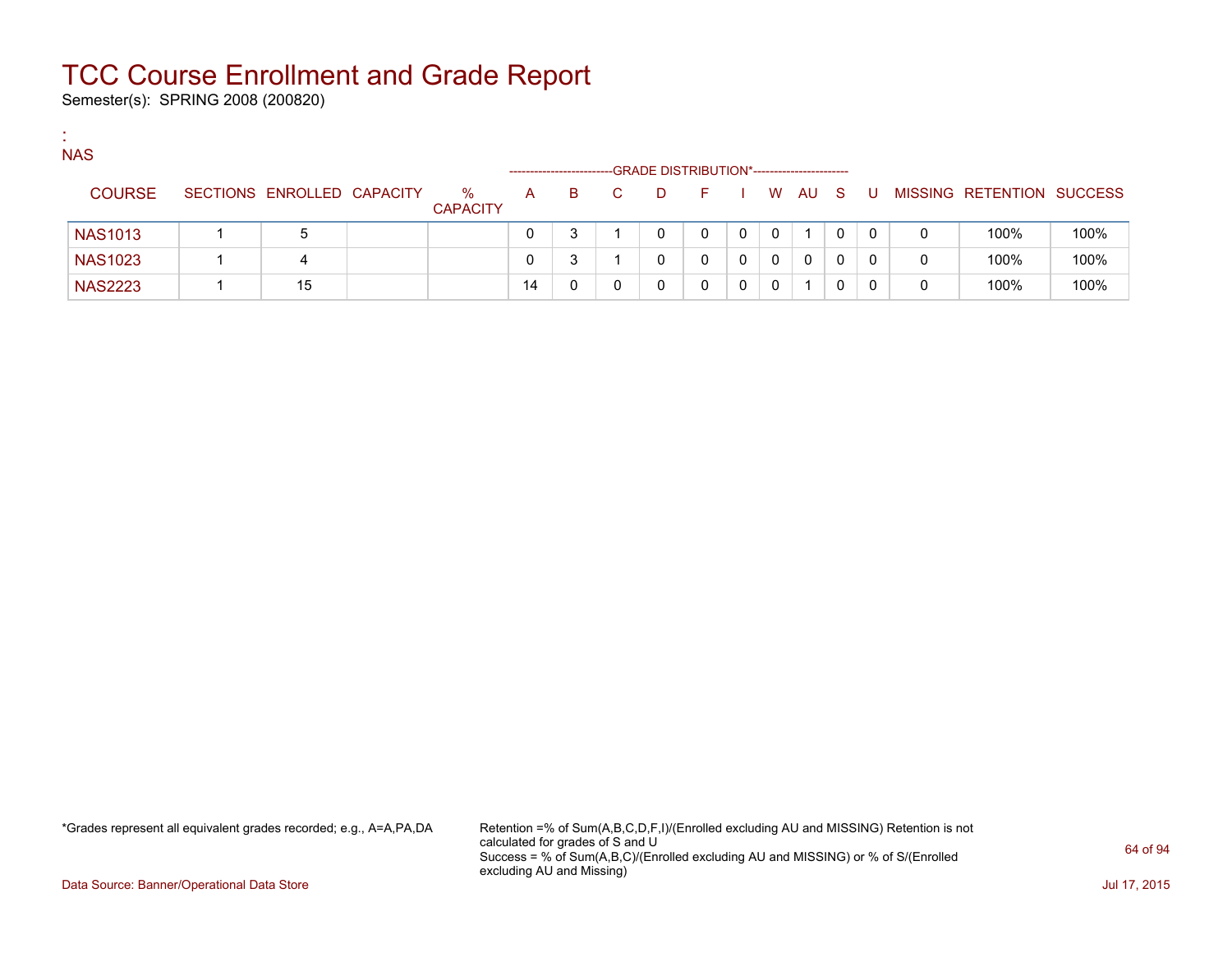Semester(s): SPRING 2008 (200820)

:

| <b>NAS</b>     |                            |                         |              |    |    | -GRADE DISTRIBUTION*------------------------ |    |   |             |              |     |     |   |                           |      |
|----------------|----------------------------|-------------------------|--------------|----|----|----------------------------------------------|----|---|-------------|--------------|-----|-----|---|---------------------------|------|
| <b>COURSE</b>  | SECTIONS ENROLLED CAPACITY | $\%$<br><b>CAPACITY</b> | $\mathsf{A}$ | B. | C. | D                                            | F. |   | W.          | AU           | - S | - U |   | MISSING RETENTION SUCCESS |      |
| <b>NAS1013</b> | b                          |                         |              |    |    |                                              | 0  | 0 | $\Omega$    |              |     | 0   | 0 | 100%                      | 100% |
| <b>NAS1023</b> | 4                          |                         |              |    |    |                                              |    | 0 | $\mathbf 0$ | $\mathbf{0}$ | 0   | 0   | 0 | 100%                      | 100% |
| <b>NAS2223</b> | 15                         |                         | 14           |    |    |                                              |    |   | 0           |              |     |     | 0 | 100%                      | 100% |

\*Grades represent all equivalent grades recorded; e.g., A=A,PA,DA Retention =% of Sum(A,B,C,D,F,I)/(Enrolled excluding AU and MISSING) Retention is not calculated for grades of S and U Success = % of Sum(A,B,C)/(Enrolled excluding AU and MISSING) or % of S/(Enrolled excluding AU and Missing)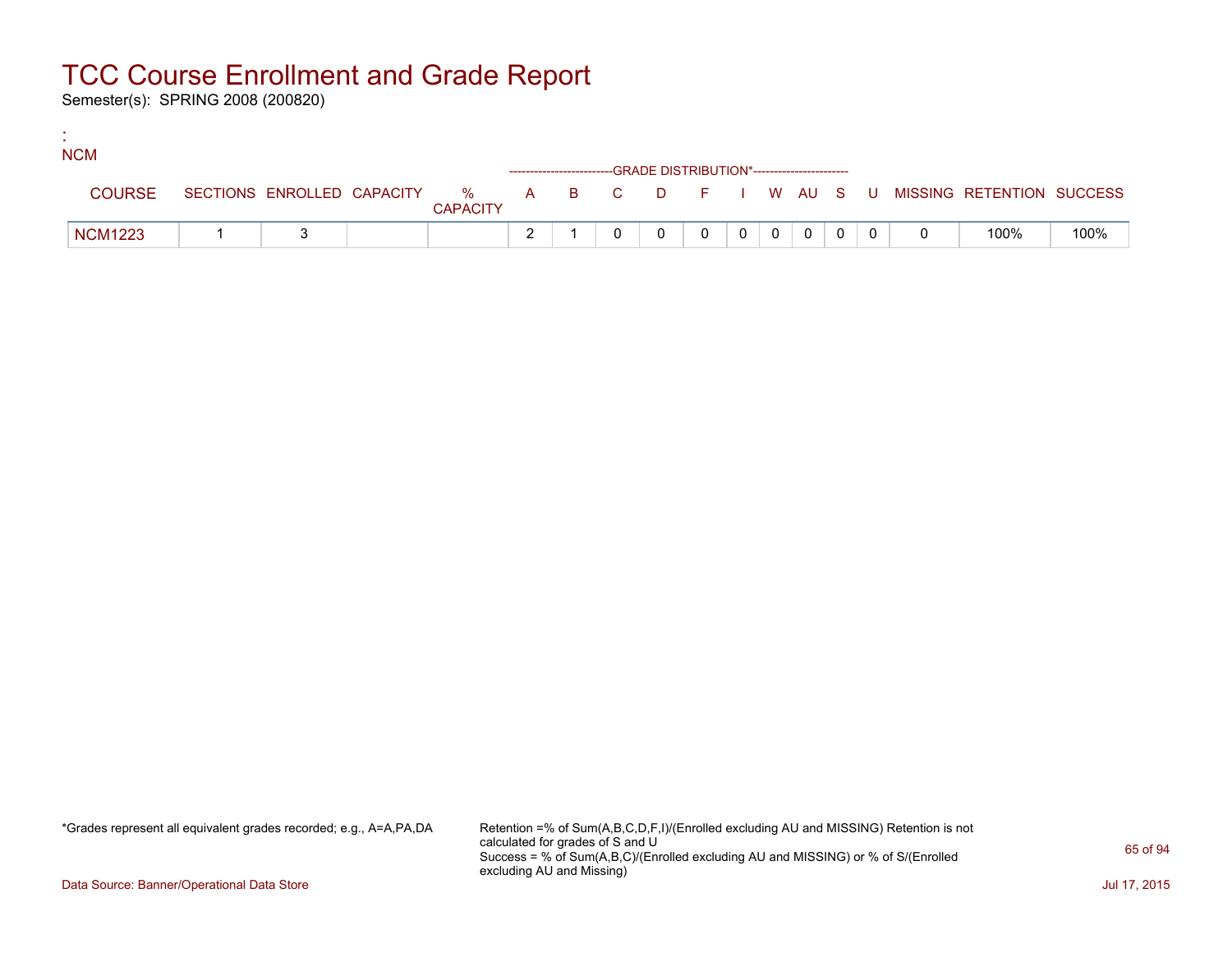Semester(s): SPRING 2008 (200820)

:

| <b>NCM</b> |                |  |                 |                                                                    |  |                |           |                |  |                                                                               |      |
|------------|----------------|--|-----------------|--------------------------------------------------------------------|--|----------------|-----------|----------------|--|-------------------------------------------------------------------------------|------|
|            |                |  |                 | ------------------------GRADE DISTRIBUTION*----------------------- |  |                |           |                |  |                                                                               |      |
|            | <b>COURSE</b>  |  | <b>CAPACITY</b> |                                                                    |  |                |           |                |  | SECTIONS ENROLLED CAPACITY 5 % A B C D F I W AU S U MISSING RETENTION SUCCESS |      |
|            | <b>NCM1223</b> |  |                 |                                                                    |  | $\overline{0}$ | $0$   $0$ | $\overline{0}$ |  | 100%                                                                          | 100% |

\*Grades represent all equivalent grades recorded; e.g., A=A,PA,DA Retention =% of Sum(A,B,C,D,F,I)/(Enrolled excluding AU and MISSING) Retention is not calculated for grades of S and U Success = % of Sum(A,B,C)/(Enrolled excluding AU and MISSING) or % of S/(Enrolled excluding AU and Missing)

Data Source: Banner/Operational Data Store Jul 17, 2015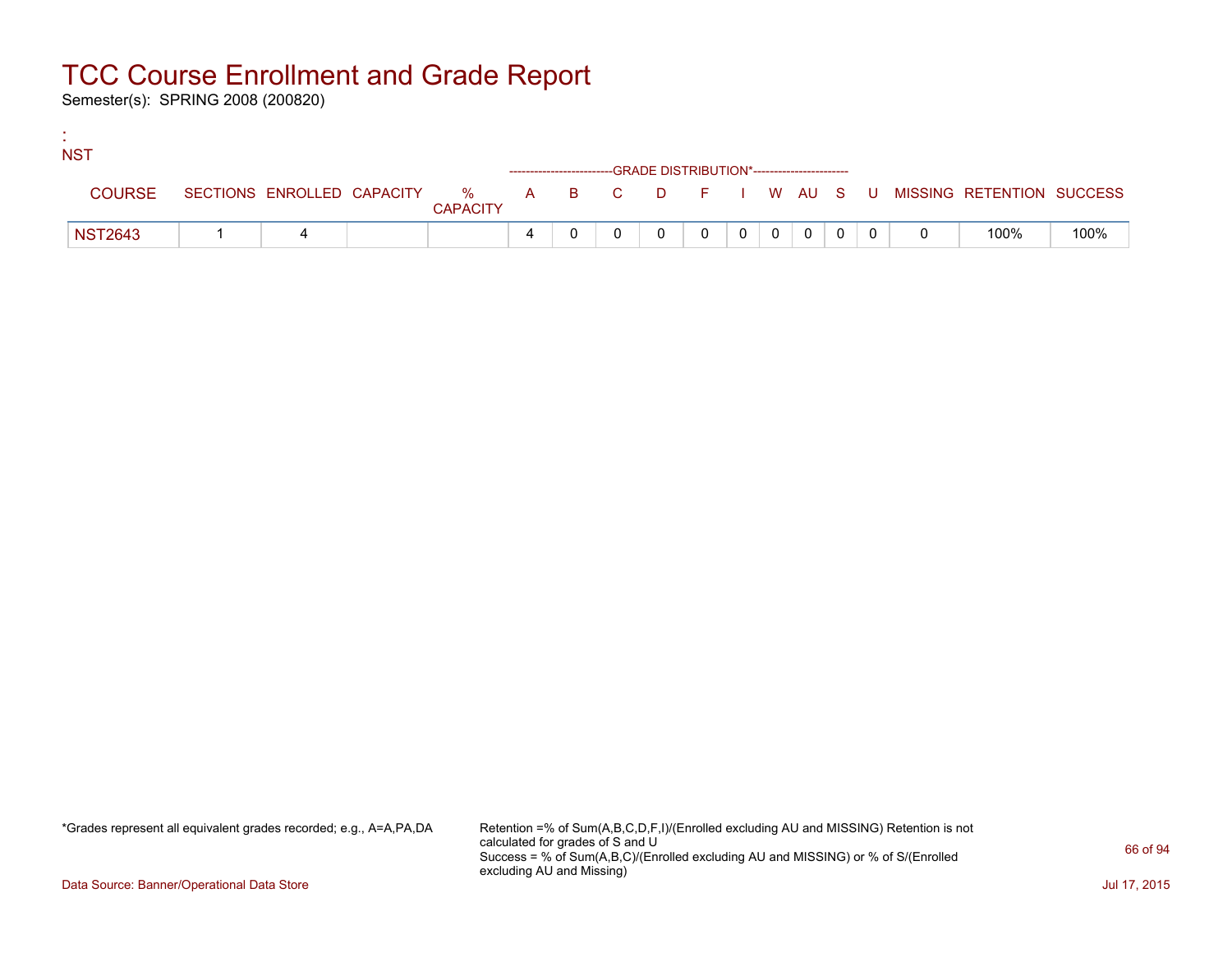Semester(s): SPRING 2008 (200820)

:

| <b>NST</b>     |  |                 |   |  |                                                                    |          |                |          |                |  |                                                                             |      |
|----------------|--|-----------------|---|--|--------------------------------------------------------------------|----------|----------------|----------|----------------|--|-----------------------------------------------------------------------------|------|
|                |  |                 |   |  | ------------------------GRADE DISTRIBUTION*----------------------- |          |                |          |                |  |                                                                             |      |
| <b>COURSE</b>  |  | <b>CAPACITY</b> |   |  |                                                                    |          |                |          |                |  | SECTIONS ENROLLED CAPACITY % A B C D F I W AU S U MISSING RETENTION SUCCESS |      |
| <b>NST2643</b> |  |                 | 4 |  |                                                                    | $\Omega$ | 0 <sup>1</sup> | $\Omega$ | $\overline{0}$ |  | 100%                                                                        | 100% |

\*Grades represent all equivalent grades recorded; e.g., A=A,PA,DA Retention =% of Sum(A,B,C,D,F,I)/(Enrolled excluding AU and MISSING) Retention is not calculated for grades of S and U Success = % of Sum(A,B,C)/(Enrolled excluding AU and MISSING) or % of S/(Enrolled excluding AU and Missing)

Data Source: Banner/Operational Data Store Jul 17, 2015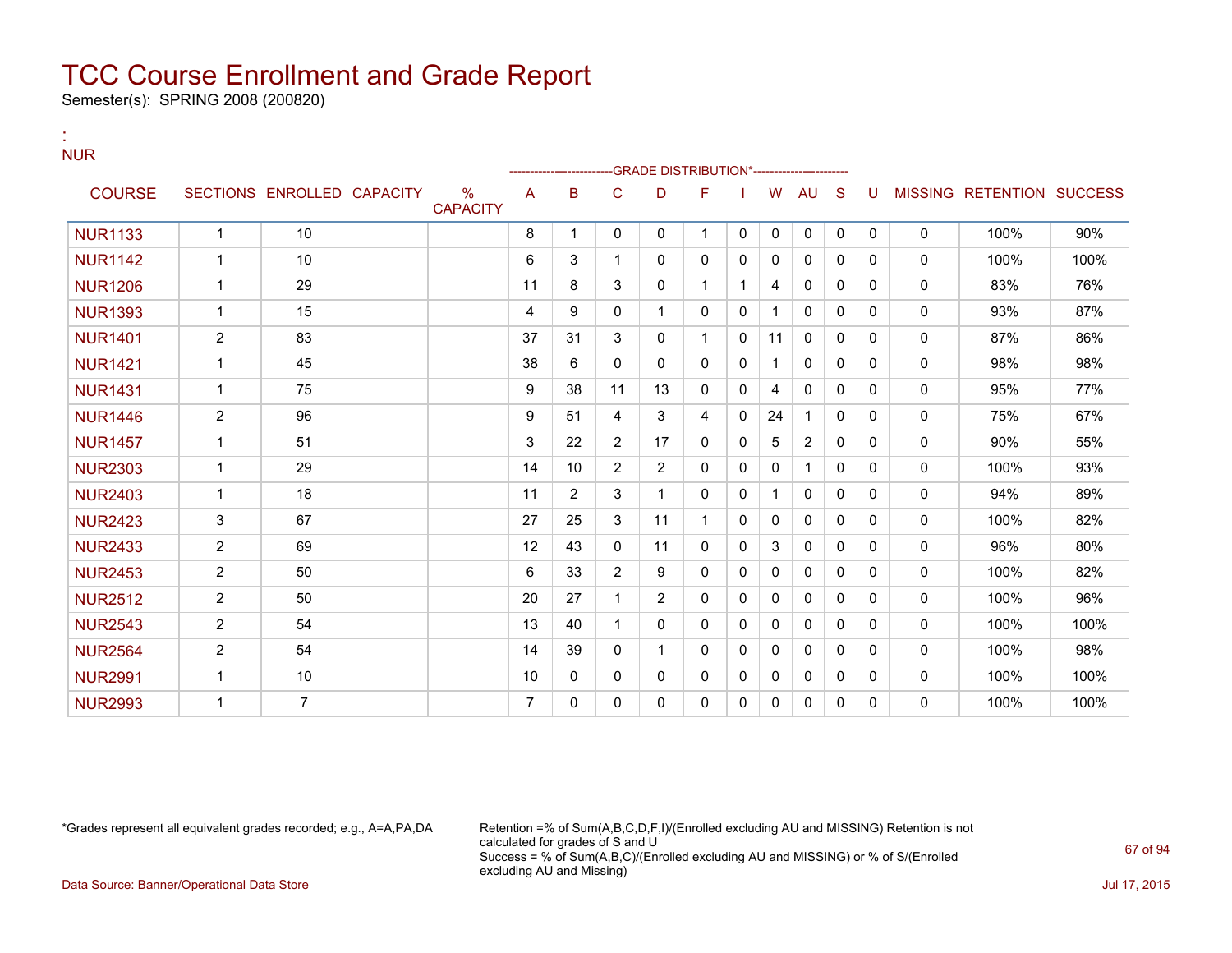Semester(s): SPRING 2008 (200820)

:

#### NUR --GRADE DISTRIBUTION\*------------------------COURSE SECTIONS ENROLLED CAPACITY % **CAPACITY** A B C D F I W AU S U MISSING RETENTION SUCCESS NUR1133 | 1 | 10 | | 8 | 1 | 0 | 0 | 0 | 0 | 0 | 0 | 0 | 0 | 100% | 90% NUR1142 | 1 | 10 | | | 6 | 3 | 1 | 0 | 0 | 0 | 0 | 0 | 0 | 0 | 100% | 100% NUR1206 | 1 | 29 | | 11 | 8 | 3 | 0 | 1 | 1 | 4 | 0 | 0 | 0 | 0 | 83% | 76% NUR1393 | 1 | 15 | | 1 | 4 | 9 | 0 | 1 | 1 | 0 | 0 | 0 | 0 | 0 | 93% | 87% NUR1401 | 2 | 83 | | 37 | 31 | 3 | 0 | 1 | 0 | 11 | 0 | 0 | 0 | 0 | 87% | 86% NUR1421 1 45 38 6 0 0 0 0 1 0 0 0 0 98% 98% NUR1431 | 1 | 75 | | 9 | 38 | 11 | 13 | 0 | 0 | 4 | 0 | 0 | 0 | 0 | 95% | 77% NUR1446 | 2 | 96 | | 9 | 951 | 4 | 3 | 4 | 0 | 24 | 1 | 0 | 0 | 0 | 75% | 67% NUR1457 | 1 | 51 | | 3 | 22 | 2 | 17 | 0 | 0 | 5 | 2 | 0 | 0 | 0 | 90% | 55% NUR2303 | 1 | 29 | | 14 | 10 | 2 | 2 | 0 | 0 | 0 | 1 | 0 | 0 | 0 | 100% | 93% NUR2403 | 1 | 18 | | 1 | 1 | 2 | 3 | 1 | 0 | 0 | 1 | 0 | 0 | 0 | 0 | 94% | 89% NUR2423 3 67 27 25 3 11 1 0 0 0 0 0 0 100% 82% NUR2433 2 69 12 43 0 11 0 0 3 0 0 0 0 96% 80% NUR2453 2 50 50 6 33 2 9 0 0 0 0 0 0 0 0 0 100% 82% NUR2512 2 50 20 27 1 2 0 0 0 0 0 0 0 100% 96% NUR2543 2 54 13 40 1 0 0 0 0 0 0 0 0 100% 100% NUR2564 | 2 | 54 | | 14 | 39 | 0 | 1 | 0 | 0 | 0 | 0 | 0 | 0 | 0 | 100% | 98% NUR2991 1 10 10 0 0 0 0 0 0 0 0 0 0 100% 100% NUR2993 1 7 7 0 0 0 0 0 0 0 0 0 0 100% 100%

\*Grades represent all equivalent grades recorded; e.g., A=A,PA,DA Retention =% of Sum(A,B,C,D,F,I)/(Enrolled excluding AU and MISSING) Retention is not calculated for grades of S and U Success = % of Sum(A,B,C)/(Enrolled excluding AU and MISSING) or % of S/(Enrolled excluding AU and Missing) Data Source: Banner/Operational Data Store Jul 17, 2015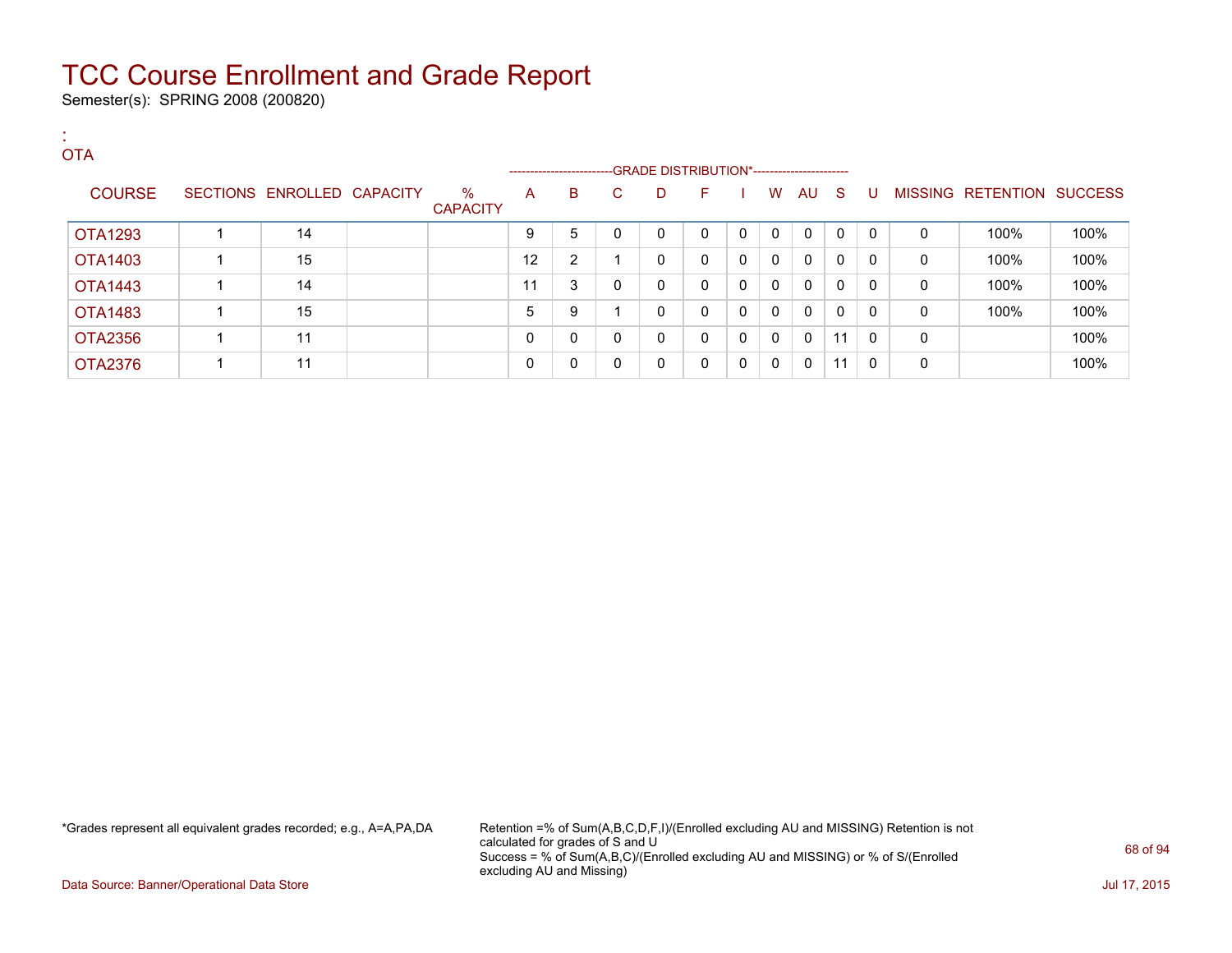Semester(s): SPRING 2008 (200820)

| <b>COL</b> | <b>OTA</b>     |                            |                         |          |                         |              |                                              |          |              |              |              |              |              |              |                           |      |
|------------|----------------|----------------------------|-------------------------|----------|-------------------------|--------------|----------------------------------------------|----------|--------------|--------------|--------------|--------------|--------------|--------------|---------------------------|------|
|            |                |                            |                         |          | ----------------------- |              | --GRADE DISTRIBUTION*----------------------- |          |              |              |              |              |              |              |                           |      |
|            | <b>COURSE</b>  | SECTIONS ENROLLED CAPACITY | $\%$<br><b>CAPACITY</b> | A        | B                       | C.           | D                                            | F.       |              | W            | AU S         |              | U            |              | MISSING RETENTION SUCCESS |      |
|            | <b>OTA1293</b> | 14                         |                         | 9        | 5                       | $\mathbf{0}$ | $\mathbf{0}$                                 | 0        | $\mathbf 0$  | $\mathbf{0}$ | 0            | $\mathbf{0}$ | $\mathbf{0}$ | 0            | 100%                      | 100% |
|            | OTA1403        | 15                         |                         | 12       | $\overline{2}$          |              | 0                                            | $\Omega$ | $\mathbf 0$  | $\mathbf{0}$ | $\Omega$     | $\mathbf{0}$ | 0            | $\mathbf{0}$ | 100%                      | 100% |
|            | OTA1443        | 14                         |                         | 11       | 3                       | 0            | $\mathbf 0$                                  | $\Omega$ | 0            | $\mathbf{0}$ | $\Omega$     | $\mathbf{0}$ | 0            | $\mathbf{0}$ | 100%                      | 100% |
|            | OTA1483        | 15                         |                         | 5        | 9                       |              | 0                                            | $\Omega$ | 0            | 0            | $\mathbf{0}$ | $\mathbf{0}$ | $\mathbf{0}$ | 0            | 100%                      | 100% |
|            | OTA2356        | 11                         |                         | $\Omega$ | 0                       | $\mathbf{0}$ | $\mathbf{0}$                                 | $\Omega$ | $\mathbf{0}$ | $\mathbf{0}$ | $\Omega$     | 11           | 0            | $\Omega$     |                           | 100% |
|            | <b>OTA2376</b> | 11                         |                         | $\Omega$ | 0                       | 0            | 0                                            | $\Omega$ | 0            | 0            | 0            | 11           | 0            | 0            |                           | 100% |

\*Grades represent all equivalent grades recorded; e.g., A=A,PA,DA Retention =% of Sum(A,B,C,D,F,I)/(Enrolled excluding AU and MISSING) Retention is not calculated for grades of S and U Success = % of Sum(A,B,C)/(Enrolled excluding AU and MISSING) or % of S/(Enrolled excluding AU and Missing)

Data Source: Banner/Operational Data Store Jul 17, 2015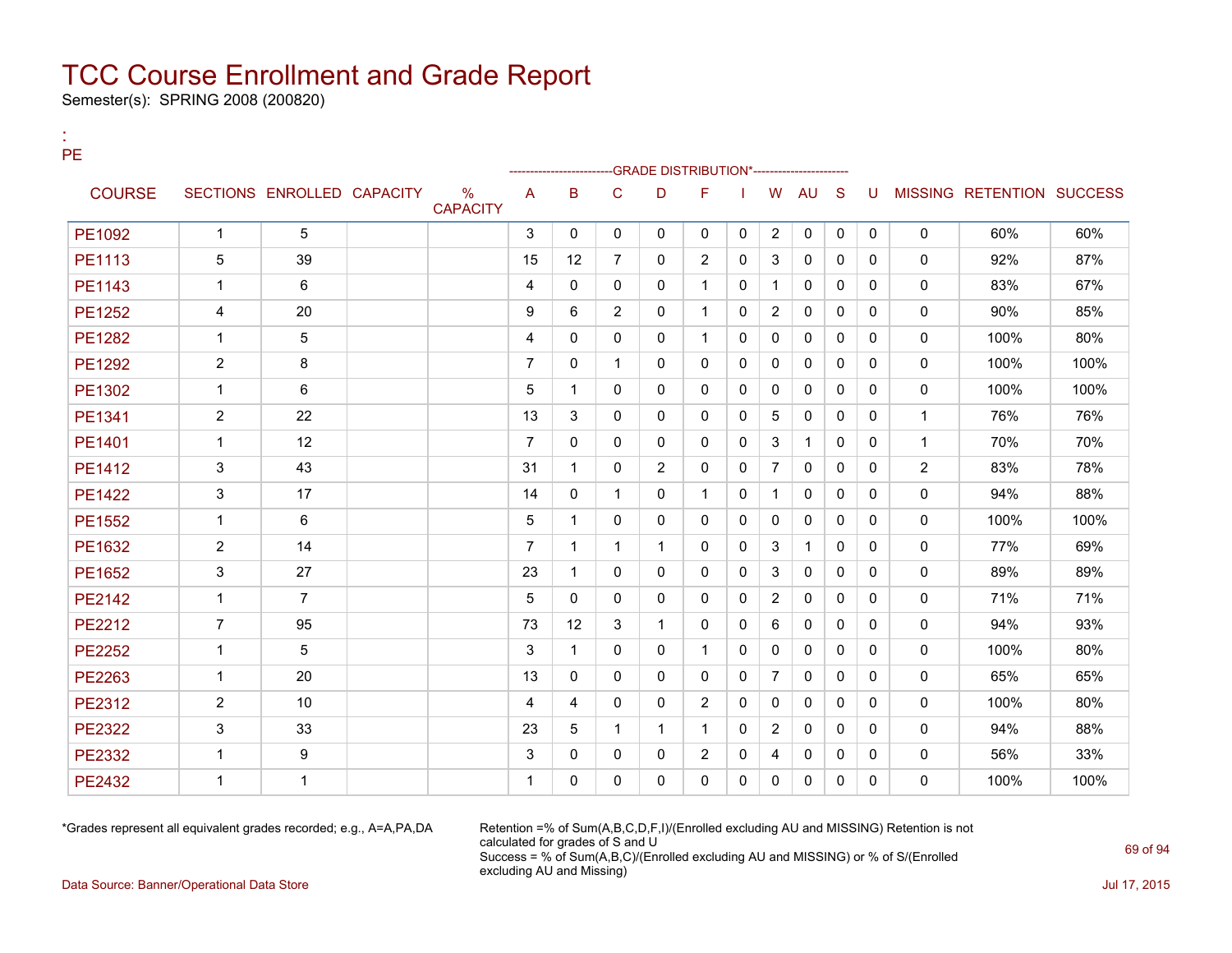Semester(s): SPRING 2008 (200820)

:

| <b>PE</b>     |                |                            |                                  |                |              |                | -GRADE DISTRIBUTION*----------------------- |                |              |                |              |              |              |                |                                  |      |
|---------------|----------------|----------------------------|----------------------------------|----------------|--------------|----------------|---------------------------------------------|----------------|--------------|----------------|--------------|--------------|--------------|----------------|----------------------------------|------|
| <b>COURSE</b> |                | SECTIONS ENROLLED CAPACITY | $\frac{0}{0}$<br><b>CAPACITY</b> | A              | B            | C              | D                                           | F              |              | W              | AU           | <sub>S</sub> | U            |                | <b>MISSING RETENTION SUCCESS</b> |      |
| PE1092        | $\mathbf{1}$   | 5                          |                                  | 3              | $\mathbf{0}$ | 0              | $\mathbf{0}$                                | $\mathbf{0}$   | 0            | $\overline{2}$ | 0            | $\mathbf{0}$ | $\mathbf{0}$ | $\mathbf{0}$   | 60%                              | 60%  |
| PE1113        | 5              | 39                         |                                  | 15             | 12           | $\overline{7}$ | 0                                           | 2              | 0            | 3              | $\mathbf{0}$ | $\Omega$     | $\Omega$     | $\mathbf{0}$   | 92%                              | 87%  |
| PE1143        | $\mathbf{1}$   | 6                          |                                  | 4              | $\Omega$     | 0              | 0                                           | $\mathbf{1}$   | 0            | $\mathbf{1}$   | $\mathbf{0}$ | $\Omega$     | $\Omega$     | $\mathbf{0}$   | 83%                              | 67%  |
| PE1252        | 4              | 20                         |                                  | 9              | 6            | $\overline{2}$ | $\Omega$                                    | $\mathbf{1}$   | 0            | $\overline{2}$ | $\mathbf{0}$ | $\Omega$     | $\Omega$     | $\mathbf{0}$   | 90%                              | 85%  |
| <b>PE1282</b> | $\mathbf{1}$   | 5                          |                                  | 4              | $\Omega$     | $\Omega$       | $\Omega$                                    | $\mathbf{1}$   | 0            | $\Omega$       | $\Omega$     | $\Omega$     | $\Omega$     | $\mathbf{0}$   | 100%                             | 80%  |
| PE1292        | $\overline{2}$ | 8                          |                                  | $\overline{7}$ | $\mathbf{0}$ | $\mathbf{1}$   | 0                                           | $\Omega$       | 0            | $\Omega$       | $\Omega$     | $\Omega$     | $\Omega$     | $\mathbf{0}$   | 100%                             | 100% |
| PE1302        | $\mathbf{1}$   | 6                          |                                  | 5              | $\mathbf{1}$ | 0              | 0                                           | $\mathbf{0}$   | 0            | $\mathbf{0}$   | $\mathbf{0}$ | $\Omega$     | $\Omega$     | $\mathbf{0}$   | 100%                             | 100% |
| PE1341        | $\overline{2}$ | 22                         |                                  | 13             | 3            | 0              | $\Omega$                                    | $\mathbf{0}$   | $\mathbf{0}$ | 5              | $\mathbf{0}$ | 0            | $\Omega$     | $\mathbf{1}$   | 76%                              | 76%  |
| PE1401        | $\mathbf{1}$   | 12                         |                                  | $\overline{7}$ | 0            | 0              | $\Omega$                                    | $\Omega$       | $\mathbf{0}$ | 3              | $\mathbf{1}$ | $\Omega$     | $\Omega$     | $\mathbf{1}$   | 70%                              | 70%  |
| PE1412        | 3              | 43                         |                                  | 31             | $\mathbf{1}$ | 0              | $\overline{2}$                              | $\mathbf{0}$   | 0            | $\overline{7}$ | $\mathbf{0}$ | $\Omega$     | $\Omega$     | $\overline{2}$ | 83%                              | 78%  |
| <b>PE1422</b> | 3              | 17                         |                                  | 14             | 0            | $\mathbf{1}$   | $\Omega$                                    | $\mathbf{1}$   | $\mathbf{0}$ | $\mathbf{1}$   | $\mathbf{0}$ | $\Omega$     | $\Omega$     | $\mathbf{0}$   | 94%                              | 88%  |
| PE1552        | $\mathbf{1}$   | 6                          |                                  | 5              | $\mathbf{1}$ | 0              | $\Omega$                                    | $\mathbf{0}$   | $\mathbf{0}$ | $\mathbf{0}$   | $\mathbf{0}$ | $\mathbf{0}$ | $\Omega$     | $\mathbf{0}$   | 100%                             | 100% |
| PE1632        | $\overline{2}$ | 14                         |                                  | $\overline{7}$ | $\mathbf{1}$ | $\mathbf 1$    | 1                                           | $\Omega$       | $\mathbf{0}$ | 3              | $\mathbf{1}$ | $\Omega$     | $\Omega$     | $\mathbf{0}$   | 77%                              | 69%  |
| PE1652        | 3              | 27                         |                                  | 23             | $\mathbf{1}$ | $\Omega$       | $\Omega$                                    | $\mathbf{0}$   | 0            | 3              | $\mathbf{0}$ | $\Omega$     | $\Omega$     | $\mathbf{0}$   | 89%                              | 89%  |
| <b>PE2142</b> | $\mathbf{1}$   | $\overline{7}$             |                                  | 5              | $\Omega$     | $\Omega$       | $\Omega$                                    | $\Omega$       | 0            | $\overline{2}$ | $\Omega$     | $\Omega$     | $\Omega$     | $\mathbf{0}$   | 71%                              | 71%  |
| PE2212        | $\overline{7}$ | 95                         |                                  | 73             | 12           | 3              | $\mathbf{1}$                                | $\mathbf{0}$   | 0            | 6              | 0            | $\Omega$     | $\mathbf{0}$ | $\mathbf{0}$   | 94%                              | 93%  |
| <b>PE2252</b> | $\mathbf{1}$   | 5                          |                                  | 3              | $\mathbf{1}$ | 0              | 0                                           | $\mathbf{1}$   | 0            | $\mathbf{0}$   | $\mathbf{0}$ | $\Omega$     | $\Omega$     | $\mathbf{0}$   | 100%                             | 80%  |
| PE2263        | $\mathbf{1}$   | 20                         |                                  | 13             | $\mathbf{0}$ | 0              | 0                                           | $\mathbf{0}$   | 0            | $\overline{7}$ | 0            | 0            | $\mathbf{0}$ | $\mathbf{0}$   | 65%                              | 65%  |
| PE2312        | $\overline{2}$ | 10                         |                                  | 4              | 4            | 0              | $\Omega$                                    | $\overline{2}$ | 0            | $\mathbf{0}$   | $\mathbf{0}$ | $\Omega$     | $\Omega$     | $\mathbf{0}$   | 100%                             | 80%  |
| <b>PE2322</b> | 3              | 33                         |                                  | 23             | 5            | $\mathbf 1$    | $\mathbf{1}$                                | $\mathbf{1}$   | 0            | $\overline{2}$ | $\mathbf{0}$ | $\Omega$     | $\mathbf{0}$ | $\mathbf{0}$   | 94%                              | 88%  |
| PE2332        | $\mathbf{1}$   | 9                          |                                  | 3              | $\Omega$     | 0              | 0                                           | 2              | 0            | 4              | $\mathbf{0}$ | $\Omega$     | $\Omega$     | $\mathbf{0}$   | 56%                              | 33%  |
| <b>PE2432</b> | $\mathbf{1}$   | $\mathbf{1}$               |                                  | $\mathbf 1$    | $\Omega$     | 0              | $\Omega$                                    | $\Omega$       | 0            | 0              | $\mathbf{0}$ | 0            | $\Omega$     | $\mathbf{0}$   | 100%                             | 100% |

\*Grades represent all equivalent grades recorded; e.g., A=A,PA,DA Retention =% of Sum(A,B,C,D,F,I)/(Enrolled excluding AU and MISSING) Retention is not calculated for grades of S and U Success = % of Sum(A,B,C)/(Enrolled excluding AU and MISSING) or % of S/(Enrolled excluding AU and Missing)

Data Source: Banner/Operational Data Store Jul 17, 2015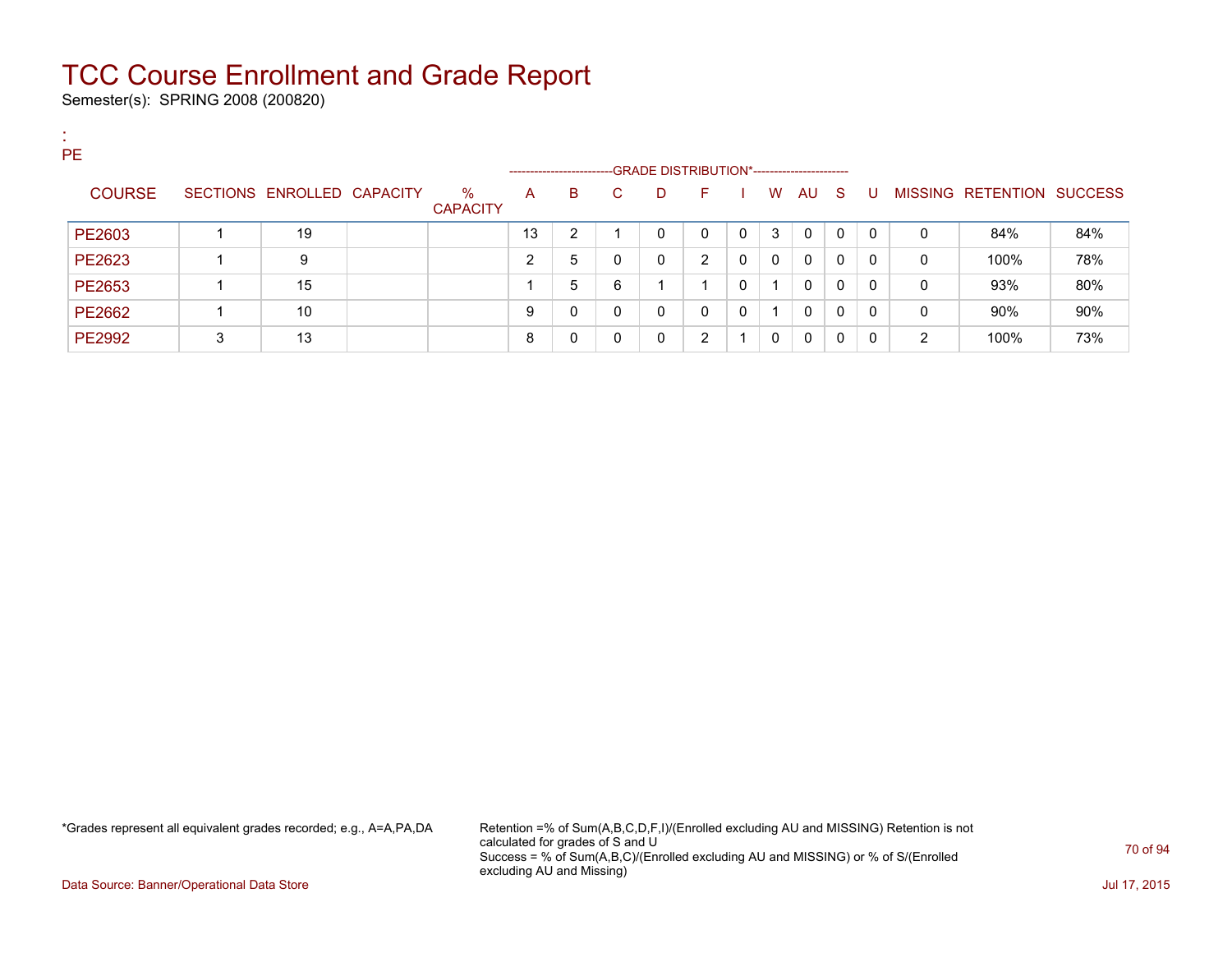Semester(s): SPRING 2008 (200820)

:

| <b>PE</b>     |   |                            |                         |    | ----------------------- |    |   | --GRADE DISTRIBUTION*----------------------- |   |          |              |          |          |   |                                  |     |
|---------------|---|----------------------------|-------------------------|----|-------------------------|----|---|----------------------------------------------|---|----------|--------------|----------|----------|---|----------------------------------|-----|
| <b>COURSE</b> |   | SECTIONS ENROLLED CAPACITY | $\%$<br><b>CAPACITY</b> | A  | B                       | C. | D | н.                                           |   | W        | AU           | S.       | U        |   | <b>MISSING RETENTION SUCCESS</b> |     |
| PE2603        |   | 19                         |                         | 13 | ົ                       |    | 0 | 0                                            | 0 | 3        | 0            | $\Omega$ | $\Omega$ | 0 | 84%                              | 84% |
| PE2623        |   | 9                          |                         | ົ  | 5                       | 0  | 0 | 2                                            | 0 | $\Omega$ | $\mathbf{0}$ | 0        | 0        | 0 | 100%                             | 78% |
| PE2653        |   | 15                         |                         |    | 5                       | 6  |   |                                              | 0 | -1       | $\Omega$     | 0        | $\Omega$ | 0 | 93%                              | 80% |
| PE2662        |   | 10                         |                         | 9  | n                       | 0  | 0 | 0                                            | 0 |          | $\mathbf{0}$ | 0        | 0        | 0 | 90%                              | 90% |
| PE2992        | 3 | 13                         |                         | 8  |                         | 0  | 0 | 2                                            |   | 0        | 0            | 0        | 0        | 2 | 100%                             | 73% |

\*Grades represent all equivalent grades recorded; e.g., A=A,PA,DA Retention =% of Sum(A,B,C,D,F,I)/(Enrolled excluding AU and MISSING) Retention is not calculated for grades of S and U Success = % of Sum(A,B,C)/(Enrolled excluding AU and MISSING) or % of S/(Enrolled excluding AU and Missing)

Data Source: Banner/Operational Data Store Jul 17, 2015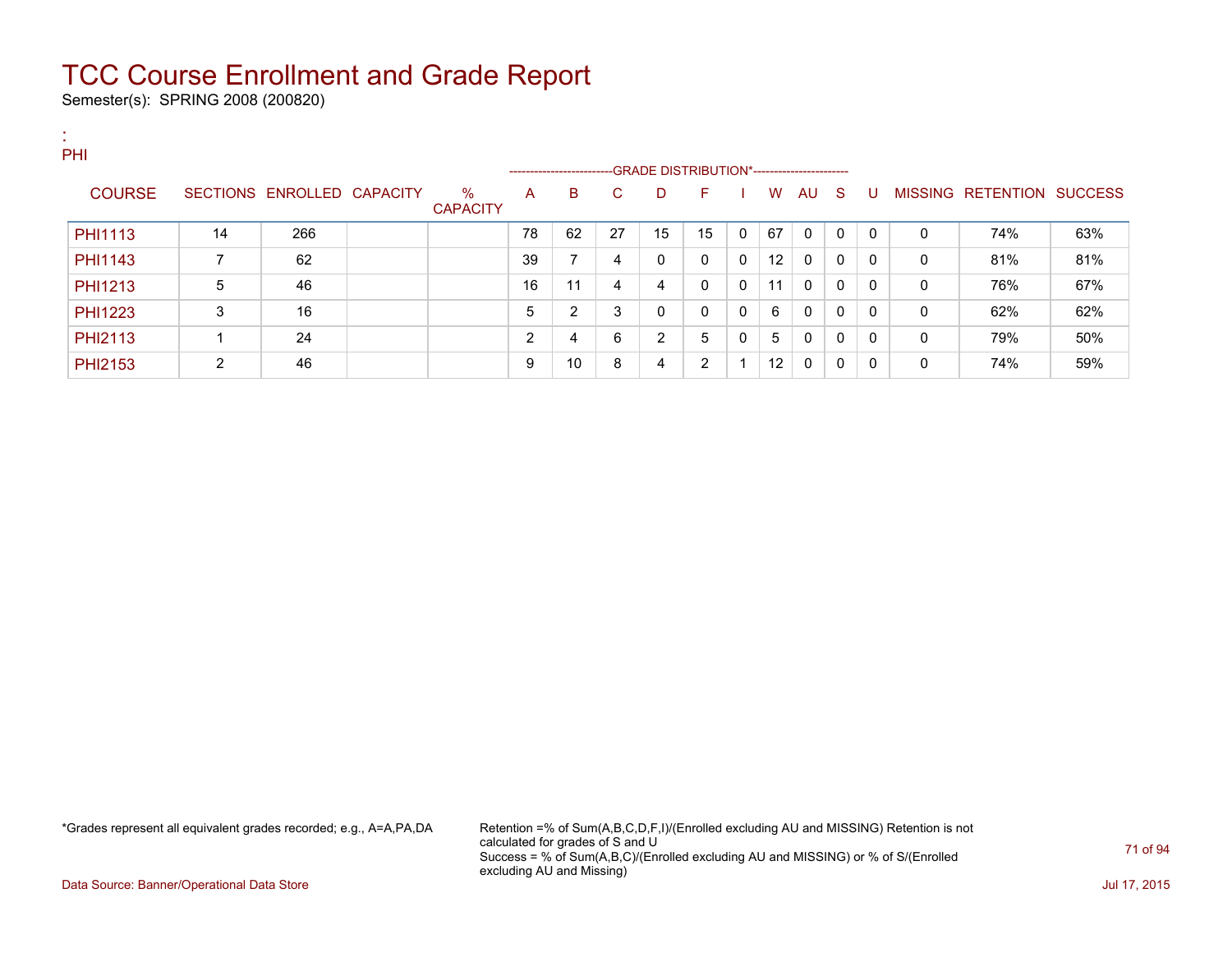Semester(s): SPRING 2008 (200820)

:

| PHI            |    |                            |                         |        | ------------------------GRADE DISTRIBUTION*----------------------- |    |    |              |              |    |             |              |          |          |                           |     |
|----------------|----|----------------------------|-------------------------|--------|--------------------------------------------------------------------|----|----|--------------|--------------|----|-------------|--------------|----------|----------|---------------------------|-----|
| <b>COURSE</b>  |    | SECTIONS ENROLLED CAPACITY | $\%$<br><b>CAPACITY</b> | А      | B                                                                  | C. | D  | F            |              | W  | AU          | - S          | U        |          | MISSING RETENTION SUCCESS |     |
| <b>PHI1113</b> | 14 | 266                        |                         | 78     | 62                                                                 | 27 | 15 | 15           | $\mathbf{0}$ | 67 | $\mathbf 0$ | $\mathbf{0}$ | $\Omega$ | $\Omega$ | 74%                       | 63% |
| <b>PHI1143</b> |    | 62                         |                         | 39     | 7                                                                  | 4  | 0  | $\mathbf{0}$ | $\mathbf{0}$ | 12 | $\Omega$    | 0            | $\Omega$ | 0        | 81%                       | 81% |
| <b>PHI1213</b> | 5  | 46                         |                         | 16     | 11                                                                 | 4  | 4  | $\mathbf{0}$ | $\mathbf{0}$ | 11 | $\Omega$    | 0            | $\Omega$ | 0        | 76%                       | 67% |
| <b>PHI1223</b> | 3  | 16                         |                         | 5      | 2                                                                  | 3  | 0  | $\mathbf{0}$ | 0            | 6  | 0           | 0            | $\Omega$ | 0        | 62%                       | 62% |
| PHI2113        |    | 24                         |                         | ົ<br>∠ | 4                                                                  | 6  | 2  | 5            | 0            | 5  | $\Omega$    | 0            | $\Omega$ | 0        | 79%                       | 50% |
| <b>PHI2153</b> | 2  | 46                         |                         | 9      | 10                                                                 | 8  | 4  | 2            |              | 12 | $\mathbf 0$ | 0            | $\Omega$ | 0        | 74%                       | 59% |

\*Grades represent all equivalent grades recorded; e.g., A=A,PA,DA Retention =% of Sum(A,B,C,D,F,I)/(Enrolled excluding AU and MISSING) Retention is not calculated for grades of S and U Success = % of Sum(A,B,C)/(Enrolled excluding AU and MISSING) or % of S/(Enrolled excluding AU and Missing)

Data Source: Banner/Operational Data Store Jul 17, 2015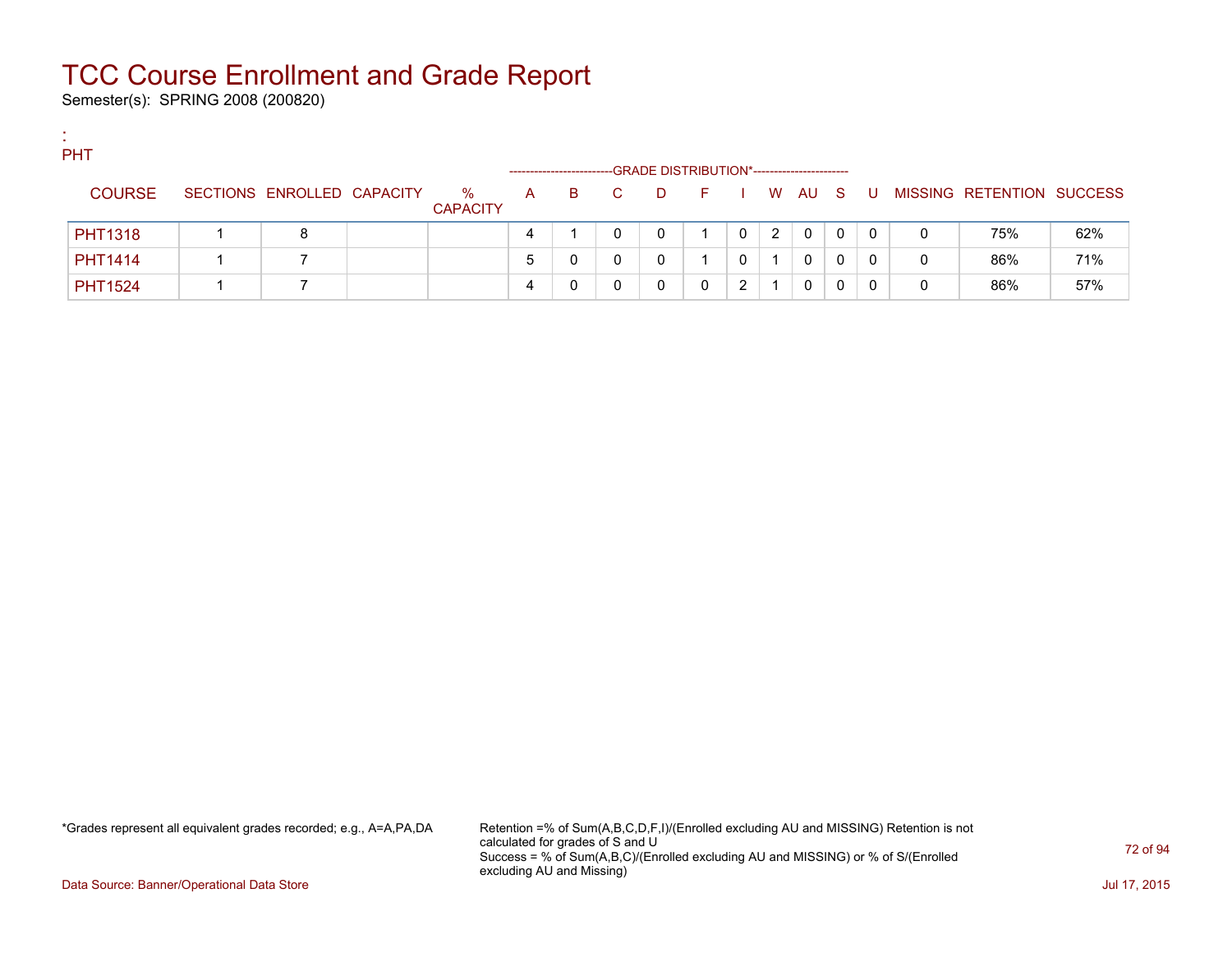Semester(s): SPRING 2008 (200820)

:

| <b>PHT</b>     |                            |                      |              |                        |              |    |                                             |                                   |   |        |   |   |   |                           |     |
|----------------|----------------------------|----------------------|--------------|------------------------|--------------|----|---------------------------------------------|-----------------------------------|---|--------|---|---|---|---------------------------|-----|
|                |                            |                      |              | ---------------------- |              |    | -GRADE DISTRIBUTION*----------------------- |                                   |   |        |   |   |   |                           |     |
| <b>COURSE</b>  | SECTIONS ENROLLED CAPACITY | %<br><b>CAPACITY</b> | $\mathsf{A}$ | B.                     | $\mathbf{C}$ | D. | in Fine                                     | <b>Contract Contract Contract</b> |   | W AU S |   | U |   | MISSING RETENTION SUCCESS |     |
| <b>PHT1318</b> | 8                          |                      | 4            |                        |              |    |                                             |                                   | 2 | 0      | 0 | 0 | 0 | 75%                       | 62% |
| <b>PHT1414</b> |                            |                      | 5            |                        |              |    |                                             |                                   |   | 0      |   |   | 0 | 86%                       | 71% |
| <b>PHT1524</b> |                            |                      | 4            |                        |              |    |                                             | ົ                                 |   | 0      |   |   | 0 | 86%                       | 57% |

\*Grades represent all equivalent grades recorded; e.g., A=A,PA,DA Retention =% of Sum(A,B,C,D,F,I)/(Enrolled excluding AU and MISSING) Retention is not calculated for grades of S and U Success = % of Sum(A,B,C)/(Enrolled excluding AU and MISSING) or % of S/(Enrolled excluding AU and Missing)

Data Source: Banner/Operational Data Store Jul 17, 2015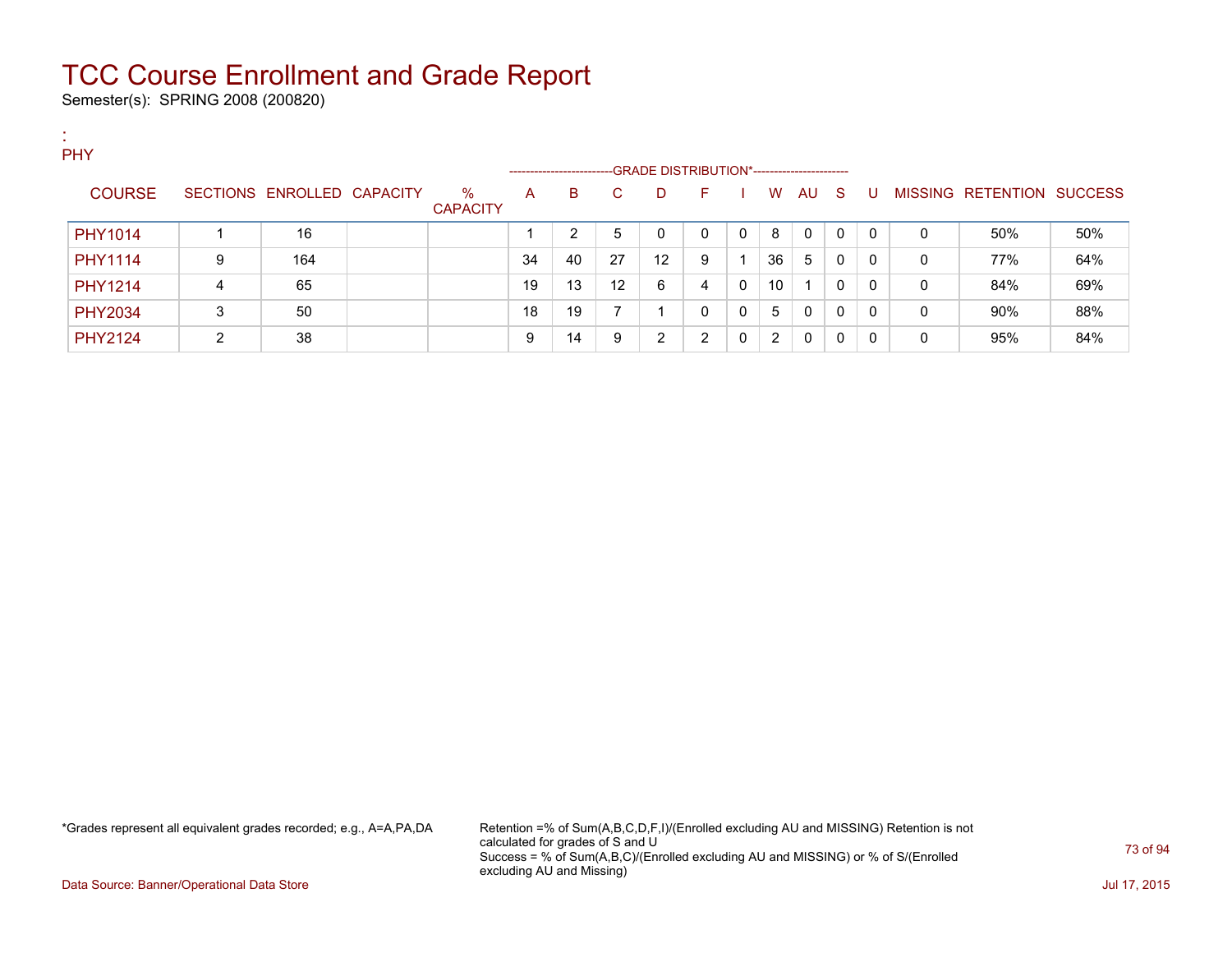Semester(s): SPRING 2008 (200820)

:

| . .<br>PHY     |   |                            |                         | ------------------- |    |    | -GRADE DISTRIBUTION*----------------------- |          |   |    |    |     |              |   |                           |     |
|----------------|---|----------------------------|-------------------------|---------------------|----|----|---------------------------------------------|----------|---|----|----|-----|--------------|---|---------------------------|-----|
| <b>COURSE</b>  |   | SECTIONS ENROLLED CAPACITY | $\%$<br><b>CAPACITY</b> | A                   | B  | C. | D                                           | F        |   | W  | AU | - S | U            |   | MISSING RETENTION SUCCESS |     |
| PHY1014        |   | 16                         |                         |                     | ົ  | 5  | 0                                           | $\Omega$ | 0 | 8  | 0  | 0   | $\mathbf{0}$ | 0 | 50%                       | 50% |
| PHY1114        | 9 | 164                        |                         | 34                  | 40 | 27 | 12                                          | 9        |   | 36 | 5  | 0   | $\mathbf{0}$ | 0 | 77%                       | 64% |
| <b>PHY1214</b> | 4 | 65                         |                         | 19                  | 13 | 12 | 6                                           | 4        | 0 | 10 |    | 0   | $\Omega$     | 0 | 84%                       | 69% |
| <b>PHY2034</b> | 3 | 50                         |                         | 18                  | 19 |    |                                             | 0        | 0 | 5  | 0  | 0   | $\mathbf{0}$ | 0 | 90%                       | 88% |
| <b>PHY2124</b> | っ | 38                         |                         | 9                   | 14 | 9  | $\overline{2}$                              | 2        | 0 | 2  | 0  | 0   | 0            | 0 | 95%                       | 84% |

\*Grades represent all equivalent grades recorded; e.g., A=A,PA,DA Retention =% of Sum(A,B,C,D,F,I)/(Enrolled excluding AU and MISSING) Retention is not calculated for grades of S and U Success = % of Sum(A,B,C)/(Enrolled excluding AU and MISSING) or % of S/(Enrolled excluding AU and Missing)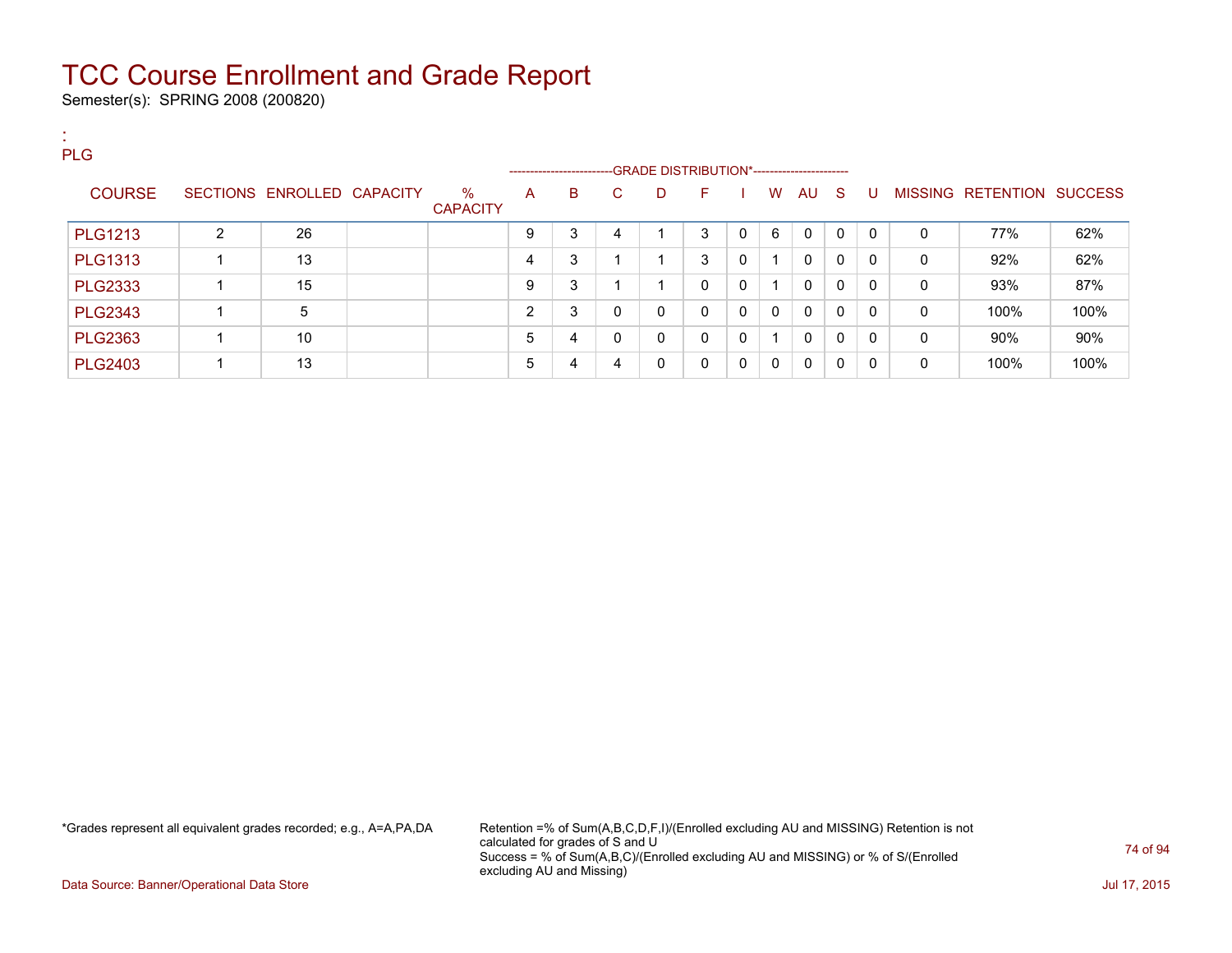Semester(s): SPRING 2008 (200820)

| <b>PLG</b>     |                |                            |                         |                |                                                                      |              |             |             |              |              |              |          |              |          |                           |      |
|----------------|----------------|----------------------------|-------------------------|----------------|----------------------------------------------------------------------|--------------|-------------|-------------|--------------|--------------|--------------|----------|--------------|----------|---------------------------|------|
|                |                |                            |                         |                | --------------------------GRADE DISTRIBUTION*----------------------- |              |             |             |              |              |              |          |              |          |                           |      |
| <b>COURSE</b>  |                | SECTIONS ENROLLED CAPACITY | $\%$<br><b>CAPACITY</b> | A              | B.                                                                   | <sup>C</sup> | D           | F.          |              | W            | AU S         |          | U            |          | MISSING RETENTION SUCCESS |      |
| <b>PLG1213</b> | $\overline{2}$ | 26                         |                         | 9              | 3                                                                    | 4            |             | 3           | $\mathbf{0}$ | 6            | $\mathbf{0}$ | $\Omega$ | $\mathbf{0}$ | $\Omega$ | 77%                       | 62%  |
| <b>PLG1313</b> |                | 13                         |                         | $\overline{4}$ | 3                                                                    |              |             | 3           | 0            | -4           | $\mathbf{0}$ | $\Omega$ | $\Omega$     | 0        | 92%                       | 62%  |
| <b>PLG2333</b> |                | 15                         |                         | 9              | 3                                                                    |              |             | $\mathbf 0$ | 0            | -1           | $\mathbf{0}$ | $\Omega$ | $\mathbf{0}$ | 0        | 93%                       | 87%  |
| <b>PLG2343</b> |                | 5                          |                         | 2              | 3                                                                    | $\Omega$     | 0           | $\mathbf 0$ | $\mathbf{0}$ | $\mathbf{0}$ | $\mathbf{0}$ | $\Omega$ | $\mathbf{0}$ | 0        | 100%                      | 100% |
| <b>PLG2363</b> |                | 10                         |                         | 5              | 4                                                                    | $\Omega$     | $\Omega$    | $\mathbf 0$ | $\mathbf{0}$ | 1            | $\mathbf{0}$ | $\Omega$ | $\mathbf{0}$ | $\Omega$ | $90\%$                    | 90%  |
| <b>PLG2403</b> |                | 13                         |                         | 5              | 4                                                                    | 4            | $\mathbf 0$ | 0           | 0            | $\mathbf{0}$ | $\mathbf{0}$ | $\Omega$ | $\mathbf{0}$ | 0        | 100%                      | 100% |

\*Grades represent all equivalent grades recorded; e.g., A=A,PA,DA Retention =% of Sum(A,B,C,D,F,I)/(Enrolled excluding AU and MISSING) Retention is not calculated for grades of S and U Success = % of Sum(A,B,C)/(Enrolled excluding AU and MISSING) or % of S/(Enrolled excluding AU and Missing)

Data Source: Banner/Operational Data Store Jul 17, 2015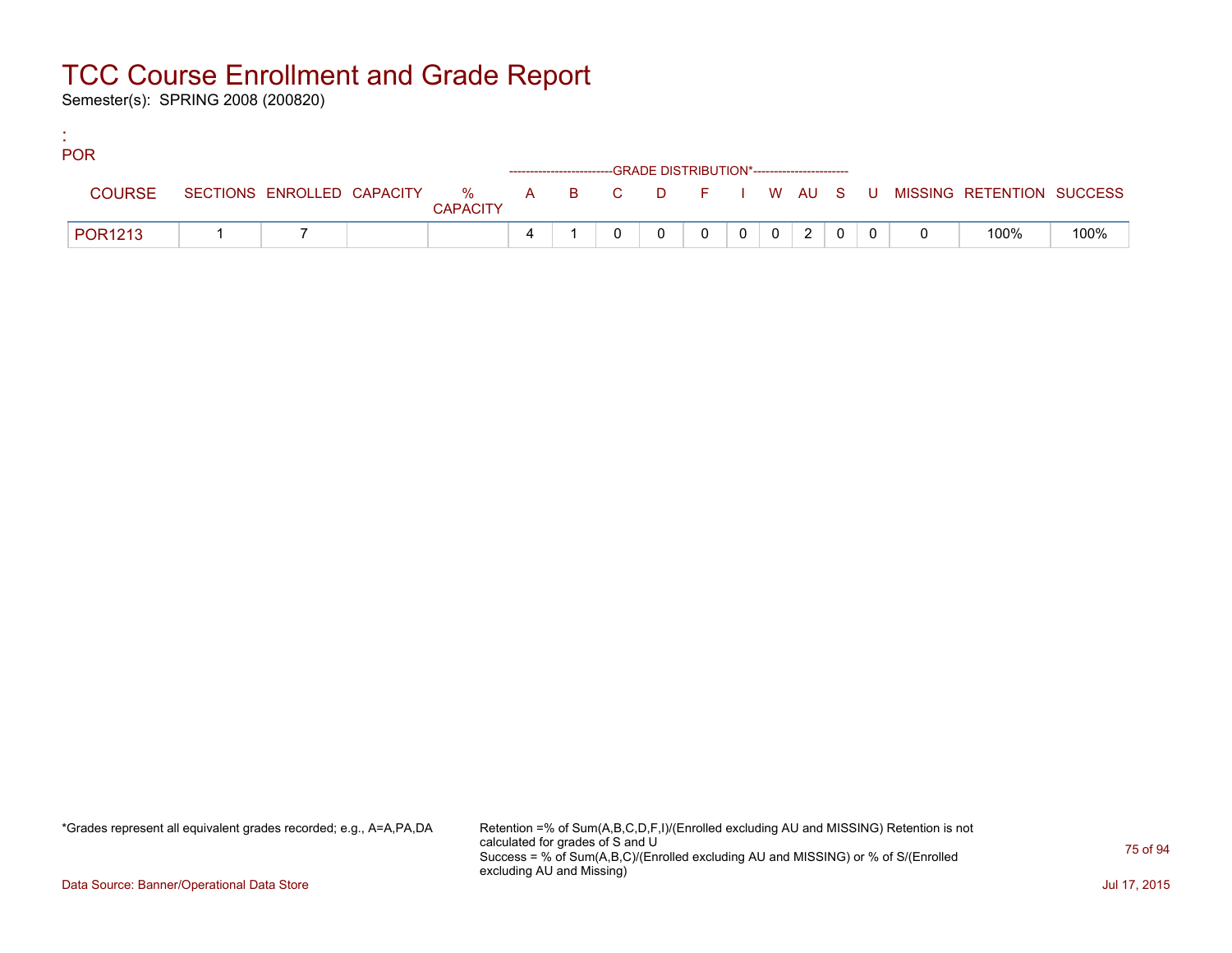Semester(s): SPRING 2008 (200820)

:

| <b>POR</b>     |  |                 |  |                                                                    |          |                |                |   |  |                                                                             |      |
|----------------|--|-----------------|--|--------------------------------------------------------------------|----------|----------------|----------------|---|--|-----------------------------------------------------------------------------|------|
|                |  |                 |  | ------------------------GRADE DISTRIBUTION*----------------------- |          |                |                |   |  |                                                                             |      |
| <b>COURSE</b>  |  | <b>CAPACITY</b> |  |                                                                    |          |                |                |   |  | SECTIONS ENROLLED CAPACITY % A B C D F I W AU S U MISSING RETENTION SUCCESS |      |
| <b>POR1213</b> |  |                 |  |                                                                    | $\Omega$ | 0 <sup>1</sup> | $\overline{0}$ | 2 |  | 100%                                                                        | 100% |

\*Grades represent all equivalent grades recorded; e.g., A=A,PA,DA Retention =% of Sum(A,B,C,D,F,I)/(Enrolled excluding AU and MISSING) Retention is not calculated for grades of S and U Success = % of Sum(A,B,C)/(Enrolled excluding AU and MISSING) or % of S/(Enrolled excluding AU and Missing)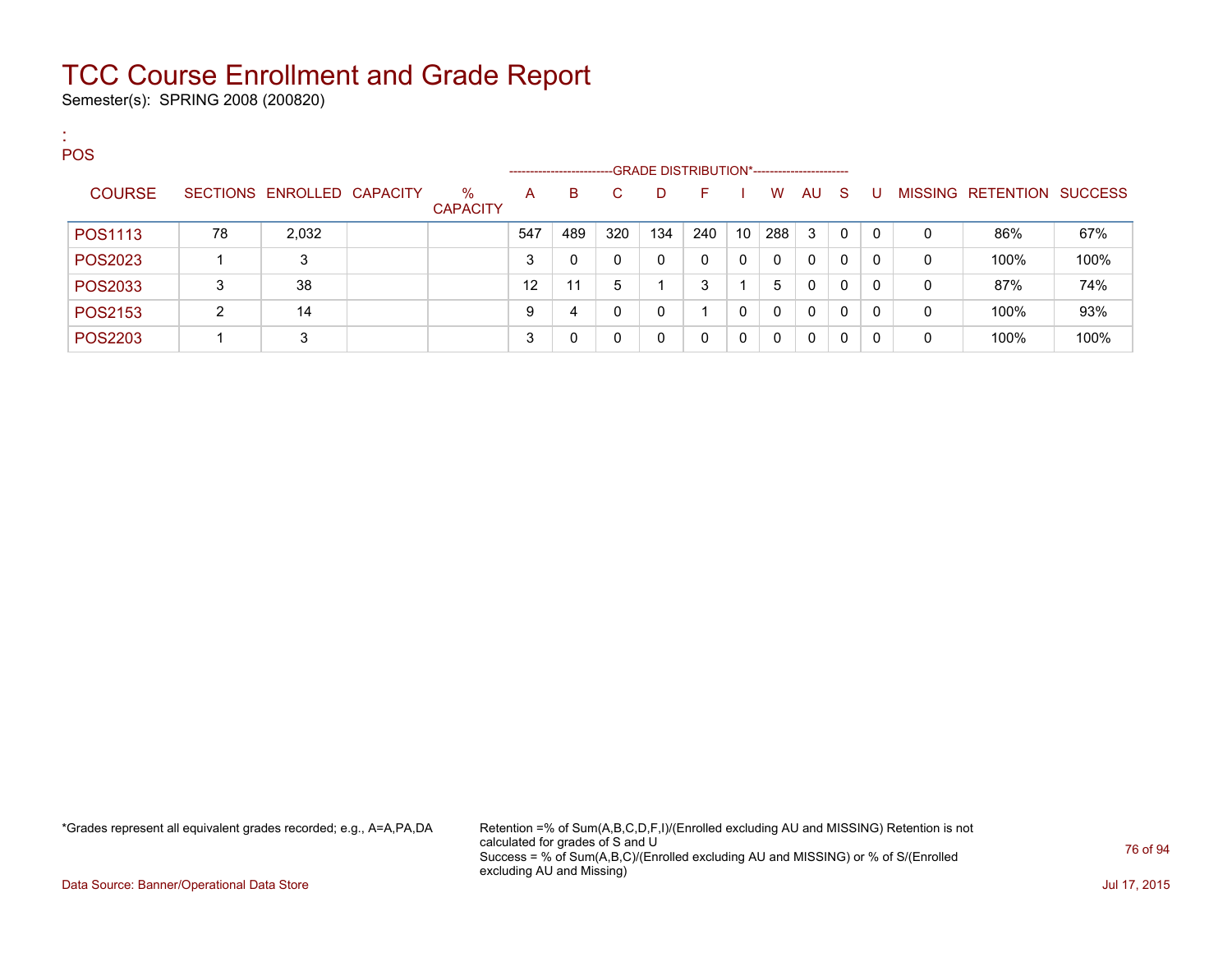Semester(s): SPRING 2008 (200820)

:

| <b>POS</b>     |    |                            |                         |                     |     |     |                                             |     |          |              |          |              |              |   |                   |                |
|----------------|----|----------------------------|-------------------------|---------------------|-----|-----|---------------------------------------------|-----|----------|--------------|----------|--------------|--------------|---|-------------------|----------------|
|                |    |                            |                         | ------------------- |     |     | -GRADE DISTRIBUTION*----------------------- |     |          |              |          |              |              |   |                   |                |
| <b>COURSE</b>  |    | SECTIONS ENROLLED CAPACITY | $\%$<br><b>CAPACITY</b> | $\mathsf{A}$        | B   | C.  | D                                           | F.  |          | W            | AU.      | -S           | U            |   | MISSING RETENTION | <b>SUCCESS</b> |
| POS1113        | 78 | 2,032                      |                         | 547                 | 489 | 320 | 134                                         | 240 | 10       | 288          | 3        | 0            | $\mathbf{0}$ | 0 | 86%               | 67%            |
| POS2023        |    | 3                          |                         | 3                   | 0   |     |                                             |     | 0        | $\mathbf{0}$ | $\Omega$ | $\Omega$     | 0            | 0 | 100%              | 100%           |
| POS2033        | 3  | 38                         |                         | 12                  | 11  | 5   |                                             | 3   |          | 5            | 0        | $\mathbf{0}$ | 0            | 0 | 87%               | 74%            |
| POS2153        | ົ  | 14                         |                         | 9                   | 4   |     |                                             |     | 0        | $\mathbf{0}$ | 0        | 0            | 0            | 0 | 100%              | 93%            |
| <b>POS2203</b> |    | 3                          |                         | 3                   |     |     |                                             |     | $\Omega$ | $\mathbf{0}$ | $\Omega$ | $\Omega$     |              | 0 | 100%              | 100%           |

\*Grades represent all equivalent grades recorded; e.g., A=A,PA,DA Retention =% of Sum(A,B,C,D,F,I)/(Enrolled excluding AU and MISSING) Retention is not calculated for grades of S and U Success = % of Sum(A,B,C)/(Enrolled excluding AU and MISSING) or % of S/(Enrolled excluding AU and Missing)

Data Source: Banner/Operational Data Store Jul 17, 2015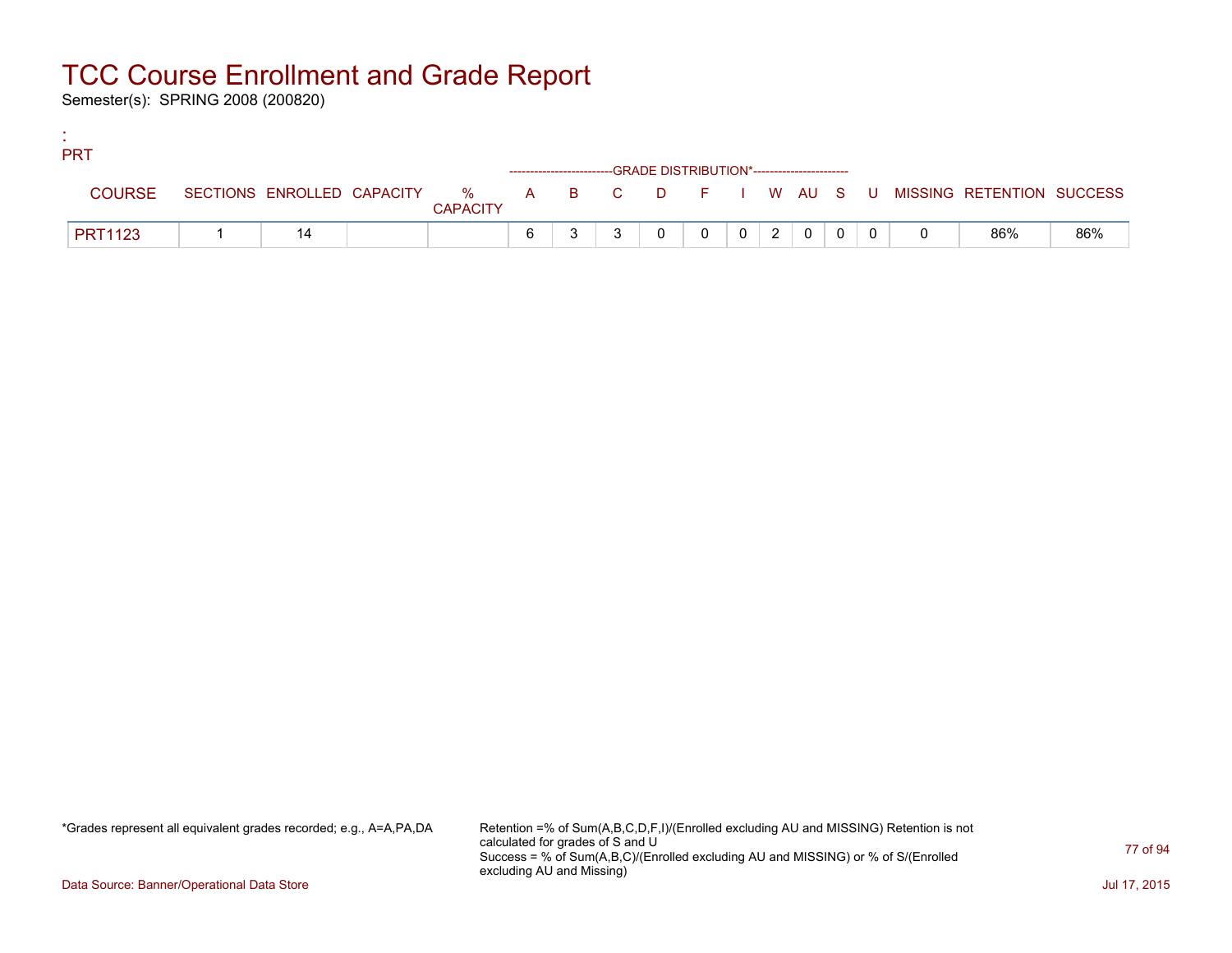Semester(s): SPRING 2008 (200820)

:

| <b>PRT</b>     |  |                 |   |  |                                                                    |          |  |                                                                                                                                                    |  |                                                                             |     |
|----------------|--|-----------------|---|--|--------------------------------------------------------------------|----------|--|----------------------------------------------------------------------------------------------------------------------------------------------------|--|-----------------------------------------------------------------------------|-----|
|                |  |                 |   |  | ------------------------GRADE DISTRIBUTION*----------------------- |          |  |                                                                                                                                                    |  |                                                                             |     |
| <b>COURSE</b>  |  | <b>CAPACITY</b> |   |  |                                                                    |          |  |                                                                                                                                                    |  | SECTIONS ENROLLED CAPACITY % A B C D F I W AU S U MISSING RETENTION SUCCESS |     |
| <b>PRT1123</b> |  |                 | 6 |  |                                                                    | $\Omega$ |  | $\begin{array}{c c c c c c c c c} \hline \multicolumn{3}{c }{\textbf{0} & \textbf{2} & \textbf{0} & \textbf{0} & \textbf{0} \\ \hline \end{array}$ |  | 86%                                                                         | 86% |

\*Grades represent all equivalent grades recorded; e.g., A=A,PA,DA Retention =% of Sum(A,B,C,D,F,I)/(Enrolled excluding AU and MISSING) Retention is not calculated for grades of S and U Success = % of Sum(A,B,C)/(Enrolled excluding AU and MISSING) or % of S/(Enrolled excluding AU and Missing)

Data Source: Banner/Operational Data Store Jul 17, 2015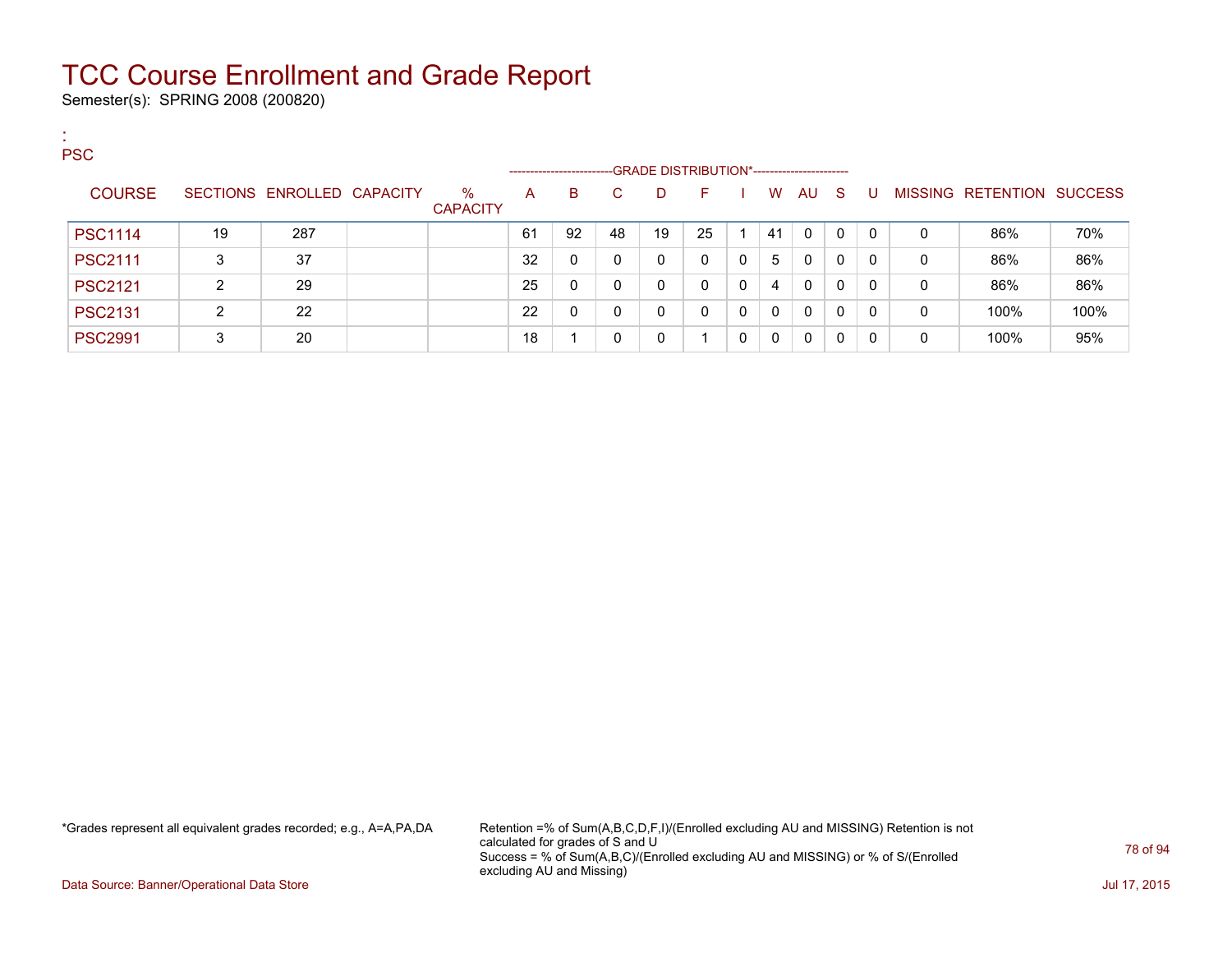Semester(s): SPRING 2008 (200820)

:

| <b>PSC</b>     |    |                            |                         |                     |    |              |                                             |    |              |              |              |              |              |             |                   |                |
|----------------|----|----------------------------|-------------------------|---------------------|----|--------------|---------------------------------------------|----|--------------|--------------|--------------|--------------|--------------|-------------|-------------------|----------------|
|                |    |                            |                         | ------------------- |    |              | -GRADE DISTRIBUTION*----------------------- |    |              |              |              |              |              |             |                   |                |
| <b>COURSE</b>  |    | SECTIONS ENROLLED CAPACITY | $\%$<br><b>CAPACITY</b> | A                   | B. | C.           | D.                                          | F  |              | W            | AU.          | <sub>S</sub> |              |             | MISSING RETENTION | <b>SUCCESS</b> |
| <b>PSC1114</b> | 19 | 287                        |                         | 61                  | 92 | 48           | 19                                          | 25 |              | 41           | $\Omega$     | $\Omega$     | $\mathbf{0}$ | 0           | 86%               | 70%            |
| <b>PSC2111</b> | 3  | 37                         |                         | 32                  |    | 0            | 0                                           |    | $\mathbf{0}$ | 5            | 0            | $\mathbf{0}$ | $\mathbf{0}$ | 0           | 86%               | 86%            |
| <b>PSC2121</b> | ົ  | 29                         |                         | 25                  | 0  | 0            | 0                                           |    | 0            | 4            | 0            | $\mathbf{0}$ | $\Omega$     | 0           | 86%               | 86%            |
| <b>PSC2131</b> | ົ  | 22                         |                         | 22                  | 0  | $\mathbf{0}$ | 0                                           | 0  | 0            | $\mathbf{0}$ | $\mathbf{0}$ | $\mathbf{0}$ | $\mathbf{0}$ | $\mathbf 0$ | 100%              | 100%           |
| <b>PSC2991</b> | 3  | 20                         |                         | 18                  |    | 0            | 0                                           |    | 0            | 0            | 0            | 0            | 0            | 0           | 100%              | 95%            |

\*Grades represent all equivalent grades recorded; e.g., A=A,PA,DA Retention =% of Sum(A,B,C,D,F,I)/(Enrolled excluding AU and MISSING) Retention is not calculated for grades of S and U Success = % of Sum(A,B,C)/(Enrolled excluding AU and MISSING) or % of S/(Enrolled excluding AU and Missing)

Data Source: Banner/Operational Data Store Jul 17, 2015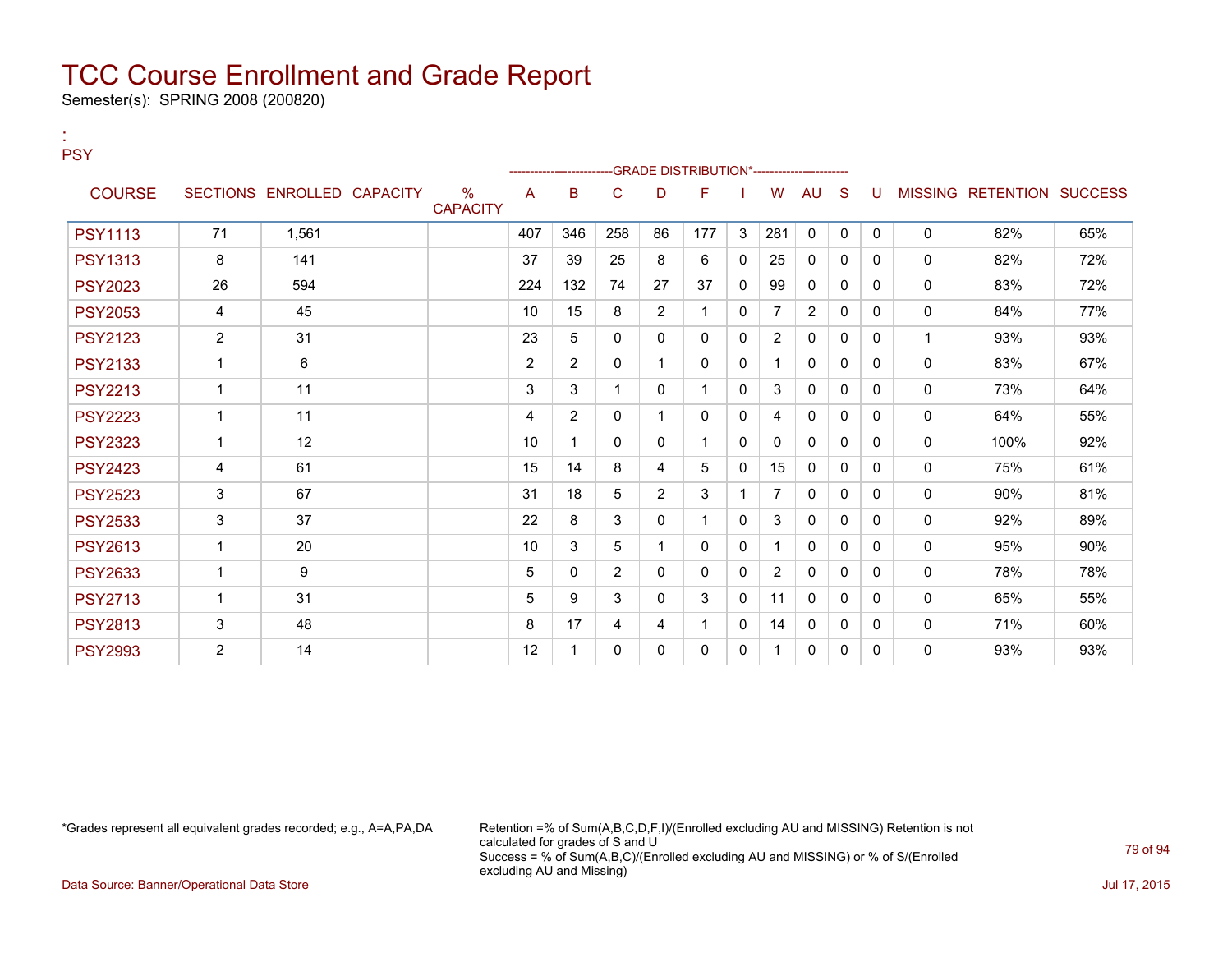Semester(s): SPRING 2008 (200820)

| <b>PSY</b>     |                |                            |                         |     |                |                |                | -GRADE DISTRIBUTION*---------------------- |              |                |                |              |              |              |                           |     |
|----------------|----------------|----------------------------|-------------------------|-----|----------------|----------------|----------------|--------------------------------------------|--------------|----------------|----------------|--------------|--------------|--------------|---------------------------|-----|
| <b>COURSE</b>  |                | SECTIONS ENROLLED CAPACITY | $\%$<br><b>CAPACITY</b> | A   | в              | C              | D              | F                                          |              | W              | <b>AU</b>      | <sub>S</sub> | U            |              | MISSING RETENTION SUCCESS |     |
| <b>PSY1113</b> | 71             | 1.561                      |                         | 407 | 346            | 258            | 86             | 177                                        | 3            | 281            | $\mathbf{0}$   | $\mathbf{0}$ | $\Omega$     | 0            | 82%                       | 65% |
| <b>PSY1313</b> | 8              | 141                        |                         | 37  | 39             | 25             | 8              | 6                                          | $\mathbf{0}$ | 25             | $\mathbf{0}$   | $\Omega$     | 0            | $\mathbf{0}$ | 82%                       | 72% |
| <b>PSY2023</b> | 26             | 594                        |                         | 224 | 132            | 74             | 27             | 37                                         | 0            | 99             | $\mathbf{0}$   | $\mathbf{0}$ | $\mathbf{0}$ | 0            | 83%                       | 72% |
| <b>PSY2053</b> | 4              | 45                         |                         | 10  | 15             | 8              | $\overline{2}$ |                                            | $\Omega$     | 7              | $\overline{2}$ | $\Omega$     | 0            | 0            | 84%                       | 77% |
| <b>PSY2123</b> | $\overline{c}$ | 31                         |                         | 23  | 5              | $\Omega$       | $\mathbf{0}$   | 0                                          | $\Omega$     | $\overline{2}$ | $\mathbf{0}$   | $\mathbf{0}$ | $\Omega$     | 1            | 93%                       | 93% |
| <b>PSY2133</b> | $\overline{1}$ | 6                          |                         | 2   | $\overline{2}$ | 0              |                | $\Omega$                                   | $\Omega$     |                | $\mathbf{0}$   | $\Omega$     | 0            | $\mathbf{0}$ | 83%                       | 67% |
| <b>PSY2213</b> | $\overline{1}$ | 11                         |                         | 3   | 3              |                | 0              |                                            | $\Omega$     | 3              | 0              | 0            | 0            | 0            | 73%                       | 64% |
| <b>PSY2223</b> | 1              | 11                         |                         | 4   | $\overline{2}$ | 0              |                | $\Omega$                                   | $\Omega$     | 4              | 0              | $\Omega$     | 0            | $\mathbf 0$  | 64%                       | 55% |
| <b>PSY2323</b> | $\mathbf 1$    | 12                         |                         | 10  | 1              | 0              | 0              |                                            | $\mathbf{0}$ | 0              | $\mathbf{0}$   | 0            | $\mathbf{0}$ | $\mathbf{0}$ | 100%                      | 92% |
| <b>PSY2423</b> | 4              | 61                         |                         | 15  | 14             | 8              | 4              | 5                                          | $\mathbf{0}$ | 15             | $\mathbf{0}$   | 0            | $\Omega$     | $\mathbf{0}$ | 75%                       | 61% |
| <b>PSY2523</b> | 3              | 67                         |                         | 31  | 18             | 5              | $\overline{2}$ | 3                                          | -1           | $\overline{7}$ | $\Omega$       | $\Omega$     | $\Omega$     | $\mathbf 0$  | 90%                       | 81% |
| <b>PSY2533</b> | 3              | 37                         |                         | 22  | 8              | 3              | $\mathbf{0}$   |                                            | $\Omega$     | 3              | $\mathbf{0}$   | $\mathbf{0}$ | $\mathbf{0}$ | 0            | 92%                       | 89% |
| <b>PSY2613</b> | $\mathbf 1$    | 20                         |                         | 10  | 3              | 5              |                | 0                                          | $\Omega$     |                | 0              | 0            | $\Omega$     | $\mathbf{0}$ | 95%                       | 90% |
| <b>PSY2633</b> | $\mathbf 1$    | 9                          |                         | 5   | $\Omega$       | $\overline{2}$ | $\Omega$       | $\Omega$                                   | $\Omega$     | 2              | $\Omega$       | $\Omega$     | 0            | 0            | 78%                       | 78% |
| <b>PSY2713</b> | 1              | 31                         |                         | 5   | 9              | 3              | 0              | 3                                          | 0            | 11             | $\Omega$       | $\Omega$     | 0            | $\Omega$     | 65%                       | 55% |
| <b>PSY2813</b> | 3              | 48                         |                         | 8   | 17             | 4              | 4              |                                            | 0            | 14             | $\mathbf{0}$   | 0            | $\mathbf{0}$ | $\mathbf{0}$ | 71%                       | 60% |
| <b>PSY2993</b> | 2              | 14                         |                         | 12  | 1              | 0              | 0              | 0                                          | 0            |                | 0              | 0            | $\Omega$     | 0            | 93%                       | 93% |

:

\*Grades represent all equivalent grades recorded; e.g., A=A,PA,DA Retention =% of Sum(A,B,C,D,F,I)/(Enrolled excluding AU and MISSING) Retention is not calculated for grades of S and U Success = % of Sum(A,B,C)/(Enrolled excluding AU and MISSING) or % of S/(Enrolled excluding AU and Missing)

Data Source: Banner/Operational Data Store Jul 17, 2015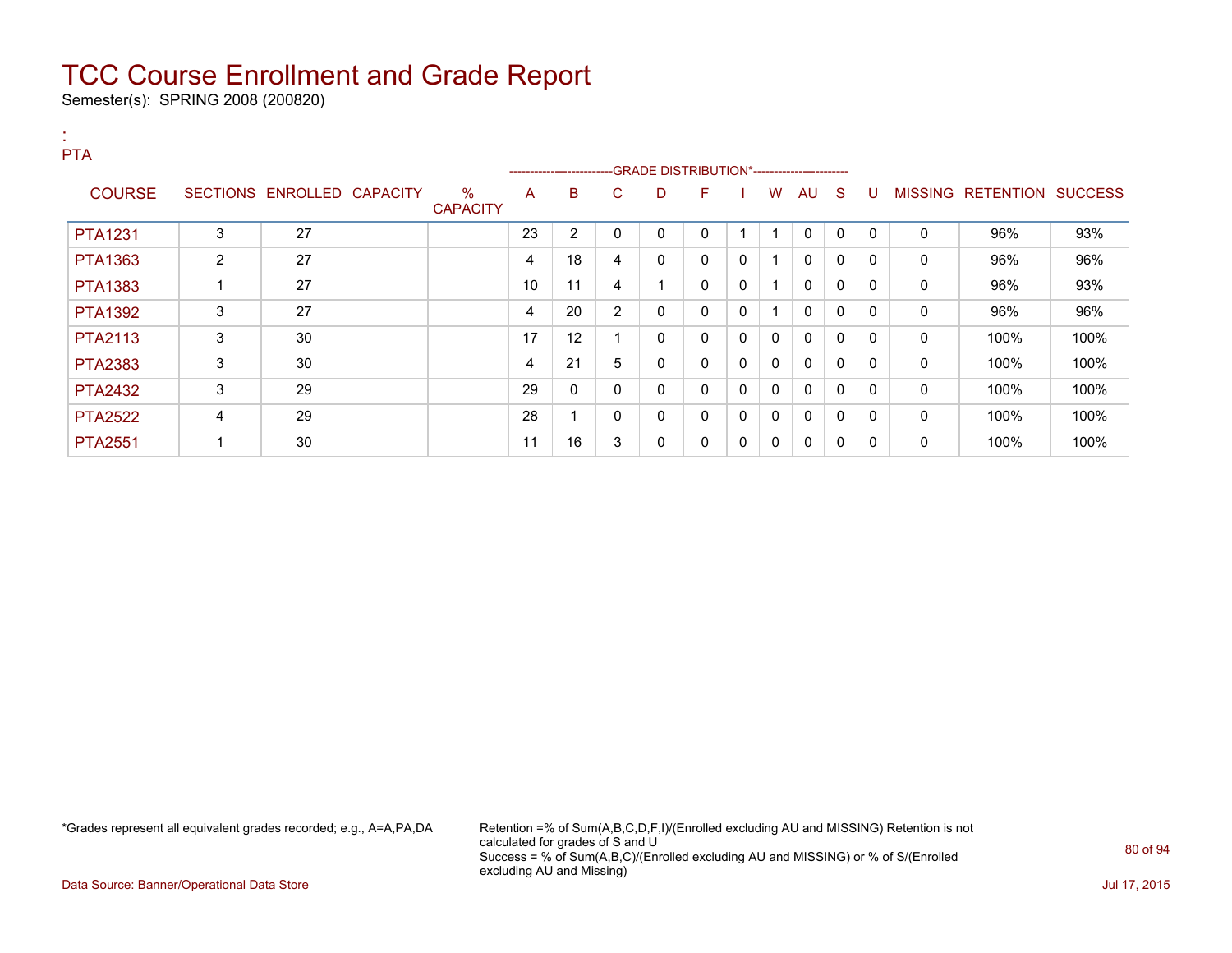Semester(s): SPRING 2008 (200820)

:

| <b>PTA</b>     |   |                            |                         |    |    |                |   | -----------------------GRADE DISTRIBUTION*----------------------- |   |              |              |              |              |   |                   |                |
|----------------|---|----------------------------|-------------------------|----|----|----------------|---|-------------------------------------------------------------------|---|--------------|--------------|--------------|--------------|---|-------------------|----------------|
| <b>COURSE</b>  |   | SECTIONS ENROLLED CAPACITY | $\%$<br><b>CAPACITY</b> | A  | B  | C              | D | F                                                                 |   | W            | AU           | -S           | U            |   | MISSING RETENTION | <b>SUCCESS</b> |
| <b>PTA1231</b> | 3 | 27                         |                         | 23 | 2  | 0              | 0 | 0                                                                 |   |              | 0            | $\Omega$     | $\mathbf{0}$ | 0 | 96%               | 93%            |
| PTA1363        | 2 | 27                         |                         | 4  | 18 | 4              | 0 | $\mathbf{0}$                                                      | 0 |              | $\mathbf{0}$ | 0            | 0            | 0 | 96%               | 96%            |
| PTA1383        |   | 27                         |                         | 10 | 11 | 4              |   | $\mathbf{0}$                                                      | 0 |              | $\mathbf{0}$ | $\Omega$     | $\mathbf{0}$ | 0 | 96%               | 93%            |
| <b>PTA1392</b> | 3 | 27                         |                         | 4  | 20 | $\overline{2}$ | 0 | $\mathbf{0}$                                                      | 0 |              | 0            | $\mathbf{0}$ | $\mathbf{0}$ | 0 | 96%               | 96%            |
| <b>PTA2113</b> | 3 | 30                         |                         | 17 | 12 |                | 0 | $\mathbf{0}$                                                      | 0 | $\mathbf{0}$ | $\mathbf{0}$ | $\mathbf{0}$ | $\Omega$     | 0 | 100%              | 100%           |
| <b>PTA2383</b> | 3 | 30                         |                         | 4  | 21 | 5              | 0 | $\mathbf{0}$                                                      | 0 | $\mathbf{0}$ | $\mathbf{0}$ | $\Omega$     | $\Omega$     | 0 | 100%              | 100%           |
| <b>PTA2432</b> | 3 | 29                         |                         | 29 | 0  | 0              | 0 | $\mathbf{0}$                                                      | 0 | 0            | $\mathbf{0}$ | $\mathbf{0}$ | 0            | 0 | 100%              | 100%           |
| <b>PTA2522</b> | 4 | 29                         |                         | 28 |    | 0              | 0 | $\mathbf{0}$                                                      | 0 | $\mathbf{0}$ | $\mathbf{0}$ | 0            | 0            | 0 | 100%              | 100%           |
| <b>PTA2551</b> |   | 30                         |                         | 11 | 16 | 3              | 0 | 0                                                                 | 0 | 0            | 0            | 0            | 0            | 0 | 100%              | 100%           |

\*Grades represent all equivalent grades recorded; e.g., A=A,PA,DA Retention =% of Sum(A,B,C,D,F,I)/(Enrolled excluding AU and MISSING) Retention is not calculated for grades of S and U Success = % of Sum(A,B,C)/(Enrolled excluding AU and MISSING) or % of S/(Enrolled excluding AU and Missing)

Data Source: Banner/Operational Data Store Jul 17, 2015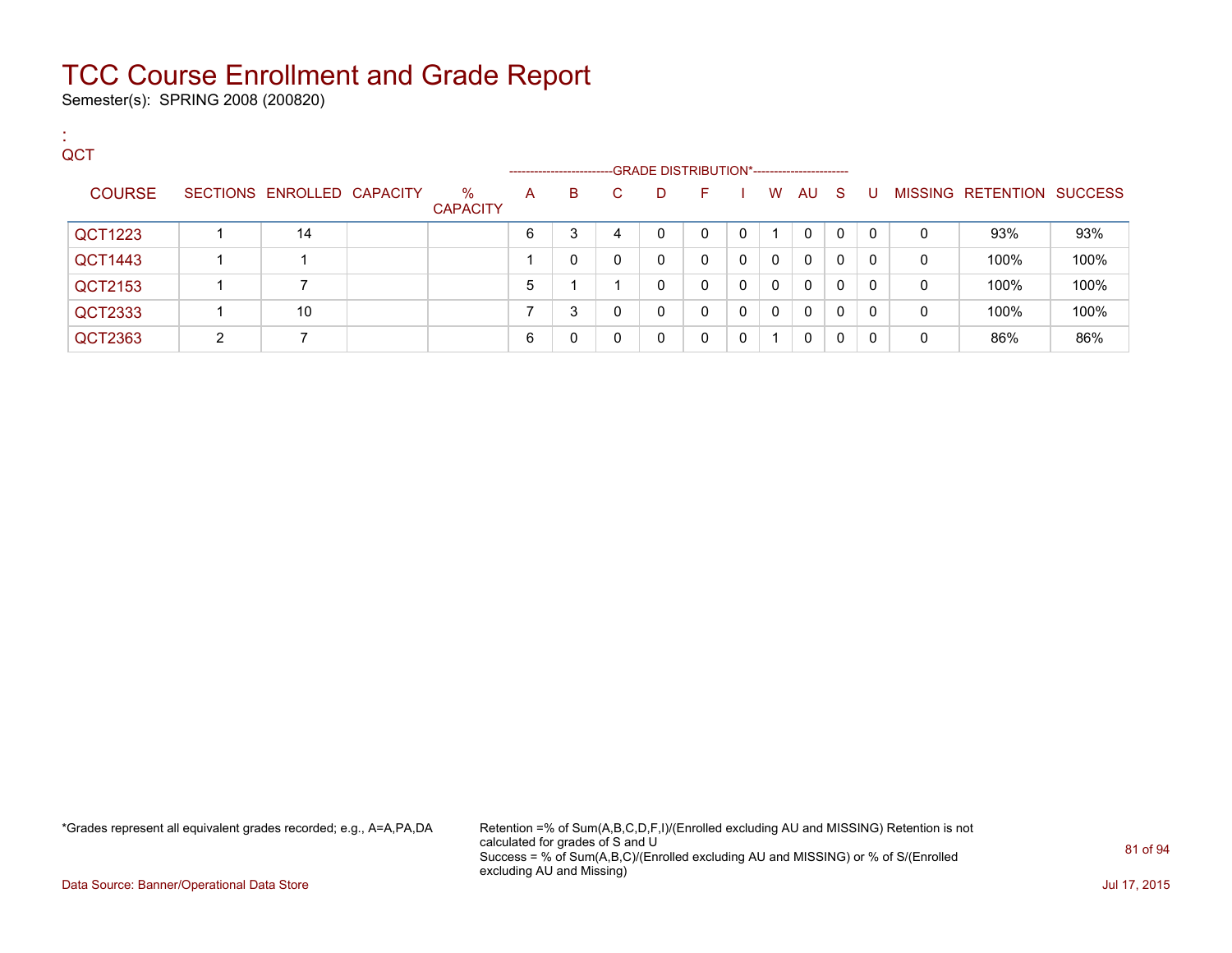Semester(s): SPRING 2008 (200820)

:

| QCT            |               |                            |                         |                     |   |   |                                             |              |          |              |              |              |              |   |                           |      |
|----------------|---------------|----------------------------|-------------------------|---------------------|---|---|---------------------------------------------|--------------|----------|--------------|--------------|--------------|--------------|---|---------------------------|------|
|                |               |                            |                         | ------------------- |   |   | -GRADE DISTRIBUTION*----------------------- |              |          |              |              |              |              |   |                           |      |
| <b>COURSE</b>  |               | SECTIONS ENROLLED CAPACITY | $\%$<br><b>CAPACITY</b> | A                   | в | C | D                                           | F.           |          | W            | AU           | -S           | U            |   | MISSING RETENTION SUCCESS |      |
| QCT1223        |               | 14                         |                         | 6                   | 3 | 4 | $\Omega$                                    | 0            | $\Omega$ |              | 0            | 0            | $\mathbf{0}$ | 0 | 93%                       | 93%  |
| <b>QCT1443</b> |               |                            |                         |                     | 0 | 0 | $\mathbf{0}$                                | $\mathbf{0}$ | $\Omega$ | $\mathbf{0}$ | $\Omega$     | $\mathbf{0}$ | $\mathbf{0}$ | 0 | 100%                      | 100% |
| QCT2153        |               |                            |                         | 5                   |   |   | $\Omega$                                    | 0            | $\Omega$ | $\Omega$     | $\Omega$     | $\mathbf{0}$ | 0            | 0 | 100%                      | 100% |
| QCT2333        |               | 10                         |                         |                     | 3 | 0 | $\mathbf{0}$                                | 0            | $\Omega$ | $\Omega$     | $\mathbf{0}$ | $\mathbf{0}$ | 0            | 0 | 100%                      | 100% |
| QCT2363        | $\mathcal{D}$ |                            |                         | 6                   | 0 |   | $\Omega$                                    | 0            | $\Omega$ |              | $\Omega$     | 0            | 0            | 0 | 86%                       | 86%  |

\*Grades represent all equivalent grades recorded; e.g., A=A,PA,DA Retention =% of Sum(A,B,C,D,F,I)/(Enrolled excluding AU and MISSING) Retention is not calculated for grades of S and U Success = % of Sum(A,B,C)/(Enrolled excluding AU and MISSING) or % of S/(Enrolled excluding AU and Missing)

Data Source: Banner/Operational Data Store Jul 17, 2015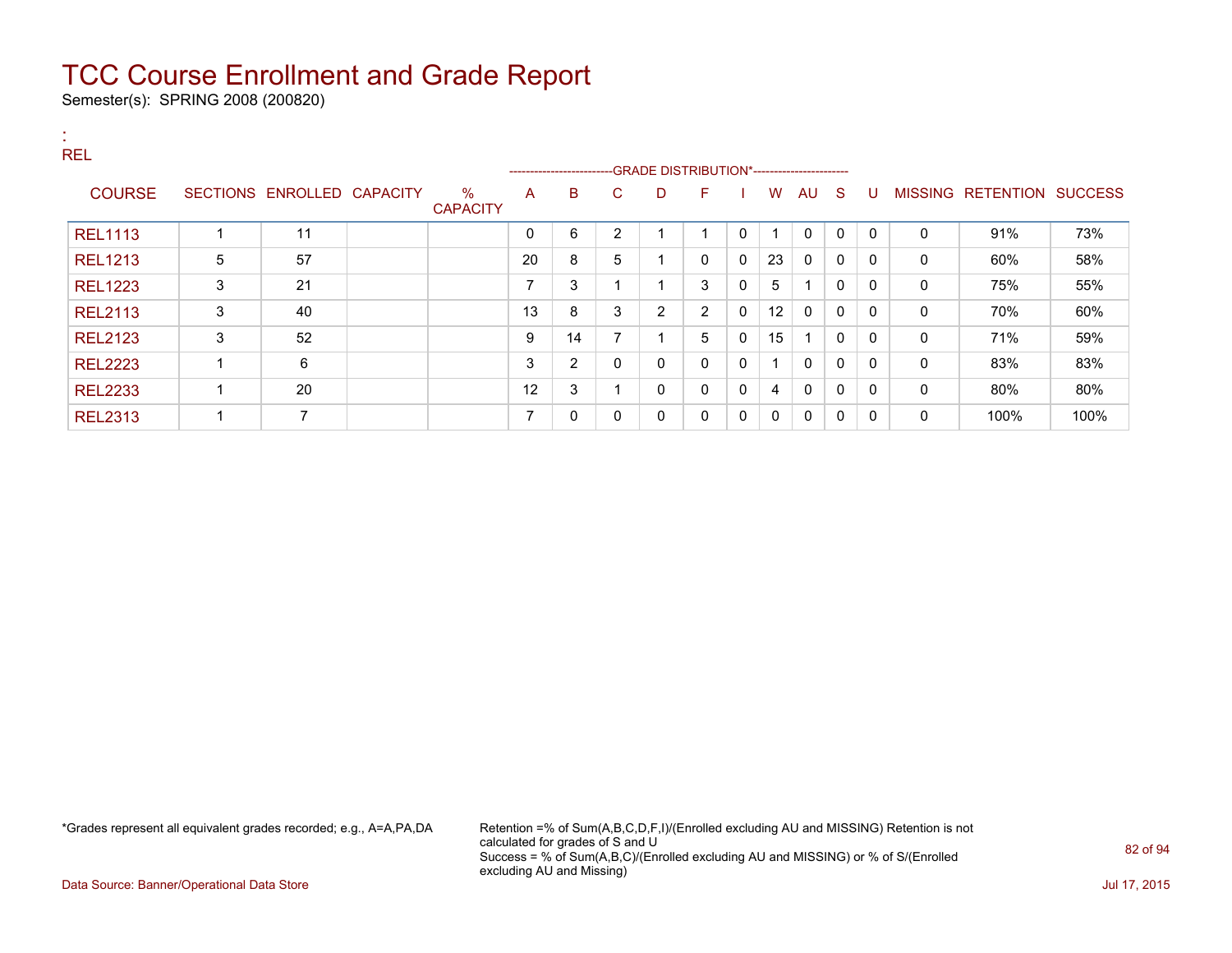Semester(s): SPRING 2008 (200820)

| <b>REL</b>     |   |                            |                         |                | ----------------------- |                |                |                |          |    |              |              |              |              |                           |      |
|----------------|---|----------------------------|-------------------------|----------------|-------------------------|----------------|----------------|----------------|----------|----|--------------|--------------|--------------|--------------|---------------------------|------|
| <b>COURSE</b>  |   | SECTIONS ENROLLED CAPACITY | $\%$<br><b>CAPACITY</b> | A              | B                       | C              | D              | F              |          | W  | AU S         |              | -U           |              | MISSING RETENTION SUCCESS |      |
| <b>REL1113</b> |   | 11                         |                         | $\Omega$       | 6                       | $\overline{2}$ |                | и              | 0        |    | $\mathbf{0}$ | $\mathbf{0}$ | $\Omega$     | $\mathbf{0}$ | 91%                       | 73%  |
| <b>REL1213</b> | 5 | 57                         |                         | 20             | 8                       | 5              |                | $\mathbf{0}$   | $\Omega$ | 23 | $\Omega$     | $\mathbf{0}$ | $\Omega$     | $\mathbf{0}$ | 60%                       | 58%  |
| <b>REL1223</b> | 3 | 21                         |                         | $\overline{ }$ | 3                       |                |                | 3              | 0        | 5  |              | 0            | $\Omega$     | $\mathbf{0}$ | 75%                       | 55%  |
| <b>REL2113</b> | 3 | 40                         |                         | 13             | 8                       | 3              | $\overline{2}$ | $\overline{2}$ | 0        | 12 | 0            | 0            | $\mathbf{0}$ | 0            | 70%                       | 60%  |
| <b>REL2123</b> | 3 | 52                         |                         | 9              | 14                      | ⇁              |                | 5              | 0        | 15 |              | $\mathbf{0}$ | $\mathbf{0}$ | 0            | 71%                       | 59%  |
| <b>REL2223</b> |   | 6                          |                         | 3              | 2                       | $\mathbf 0$    | $\mathbf 0$    | $\mathbf{0}$   | 0        |    | $\mathbf{0}$ | $\mathbf{0}$ | $\Omega$     | $\mathbf{0}$ | 83%                       | 83%  |
| <b>REL2233</b> |   | 20                         |                         | 12             | 3                       |                | 0              | $\mathbf{0}$   | 0        | 4  | $\mathbf{0}$ | $\mathbf{0}$ | $\Omega$     | $\mathbf{0}$ | 80%                       | 80%  |
| <b>REL2313</b> |   | $\overline{7}$             |                         | $\overline{ }$ | 0                       | $\mathbf{0}$   | 0              | $\mathbf{0}$   | 0        | 0  | $\mathbf{0}$ | $\mathbf{0}$ | $\mathbf{0}$ | 0            | 100%                      | 100% |

\*Grades represent all equivalent grades recorded; e.g., A=A,PA,DA Retention =% of Sum(A,B,C,D,F,I)/(Enrolled excluding AU and MISSING) Retention is not calculated for grades of S and U Success = % of Sum(A,B,C)/(Enrolled excluding AU and MISSING) or % of S/(Enrolled excluding AU and Missing)

Data Source: Banner/Operational Data Store Jul 17, 2015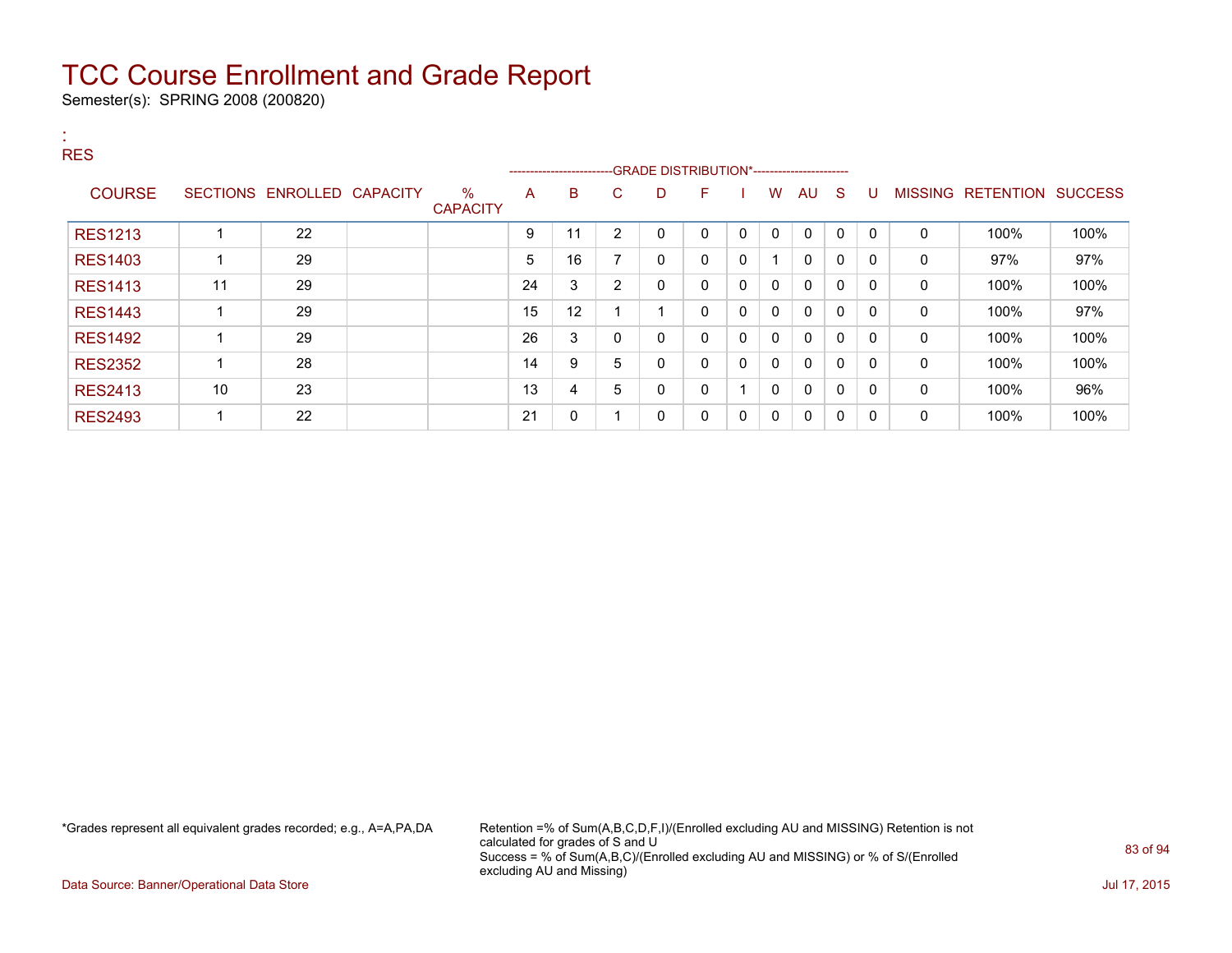Semester(s): SPRING 2008 (200820)

| <b>A</b><br><b>RES</b> |    |                            |                         |    | ------------------------- |                |   |              |              |              |              |              |              |                |                          |      |
|------------------------|----|----------------------------|-------------------------|----|---------------------------|----------------|---|--------------|--------------|--------------|--------------|--------------|--------------|----------------|--------------------------|------|
| <b>COURSE</b>          |    | SECTIONS ENROLLED CAPACITY | $\%$<br><b>CAPACITY</b> | A  | B                         | C              | D | F.           |              | W            | AU           | -S           | -U           | <b>MISSING</b> | <b>RETENTION SUCCESS</b> |      |
| <b>RES1213</b>         |    | 22                         |                         | 9  | 11                        | 2              | 0 | $\mathbf{0}$ | $\mathbf{0}$ | $\mathbf{0}$ | 0            | $\Omega$     | $\mathbf{0}$ | 0              | 100%                     | 100% |
| <b>RES1403</b>         |    | 29                         |                         | 5  | 16                        | $\overline{ }$ | 0 | $\mathbf{0}$ | 0            | -1           | $\mathbf{0}$ | 0            | 0            | $\mathbf{0}$   | 97%                      | 97%  |
| <b>RES1413</b>         | 11 | 29                         |                         | 24 | 3                         | 2              | 0 | 0            | $\mathbf{0}$ | $\mathbf{0}$ | 0            | 0            | 0            | 0              | 100%                     | 100% |
| <b>RES1443</b>         |    | 29                         |                         | 15 | 12                        |                |   | 0            | 0            | 0            | 0            | 0            | 0            | 0              | 100%                     | 97%  |
| <b>RES1492</b>         |    | 29                         |                         | 26 | 3                         | 0              | 0 | 0            | 0            | $\mathbf{0}$ | 0            | $\mathbf{0}$ | 0            | 0              | 100%                     | 100% |
| <b>RES2352</b>         |    | 28                         |                         | 14 | 9                         | 5              | 0 | $\mathbf{0}$ | $\mathbf{0}$ | $\mathbf{0}$ | $\Omega$     | $\Omega$     | $\Omega$     | 0              | 100%                     | 100% |
| <b>RES2413</b>         | 10 | 23                         |                         | 13 | 4                         | 5              | 0 | $\mathbf{0}$ |              | $\mathbf{0}$ | $\mathbf{0}$ | $\Omega$     | $\Omega$     | $\mathbf{0}$   | 100%                     | 96%  |
| <b>RES2493</b>         |    | 22                         |                         | 21 | 0                         |                | 0 | 0            | 0            | 0            | 0            | 0            | 0            | $\mathbf{0}$   | 100%                     | 100% |

\*Grades represent all equivalent grades recorded; e.g., A=A,PA,DA Retention =% of Sum(A,B,C,D,F,I)/(Enrolled excluding AU and MISSING) Retention is not calculated for grades of S and U Success = % of Sum(A,B,C)/(Enrolled excluding AU and MISSING) or % of S/(Enrolled excluding AU and Missing)

Data Source: Banner/Operational Data Store Jul 17, 2015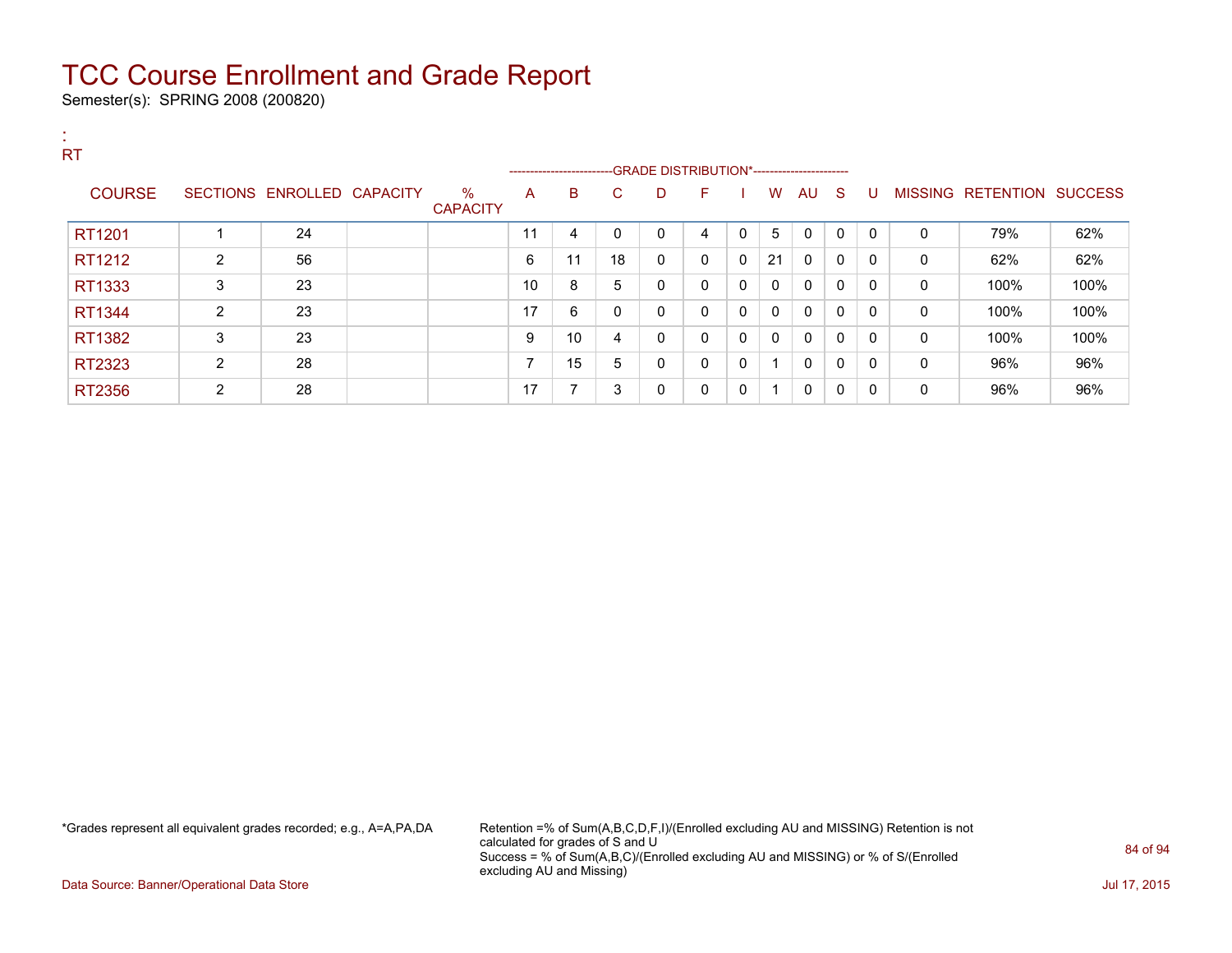Semester(s): SPRING 2008 (200820)

| <b>RT</b>     |                |                            |                      |    |                                                                   |              |   |              |              |              |              |              |              |              |                          |                |
|---------------|----------------|----------------------------|----------------------|----|-------------------------------------------------------------------|--------------|---|--------------|--------------|--------------|--------------|--------------|--------------|--------------|--------------------------|----------------|
|               |                |                            |                      |    | -----------------------GRADE DISTRIBUTION*----------------------- |              |   |              |              |              |              |              |              |              |                          |                |
| <b>COURSE</b> |                | SECTIONS ENROLLED CAPACITY | %<br><b>CAPACITY</b> | A  | B                                                                 | C.           | D | F.           |              | W            | AU S         |              | U            |              | <b>MISSING RETENTION</b> | <b>SUCCESS</b> |
| RT1201        |                | 24                         |                      | 11 | 4                                                                 | $\mathbf{0}$ | 0 | 4            | 0            | 5            | $\mathbf{0}$ | $\mathbf{0}$ | $\mathbf{0}$ | $\Omega$     | 79%                      | 62%            |
| RT1212        | $\overline{2}$ | 56                         |                      | 6  | 11                                                                | 18           | 0 | 0            | $\mathbf{0}$ | 21           | $\Omega$     | $\mathbf{0}$ | 0            | 0            | 62%                      | 62%            |
| RT1333        | 3              | 23                         |                      | 10 | 8                                                                 | 5            | 0 | $\mathbf{0}$ | $\mathbf{0}$ | $\mathbf{0}$ | $\mathbf{0}$ | $\mathbf{0}$ | 0            | $\mathbf{0}$ | 100%                     | 100%           |
| RT1344        | 2              | 23                         |                      | 17 | 6                                                                 | 0            | 0 | $\Omega$     | $\mathbf{0}$ | $\mathbf{0}$ | 0            | $\mathbf{0}$ | 0            | 0            | 100%                     | 100%           |
| RT1382        | 3              | 23                         |                      | 9  | 10                                                                | 4            | 0 | $\mathbf{0}$ | $\mathbf{0}$ | $\mathbf{0}$ | $\Omega$     | $\mathbf{0}$ | 0            | $\Omega$     | 100%                     | 100%           |
| RT2323        | $\overline{2}$ | 28                         |                      | ⇁  | 15                                                                | 5            | 0 | $\mathbf{0}$ | 0            | 1            | $\Omega$     | $\mathbf{0}$ | 0            | 0            | 96%                      | 96%            |
| RT2356        | $\overline{2}$ | 28                         |                      | 17 | $\overline{ }$                                                    | 3            | 0 | 0            | 0            | 1            | $\Omega$     | $\mathbf{0}$ | 0            | 0            | 96%                      | 96%            |

\*Grades represent all equivalent grades recorded; e.g., A=A,PA,DA Retention =% of Sum(A,B,C,D,F,I)/(Enrolled excluding AU and MISSING) Retention is not calculated for grades of S and U Success = % of Sum(A,B,C)/(Enrolled excluding AU and MISSING) or % of S/(Enrolled excluding AU and Missing)

Data Source: Banner/Operational Data Store Jul 17, 2015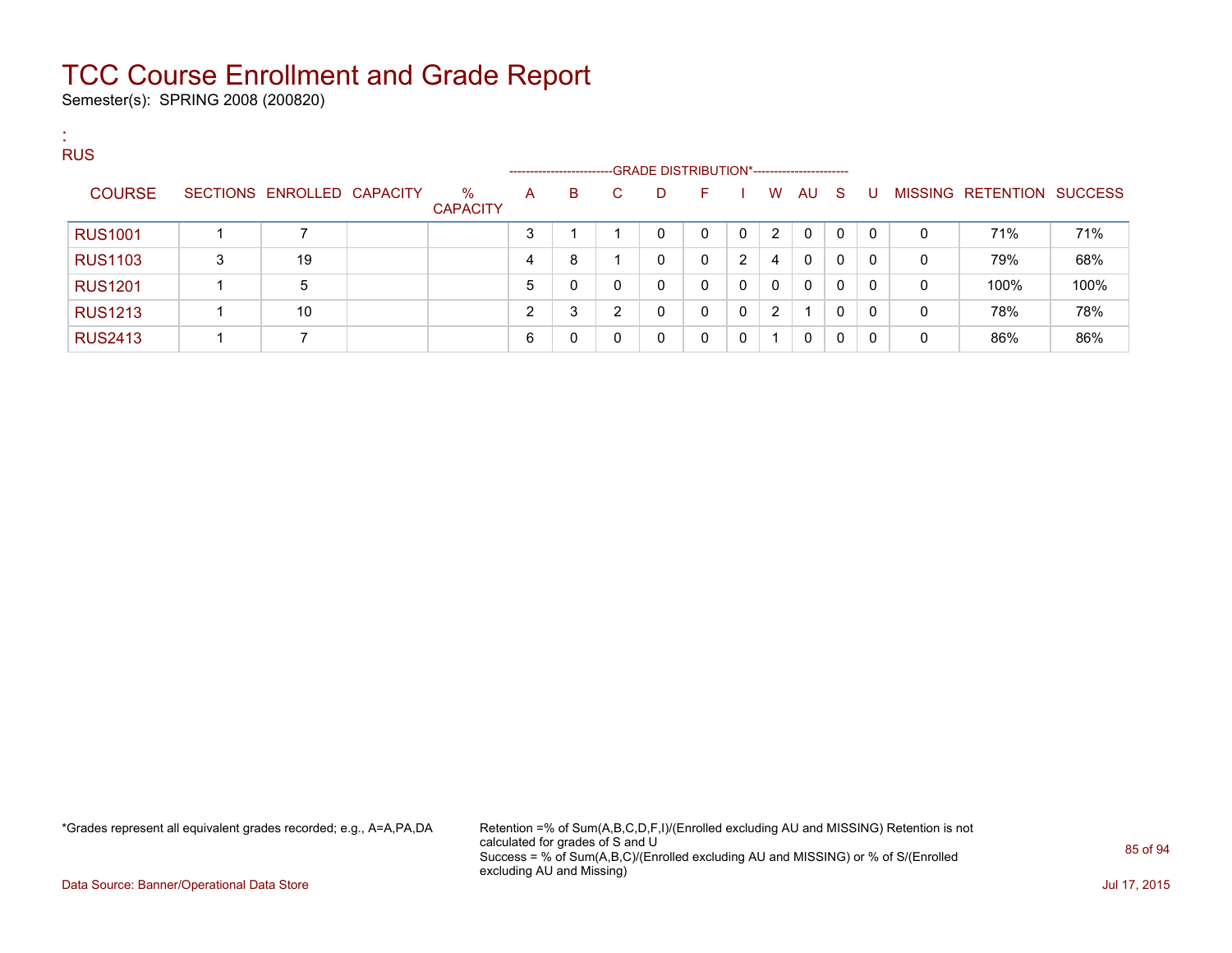Semester(s): SPRING 2008 (200820)

:

| <b>RUS</b>     |   |                            |                         | ------------------- |   |    | -GRADE DISTRIBUTION*----------------------- |    |          |          |              |     |          |   |                           |      |
|----------------|---|----------------------------|-------------------------|---------------------|---|----|---------------------------------------------|----|----------|----------|--------------|-----|----------|---|---------------------------|------|
| <b>COURSE</b>  |   | SECTIONS ENROLLED CAPACITY | $\%$<br><b>CAPACITY</b> | A                   | В | C. | D                                           | F. |          | W        | AU           | - S | -U       |   | MISSING RETENTION SUCCESS |      |
| <b>RUS1001</b> |   |                            |                         | 3                   |   |    | 0                                           | 0  | $\Omega$ | 2        | 0            | 0   | $\Omega$ | 0 | 71%                       | 71%  |
| <b>RUS1103</b> | 3 | 19                         |                         | 4                   | 8 |    | 0                                           | 0  | 2        | 4        | $\mathbf{0}$ | 0   | $\Omega$ | 0 | 79%                       | 68%  |
| <b>RUS1201</b> |   | 5                          |                         | 5                   | 0 |    | 0                                           | 0  | 0        | $\Omega$ | $\mathbf{0}$ | 0   | $\Omega$ | 0 | 100%                      | 100% |
| <b>RUS1213</b> |   | 10                         |                         | ົ                   | 3 | ◠  | 0                                           | 0  | $\Omega$ | 2        |              | 0   | $\Omega$ | 0 | 78%                       | 78%  |
| <b>RUS2413</b> |   |                            |                         | 6                   | 0 |    | 0                                           | 0  | $\Omega$ | 1        | 0            | 0   | 0        | 0 | 86%                       | 86%  |

\*Grades represent all equivalent grades recorded; e.g., A=A,PA,DA Retention =% of Sum(A,B,C,D,F,I)/(Enrolled excluding AU and MISSING) Retention is not calculated for grades of S and U Success = % of Sum(A,B,C)/(Enrolled excluding AU and MISSING) or % of S/(Enrolled excluding AU and Missing)

Data Source: Banner/Operational Data Store Jul 17, 2015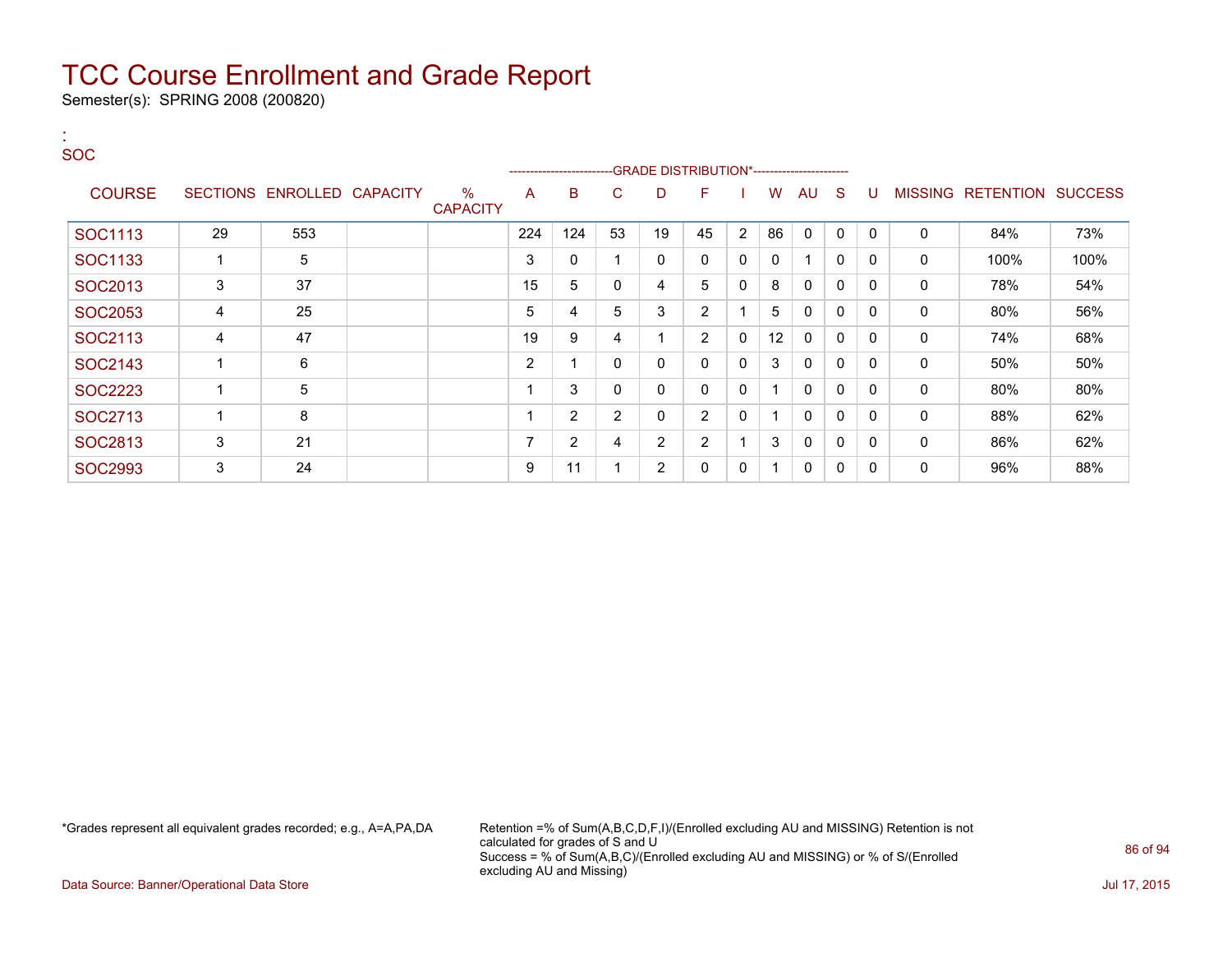Semester(s): SPRING 2008 (200820)

:

| <b>SOC</b>     |    |                            |                         |                | ------------------------ |                | -GRADE DISTRIBUTION*----------------------- |                |                |              |              |              |              |                |           |                |
|----------------|----|----------------------------|-------------------------|----------------|--------------------------|----------------|---------------------------------------------|----------------|----------------|--------------|--------------|--------------|--------------|----------------|-----------|----------------|
| <b>COURSE</b>  |    | SECTIONS ENROLLED CAPACITY | $\%$<br><b>CAPACITY</b> | A              | в                        | С              | D                                           | F              |                | W            | AU           | <sub>S</sub> |              | <b>MISSING</b> | RETENTION | <b>SUCCESS</b> |
| SOC1113        | 29 | 553                        |                         | 224            | 124                      | 53             | 19                                          | 45             | $\overline{2}$ | 86           | $\Omega$     | $\mathbf 0$  | $\mathbf{0}$ | 0              | 84%       | 73%            |
| SOC1133        |    | 5                          |                         | 3              | 0                        |                | 0                                           | 0              | 0              | $\mathbf{0}$ |              | 0            | 0            | 0              | 100%      | 100%           |
| SOC2013        | 3  | 37                         |                         | 15             | 5                        | 0              | 4                                           | 5              | 0              | 8            | $\Omega$     | 0            | $\mathbf{0}$ | 0              | 78%       | 54%            |
| SOC2053        | 4  | 25                         |                         | 5              | 4                        | 5              | 3                                           | $\overline{2}$ |                | 5            | $\Omega$     | $\Omega$     | $\mathbf{0}$ | 0              | 80%       | 56%            |
| SOC2113        | 4  | 47                         |                         | 19             | 9                        | 4              | 1                                           | $\overline{2}$ | $\mathbf{0}$   | 12           | $\Omega$     | $\Omega$     | $\Omega$     | $\mathbf 0$    | 74%       | 68%            |
| SOC2143        |    | 6                          |                         | $\overline{2}$ |                          | 0              | 0                                           | 0              | 0              | 3            | $\Omega$     | 0            | $\mathbf{0}$ | 0              | 50%       | 50%            |
| SOC2223        |    | 5                          |                         |                | 3                        | 0              | 0                                           | 0              | 0              | 1            | $\mathbf{0}$ | 0            | $\mathbf{0}$ | 0              | 80%       | 80%            |
| SOC2713        |    | 8                          |                         |                | $\overline{2}$           | $\overline{2}$ | 0                                           | $\overline{2}$ | 0              | 1            | $\mathbf{0}$ | 0            | $\mathbf{0}$ | 0              | 88%       | 62%            |
| SOC2813        | 3  | 21                         |                         |                | $\overline{2}$           | 4              | $\overline{2}$                              | $\overline{2}$ |                | 3            | 0            | $\mathbf{0}$ | $\mathbf{0}$ | 0              | 86%       | 62%            |
| <b>SOC2993</b> | 3  | 24                         |                         | 9              | 11                       |                | $\overline{2}$                              | 0              | 0              | 1            | 0            | 0            | 0            | 0              | 96%       | 88%            |

\*Grades represent all equivalent grades recorded; e.g., A=A,PA,DA Retention =% of Sum(A,B,C,D,F,I)/(Enrolled excluding AU and MISSING) Retention is not calculated for grades of S and U Success = % of Sum(A,B,C)/(Enrolled excluding AU and MISSING) or % of S/(Enrolled excluding AU and Missing)

Data Source: Banner/Operational Data Store Jul 17, 2015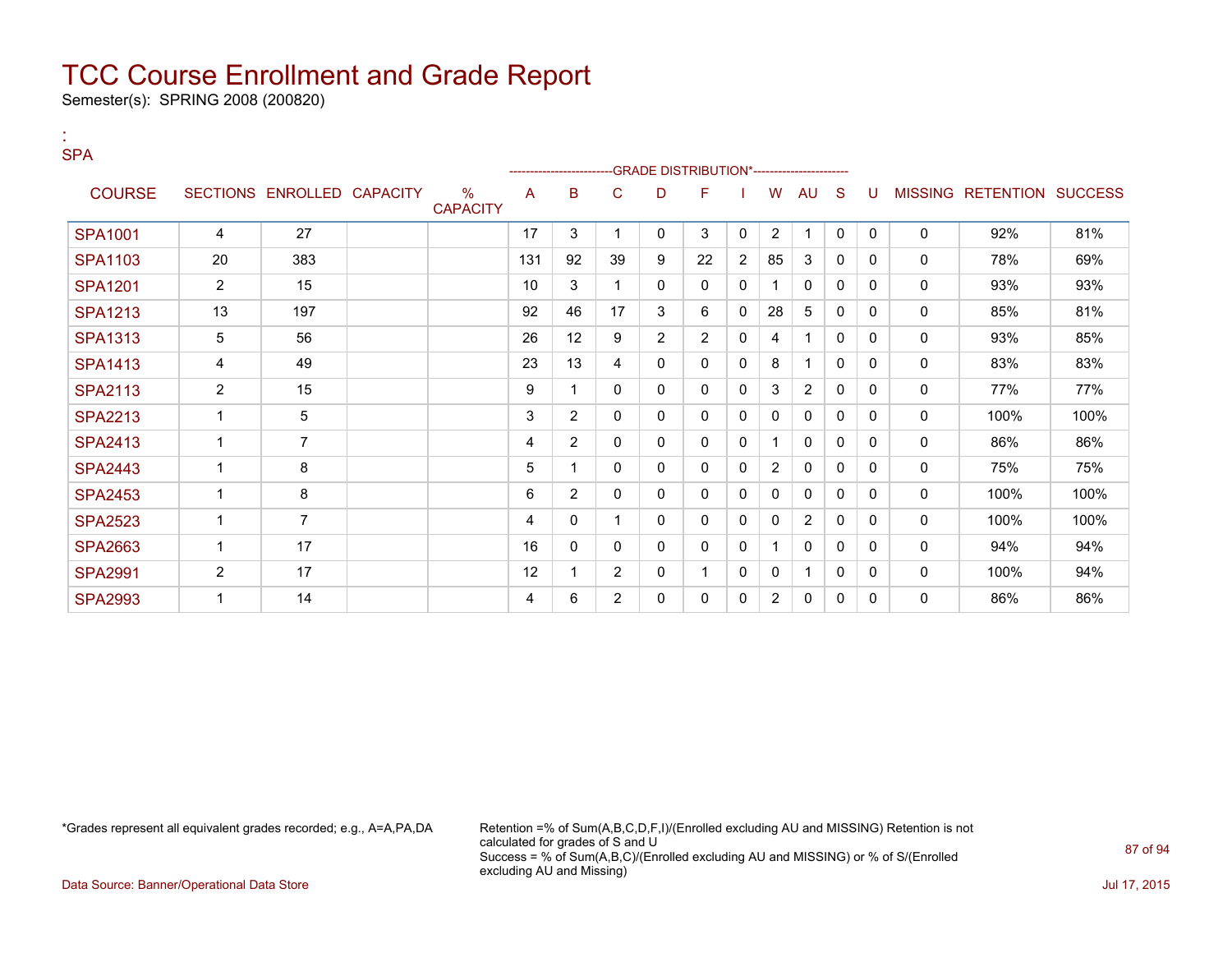Semester(s): SPRING 2008 (200820)

:

| <b>SPA</b>     |                |                            |                                  |     | ------------------- |                |                | -GRADE DISTRIBUTION*---------------------- |                |                |                |              |              |              |                           |      |
|----------------|----------------|----------------------------|----------------------------------|-----|---------------------|----------------|----------------|--------------------------------------------|----------------|----------------|----------------|--------------|--------------|--------------|---------------------------|------|
| <b>COURSE</b>  |                | SECTIONS ENROLLED CAPACITY | $\frac{0}{0}$<br><b>CAPACITY</b> | A   | в                   | С              | D              | F                                          |                | W              | AU             | S            | U            |              | MISSING RETENTION SUCCESS |      |
| <b>SPA1001</b> | 4              | 27                         |                                  | 17  | 3                   | 1              | 0              | 3                                          | $\Omega$       | $\overline{2}$ | 1              | $\mathbf{0}$ | $\mathbf{0}$ | $\mathbf 0$  | 92%                       | 81%  |
| SPA1103        | 20             | 383                        |                                  | 131 | 92                  | 39             | 9              | 22                                         | $\overline{c}$ | 85             | 3              | $\mathbf{0}$ | 0            | 0            | 78%                       | 69%  |
| <b>SPA1201</b> | $\overline{2}$ | 15                         |                                  | 10  | 3                   |                | 0              | $\Omega$                                   | 0              | 1              | $\mathbf{0}$   | $\Omega$     | $\Omega$     | $\mathbf 0$  | 93%                       | 93%  |
| <b>SPA1213</b> | 13             | 197                        |                                  | 92  | 46                  | 17             | 3              | 6                                          | 0              | 28             | 5              | $\Omega$     | $\Omega$     | $\mathbf 0$  | 85%                       | 81%  |
| <b>SPA1313</b> | 5              | 56                         |                                  | 26  | 12                  | 9              | $\overline{2}$ | $\overline{2}$                             | 0              | 4              | 1              | $\mathbf{0}$ | $\Omega$     | 0            | 93%                       | 85%  |
| <b>SPA1413</b> | 4              | 49                         |                                  | 23  | 13                  | 4              | 0              | 0                                          | 0              | 8              |                | 0            | 0            | 0            | 83%                       | 83%  |
| <b>SPA2113</b> | $\overline{2}$ | 15                         |                                  | 9   |                     | 0              | 0              | 0                                          | 0              | 3              | $\overline{2}$ | 0            | 0            | 0            | 77%                       | 77%  |
| <b>SPA2213</b> | 1              | 5                          |                                  | 3   | $\overline{2}$      | 0              | 0              | $\mathbf{0}$                               | 0              | 0              | $\mathbf{0}$   | 0            | $\Omega$     | $\mathbf{0}$ | 100%                      | 100% |
| <b>SPA2413</b> | 1              | $\overline{7}$             |                                  | 4   | $\overline{2}$      | 0              | 0              | $\mathbf{0}$                               | 0              | 1              | $\mathbf{0}$   | 0            | $\Omega$     | $\mathbf 0$  | 86%                       | 86%  |
| <b>SPA2443</b> | 1              | 8                          |                                  | 5   |                     | 0              | 0              | 0                                          | 0              | $\overline{2}$ | $\Omega$       | $\mathbf{0}$ | $\Omega$     | $\mathbf 0$  | 75%                       | 75%  |
| <b>SPA2453</b> | 1              | 8                          |                                  | 6   | $\overline{2}$      | 0              | 0              | $\mathbf{0}$                               | 0              | $\mathbf{0}$   | $\mathbf{0}$   | $\mathbf{0}$ | $\Omega$     | 0            | 100%                      | 100% |
| <b>SPA2523</b> | 1              | $\overline{7}$             |                                  | 4   | 0                   |                | 0              | $\mathbf{0}$                               | 0              | 0              | $\overline{2}$ | $\mathbf{0}$ | $\Omega$     | 0            | 100%                      | 100% |
| <b>SPA2663</b> | 1              | 17                         |                                  | 16  | 0                   | 0              | 0              | $\mathbf{0}$                               | 0              |                | $\mathbf{0}$   | $\mathbf{0}$ | $\Omega$     | $\mathbf{0}$ | 94%                       | 94%  |
| <b>SPA2991</b> | 2              | 17                         |                                  | 12  |                     | $\overline{2}$ | 0              |                                            | $\Omega$       | 0              | 1              | $\mathbf{0}$ | $\Omega$     | $\mathbf{0}$ | 100%                      | 94%  |
| <b>SPA2993</b> | 1              | 14                         |                                  | 4   | 6                   | 2              | 0              | 0                                          | 0              | $\overline{2}$ | 0              | 0            | $\Omega$     | 0            | 86%                       | 86%  |

\*Grades represent all equivalent grades recorded; e.g., A=A,PA,DA Retention =% of Sum(A,B,C,D,F,I)/(Enrolled excluding AU and MISSING) Retention is not calculated for grades of S and U Success = % of Sum(A,B,C)/(Enrolled excluding AU and MISSING) or % of S/(Enrolled excluding AU and Missing)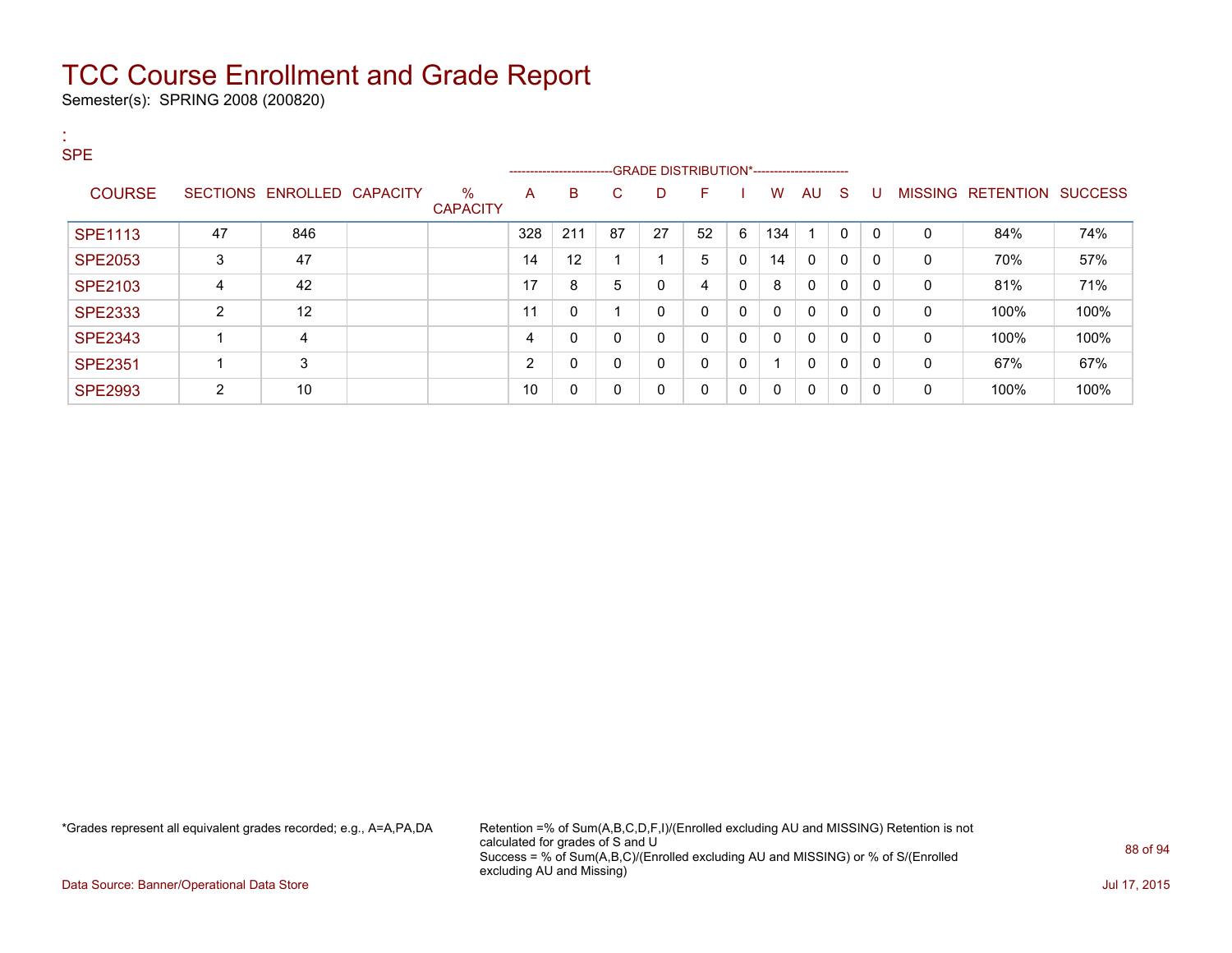Semester(s): SPRING 2008 (200820)

| п.<br><b>SPE</b> |                |                            |                         |     |                                                                                  |    |              |    |              |              |                         |              |          |              |                   |                |
|------------------|----------------|----------------------------|-------------------------|-----|----------------------------------------------------------------------------------|----|--------------|----|--------------|--------------|-------------------------|--------------|----------|--------------|-------------------|----------------|
|                  |                |                            |                         |     | ------------------------GRADE                DISTRIBUTION*---------------------- |    |              |    |              |              |                         |              |          |              |                   |                |
| <b>COURSE</b>    |                | SECTIONS ENROLLED CAPACITY | $\%$<br><b>CAPACITY</b> | A   | B                                                                                | C. | D            | F. |              | W            | AU.                     | - S          | U        |              | MISSING RETENTION | <b>SUCCESS</b> |
| <b>SPE1113</b>   | 47             | 846                        |                         | 328 | 211                                                                              | 87 | 27           | 52 | 6            | 134          | $\overline{\mathbf{A}}$ | $\mathbf{0}$ | $\Omega$ | $\Omega$     | 84%               | 74%            |
| <b>SPE2053</b>   | 3              | 47                         |                         | 14  | 12                                                                               |    |              | 5  | 0            | 14           | $\Omega$                | 0            | $\Omega$ | 0            | 70%               | 57%            |
| <b>SPE2103</b>   | 4              | 42                         |                         | 17  | 8                                                                                | 5  | $\mathbf{0}$ | 4  | 0            | 8            | $\Omega$                | $\mathbf{0}$ | $\Omega$ | $\mathbf{0}$ | 81%               | 71%            |
| <b>SPE2333</b>   | 2              | 12                         |                         | 11  | 0                                                                                |    | 0            | 0  | 0            | $\mathbf{0}$ | $\Omega$                | $\mathbf{0}$ | $\Omega$ | $\mathbf{0}$ | 100%              | 100%           |
| <b>SPE2343</b>   |                | 4                          |                         | 4   | 0                                                                                | 0  | $\mathbf{0}$ | 0  | $\mathbf{0}$ | $\Omega$     | 0                       | $\mathbf{0}$ | $\Omega$ | $\mathbf{0}$ | 100%              | 100%           |
| <b>SPE2351</b>   |                | 3                          |                         | 2   | 0                                                                                | 0  | 0            | 0  | 0            |              | $\mathbf{0}$            | 0            | $\Omega$ | 0            | 67%               | 67%            |
| <b>SPE2993</b>   | $\overline{2}$ | 10                         |                         | 10  | 0                                                                                | 0  | 0            | 0  | 0            | 0            | 0                       | 0            | $\Omega$ | 0            | 100%              | 100%           |

\*Grades represent all equivalent grades recorded; e.g., A=A,PA,DA Retention =% of Sum(A,B,C,D,F,I)/(Enrolled excluding AU and MISSING) Retention is not calculated for grades of S and U Success = % of Sum(A,B,C)/(Enrolled excluding AU and MISSING) or % of S/(Enrolled excluding AU and Missing)

Data Source: Banner/Operational Data Store Jul 17, 2015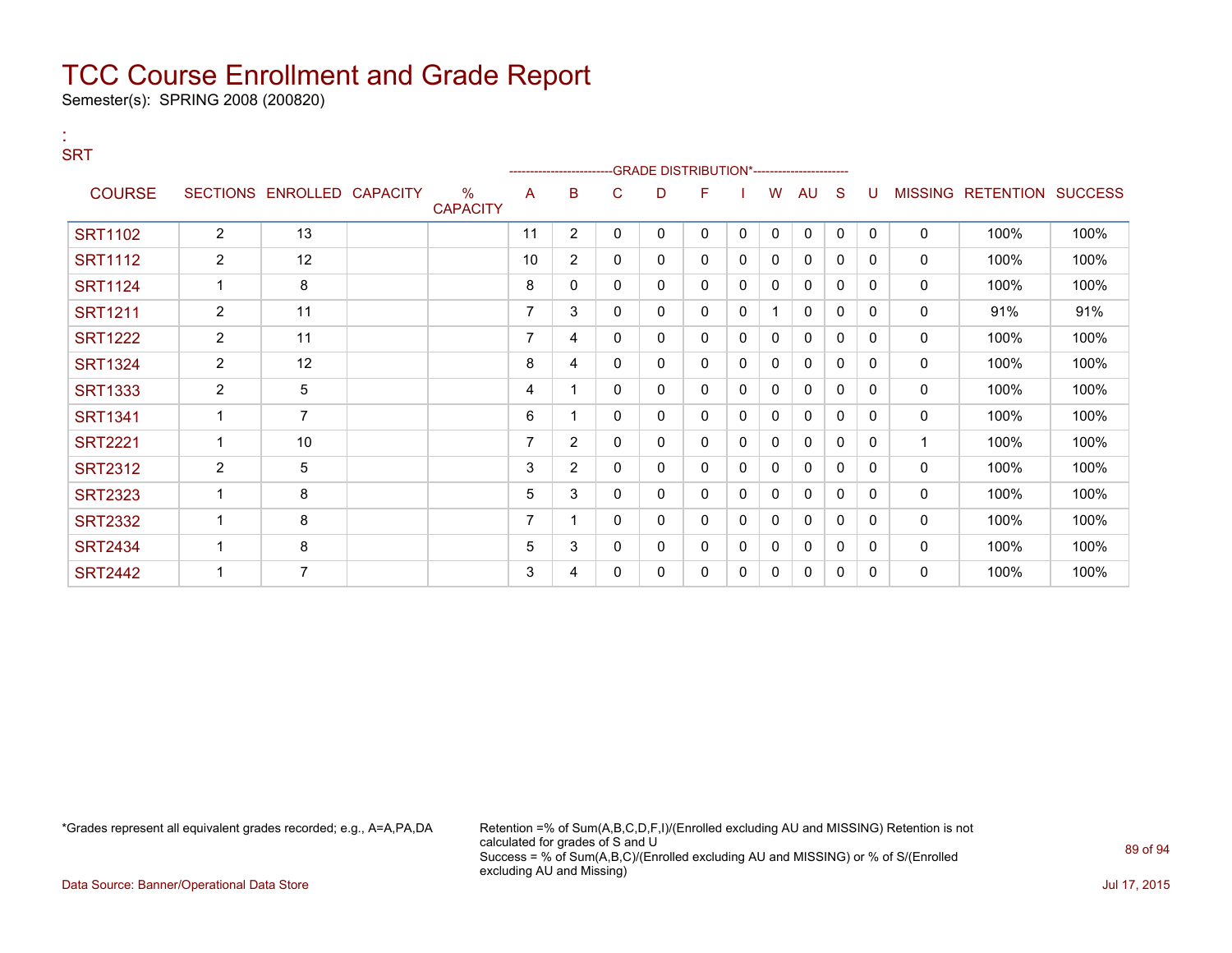Semester(s): SPRING 2008 (200820)

:

### **SRT** ---GRADE DISTRIBUTION\*------------------------COURSE SECTIONS ENROLLED CAPACITY % **CAPACITY** A B C D F I W AU S U MISSING RETENTION SUCCESS SRT1102 | 2 | 13 | | 11 | 2 | 0 | 0 | 0 | 0 | 0 | 0 | 0 | 0 | 100% | 100% SRT1112 2 12 10 2 0 0 0 0 0 0 0 0 0 100% 100% SRT1124 1 8 8 0 0 0 0 0 0 0 0 0 0 100% 100% SRT1211 | 2 | 11 | | 7 | 3 | 0 | 0 | 0 | 1 | 0 | 0 | 0 | 0 | 91% | 91% SRT1222 | 2 | 11 | | | | 7 | 4 | 0 | 0 | 0 | 0 | 0 | 0 | 0 | 0 | 100% | 100% SRT1324 | 2 | 12 | | 8 |4 | 0 | 0 | 0 | 0 | 0 | 0 | 0 | 0 | 100% | 100% SRT1333 | 2 | 5 | | | 4 | 1 | 0 | 0 | 0 | 0 | 0 | 0 | 0 | 100% | 100% SRT1341 | 1 | 7 | | 6 |1 | 0 |0 |0 |0 |0 |0 |0 | 100% | 100% SRT2221 | 1 | 10 | | | | 7 | 2 | 0 | 0 | 0 | 0 | 0 | 0 | 0 | 1 | 100% | 100% SRT2312 | 2 | 5 | | | 3 | 2 | 0 | 0 | 0 | 0 | 0 | 0 | 0 | 0 | 100% | 100% SRT2323 1 8 5 3 0 0 0 0 0 0 0 0 0 100% 100% SRT2332 1 8 7 1 0 0 0 0 0 0 0 0 0 100% 100% SRT2434 | 1 | 8 | | | 5 | 3 | 0 | 0 | 0 | 0 | 0 | 0 | 0 | 0 | 100% | 100% SRT2442 | 1 | 7 | | | 3 | 4 | 0 | 0 | 0 | 0 | 0 | 0 | 0 | 0 | 100% | 100%

\*Grades represent all equivalent grades recorded; e.g., A=A,PA,DA Retention =% of Sum(A,B,C,D,F,I)/(Enrolled excluding AU and MISSING) Retention is not calculated for grades of S and U Success = % of Sum(A,B,C)/(Enrolled excluding AU and MISSING) or % of S/(Enrolled excluding AU and Missing)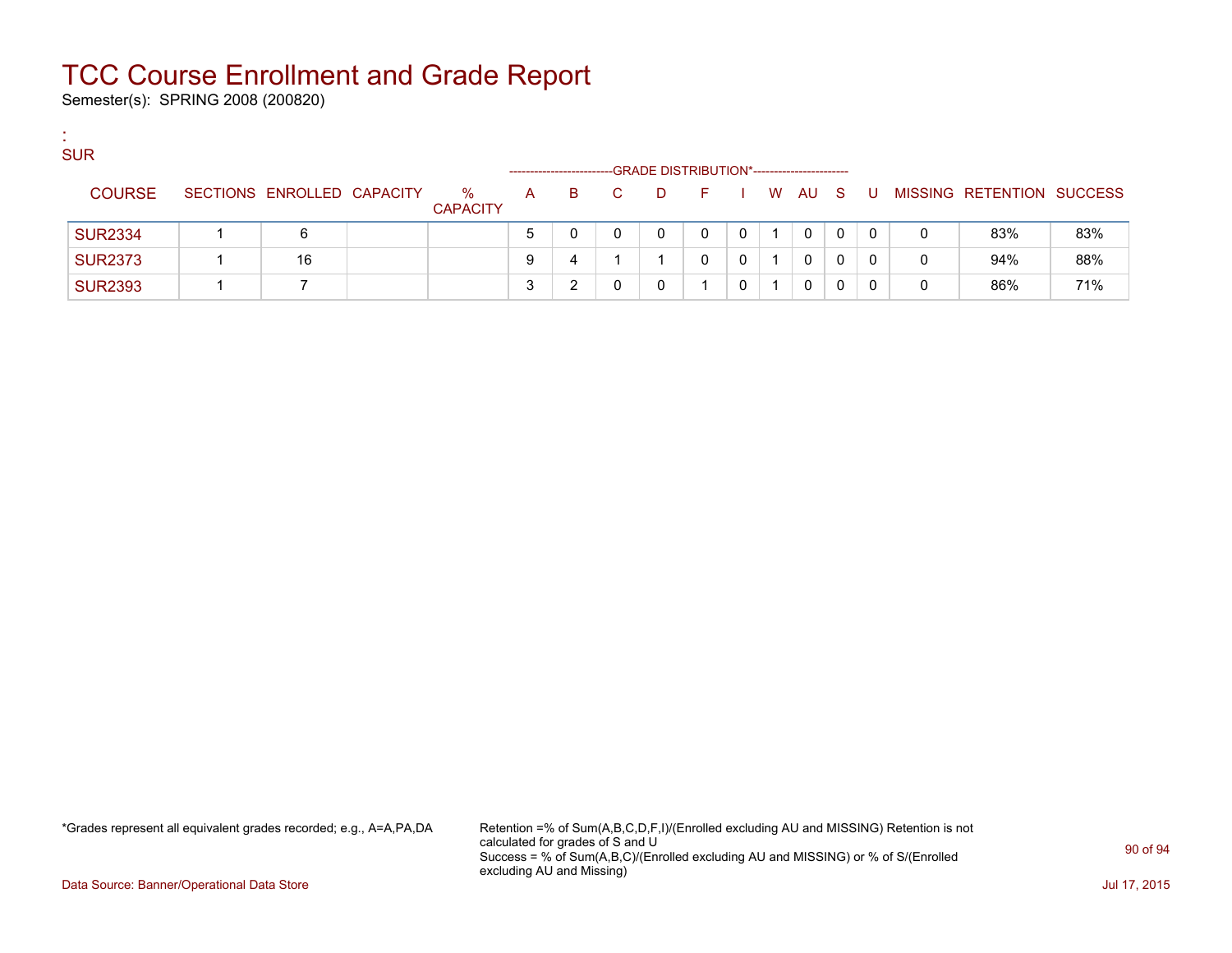Semester(s): SPRING 2008 (200820)

:

| <b>SUR</b>     |                            |                      |              | --------------------- |    |   | -GRADE DISTRIBUTION*----------------------- |              |        |   |             |              |                           |     |
|----------------|----------------------------|----------------------|--------------|-----------------------|----|---|---------------------------------------------|--------------|--------|---|-------------|--------------|---------------------------|-----|
| <b>COURSE</b>  | SECTIONS ENROLLED CAPACITY | %<br><b>CAPACITY</b> | $\mathsf{A}$ | B.                    | C. | D | in Fine                                     |              | I WAUS |   | - U -       |              | MISSING RETENTION SUCCESS |     |
| <b>SUR2334</b> | 6                          |                      | $5^{\circ}$  |                       |    |   | 0                                           | $\mathbf{0}$ | 0      | 0 | $\mathbf 0$ | 0            | 83%                       | 83% |
| <b>SUR2373</b> | 16                         |                      | 9            | 4                     |    |   | 0                                           | $\mathbf{0}$ | 0      |   | 0           | $\mathbf{0}$ | 94%                       | 88% |
| <b>SUR2393</b> |                            |                      | 3            |                       |    |   |                                             |              | 0      |   |             | 0            | 86%                       | 71% |

\*Grades represent all equivalent grades recorded; e.g., A=A,PA,DA Retention =% of Sum(A,B,C,D,F,I)/(Enrolled excluding AU and MISSING) Retention is not calculated for grades of S and U Success = % of Sum(A,B,C)/(Enrolled excluding AU and MISSING) or % of S/(Enrolled excluding AU and Missing)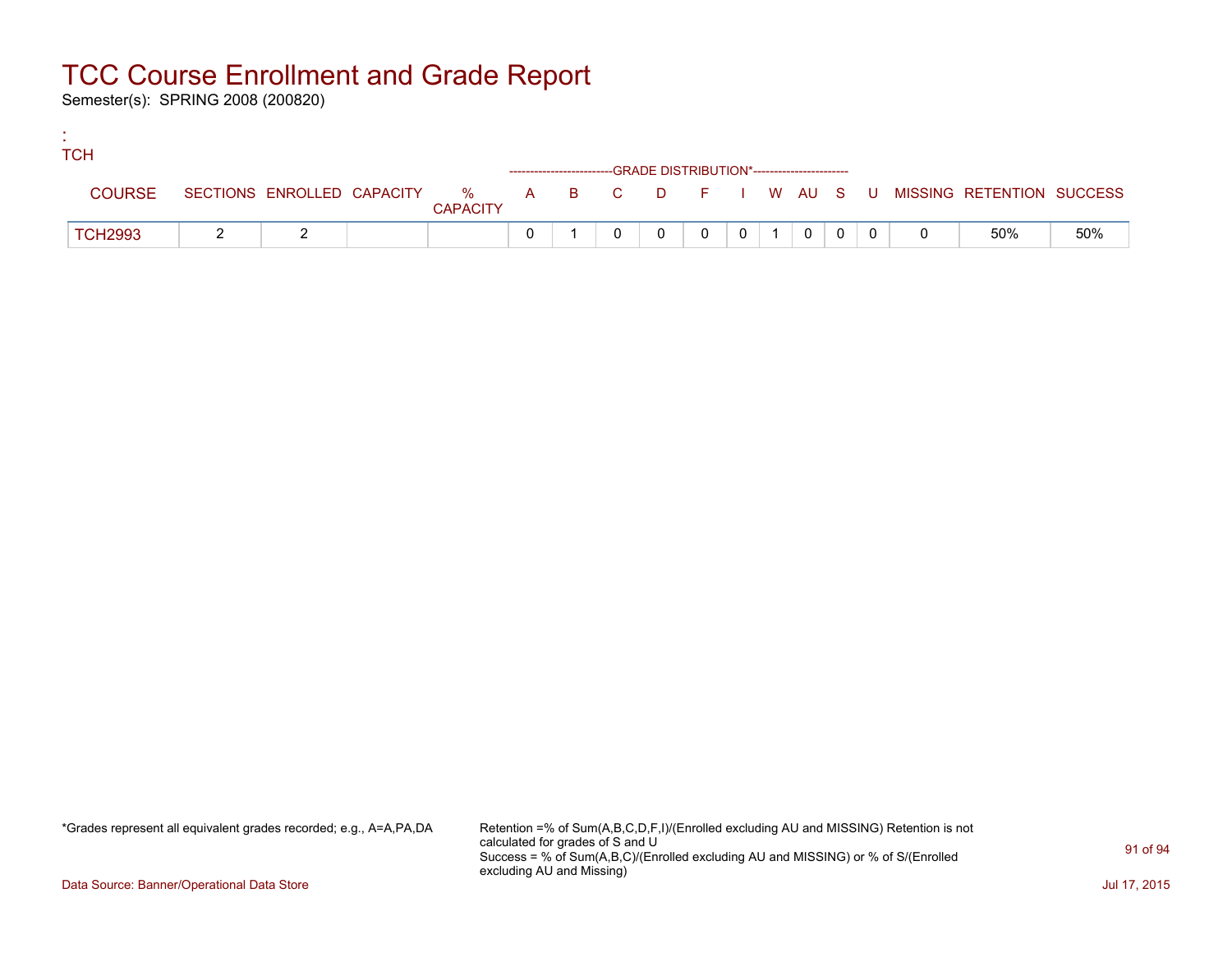Semester(s): SPRING 2008 (200820)

:

| <b>TCH</b>     |  |                 |  |                                                                    |  |          |  |                                                                             |     |
|----------------|--|-----------------|--|--------------------------------------------------------------------|--|----------|--|-----------------------------------------------------------------------------|-----|
|                |  |                 |  | ------------------------GRADE DISTRIBUTION*----------------------- |  |          |  |                                                                             |     |
| <b>COURSE</b>  |  | <b>CAPACITY</b> |  |                                                                    |  |          |  | SECTIONS ENROLLED CAPACITY % A B C D F I W AU S U MISSING RETENTION SUCCESS |     |
| <b>TCH2993</b> |  |                 |  |                                                                    |  | $\Omega$ |  | 50%                                                                         | 50% |

\*Grades represent all equivalent grades recorded; e.g., A=A,PA,DA Retention =% of Sum(A,B,C,D,F,I)/(Enrolled excluding AU and MISSING) Retention is not calculated for grades of S and U Success = % of Sum(A,B,C)/(Enrolled excluding AU and MISSING) or % of S/(Enrolled excluding AU and Missing)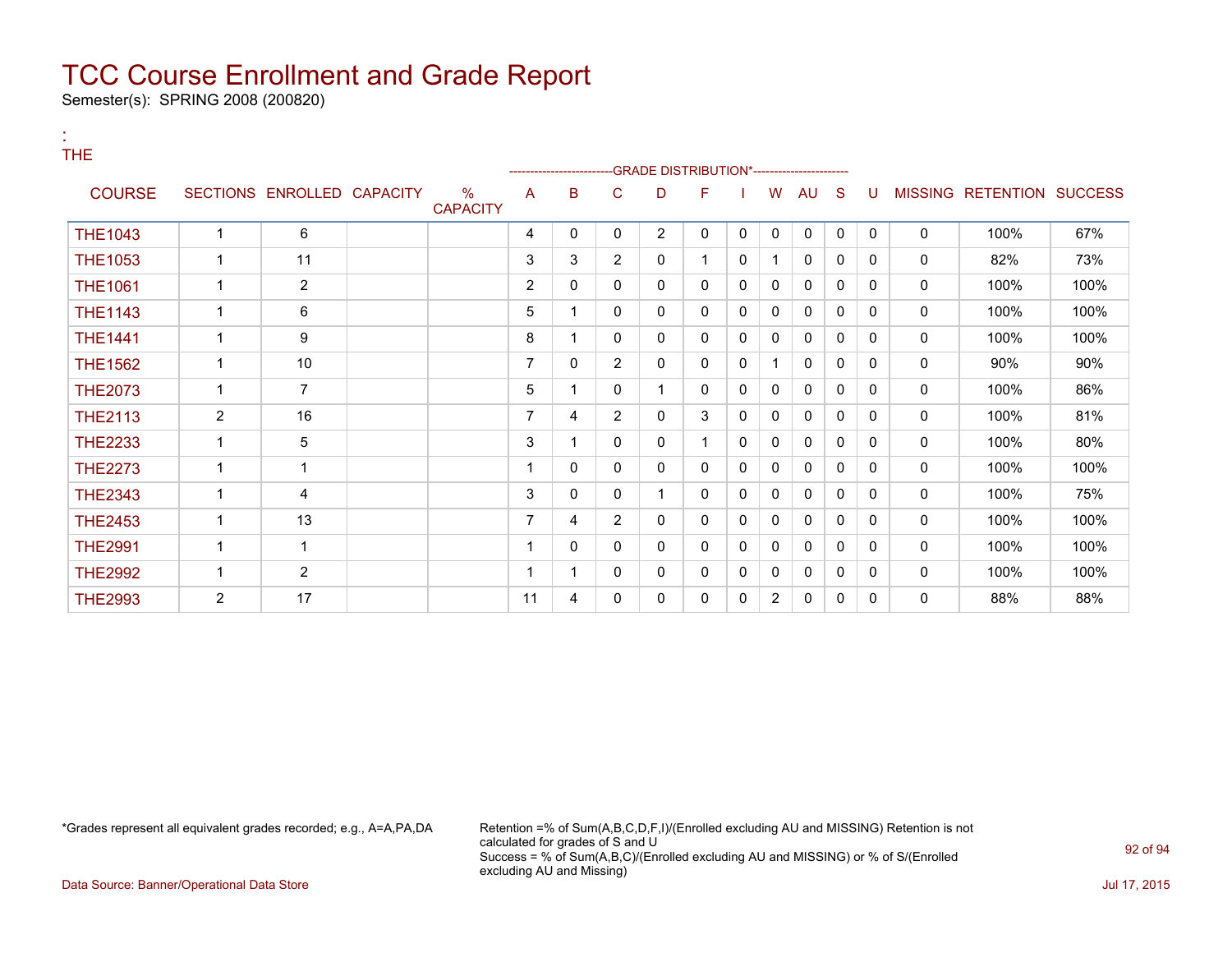Semester(s): SPRING 2008 (200820)

:

| <b>THE</b>     |                |                            |                         |                |              |                |                | -GRADE DISTRIBUTION*--------------------- |              |                |              |              |          |             |                           |      |
|----------------|----------------|----------------------------|-------------------------|----------------|--------------|----------------|----------------|-------------------------------------------|--------------|----------------|--------------|--------------|----------|-------------|---------------------------|------|
| <b>COURSE</b>  |                | SECTIONS ENROLLED CAPACITY | $\%$<br><b>CAPACITY</b> | A              | B            | С              | D              | F                                         |              | W              | AU           | S            | U        |             | MISSING RETENTION SUCCESS |      |
| <b>THE1043</b> | $\overline{1}$ | 6                          |                         | 4              | 0            | 0              | $\overline{2}$ | 0                                         | 0            | $\mathbf{0}$   | $\mathbf 0$  | 0            | $\Omega$ | 0           | 100%                      | 67%  |
| <b>THE1053</b> | $\mathbf{1}$   | 11                         |                         | 3              | 3            | $\overline{2}$ | 0              | 1                                         | 0            |                | 0            | 0            | 0        | 0           | 82%                       | 73%  |
| <b>THE1061</b> | 1              | $\overline{2}$             |                         | $\overline{2}$ | 0            | 0              | 0              | 0                                         | $\mathbf{0}$ | 0              | 0            | $\mathbf{0}$ | $\Omega$ | $\mathbf 0$ | 100%                      | 100% |
| <b>THE1143</b> | $\overline{1}$ | 6                          |                         | 5              |              | 0              | 0              | 0                                         | $\mathbf{0}$ | 0              | 0            | $\mathbf{0}$ | $\Omega$ | 0           | 100%                      | 100% |
| <b>THE1441</b> |                | 9                          |                         | 8              |              | 0              | 0              | 0                                         | 0            | 0              | 0            | $\mathbf{0}$ | 0        | 0           | 100%                      | 100% |
| <b>THE1562</b> | 1              | 10                         |                         | 7              | $\mathbf{0}$ | $\overline{2}$ | 0              | 0                                         | 0            |                | 0            | 0            | 0        | 0           | 90%                       | 90%  |
| <b>THE2073</b> | 1              | $\overline{7}$             |                         | 5              |              | 0              |                | 0                                         | 0            | 0              | 0            | 0            | 0        | 0           | 100%                      | 86%  |
| <b>THE2113</b> | $\overline{2}$ | 16                         |                         | 7              | 4            | $\overline{2}$ | 0              | 3                                         | 0            | 0              | 0            | 0            | 0        | 0           | 100%                      | 81%  |
| <b>THE2233</b> | 1              | 5                          |                         | 3              |              | 0              | 0              | 1                                         | 0            | $\Omega$       | $\mathbf{0}$ | 0            | $\Omega$ | 0           | 100%                      | 80%  |
| <b>THE2273</b> |                | 1                          |                         | 1              | 0            | 0              | 0              | 0                                         | 0            | 0              | 0            | 0            | 0        | 0           | 100%                      | 100% |
| <b>THE2343</b> | 1              | 4                          |                         | 3              | 0            | 0              |                | 0                                         | 0            | 0              | 0            | $\mathbf{0}$ | 0        | 0           | 100%                      | 75%  |
| <b>THE2453</b> | $\mathbf{1}$   | 13                         |                         | $\overline{7}$ | 4            | $\overline{2}$ | 0              | 0                                         | 0            | 0              | 0            | $\Omega$     | $\Omega$ | 0           | 100%                      | 100% |
| <b>THE2991</b> | 1              | 1                          |                         | $\mathbf 1$    | 0            | 0              | 0              | 0                                         | 0            | 0              | 0            | $\mathbf{0}$ | $\Omega$ | 0           | 100%                      | 100% |
| <b>THE2992</b> | $\mathbf 1$    | $\overline{2}$             |                         | 1              |              | 0              | 0              | 0                                         | 0            | 0              | 0            | $\mathbf{0}$ | $\Omega$ | 0           | 100%                      | 100% |
| <b>THE2993</b> | $\overline{2}$ | 17                         |                         | 11             | 4            | 0              | 0              | 0                                         | 0            | $\overline{2}$ | 0            | 0            | 0        | 0           | 88%                       | 88%  |

\*Grades represent all equivalent grades recorded; e.g., A=A,PA,DA Retention =% of Sum(A,B,C,D,F,I)/(Enrolled excluding AU and MISSING) Retention is not calculated for grades of S and U Success = % of Sum(A,B,C)/(Enrolled excluding AU and MISSING) or % of S/(Enrolled excluding AU and Missing)

Data Source: Banner/Operational Data Store Jul 17, 2015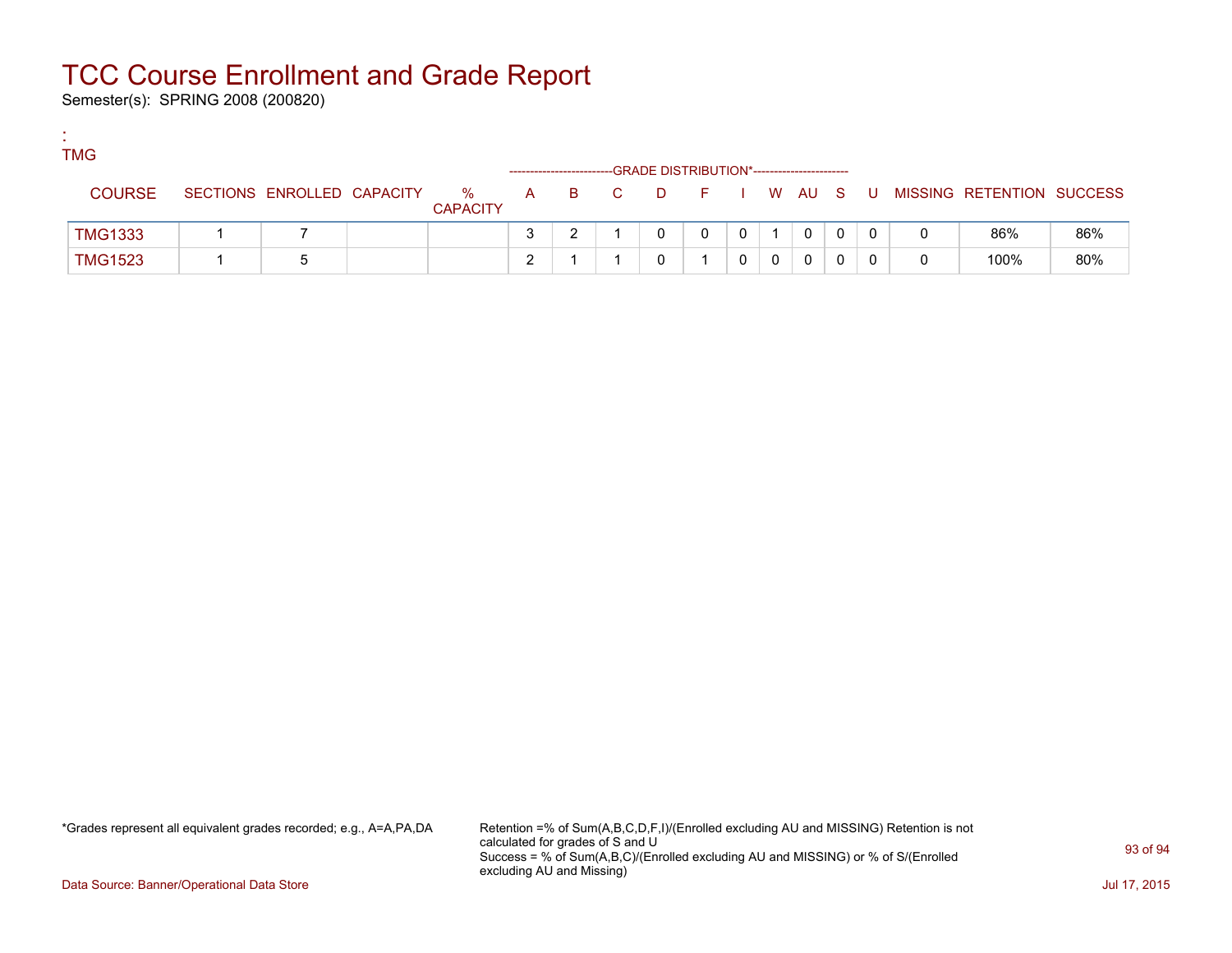Semester(s): SPRING 2008 (200820)

:

| <b>TMG</b>     |                            |                      |   |            | -GRADE DISTRIBUTION*----------------------- |         |  |   |   |   |                           |     |
|----------------|----------------------------|----------------------|---|------------|---------------------------------------------|---------|--|---|---|---|---------------------------|-----|
| <b>COURSE</b>  | SECTIONS ENROLLED CAPACITY | %<br><b>CAPACITY</b> | A | <b>B</b> C |                                             | DFIWAUS |  |   | U |   | MISSING RETENTION SUCCESS |     |
| <b>TMG1333</b> |                            |                      |   |            |                                             |         |  | 0 |   |   | 86%                       | 86% |
| <b>TMG1523</b> |                            |                      | ◠ |            |                                             |         |  |   |   | 0 | 100%                      | 80% |

\*Grades represent all equivalent grades recorded; e.g., A=A,PA,DA Retention =% of Sum(A,B,C,D,F,I)/(Enrolled excluding AU and MISSING) Retention is not calculated for grades of S and U Success = % of Sum(A,B,C)/(Enrolled excluding AU and MISSING) or % of S/(Enrolled excluding AU and Missing)

Data Source: Banner/Operational Data Store Jul 17, 2015